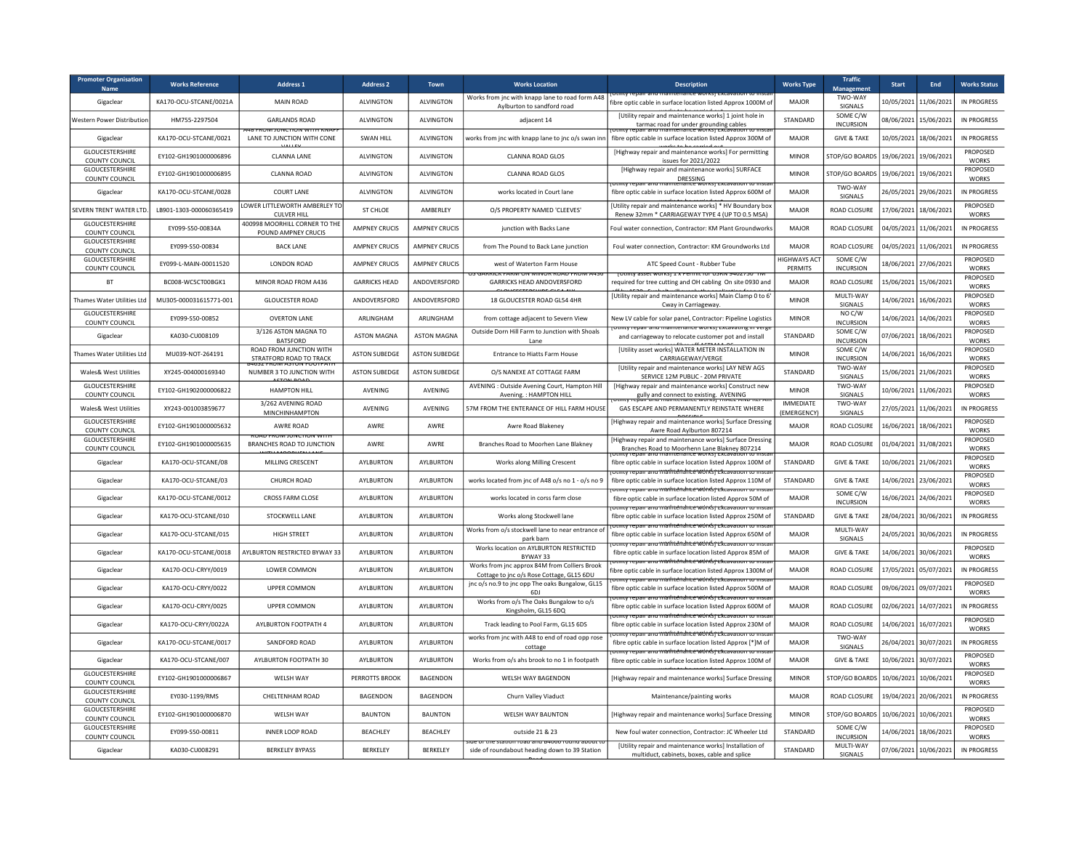| <b>Promoter Organisation</b><br>Name            | <b>Works Reference</b>  | <b>Address 1</b>                                                | <b>Address 2</b>     | Town                 | <b>Works Location</b>                                                                      | <b>Description</b>                                                                                                                             | <b>Works Type</b>               | <b>Traffic</b><br>Management | <b>Start</b>          | End                   | <b>Works Status</b>             |
|-------------------------------------------------|-------------------------|-----------------------------------------------------------------|----------------------|----------------------|--------------------------------------------------------------------------------------------|------------------------------------------------------------------------------------------------------------------------------------------------|---------------------------------|------------------------------|-----------------------|-----------------------|---------------------------------|
| Gigaclear                                       | KA170-OCU-STCANE/0021A  | MAIN ROAD                                                       | <b>ALVINGTON</b>     | <b>ALVINGTON</b>     | Works from jnc with knapp lane to road form A48<br>Aylburton to sandford road              | fibre optic cable in surface location listed Approx 1000M o                                                                                    | MAJOR                           | TWO-WAY<br>SIGNALS           |                       | 10/05/2021 11/06/2021 | IN PROGRESS                     |
| Western Power Distribution                      | HM755-2297504           | <b>GARI ANDS ROAD</b>                                           | <b>AI VINGTON</b>    | <b>AI VINGTON</b>    | adjacent 14                                                                                | [Utility repair and maintenance works] 1 joint hole in<br>tarmac road for under grounding cables<br>Epair and maintenance worksj Excavation to | <b>STANDARD</b>                 | SOME C/W<br><b>INCURSION</b> |                       | 08/06/2021 15/06/2021 | IN PROGRESS                     |
| Gigaclear                                       | KA170-OCU-STCANE/0021   | <u>אות דודוש צוטורטצוטנ ואוטה</u><br>LANE TO JUNCTION WITH CONE | <b>SWAN HILL</b>     | <b>ALVINGTON</b>     | works from jnc with knapp lane to jnc o/s swan inr                                         | fibre optic cable in surface location listed Approx 300M of                                                                                    | MAIOR                           | <b>GIVE &amp; TAKE</b>       |                       | 10/05/2021 18/06/2021 | IN PROGRESS                     |
| GLOUCESTERSHIRE<br>COUNTY COUNCIL               | EY102-GH1901000006896   | <b>CLANNA LANE</b>                                              | <b>ALVINGTON</b>     | <b>ALVINGTON</b>     | <b>CLANNA ROAD GLOS</b>                                                                    | [Highway repair and maintenance works] For permitting<br>issues for 2021/2022                                                                  | <b>MINOR</b>                    | STOP/GO BOARDS               |                       | 19/06/2021 19/06/2021 | <b>PROPOSED</b><br><b>WORKS</b> |
| GLOUCESTERSHIRE<br>COUNTY COUNCIL               | EY102-GH1901000006895   | <b>CLANNA ROAD</b>                                              | <b>ALVINGTON</b>     | <b>ALVINGTON</b>     | CLANNA ROAD GLOS                                                                           | [Highway repair and maintenance works] SURFACE<br>DRESSING                                                                                     | <b>MINOR</b>                    | STOP/GO BOARDS               | 19/06/2021 19/06/2021 |                       | PROPOSED<br><b>WORKS</b>        |
| Gigaclear                                       | KA170-OCU-STCANE/0028   | <b>COURT LANE</b>                                               | <b>ALVINGTON</b>     | <b>ALVINGTON</b>     | works located in Court lane                                                                | Othity repair and maintenance works) excavation to insta<br>fibre optic cable in surface location listed Approx 600M of                        | <b>MAJOR</b>                    | <b>TWO-WAY</b><br>SIGNALS    |                       | 26/05/2021 29/06/2021 | IN PROGRESS                     |
| SEVERN TRENT WATER LTD                          | LB901-1303-000060365419 | LOWER LITTLEWORTH AMBERLEY TO<br><b>CULVER HILL</b>             | ST CHLOE             | AMBERLEY             | O/S PROPERTY NAMED 'CLEEVES'                                                               | [Utility repair and maintenance works] * HV Boundary box<br>Renew 32mm * CARRIAGEWAY TYPE 4 (UP TO 0.5 MSA)                                    | MAJOR                           | ROAD CLOSURE                 | 17/06/2021 18/06/2021 |                       | PROPOSED<br><b>WORKS</b>        |
| <b>GLOUCESTERSHIRE</b><br><b>COUNTY COUNCIL</b> | EY099-S50-00834A        | 400998 MOORHILL CORNER TO THE<br>POUND AMPNEY CRUCIS            | <b>AMPNEY CRUCIS</b> | <b>AMPNEY CRUCIS</b> | junction with Backs Lane                                                                   | Foul water connection, Contractor: KM Plant Groundwork                                                                                         | <b>MAJOR</b>                    | ROAD CLOSURE                 | 04/05/2021 11/06/2021 |                       | IN PROGRESS                     |
| <b>GLOUCESTERSHIRE</b><br>COUNTY COUNCIL        | EY099-S50-00834         | <b>BACK LANE</b>                                                | <b>AMPNEY CRUCIS</b> | <b>AMPNEY CRUCIS</b> | from The Pound to Back Lane junction                                                       | Foul water connection, Contractor: KM Groundworks Ltd                                                                                          | MAIOR                           | <b>ROAD CLOSURE</b>          |                       | 04/05/2021 11/06/2021 | <b>IN PROGRESS</b>              |
| <b>GLOUCESTERSHIRE</b><br>COUNTY COUNCIL        | EY099-L-MAIN-00011520   | <b>LONDON ROAD</b>                                              | <b>AMPNEY CRUCIS</b> | <b>AMPNEY CRUCIS</b> | west of Waterton Farm House                                                                | ATC Speed Count - Rubber Tube                                                                                                                  | <b>HIGHWAYS ACT</b><br>PERMITS  | SOME C/W<br><b>INCURSION</b> |                       | 18/06/2021 27/06/2021 | <b>PROPOSED</b><br><b>WORKS</b> |
| <b>BT</b>                                       | BC008-WC5CT00BGK1       | MINOR ROAD FROM A436                                            | <b>GARRICKS HEAD</b> | ANDOVERSFORD         | <b>GARRICKS HEAD ANDOVERSFORD</b>                                                          | <u>טכן לאפיל צומכט וטו ווויוס ז' ג' וכאושא אסכנס צוווויטו</u><br>required for tree cutting and OH cabling On site 0930 and                     | MAJOR                           | ROAD CLOSURE                 |                       | 15/06/2021 15/06/2021 | PROPOSED<br><b>WORKS</b>        |
| Thames Water Utilities Ltd                      | MU305-000031615771-001  | <b>GLOUCESTER ROAD</b>                                          | ANDOVERSFORD         | ANDOVERSFORD         | 18 GLOUCESTER ROAD GL54 4HR                                                                | [Utility repair and maintenance works] Main Clamp 0 to 6<br>Cway in Carriageway                                                                | <b>MINOR</b>                    | MULTI-WAY<br>SIGNALS         |                       | 14/06/2021 16/06/2021 | PROPOSED<br><b>WORKS</b>        |
| <b>GLOUCESTERSHIRE</b><br>COUNTY COUNCIL        | EY099-S50-00852         | <b>OVERTON LANE</b>                                             | ARLINGHAM            | ARLINGHAM            | from cottage adjacent to Severn View                                                       | New LV cable for solar panel, Contractor: Pipeline Logistics                                                                                   | <b>MINOR</b>                    | NO C/W<br><b>INCURSION</b>   |                       | 14/06/2021 14/06/2021 | PROPOSED<br><b>WORKS</b>        |
| Gigaclear                                       | KA030-CU008109          | 3/126 ASTON MAGNA TO<br><b>BATSFORD</b>                         | <b>ASTON MAGNA</b>   | <b>ASTON MAGNA</b>   | Outside Dorn Hill Farm to Junction with Shoals<br>Lane                                     | <u>i otility repair and maintenance worksji excavating in verg</u><br>and carriageway to relocate customer pot and install                     | STANDARD                        | SOME C/W<br><b>INCURSION</b> |                       | 07/06/2021 18/06/2021 | PROPOSED<br><b>WORKS</b>        |
| <b>Thames Water Utilities Ltd</b>               | MU039-NOT-264191        | ROAD FROM JUNCTION WITH<br>STRATFORD ROAD TO TRACK              | <b>ASTON SUBEDGE</b> | <b>ASTON SUBFDGE</b> | <b>Entrance to Hiatts Farm House</b>                                                       | [Utility asset works] WATER METER INSTALLATION IN<br>CARRIAGEWAY/VERGE                                                                         | <b>MINOR</b>                    | SOME C/W<br><b>INCURSION</b> |                       | 14/06/2021 16/06/2021 | <b>PROPOSED</b><br><b>WORKS</b> |
| Wales& West Utilities                           | XY245-004000169340      | NUMBER 3 TO JUNCTION WITH                                       | <b>ASTON SUBEDGE</b> | <b>ASTON SUBEDGE</b> | O/S NANEXE AT COTTAGE FARM                                                                 | <b>IUtility repair and maintenance works] LAY NEW AGS</b><br>SERVICE 12M PUBLIC - 20M PRIVATE                                                  | STANDARD                        | TWO-WAY<br>SIGNALS           |                       | 15/06/2021 21/06/2021 | PROPOSED<br><b>WORKS</b>        |
| <b>GLOUCESTERSHIRE</b><br>COUNTY COUNCIL        | EY102-GH1902000006822   | HAMPTON HILL                                                    | <b>AVENING</b>       | <b>AVENING</b>       | AVENING : Outside Avening Court, Hampton Hill<br>Avening.: HAMPTON HILL                    | [Highway repair and maintenance works] Construct new<br>gully and connect to existing. AVENING                                                 | <b>MINOR</b>                    | TWO-WAY<br>SIGNALS           | 10/06/2021            | 11/06/2021            | PROPOSED<br><b>WORKS</b>        |
| Wales& West Utilities                           | XY243-001003859677      | 3/262 AVENING ROAD<br>MINCHINHAMPTON                            | AVENING              | AVENING              | 57M FROM THE ENTERANCE OF HILL FARM HOUSE                                                  | POZIT ZITOT ITZITI PITZITIKP WORKST I KAN E AIN DIKEPA<br>GAS ESCAPE AND PERMANENTLY REINSTATE WHERE                                           | <b>IMMEDIATE</b><br>(EMERGENCY) | TWO-WAY<br>SIGNALS           | 27/05/2021            | 11/06/2021            | IN PROGRESS                     |
| <b>GLOUCESTERSHIRE</b><br>COUNTY COUNCIL        | EY102-GH1901000005632   | <b>AWRE ROAD</b>                                                | AWRE                 | AWRE                 | Awre Road Blakeney                                                                         | [Highway repair and maintenance works] Surface Dressing<br>Awre Road Aylburton 807214                                                          | MAJOR                           | ROAD CLOSURE                 |                       | 16/06/2021 18/06/2021 | PROPOSED<br><b>WORKS</b>        |
| <b>GLOUCESTERSHIRE</b><br>COUNTY COUNCIL        | FY102-GH1901000005635   | <b>BRANCHES ROAD TO JUNCTION</b>                                | AWRF                 | AWRF                 | Branches Road to Moorhen Lane Blakney                                                      | [Highway repair and maintenance works] Surface Dressing<br>Branches Road to Moorhenn Lane Blakney 807214                                       | MAIOR                           | ROAD CLOSURE                 | 01/04/2021 31/08/2021 |                       | PROPOSED<br><b>WORKS</b>        |
| Gigaclear                                       | KA170-OCU-STCANE/08     | MILLING CRESCENT                                                | AYLBURTON            | AYLBURTON            | Works along Milling Crescent                                                               | fibre optic cable in surface location listed Approx 100M of                                                                                    | STANDARD                        | <b>GIVE &amp; TAKE</b>       |                       | 10/06/2021 21/06/2021 | PROPOSED<br><b>WORKS</b>        |
| Gigaclear                                       | KA170-OCU-STCANE/03     | CHURCH ROAD                                                     | AYLBURTON            | AYLBURTON            | works located from jnc of A48 o/s no 1 - o/s no 9                                          | tility repair and mailitenance works rexcavation to in<br>fibre optic cable in surface location listed Approx 110M of                          | STANDARD                        | <b>GIVE &amp; TAKE</b>       |                       | 14/06/2021 23/06/2021 | PROPOSED<br><b>WORKS</b>        |
| Gigaclear                                       | KA170-OCU-STCANE/0012   | <b>CROSS FARM CLOSE</b>                                         | AYLBURTON            | AYLBURTON            | works located in corss farm close                                                          | otility repair and mailitendrice works rexcavation to insta<br>fibre optic cable in surface location listed Approx 50M of                      | MAJOR                           | SOME C/W<br><b>INCURSION</b> |                       | 16/06/2021 24/06/2021 | PROPOSED<br><b>WORKS</b>        |
| Gigaclear                                       | KA170-OCU-STCANE/010    | STOCKWELL LANE                                                  | AYLBURTON            | AYLBURTON            | Works along Stockwell lane                                                                 | otility repair and mailitendrice works rexcavation to insta<br>fibre optic cable in surface location listed Approx 250M of                     | STANDARD                        | <b>GIVE &amp; TAKE</b>       |                       | 28/04/2021 30/06/2021 | IN PROGRESS                     |
| Gigaclear                                       | KA170-OCU-STCANE/015    | <b>HIGH STREET</b>                                              | <b>AYLBURTON</b>     | AYLBURTON            | Works from o/s stockwell lane to near entrance of<br>nark harn                             | rotmty repair and mailitériance works rexcavation to insta<br>fibre optic cable in surface location listed Approx 650M of                      | MAJOR                           | MULTI-WAY<br><b>SIGNALS</b>  |                       | 24/05/2021 30/06/2021 | <b>IN PROGRESS</b>              |
| Gigaclear                                       | KA170-OCU-STCANE/0018   | <b>AYLBURTON RESTRICTED BYWAY 33</b>                            | AYI BURTON           | <b>AYI BURTON</b>    | Works location on AYLBURTON RESTRICTED<br>BYWAY 33                                         | otility repair and maihténance wórksj excavation to insta<br>fibre optic cable in surface location listed Approx 85M of                        | MAIOR                           | <b>GIVE &amp; TAKE</b>       | 14/06/2021            | 30/06/2021            | PROPOSED<br><b>WORKS</b>        |
| Gigaclear                                       | KA170-OCU-CRYY/0019     | LOWER COMMON                                                    | AYLBURTON            | AYLBURTON            | Works from jnc approx 84M from Colliers Brook<br>Cottage to inc o/s Rose Cottage, GL15 6DU | πιική repair and mailitériance works) ελεανατισή το inst<br>fibre optic cable in surface location listed Approx 1300M o                        | MAIOR                           | ROAD CLOSURE                 | 17/05/2021            | 05/07/2021            | IN PROGRESS                     |
| Gigaclear                                       | KA170-OCU-CRYY/0022     | <b>UPPER COMMON</b>                                             | <b>AYLBURTON</b>     | AYLBURTON            | jnc o/s no.9 to jnc opp The oaks Bungalow, GL15<br>6DJ                                     | <del>otmtv repair anu mailiténante wórksi ckcavation to inst</del><br>fibre optic cable in surface location listed Approx 500M o               | <b>MAJOR</b>                    | ROAD CLOSURE                 | 09/06/2021            | 09/07/2021            | PROPOSED<br><b>WORKS</b>        |
| Gigaclear                                       | KA170-OCU-CRYY/0025     | UPPER COMMON                                                    | AYLBURTON            | AYLBURTON            | Works from o/s The Oaks Bungalow to o/s<br>Kingsholm, GL15 6DQ                             | στιπτγ repair and mailnténance wórksj ελεανατισπ το πιστο<br>fibre optic cable in surface location listed Approx 600M of                       | MAJOR                           | ROAD CLOSURE                 | 02/06/2021            | 14/07/2021            | IN PROGRESS                     |
| Gigaclear                                       | KA170-OCU-CRYY/0022A    | AYLBURTON FOOTPATH 4                                            | <b>AYLBURTON</b>     | AYLBURTON            | Track leading to Pool Farm, GL15 6DS                                                       | <del>Juliuy repair anu maihténdhce wórksj ekca</del><br>fibre optic cable in surface location listed Approx 230M of                            | MAIOR                           | <b>ROAD CLOSURE</b>          |                       | 14/06/2021 16/07/2021 | PROPOSED<br><b>WORKS</b>        |
| Gigaclear                                       | KA170-OCU-STCANE/0017   | SANDFORD ROAD                                                   | <b>AYLBURTON</b>     | AYLBURTON            | works from jnc with A48 to end of road opp rose<br>cottage                                 | <del>ity repair and mailitendrice work's rexcavation to inst</del><br>fibre optic cable in surface location listed Approx [*]M of              | <b>MAJOR</b>                    | TWO-WAY<br>SIGNALS           |                       | 26/04/2021 30/07/2021 | IN PROGRESS                     |
| Gigaclear                                       | KA170-OCU-STCANF/007    | AYLBURTON FOOTPATH 30                                           | <b>AYI BURTON</b>    | <b>AYI BURTON</b>    | Works from o/s ahs brook to no 1 in footpath                                               | πιπιγ repair anu maihténahte worksj excavation<br>fibre optic cable in surface location listed Approx 100M of                                  | MAIOR                           | <b>GIVE &amp; TAKE</b>       | 10/06/2021 30/07/2021 |                       | PROPOSED<br><b>WORKS</b>        |
| GLOUCESTERSHIRE<br><b>COUNTY COUNCIL</b>        | EY102-GH1901000006867   | WELSH WAY                                                       | PERROTTS BROOK       | BAGENDON             | WELSH WAY BAGENDON                                                                         | [Highway repair and maintenance works] Surface Dressing                                                                                        | <b>MINOR</b>                    | STOP/GO BOARDS               | 10/06/2021 10/06/2021 |                       | PROPOSED<br><b>WORKS</b>        |
| GLOUCESTERSHIRE<br>COUNTY COUNCIL               | EY030-1199/RMS          | CHELTENHAM ROAD                                                 | <b>BAGENDON</b>      | <b>BAGENDON</b>      | Churn Valley Viaduct                                                                       | Maintenance/painting works                                                                                                                     | <b>MAJOR</b>                    | ROAD CLOSURE                 |                       | 19/04/2021 20/06/2021 | IN PROGRESS                     |
| GLOUCESTERSHIRE<br>COUNTY COUNCIL               | EY102-GH1901000006870   | WELSH WAY                                                       | <b>BAUNTON</b>       | <b>BAUNTON</b>       | <b>WELSH WAY BAUNTON</b>                                                                   | [Highway repair and maintenance works] Surface Dressing                                                                                        | <b>MINOR</b>                    | STOP/GO BOARDS               |                       | 10/06/2021 10/06/2021 | PROPOSED<br><b>WORKS</b>        |
| GLOUCESTERSHIRE<br>COUNTY COUNCIL               | EY099-S50-00811         | <b>INNER LOOP ROAD</b>                                          | <b>BEACHLEY</b>      | BEACHLEY             | outside 21 & 23                                                                            | New foul water connection, Contractor: JC Wheeler Ltd                                                                                          | STANDARD                        | SOME C/W<br><b>INCURSION</b> |                       | 14/06/2021 18/06/2021 | PROPOSED<br><b>WORKS</b>        |
| Gigaclear                                       | KA030-CU008291          | <b>BERKELEY BYPASS</b>                                          | <b>BERKELEY</b>      | BERKELEY             | side of roundabout heading down to 39 Station                                              | [Utility repair and maintenance works] Installation of<br>multiduct, cabinets, boxes, cable and splice                                         | STANDARD                        | MULTI-WAY<br><b>SIGNALS</b>  |                       | 07/06/2021 10/06/2021 | IN PROGRESS                     |
|                                                 |                         |                                                                 |                      |                      |                                                                                            |                                                                                                                                                |                                 |                              |                       |                       |                                 |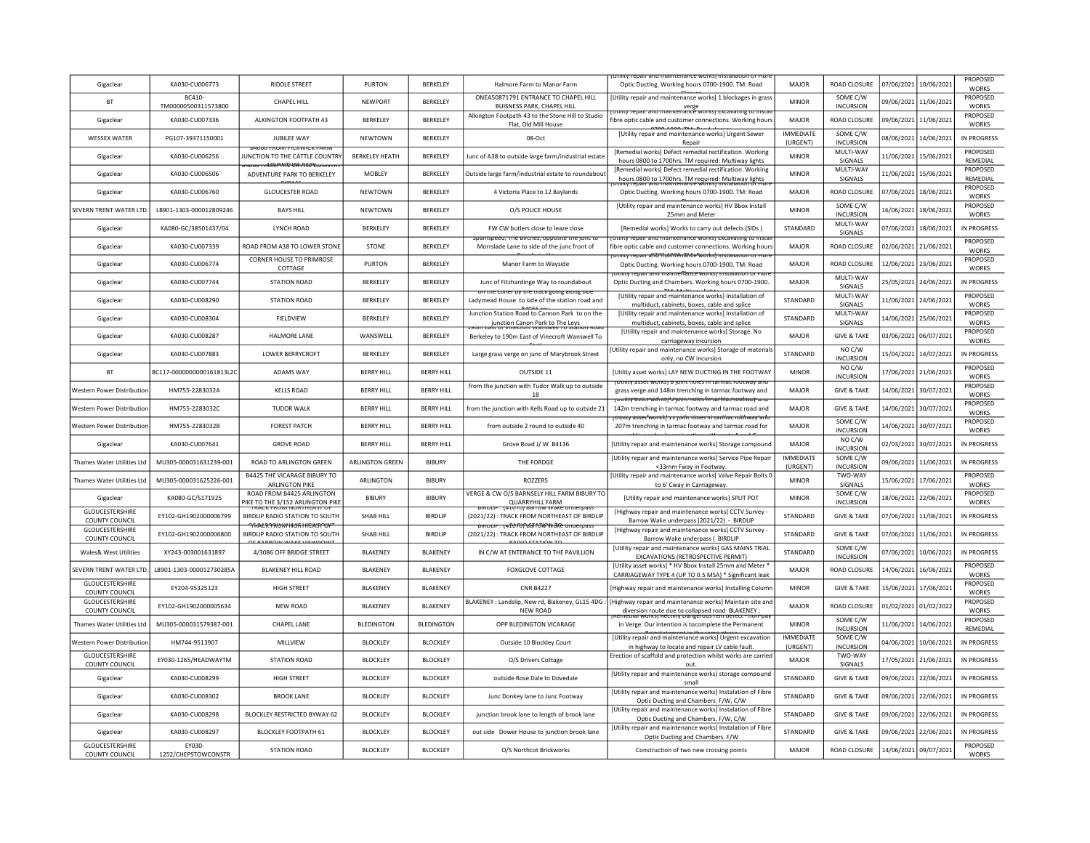| Gigaclear                                | KA030-CU006773                | <b>RIDDLE STREET</b>                                                   | <b>PURTON</b>          | BERKELEY          | Halmore Farm to Manor Farm                                                                          | Optic Ducting. Working hours 0700-1900. TM: Road                                                                                          | MAIOR                        | ROAD CLOSURE                      |            | 07/06/2021 10/06/2021 | PROPOSED<br><b>WORKS</b>        |
|------------------------------------------|-------------------------------|------------------------------------------------------------------------|------------------------|-------------------|-----------------------------------------------------------------------------------------------------|-------------------------------------------------------------------------------------------------------------------------------------------|------------------------------|-----------------------------------|------------|-----------------------|---------------------------------|
| <b>BT</b>                                | BC410-<br>TM00000500311573800 | CHAPEL HILL                                                            | NEWPORT                | BERKELEY          | ONEA50871791 ENTRANCE TO CHAPEL HILL<br>BUISNESS PARK, CHAPEL HILL                                  | [Utility repair and maintenance works] 1 blockages in grass<br>verge<br><del>htmty repair and maintenance worksj Excavating to inst</del> | <b>MINOR</b>                 | SOME C/W<br><b>INCURSION</b>      |            | 09/06/2021 11/06/2021 | PROPOSED<br><b>WORKS</b>        |
| Gigaclear                                | KA030-CU007336                | ALKINGTON FOOTPATH 43                                                  | BERKELEY               | BERKELEY          | Alkington Footpath 43 to the Stone Hill to Studio<br>Flat, Old Mill House                           | fibre optic cable and customer connections. Working hours                                                                                 | MAJOR                        | ROAD CLOSURE                      |            | 09/06/2021 11/06/2021 | PROPOSED<br><b>WORKS</b>        |
| <b>WESSEX WATER</b>                      | PG107-39371150001             | <b>JUBILEE WAY</b>                                                     | NEWTOWN                | BERKELEY          | 08-Oct                                                                                              | [Utility repair and maintenance works] Urgent Sewer<br>Repair                                                                             | <b>IMMEDIATE</b><br>(URGENT) | SOME C/W<br><b>INCURSION</b>      |            | 08/06/2021 14/06/2021 | IN PROGRESS                     |
| Gigaclear                                | KA030-CU006256                | UNCTION TO THE CATTLE COUNTRY                                          | <b>BERKELEY HEATH</b>  | BERKELEY          | Junc of A38 to outside large farm/industrial estate                                                 | [Remedial works] Defect remedial rectification. Working<br>hours 0800 to 1700hrs. TM required: Multiway lights                            | <b>MINOR</b>                 | MULTI-WAY<br>SIGNALS              |            | 11/06/2021 15/06/2021 | PROPOSED<br>REMEDIAL            |
| Gigaclear                                | KA030-CU006506                | sarının FRÜ DVI "MT" ("ATı") APY curun m<br>ADVENTURE PARK TO BERKELEY | <b>MOBLEY</b>          | BERKELEY          | Outside large farm/industrial estate to roundabou                                                   | [Remedial works] Defect remedial rectification. Working<br>hours 0800 to 1700hrs. TM required: Multiway lights                            | <b>MINOR</b>                 | MULTI-WAY<br>SIGNALS              |            | 11/06/2021 15/06/2021 | <b>PROPOSED</b><br>RFMFDIAI     |
| Gigaclear                                | KA030-CU006760                | <b>GLOUCESTER ROAD</b>                                                 | <b>NEWTOWN</b>         | <b>BERKELEY</b>   | 4 Victoria Place to 12 Baylands                                                                     | Optic Ducting. Working hours 0700-1900. TM: Road                                                                                          | <b>MAJOR</b>                 | ROAD CLOSURE                      |            | 07/06/2021 18/06/2021 | PROPOSED<br><b>WORKS</b>        |
| SEVERN TRENT WATER LTD.                  | LB901-1303-000012809246       | <b>BAYS HILL</b>                                                       | NEWTOWN                | <b>BERKELEY</b>   | O/S POLICE HOUSE                                                                                    | [Utility repair and maintenance works] HV Bbox Install<br>25mm and Meter                                                                  | <b>MINOR</b>                 | SOME C/W<br><b>INCURSION</b>      |            | 16/06/2021 18/06/2021 | PROPOSED<br><b>WORKS</b>        |
| Gigaclear                                | KA080-GC/38501437/04          | <b>LYNCH ROAD</b>                                                      | BERKELEY               | BERKELEY          | FW CW butlers close to leaze close                                                                  | [Remedial works] Works to carry out defects (SIDs)                                                                                        | STANDARD                     | MULTI-WAY<br>SIGNALS              |            | 07/06/2021 18/06/2021 | IN PROGRESS                     |
| Gigaclear                                | KA030-CU007339                | ROAD FROM A38 TO LOWER STONE                                           | STONE                  | BERKELEY          | pamspeed, The Birches, opposite the functo<br>Morrslade Lane to side of the junc front of           | otility repair and maintenance worksj excavating to insta<br>fibre optic cable and customer connections. Working hours                    | MAJOR                        | ROAD CLOSURE                      |            | 02/06/2021 21/06/2021 | PROPOSED<br><b>WORKS</b>        |
| Gigaclear                                | KA030-CU006774                | <b>CORNER HOUSE TO PRIMROSE</b><br>COTTAGE                             | <b>PURTON</b>          | BERKELEY          | Manor Farm to Wayside                                                                               | otmty repair afili?fhanft@nāhte?works  instanation or mor<br>Optic Ducting. Working hours 0700-1900. TM: Road                             | <b>MAJOR</b>                 | <b>ROAD CLOSURE</b>               |            | 12/06/2021 23/06/2021 | PROPOSED<br>WORKS               |
| Gigaclear                                | KA030-CU007744                | <b>STATION ROAD</b>                                                    | BERKELEY               | BERKELEY          | Junc of Fitzhardinge Way to roundabout                                                              | repair and mainteflance works) inst<br>Optic Ducting and Chambers. Working hours 0700-1900.                                               | MAIOR                        | MULTI-WAY<br><b>SIGNALS</b>       |            | 25/05/2021 24/06/2021 | IN PROGRESS                     |
| Gigaclear                                | KA030-CU008290                | <b>STATION ROAD</b>                                                    | <b>BERKELEY</b>        | <b>BERKELEY</b>   | in the coner by the track going along sig<br>Ladymead House to side of the station road and         | [Utility repair and maintenance works] Installation of<br>multiduct, cabinets, boxes, cable and splice                                    | STANDARD                     | MULTI-WAY<br>SIGNALS              |            | 11/06/2021 24/06/2021 | <b>PROPOSED</b><br><b>WORKS</b> |
| Gigaclear                                | KA030-CU008304                | FIELDVIEW                                                              | BERKELEY               | <b>BERKELEY</b>   | Junction Station Road to Cannon Park to on the<br>junction Canon Park to The Leys                   | [Utility repair and maintenance works] Installation of<br>multiduct, cabinets, boxes, cable and splice                                    | STANDARD                     | MULTI-WAY<br>SIGNALS              |            | 14/06/2021 25/06/2021 | PROPOSED<br><b>WORKS</b>        |
| Gigaclear                                | KA030-CU008287                | <b>HALMORE LANE</b>                                                    | WANSWELL               | BERKELEY          | Berkeley to 190m East of Vinecroft Wanswell To                                                      | [Utility repair and maintenance works] Storage. No<br>carriageway incursion                                                               | <b>MAJOR</b>                 | <b>GIVE &amp; TAKE</b>            |            | 03/06/2021 06/07/2021 | PROPOSED<br>WORKS               |
| Gigaclear                                | KA030-CU007883                | <b>LOWER BERRYCROFT</b>                                                | BERKELEY               | BERKELEY          | Large grass verge on junc of Marybrook Street                                                       | [Utility repair and maintenance works] Storage of materials<br>only, no CW incursion                                                      | STANDARD                     | NO C/W<br><b>INCURSION</b>        |            | 15/04/2021 14/07/2021 | IN PROGRESS                     |
| <b>BT</b>                                | BC117-0000000000161813L2C     | <b>ADAMS WAY</b>                                                       | <b>BERRY HILL</b>      | <b>BERRY HILL</b> | OUTSIDE 11                                                                                          | [Utility asset works] LAY NEW DUCTING IN THE FOOTWAY                                                                                      | <b>MINOR</b>                 | NO C/W<br><b>INCURSION</b>        |            | 17/06/2021 21/06/2021 | <b>PROPOSED</b><br><b>WORKS</b> |
| Western Power Distribution               | HM755-2283032A                | KELLS ROAD                                                             | <b>BERRY HILL</b>      | <b>BERRY HILL</b> | from the junction with Tudor Walk up to outside<br>18                                               | <b>TOthicy asset works</b> of form mores in tarmac rootway an<br>grass verge and 148m trenching in tarmac footway and                     | <b>MAJOR</b>                 | <b>GIVE &amp; TAKE</b>            |            | 14/06/2021 30/07/2021 | PROPOSED<br><b>WORKS</b>        |
| Western Power Distributio                | HM755-2283032C                | TUDOR WALK                                                             | <b>BERRY HILL</b>      | <b>BERRY HILL</b> | from the junction with Kells Road up to outside 21                                                  | <del>ריט (ספטה) וויזטען (ספטה) cunity asset works) אום ווער וועלע</del><br>142m trenching in tarmac footway and tarmac road and           | MAIOR                        | <b>GIVE &amp; TAKE</b>            |            | 14/06/2021 30/07/2021 | PROPOSED<br><b>WORKS</b>        |
| Western Power Distributior               | HM755-2283032B                | <b>FOREST PATCH</b>                                                    | <b>BERRY HILL</b>      | <b>BERRY HILL</b> | from outside 2 round to outside 40                                                                  | <del>oanty asset works   11 jon'n noies ni tartijat robl way an</del> u<br>207m trenching in tarmac footway and tarmac road for           | <b>MAJOR</b>                 | SOME C/W<br><b>INCURSION</b>      |            | 14/06/2021 30/07/2021 | PROPOSED<br>WORKS               |
| Gigaclear                                | KA030-CU007641                | <b>GROVE ROAD</b>                                                      | <b>BERRY HILL</b>      | <b>BERRY HILL</b> | Grove Road J/ W B4136                                                                               | [Utility repair and maintenance works] Storage compound                                                                                   | MAJOR                        | NO C/W<br><b>INCURSION</b>        | 02/03/2021 | 30/07/2021            | IN PROGRESS                     |
| Thames Water Utilities Ltd               | MU305-000031631239-001        | <b>ROAD TO ARLINGTON GREEN</b>                                         | <b>ARLINGTON GREEN</b> | <b>BIBURY</b>     | THE FORDGE                                                                                          | [Utility repair and maintenance works] Service Pipe Repair<br><33mm Fway in Footway                                                       | <b>IMMEDIATE</b><br>(URGENT) | SOME C/W<br><b>INCURSION</b>      |            | 09/06/2021 11/06/2021 | IN PROGRESS                     |
| Thames Water Utilities Lto               | MU305-000031625226-001        | <b>B4425 THE VICARAGE BIBURY TO</b><br><b>ARLINGTON PIKE</b>           | ARLINGTON              | <b>BIBURY</b>     | ROZZERS                                                                                             | [Utility repair and maintenance works] Valve Repair Bolts 0<br>to 6' Cway in Carriageway                                                  | <b>MINOR</b>                 | TWO-WAY<br>SIGNALS                |            | 15/06/2021 17/06/2021 | PROPOSED<br><b>WORKS</b>        |
| Gigaclear                                | KA080-GC/S171925              | ROAD FROM B4425 ARLINGTON<br><b>IKE TO THE 3/152 ARLINGTON PIKE</b>    | <b>BIBURY</b>          | <b>BIBURY</b>     | VERGE & CW O/S BARNSELY HILL FARM BIBURY TO<br>OUARRYHILL FARM                                      | [Utility repair and maintenance works] SPLIT POT                                                                                          | <b>MINOR</b>                 | SOME C/W<br><b>INCURSION</b>      |            | 18/06/2021 22/06/2021 | PROPOSED<br><b>WORKS</b>        |
| GLOUCESTERSHIRE<br>COUNTY COUNCIL        | EY102-GH1902000006799         | BIRDLIP RADIO STATION TO SOUTH                                         | SHAB HILL              | <b>BIRDLIP</b>    | (2021/22): TRACK FROM NORTHEAST OF BIRDLIP                                                          | [Highway repair and maintenance works] CCTV Survey<br>Barrow Wake underpass (2021/22) - BIRDLIP                                           | STANDARD                     | <b>GIVE &amp; TAKE</b>            |            | 07/06/2021 11/06/2021 | IN PROGRESS                     |
| GLOUCESTERSHIRE<br>COUNTY COUNCIL        | EY102-GH1902000006800         | <b>TRACK PROW WOR I HEASTON</b><br>BIRDLIP RADIO STATION TO SOUTH      | SHAB HILL              | <b>BIRDLIP</b>    | <u>ਨਾਲਾਸਾਵਾ : ਪੰਜੀਨੋਸੋਨਿਸੋਨੋਚਿੰਘੀ ਕੋਵਿ ਸ਼ਾਸ਼ਵਾਸਨਤ</u><br>(2021/22): TRACK FROM NORTHEAST OF BIRDLIP | [Highway repair and maintenance works] CCTV Survey<br>Barrow Wake underpass ( BIRDLIP                                                     | STANDARD                     | <b>GIVE &amp; TAKE</b>            |            | 07/06/2021 11/06/2021 | IN PROGRESS                     |
| Wales& West Utilities                    | XY243-003001631897            | 4/3086 OFF BRIDGE STREET                                               | <b>BLAKENEY</b>        | BLAKENEY          | IN C/W AT ENTERANCE TO THE PAVILLION                                                                | [Utility repair and maintenance works] GAS MAINS TRIAL<br>EXCAVATIONS (RETROSPECTIVE PERMIT)                                              | STANDARD                     | SOME C/W<br><b>INCURSION</b>      |            | 07/06/2021 10/06/2021 | IN PROGRESS                     |
| <b>SEVERN TRENT WATER LTD</b>            | LB901-1303-0000127302854      | <b>BLAKENEY HILL ROAD</b>                                              | BLAKENEY               | BLAKENEY          | <b>FOXGLOVE COTTAGE</b>                                                                             | [Utility asset works] * HV Bbox Install 25mm and Meter '<br>CARRIAGEWAY TYPE 4 (UP TO 0.5 MSA) * Significant leak                         | <b>MAJOR</b>                 | ROAD CLOSURE                      |            | 14/06/2021 16/06/2021 | PROPOSED<br><b>WORKS</b>        |
| GLOUCESTERSHIRE<br><b>COUNTY COUNCIL</b> | EY204-95325123                | <b>HIGH STREET</b>                                                     | <b>BLAKENEY</b>        | BLAKENEY          | <b>CNR B4227</b>                                                                                    | [Highway repair and maintenance works] Installing Colum                                                                                   | <b>MINOR</b>                 | <b>GIVE &amp; TAKE</b>            |            | 15/06/2021 17/06/2021 | PROPOSED<br><b>WORKS</b>        |
| GLOUCESTERSHIRE<br>COUNTY COUNCIL        | FY102-GH1902000005634         | NFW ROAD                                                               | <b>BI AKENEY</b>       | <b>BI AKENEY</b>  | BLAKENEY : Landslip, New rd, Blakeney, GL15 4DG :<br>NFW ROAD                                       | [Highway repair and maintenance works] Maintain site and<br>diversion route due to collapsed road. BLAKENEY :                             | MAIOR                        | ROAD CLOSURE                      |            | 01/02/2021 01/02/2022 | <b>PROPOSED</b><br><b>WORKS</b> |
| Thames Water Utilities Ltd               | MU305-000031579387-001        | CHAPEL LANE                                                            | <b>BLEDINGTON</b>      | <b>BLEDINGTON</b> | OPP BLEDINGTON VICARAGE                                                                             | in Verge. Our intention is tocomplete the Permanent                                                                                       | <b>MINOR</b>                 | SOME C/W<br><b>INCURSION</b>      |            | 11/06/2021 14/06/2021 | PROPOSED<br>REMEDIAL            |
| Western Power Distributior               | HM744-9513907                 | MILLVIEW                                                               | <b>BLOCKLEY</b>        | <b>BLOCKLEY</b>   | Outside 10 Blockley Court                                                                           | [Utility repair and maintenance works] Urgent excavation<br>in highway to locate and repair LV cable fault                                | <b>IMMEDIATE</b>             | SOME C/W                          |            | 04/06/2021 10/06/2021 | IN PROGRESS                     |
| GLOUCESTERSHIRE                          | EY030-1265/HEADWAYTM          | <b>STATION ROAD</b>                                                    | <b>BLOCKLEY</b>        | <b>BLOCKLEY</b>   | O/S Drivers Cottage                                                                                 | Erection of scaffold and protection whilst works are carried                                                                              | (URGENT)<br><b>MAJOR</b>     | <b>INCURSION</b><br>TWO-WAY       |            | 17/05/2021 21/06/2021 | IN PROGRESS                     |
| <b>COUNTY COUNCIL</b><br>Gigaclear       | KA030-CU008299                | <b>HIGH STREET</b>                                                     | <b>BLOCKLEY</b>        | <b>BLOCKLEY</b>   | outside Rose Dale to Dovedale                                                                       | out.<br>[Utility repair and maintenance works] storage compound<br>small                                                                  | STANDARD                     | SIGNALS<br><b>GIVE &amp; TAKE</b> |            | 09/06/2021 22/06/2021 | IN PROGRESS                     |
| Gigaclear                                | KA030-CU008302                | <b>BROOK LANE</b>                                                      | <b>BLOCKLEY</b>        | <b>BLOCKLEY</b>   | Junc Donkey lane to Junc Footway                                                                    | [Utility repair and maintenance works] Instalation of Fibre                                                                               | STANDARD                     | <b>GIVE &amp; TAKE</b>            |            | 09/06/2021 22/06/2021 | IN PROGRESS                     |
| Gigaclear                                | KA030-CU008298                | BLOCKLEY RESTRICTED BYWAY 62                                           | <b>BLOCKLEY</b>        | <b>BLOCKLEY</b>   | junction brook lane to length of brook lane                                                         | Optic Ducting and Chambers. F/W, C/W<br>[Utility repair and maintenance works] Instalation of Fibre                                       | STANDARD                     | <b>GIVE &amp; TAKE</b>            |            | 09/06/2021 22/06/2021 | IN PROGRESS                     |
| Gigaclear                                | KA030-CU008297                | <b>BLOCKLEY FOOTPATH 61</b>                                            | <b>BLOCKLEY</b>        | <b>BLOCKLEY</b>   | out side Dower House to junction brook lane                                                         | Optic Ducting and Chambers. F/W, C/W<br>[Utility repair and maintenance works] Instalation of Fibre                                       | STANDARD                     | <b>GIVE &amp; TAKE</b>            |            | 09/06/2021 22/06/2021 | IN PROGRESS                     |
| GLOUCESTERSHIRE                          | EY030-                        | <b>STATION ROAD</b>                                                    | <b>BLOCKLEY</b>        | <b>BLOCKLEY</b>   | O/S Northcot Brickworks                                                                             | Optic Ducting and Chambers. F/W<br>Construction of two new crossing points                                                                | <b>MAJOR</b>                 | ROAD CLOSURE                      |            | 14/06/2021 09/07/2021 | PROPOSED                        |
| <b>COUNTY COUNCIL</b>                    | 1252/CHEPSTOWCONSTR           |                                                                        |                        |                   |                                                                                                     |                                                                                                                                           |                              |                                   |            |                       | <b>WORKS</b>                    |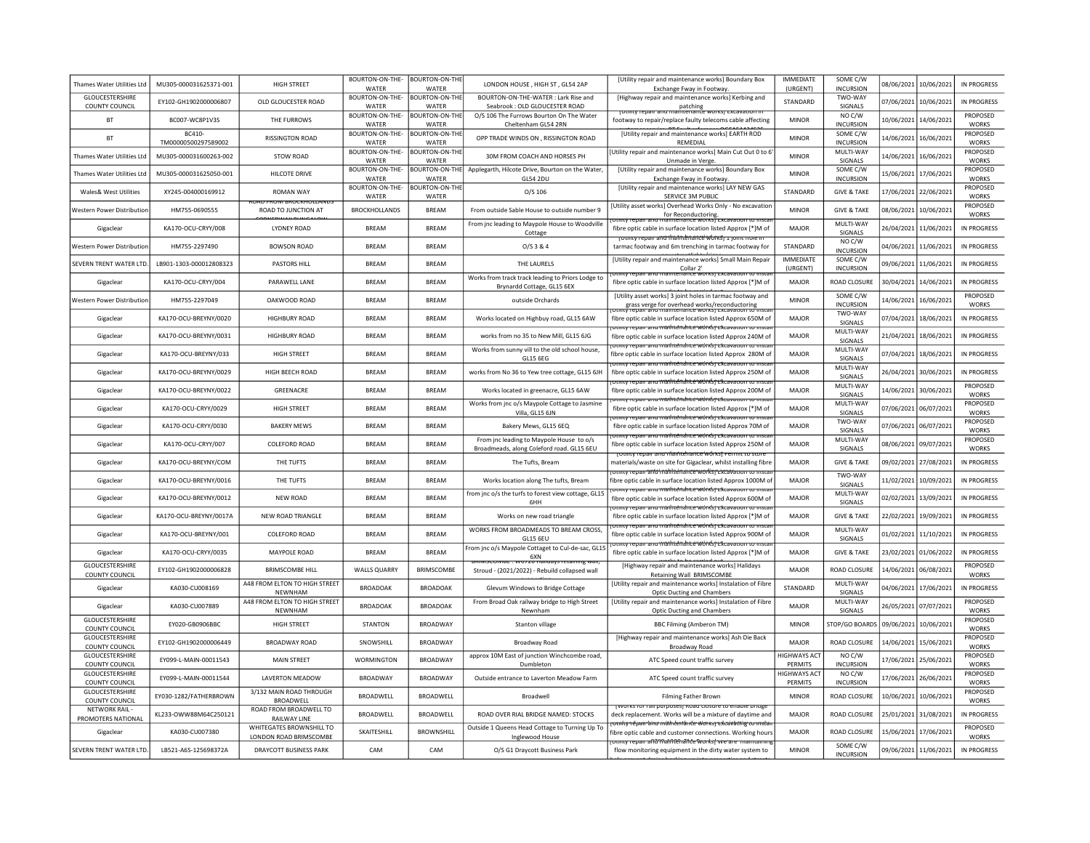| Thames Water Utilities Ltd               | MU305-000031625371-001              | HIGH STREET                                           | BOURTON-ON-THE-<br>WATFR                 | <b>BOURTON-ON-THE</b><br>WATFR | LONDON HOUSE, HIGH ST, GL54 2AP                                                       | [Utility repair and maintenance works] Boundary Box<br>Exchange Fway in Footway                                                               | <b>IMMFDIATE</b><br>(URGENT)          | SOME C/W<br><b>INCURSION</b> | 08/06/2021            | 10/06/2021            | <b>IN PROGRESS</b>              |
|------------------------------------------|-------------------------------------|-------------------------------------------------------|------------------------------------------|--------------------------------|---------------------------------------------------------------------------------------|-----------------------------------------------------------------------------------------------------------------------------------------------|---------------------------------------|------------------------------|-----------------------|-----------------------|---------------------------------|
| <b>GLOUCESTERSHIRE</b><br>COUNTY COUNCIL | FY102-GH1902000006807               | OLD GLOUCESTER ROAD                                   | BOURTON-ON-THE-<br>WATER                 | <b>BOURTON-ON-THE</b><br>WATER | BOURTON-ON-THE-WATER: Lark Rise and<br>Seabrook: OLD GLOUCESTER ROAD                  | [Highway repair and maintenance works] Kerbing and<br>patching                                                                                | <b>STANDARD</b>                       | TWO-WAY<br>SIGNALS           | 07/06/2021 10/06/2021 |                       | IN PROGRESS                     |
| BT                                       | BC007-WC8P1V3S                      | THE FURROWS                                           | BOURTON-ON-THE-<br>WATER                 | <b>BOURTON-ON-THE</b><br>WATER | O/S 106 The Furrows Bourton On The Water<br>Cheltenham GL54 2RN                       | footway to repair/replace faulty telecoms cable affecting                                                                                     | <b>MINOR</b>                          | NO C/W<br><b>INCURSION</b>   | 10/06/2021            | 14/06/2021            | PROPOSED<br><b>WORKS</b>        |
| BT                                       | <b>BC410</b><br>TM00000500297589002 | RISSINGTON ROAD                                       | BOURTON-ON-THE-<br>WATER                 | <b>BOURTON-ON-THE</b><br>WATER | OPP TRADE WINDS ON , RISSINGTON ROAD                                                  | [Utility repair and maintenance works] EARTH ROD<br>REMEDIAL                                                                                  | <b>MINOR</b>                          | SOME C/W<br><b>INCURSION</b> | 14/06/2021            | 16/06/2021            | PROPOSED<br><b>WORKS</b>        |
| Thames Water Utilities Ltd               | MU305-000031600263-002              | <b>STOW ROAD</b>                                      | BOURTON-ON-THE- BOURTON-ON-THE<br>WATER  | WATER                          | 30M FROM COACH AND HORSES PH                                                          | Utility repair and maintenance works] Main Cut Out 0 to 6<br>Unmade in Verge.                                                                 | <b>MINOR</b>                          | MULTI-WAY<br>SIGNALS         | 14/06/2021            | 16/06/2021            | PROPOSED<br><b>WORKS</b>        |
| Thames Water Utilities Ltd               | MU305-000031625050-001              | HII COTF DRIVE                                        | BOURTON-ON-THE- BOURTON-ON-THE<br>WATFR  | WATER                          | Applegarth, Hilcote Drive, Bourton on the Water,<br>GL54 2DU                          | [Utility repair and maintenance works] Boundary Box<br>Exchange Fway in Footway                                                               | <b>MINOR</b>                          | SOME C/W<br><b>INCURSION</b> | 15/06/2021 17/06/2021 |                       | PROPOSED<br><b>WORKS</b>        |
| Wales& West Utilities                    | XY245-004000169912                  | <b>ROMAN WAY</b>                                      | BOURTON-ON-THE- BOURTON-ON-THE-<br>WATER | WATER                          | $O/S$ 106                                                                             | [Utility repair and maintenance works] LAY NEW GAS<br>SERVICE 3M PUBLIC                                                                       | STANDARD                              | <b>GIVE &amp; TAKE</b>       | 17/06/2021 22/06/2021 |                       | PROPOSED<br><b>WORKS</b>        |
| Western Power Distribution               | HM755-0690555                       | <b>JAD FRUN BRUCK ROUT AND</b><br>ROAD TO JUNCTION AT | <b>BROCKHOLLANDS</b>                     | <b>BRFAM</b>                   | From outside Sable House to outside number 9                                          | [Utility asset works] Overhead Works Only - No excavation<br>for Reconductoring.                                                              | <b>MINOR</b>                          | <b>GIVE &amp; TAKE</b>       |                       | 08/06/2021 10/06/2021 | PROPOSED<br><b>WORKS</b>        |
| Gigaclear                                | KA170-OCU-CRYY/008                  | <b>LYDNEY ROAD</b>                                    | <b>BREAM</b>                             | <b>BRFAM</b>                   | From jnc leading to Maypole House to Woodville<br>Cottage                             | nty repair and maintenance worksj <sup>e</sup> xcavation to insta<br>fibre optic cable in surface location listed Approx [*]M of              | MAJOR                                 | MULTI-WAY<br>SIGNALS         |                       | 26/04/2021 11/06/2021 | <b>IN PROGRESS</b>              |
| Western Power Distribution               | HM755-2297490                       | <b>BOWSON ROAD</b>                                    | <b>BREAM</b>                             | <b>BREAM</b>                   | O/S 3 & 4                                                                             | TOtinty repair and thaintenance works) I joint noie in<br>tarmac footway and 6m trenching in tarmac footway for                               | STANDARD                              | NO C/W<br><b>INCURSION</b>   |                       | 04/06/2021 11/06/2021 | <b>IN PROGRESS</b>              |
| SEVERN TRENT WATER LTD.                  | LB901-1303-000012808323             | PASTORS HILL                                          | <b>BREAM</b>                             | <b>BREAM</b>                   | THE LAURELS                                                                           | [Utility repair and maintenance works] Small Main Repair<br>Collar 2'                                                                         | <b>IMMFDIATE</b><br>(URGENT)          | SOME C/W<br><b>INCURSION</b> |                       | 09/06/2021 11/06/2021 | <b>IN PROGRESS</b>              |
| Gigaclear                                | KA170-OCU-CRYY/004                  | PARAWELL LANE                                         | <b>BREAM</b>                             | <b>BRFAM</b>                   | Works from track track leading to Priors Lodge to<br>Brynardd Cottage, GL15 6EX       | <b>DEMICY TODAY AND THANKOMATICO WORKST EXCAVATION COMP</b><br>fibre optic cable in surface location listed Approx [*]M of                    | MAJOR                                 | ROAD CLOSURE                 | 30/04/2021            | 14/06/2021            | IN PROGRESS                     |
| Western Power Distributior               | HM755-2297049                       | OAKWOOD ROAD                                          | <b>BREAM</b>                             | <b>BREAM</b>                   | outside Orchards                                                                      | [Utility asset works] 3 joint holes in tarmac footway and<br>grass verge for overhead works/reconductoring                                    | <b>MINOR</b>                          | SOME C/W<br><b>INCURSION</b> | 14/06/2021            | 16/06/2021            | <b>PROPOSED</b><br><b>WORKS</b> |
| Gigaclear                                | KA170-OCU-BREYNY/0020               | <b>HIGHBURY ROAD</b>                                  | <b>BREAM</b>                             | <b>BREAM</b>                   | Works located on Highbuy road, GL15 6AW                                               | fibre optic cable in surface location listed Approx 650M of                                                                                   | <b>MAJOR</b>                          | TWO-WAY<br>SIGNALS           | 07/04/2021 18/06/202: |                       | <b>IN PROGRESS</b>              |
| Gigaclear                                | KA170-OCU-BREYNY/0031               | <b>HIGHBURY ROAD</b>                                  | <b>BRFAM</b>                             | <b>BRFAM</b>                   | works from no 35 to New Mill, GL15 6JG                                                | <del>στιπτγ repair anu maihténdirte wórksj εkcavation το π</del><br>fibre optic cable in surface location listed Approx 240M of               | MAIOR                                 | MULTI-WAY<br>SIGNALS         |                       | 21/04/2021 18/06/202: | IN PROGRESS                     |
| Gigaclear                                | KA170-OCU-BREYNY/033                | HIGH STREET                                           | <b>BREAM</b>                             | <b>BREAM</b>                   | Works from sunny vill to the old school house.<br>GL15 6EG                            | mtv repair and mailitenairce works rexcavation to insta<br>fibre optic cable in surface location listed Approx 280M of                        | MAJOR                                 | MULTI-WAY<br>SIGNALS         | 07/04/2021 18/06/202: |                       | IN PROGRESS                     |
| Gigaclear                                | KA170-OCU-BREYNY/0029               | HIGH BEECH ROAD                                       | <b>BREAM</b>                             | <b>BRFAM</b>                   | works from No 36 to Yew tree cottage, GL15 6JH                                        | omny renan-ano mathtén ho e wórkkork cavanon ro mso<br>fibre optic cable in surface location listed Approx 250M of                            | MAIOR                                 | MULTI-WAY<br>SIGNALS         | 26/04/2021 30/06/202: |                       | <b>IN PROGRESS</b>              |
| Gigaclear                                | KA170-OCU-BREYNY/0022               | GREENACRE                                             | <b>BREAM</b>                             | <b>BREAM</b>                   | Works located in greenacre, GL15 6AW                                                  | <del>otility repair and maintenance works pexcavation to instar</del><br>fibre optic cable in surface location listed Approx 200M of          | MAJOR                                 | MULTI-WAY<br>SIGNALS         |                       | 14/06/2021 30/06/202: | PROPOSED<br><b>WORKS</b>        |
| Gigaclear                                | KA170-OCU-CRYY/0029                 | <b>HIGH STREET</b>                                    | <b>BREAM</b>                             | <b>BREAM</b>                   | Works from jnc o/s Maypole Cottage to Jasmine<br>Villa, GL15 6JN                      | otility repair and maintenance works rexcavation to insta<br>fibre optic cable in surface location listed Approx [*]M of                      | <b>MAJOR</b>                          | MULTI-WAY<br><b>SIGNALS</b>  | 07/06/2021            | 06/07/2021            | PROPOSED<br><b>WORKS</b>        |
| Gigaclear                                | KA170-OCU-CRYY/0030                 | <b>BAKERY MEWS</b>                                    | <b>BREAM</b>                             | <b>BREAM</b>                   | Bakery Mews, GL15 6EQ                                                                 | <del>otmty repair and mailitériance workspektavation to inst</del><br>fibre optic cable in surface location listed Approx 70M of              | <b>MAJOR</b>                          | TWO-WAY<br>SIGNALS           | 07/06/2021            | 06/07/2021            | PROPOSED<br><b>WORKS</b>        |
| Gigaclear                                | KA170-OCU-CRYY/007                  | COLEFORD ROAD                                         | BREAM                                    | <b>BRFAM</b>                   | From jnc leading to Maypole House to o/s<br>Broadmeads, along Coleford road. GL15 6EU | otinty repair and maintenance works) Excavation to insta<br>fibre optic cable in surface location listed Approx 250M of                       | MAIOR                                 | MULTI-WAY<br>SIGNALS         | 08/06/2021            | 09/07/2021            | PROPOSED<br><b>WORKS</b>        |
| Gigaclear                                | KA170-OCU-BREYNY/COM                | THE TUFTS                                             | <b>BREAM</b>                             | <b>BREAM</b>                   | The Tufts, Bream                                                                      | <u>Toulity repair and irlantichante workst Ferrint to store</u><br>materials/waste on site for Gigaclear, whilst installing fibre             | <b>MAJOR</b>                          | <b>GIVE &amp; TAKE</b>       | 09/02/2021            | 27/08/2021            | <b>IN PROGRESS</b>              |
| Gigaclear                                | KA170-OCU-BREYNY/0016               | THE TUFTS                                             | <b>BREAM</b>                             | <b>BREAM</b>                   | Works location along The tufts, Bream                                                 | otility repair and mahhtenance works rextavation to insta<br>ibre optic cable in surface location listed Approx 1000M of                      | <b>MAJOR</b>                          | TWO-WAY<br>SIGNALS           | 11/02/2021            | 10/09/2021            | <b>IN PROGRESS</b>              |
| Gigaclear                                | KA170-OCU-BREYNY/0012               | <b>NEW ROAD</b>                                       | <b>BREAM</b>                             | <b>BRFAM</b>                   | from jnc o/s the turfs to forest view cottage, GL15<br>6HH                            | <del>otility repair and mailitendrite work's jextavation to insta</del><br>fibre optic cable in surface location listed Approx 600M of        | <b>MAJOR</b>                          | MULTI-WAY<br>SIGNALS         | 02/02/2021            | 13/09/2021            | IN PROGRESS                     |
| Gigaclear                                | KA170-OCU-BRFYNY/0017A              | NFW ROAD TRIANGLE                                     | <b>BRFAM</b>                             | <b>BRFAM</b>                   | Works on new road triangle                                                            | <del>.inty repair and mailitenance workspek</del> cavati <del>on to inst</del><br>fibre optic cable in surface location listed Approx [*]M of | MAIOR                                 | <b>GIVE &amp; TAKE</b>       | 22/02/2021            | 19/09/2021            | IN PROGRESS                     |
| Gigaclear                                | KA170-OCU-BREYNY/001                | <b>COLEFORD ROAD</b>                                  | <b>BRFAM</b>                             | <b>BRFAM</b>                   | WORKS FROM BROADMEADS TO BREAM CROSS,<br>GL15 6EU                                     | <u>miny renan-ano maihrénánce wórksi ckcavanon ro insia</u><br>fibre optic cable in surface location listed Approx 900M of                    | MAJOR                                 | MULTI-WAY<br>SIGNALS         | 01/02/2021 11/10/2021 |                       | <b>IN PROGRESS</b>              |
| Gigaclear                                | KA170-OCU-CRYY/0035                 | MAYPOLE ROAD                                          | <b>BREAM</b>                             | <b>BREAM</b>                   | From jnc o/s Maypole Cottaget to Cul-de-sac, GL15<br>6XN                              | <del>otility repair and maintenance works pexcavation to instar</del><br>fibre optic cable in surface location listed Approx [*]M of          | <b>MAJOR</b>                          | <b>GIVE &amp; TAKE</b>       | 23/02/2021 01/06/2022 |                       | <b>IN PROGRESS</b>              |
| GLOUCESTERSHIRE<br>COUNTY COUNCIL        | EY102-GH1902000006828               | <b>BRIMSCOMBE HILL</b>                                | <b>WALLS QUARRY</b>                      | BRIMSCOMBE                     | 77 ZU 11 a<br>Stroud - (2021/2022) - Rebuild collapsed wall                           | [Highway repair and maintenance works] Halidays<br>Retaining Wall BRIMSCOMBE                                                                  | <b>MAJOR</b>                          | <b>ROAD CLOSURE</b>          | 14/06/2021            | 06/08/2021            | PROPOSED<br><b>WORKS</b>        |
| Gigaclear                                | KA030-CU008169                      | A48 FROM ELTON TO HIGH STREET<br><b>NFWNHAM</b>       | <b>BROADOAK</b>                          | <b>BROADOAK</b>                | Glevum Windows to Bridge Cottage                                                      | [Utility repair and maintenance works] Instalation of Fibre<br>Optic Ducting and Chambers                                                     | <b>STANDARD</b>                       | MULTI-WAY<br><b>SIGNALS</b>  | 04/06/2021            | 17/06/2021            | IN PROGRESS                     |
| Gigaclear                                | KA030-CU007889                      | A48 FROM ELTON TO HIGH STREET<br>NEWNHAM              | <b>BROADOAK</b>                          | <b>BROADOAK</b>                | From Broad Oak railway bridge to High Street<br>Newnham                               | [Utility repair and maintenance works] Instalation of Fibre<br><b>Optic Ducting and Chambers</b>                                              | MAJOR                                 | MULTI-WAY<br>SIGNALS         | 26/05/2021            | 07/07/2021            | PROPOSED<br><b>WORKS</b>        |
| GLOUCESTERSHIRE<br>COUNTY COUNCIL        | EY020-GB0906BBC                     | <b>HIGH STREET</b>                                    | STANTON                                  | <b>BROADWAY</b>                | Stanton village                                                                       | <b>BBC Filming (Amberon TM)</b>                                                                                                               | <b>MINOR</b>                          | <b>STOP/GO BOARD</b>         | 09/06/2021            | 10/06/2021            | PROPOSED<br><b>WORKS</b>        |
| GLOUCESTERSHIRE<br>COUNTY COUNCIL        | EY102-GH1902000006449               | <b>BROADWAY ROAD</b>                                  | SNOWSHILL                                | BROADWAY                       | Broadway Road                                                                         | [Highway repair and maintenance works] Ash Die Back<br>Broadway Road                                                                          | MAJOR                                 | ROAD CLOSURE                 | 14/06/2021            | 15/06/2021            | PROPOSED<br><b>WORKS</b>        |
| GLOUCESTERSHIRE<br>COUNTY COUNCIL        | EY099-L-MAIN-00011543               | <b>MAIN STREET</b>                                    | <b>WORMINGTON</b>                        | <b>BROADWAY</b>                | approx 10M East of junction Winchcombe road,<br>Dumbleton                             | ATC Speed count traffic survey                                                                                                                | <b>HIGHWAYS ACT</b><br><b>PERMITS</b> | NO C/W<br><b>INCURSION</b>   | 17/06/2021 25/06/202: |                       | PROPOSED<br><b>WORKS</b>        |
| GLOUCESTERSHIRE<br>COUNTY COUNCIL        | FY099-L-MAIN-00011544               | <b>I AVERTON MEADOW</b>                               | <b>BROADWAY</b>                          | <b>BROADWAY</b>                | Outside entrance to Laverton Meadow Farm                                              | ATC Speed count traffic survey                                                                                                                | <b>HIGHWAYS ACT</b><br>PERMITS        | NO C/W<br><b>INCURSION</b>   | 17/06/2021 26/06/202: |                       | <b>PROPOSED</b><br><b>WORKS</b> |
| GLOUCESTERSHIRE<br>COUNTY COUNCIL        | EY030-1282/FATHERBROWN              | 3/132 MAIN ROAD THROUGH<br>BROADWELL                  | <b>BROADWELL</b>                         | BROADWELL                      | Broadwell                                                                             | <b>Filming Father Brown</b>                                                                                                                   | <b>MINOR</b>                          | ROAD CLOSURE                 |                       | 10/06/2021 10/06/2021 | PROPOSED<br><b>WORKS</b>        |
| NETWORK RAIL<br>PROMOTERS NATIONAL       | KL233-OWW88M64C250121               | ROAD FROM BROADWELL TO<br>RAILWAY LINE                | BROADWELL                                | BROADWELL                      | ROAD OVER RIAL BRIDGE NAMED: STOCKS                                                   | TWORKS TOP Fail DUITDOSEST ROAD ClOSUTE TO EFfable DITURE<br>deck replacement. Works will be a mixture of daytime and                         | MAJOR                                 | ROAD CLOSURE                 |                       | 25/01/2021 31/08/2021 | IN PROGRESS                     |
| Gigaclear                                | KA030-CU007380                      | WHITEGATES BROWNSHILL TO<br>LONDON ROAD BRIMSCOMBE    | <b>SKAITFSHILL</b>                       | <b>BROWNSHILL</b>              | Outside 1 Queens Head Cottage to Turning Up To<br>Inglewood House                     | <del>otnity répan 'aira mährterlände Worksj Excavathig to msta</del><br>ibre optic cable and customer connections. Working hours              | <b>MAJOR</b>                          | ROAD CLOSURE                 | 15/06/2021            | 17/06/2021            | PROPOSED<br><b>WORKS</b>        |
| SEVERN TRENT WATER LTD.                  | IB521-A6S-125698372A                | <b>DRAYCOTT BUSINESS PARK</b>                         | CAM                                      | CAM                            | O/S G1 Draycott Business Park                                                         | <mark>ਹਰਸ਼ਾਲ੍ਹਾ repair aftਹੋ?ftaftft@raftfce?works;</mark> werare m<br>flow monitoring equipment in the dirty water system to                 | <b>MINOR</b>                          | SOME C/W<br><b>INCURSION</b> |                       | 09/06/2021 11/06/2021 | IN PROGRESS                     |
|                                          |                                     |                                                       |                                          |                                |                                                                                       |                                                                                                                                               |                                       |                              |                       |                       |                                 |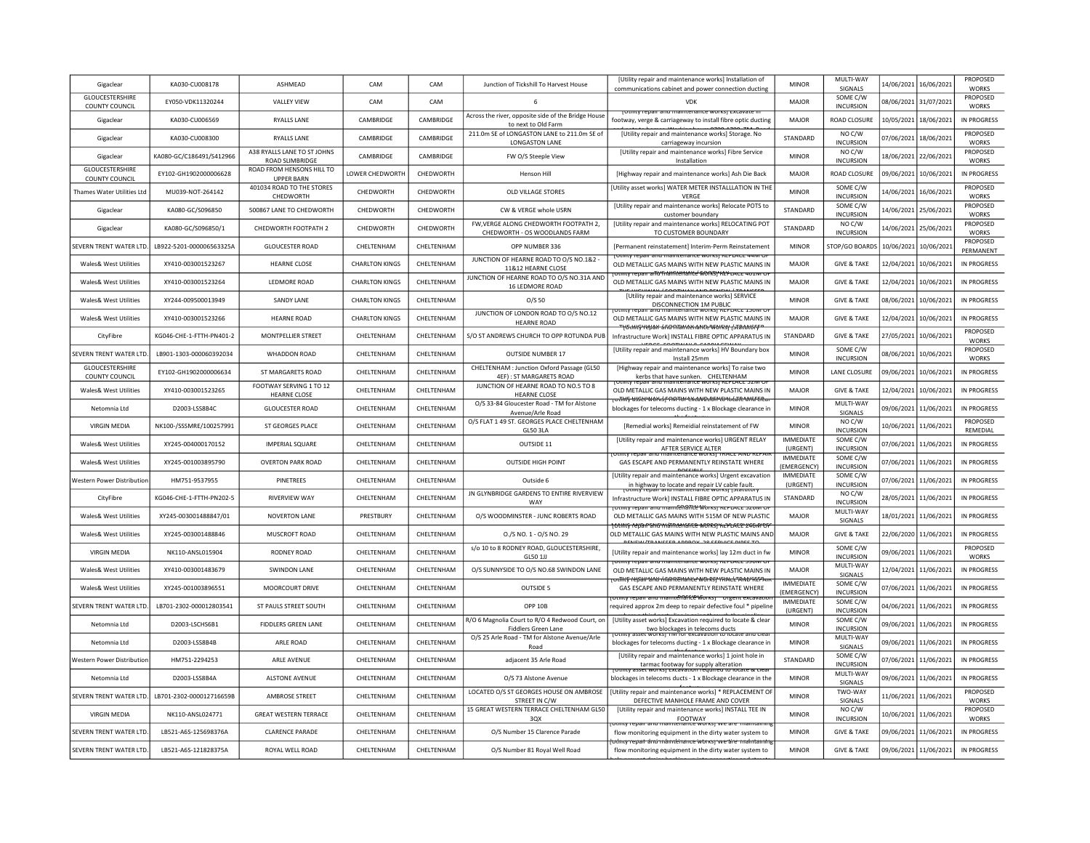| Gigaclear                                | KA030-CU008178           | <b>ASHMFAD</b>                                 | CAM                   | CAM               | Junction of Tickshill To Harvest House                                     | <b>IUtility repair and maintenance works] Installation of</b><br>communications cabinet and power connection ducting                         | <b>MINOR</b>                           | MULTI-WAY<br>SIGNALS         | 14/06/2021 | 16/06/2021            | PROPOSED<br><b>WORKS</b>        |
|------------------------------------------|--------------------------|------------------------------------------------|-----------------------|-------------------|----------------------------------------------------------------------------|----------------------------------------------------------------------------------------------------------------------------------------------|----------------------------------------|------------------------------|------------|-----------------------|---------------------------------|
| <b>GLOUCESTERSHIRE</b><br>COUNTY COUNCIL | EY050-VDK11320244        | <b>VALLEY VIEW</b>                             | CAM                   | CAM               |                                                                            | <b>VDK</b>                                                                                                                                   | MAJOR                                  | SOME C/W<br><b>INCURSION</b> |            | 08/06/2021 31/07/2021 | PROPOSED<br><b>WORKS</b>        |
| Gigaclear                                | KA030-CU006569           | <b>RYALLS LANE</b>                             | CAMBRIDGE             | CAMBRIDGE         | Across the river, opposite side of the Bridge House<br>to next to Old Farm | TO LITTLY TO DATE ATTUIT THAT TUCH ATTUC WOLKS   LACAVALO T<br>footway, verge & carriageway to install fibre optic ducting                   | <b>MAJOR</b>                           | ROAD CLOSURE                 |            | 10/05/2021 18/06/2021 | IN PROGRESS                     |
| Gigaclear                                | KA030-CU008300           | <b>RYALLS LANE</b>                             | CAMBRIDGE             | CAMBRIDGE         | 211.0m SE of LONGASTON LANE to 211.0m SE of<br>LONGASTON LANE              | [Utility repair and maintenance works] Storage. No<br>carriageway incursion                                                                  | <b>STANDARD</b>                        | NO C/W<br><b>INCURSION</b>   | 07/06/2021 | 18/06/2021            | PROPOSED<br><b>WORKS</b>        |
| Gigaclear                                | KA080-GC/C186491/S412966 | A38 RYALLS LANE TO ST JOHNS<br>ROAD SLIMBRIDGE | CAMBRIDGE             | CAMBRIDGE         | FW O/S Steeple View                                                        | [Utility repair and maintenance works] Fibre Service<br>Installation                                                                         | <b>MINOR</b>                           | NO C/W<br><b>INCURSION</b>   |            | 18/06/2021 22/06/2021 | <b>PROPOSED</b><br><b>WORKS</b> |
| GLOUCESTERSHIRE<br>COUNTY COUNCIL        | EY102-GH1902000006628    | ROAD FROM HENSONS HILL TO<br><b>UPPER BARN</b> | LOWER CHEDWORTH       | CHEDWORTH         | <b>Henson Hill</b>                                                         | [Highway repair and maintenance works] Ash Die Back                                                                                          | MAIOR                                  | ROAD CLOSURE                 |            | 09/06/2021 10/06/2021 | IN PROGRESS                     |
| Thames Water Utilities Ltd               | MU039-NOT-264142         | 401034 ROAD TO THE STORES<br>CHEDWORTH         | CHEDWORTH             | CHEDWORTH         | <b>OLD VILLAGE STORES</b>                                                  | [Utility asset works] WATER METER INSTALLLATION IN THE<br>VERGI                                                                              | <b>MINOR</b>                           | SOME C/W<br><b>INCURSION</b> | 14/06/2021 | 16/06/2021            | PROPOSED<br><b>WORKS</b>        |
| Gigaclear                                | KA080-GC/S096850         | 500867 LANE TO CHEDWORTH                       | CHEDWORTH             | CHEDWORTH         | CW & VERGE whole USRN                                                      | [Utility repair and maintenance works] Relocate POTS to<br>customer boundary                                                                 | STANDARD                               | SOME C/W<br><b>INCURSION</b> |            | 14/06/2021 25/06/2021 | PROPOSED<br><b>WORKS</b>        |
| Gigaclear                                | KA080-GC/S096850/1       | CHEDWORTH FOOTPATH 2                           | CHEDWORTH             | CHEDWORTH         | FW, VERGE ALONG CHEDWORTH FOOTPATH 2,<br>CHEDWORTH - OS WOODLANDS FARM     | [Utility repair and maintenance works] RELOCATING POT<br>TO CUSTOMER BOUNDARY                                                                | STANDARD                               | NO C/W<br><b>INCURSION</b>   | 14/06/2021 | 25/06/2021            | PROPOSED<br><b>WORKS</b>        |
| SEVERN TRENT WATER LTD.                  | LB922-5201-000006563325A | <b>GLOUCESTER ROAD</b>                         | CHELTENHAM            | CHELTENHAM        | OPP NUMBER 336                                                             | [Permanent reinstatement] Interim-Perm Reinstatement                                                                                         | <b>MINOR</b>                           | <b>STOP/GO BOARDS</b>        |            | 10/06/2021 10/06/2021 | PROPOSED<br>PERMANENT           |
| Wales& West Utilities                    | XY410-003001523267       | <b>HEARNE CLOSE</b>                            | <b>CHARLTON KINGS</b> | CHELTENHAM        | IUNCTION OF HEARNE ROAD TO O/S NO.1&2<br>11&12 HEARNE CLOSE                | Otility repair and maintenance works) REPLACE 44IVI O<br>OLD METALLIC GAS MAINS WITH NEW PLASTIC MAINS IN                                    | MAIOR                                  | <b>GIVE &amp; TAKE</b>       |            | 12/04/2021 10/06/2021 | IN PROGRESS                     |
| Wales& West Utilities                    | XY410-003001523264       | LEDMORE ROAD                                   | <b>CHARLTON KINGS</b> | CHELTENHAM        | JUNCTION OF HEARNE ROAD TO O/S NO.31A AND<br>16 LEDMORE ROAD               | otmtv repair and frialmentance WORS! KEF באכב <del>40 מע</del><br>OLD METALLIC GAS MAINS WITH NEW PLASTIC MAINS IN                           | <b>MAJOR</b>                           | <b>GIVE &amp; TAKE</b>       |            | 12/04/2021 10/06/2021 | <b>IN PROGRESS</b>              |
| Wales& West Utilities                    | XY244-009500013949       | SANDY LANE                                     | <b>CHARLTON KINGS</b> | CHELTENHAM        | O/S 50                                                                     | <b>CHAINIAN FRONTIAN AND DESPIT FRAMES</b><br>[Utility repair and maintenance works] SERVICE<br>DISCONNECTION 1M PUBLIC                      | <b>MINOR</b>                           | <b>GIVE &amp; TAKE</b>       |            | 08/06/2021 10/06/2021 | IN PROGRESS                     |
| Wales& West Utilities                    | XY410-003001523266       | <b>HEARNE ROAD</b>                             | <b>CHARLTON KINGS</b> | CHELTENHAM        | JUNCTION OF LONDON ROAD TO O/S NO.12<br><b>HEARNE ROAD</b>                 | OLD METALLIC GAS MAINS WITH NEW PLASTIC MAINS IN                                                                                             | <b>MAJOR</b>                           | <b>GIVE &amp; TAKE</b>       |            | 12/04/2021 10/06/2021 | IN PROGRESS                     |
| CityFibre                                | KG046-CHE-1-FTTH-PN401-2 | MONTPELLIER STREET                             | CHELTENHAM            | CHELTENHAM        | S/O ST ANDREWS CHURCH TO OPP ROTUNDA PUB                                   | <del>' (στιικς repair ário maintenatice works) (statutory</del><br>Infrastructure Work] INSTALL FIBRE OPTIC APPARATUS IN                     | STANDARD                               | <b>GIVE &amp; TAKE</b>       | 27/05/2021 | 10/06/2021            | PROPOSED<br><b>WORKS</b>        |
| SEVERN TRENT WATER LTD.                  | 18901-1303-000060392034  | WHADDON ROAD                                   | <b>CHEITENHAM</b>     | <b>CHFITENHAM</b> | <b>OUTSIDE NUMBER 17</b>                                                   | [Utility repair and maintenance works] HV Boundary box<br>Install 25mm                                                                       | <b>MINOR</b>                           | SOME C/W<br><b>INCURSION</b> | 08/06/2021 | 10/06/2021            | <b>PROPOSED</b><br><b>WORKS</b> |
| GLOUCESTERSHIRE<br><b>COUNTY COUNCIL</b> | EY102-GH1902000006634    | ST MARGARETS ROAD                              | CHELTENHAM            | CHELTENHAM        | CHELTENHAM : Junction Oxford Passage (GL50<br>4EF): ST MARGARETS ROAD      | [Highway repair and maintenance works] To raise two<br>kerbs that have sunken. CHELTENHAM                                                    | <b>MINOR</b>                           | LANE CLOSURE                 | 09/06/2021 | 10/06/2021            | IN PROGRESS                     |
| Wales& West Utilities                    | XY410-003001523265       | FOOTWAY SERVING 1 TO 12<br><b>HEARNE CLOSE</b> | CHELTENHAM            | <b>CHEITENHAM</b> | JUNCTION OF HEARNE ROAD TO NO.5 TO 8<br><b>HEARNE CLOSE</b>                | <u>iotility repair and maintenance worksi KEPLACE 52M C</u><br>OLD METALLIC GAS MAINS WITH NEW PLASTIC MAINS IN                              | MAIOR                                  | <b>GIVE &amp; TAKE</b>       | 12/04/2021 | 10/06/2021            | IN PROGRESS                     |
| Netomnia Ltd                             | D2003-LSS8B4C            | <b>GLOUCESTER ROAD</b>                         | CHELTENHAM            | CHELTENHAM        | O/S 33-84 Gloucester Road - TM for Alstone<br>Avenue/Arle Road             | <del>rothity asset works f nortor excavation to tocate and clea</del> r<br>blockages for telecoms ducting - 1 x Blockage clearance in        | <b>MINOR</b>                           | MULTI-WAY<br>SIGNALS         | 09/06/2021 | 11/06/2021            | IN PROGRESS                     |
| <b>VIRGIN MEDIA</b>                      | NK100-/SSSMRE/100257991  | ST GEORGES PLACE                               | CHELTENHAM            | CHELTENHAM        | O/S FLAT 1 49 ST. GEORGES PLACE CHELTENHAM<br><b>GL50 3LA</b>              | [Remedial works] Remeidial reinstatement of FW                                                                                               | <b>MINOR</b>                           | NO C/W<br><b>INCURSION</b>   |            | 10/06/2021 11/06/2021 | PROPOSED<br>REMEDIAL            |
| <b>Wales&amp; West Utilities</b>         | XY245-004000170152       | <b>IMPERIAL SQUARE</b>                         | CHFITFNHAM            | CHELTENHAM        | OUTSIDE 11                                                                 | [Utility repair and maintenance works] URGENT RELAY<br>AFTER SERVICE ALTER                                                                   | IMMEDIATE<br>(URGENT)                  | SOME C/W<br><b>INCURSION</b> |            | 07/06/2021 11/06/2021 | IN PROGRESS                     |
| Wales& West Utilities                    | XY245-001003895790       | <b>OVERTON PARK ROAD</b>                       | CHELTENHAM            | CHELTENHAM        | <b>OUTSIDE HIGH POINT</b>                                                  | GAS ESCAPE AND PERMANENTLY REINSTATE WHERE                                                                                                   | <b>IMMEDIATE</b><br><b>EMERGENCY</b> ) | SOME C/W<br><b>INCURSION</b> |            | 07/06/2021 11/06/2021 | IN PROGRESS                     |
| <b>Nestern Power Distribution</b>        | HM751-9537955            | <b>PINFTREES</b>                               | CHELTENHAM            | <b>CHEITENHAM</b> | Outside 6                                                                  | [Utility repair and maintenance works] Urgent excavation<br>in highway to locate and repair LV cable fault                                   | <b>IMMEDIATE</b><br>(URGENT)           | SOME C/W<br><b>INCURSION</b> |            | 07/06/2021 11/06/2021 | IN PROGRESS                     |
| CityFibre                                | KG046-CHE-1-FTTH-PN202-5 | RIVERVIEW WAY                                  | CHELTENHAM            | CHELTENHAM        | JN GLYNBRIDGE GARDENS TO ENTIRE RIVERVIEW<br>WAY                           | repair and mamtenance works; istatutor<br>Infrastructure Work] INSTALL FIBRE OPTIC APPARATUS IN                                              | STANDARD                               | NO C/W<br><b>INCURSION</b>   |            | 28/05/2021 11/06/2021 | <b>IN PROGRESS</b>              |
| Wales& West Utilities                    | XY245-003001488847/01    | <b>NOVERTON LANE</b>                           | PRESTBURY             | CHELTENHAM        | O/S WOODMINSTER - JUNC ROBERTS ROAD                                        | otility repair and mamਦਿੰਜੈਕੋਜੈਂਦਿ Worksi RePLACE 526M O<br>OLD METALLIC GAS MAINS WITH 515M OF NEW PLASTIC                                  | MAJOR                                  | MULTI-WAY<br>SIGNALS         |            | 18/01/2021 11/06/2021 | IN PROGRESS                     |
| <b>Wales&amp; West Utilities</b>         | XY245-003001488846       | MUSCROFT ROAD                                  | CHELTENHAM            | CHELTENHAM        | 0./S NO. 1 - 0/S NO. 29                                                    | thinis tenan ann mannenance works ikeel ACP 24510101<br>OLD METALLIC GAS MAINS WITH NEW PLASTIC MAINS AND                                    | <b>MAJOR</b>                           | <b>GIVE &amp; TAKE</b>       |            | 22/06/2020 11/06/2021 | <b>IN PROGRESS</b>              |
| <b>VIRGIN MEDIA</b>                      | NK110-ANSL015904         | <b>RODNEY ROAD</b>                             | CHELTENHAM            | CHELTENHAM        | s/o 10 to 8 RODNEY ROAD, GLOUCESTERSHIRE,<br>GL50 1JJ                      | [Utility repair and maintenance works] lay 12m duct in fw                                                                                    | <b>MINOR</b>                           | SOME C/W<br><b>INCURSION</b> |            | 09/06/2021 11/06/2021 | PROPOSED<br><b>WORKS</b>        |
| Wales& West Utilities                    | XY410-003001483679       | SWINDON LANE                                   | CHELTENHAM            | CHELTENHAM        | O/S SUNNYSIDE TO O/S NO.68 SWINDON LANE                                    | <b>OUTLY TODAIL AND MAINTENANCE WORST NET DACE JOUW O</b><br>OLD METALLIC GAS MAINS WITH NEW PLASTIC MAINS IN                                | MAJOR                                  | MULTI-WAY<br>SIGNALS         | 12/04/2021 | 11/06/2021            | IN PROGRESS                     |
| Wales& West Utilities                    | XY245-001003896551       | MOORCOURT DRIVE                                | CHELTENHAM            | CHELTENHAM        | OUTSIDE 5                                                                  | uttilly telemand thankenance workstarked fan darfar<br>GAS ESCAPE AND PERMANENTLY REINSTATE WHERE                                            | <b>IMMEDIATE</b><br><b>EMERGENCY</b>   | SOME C/W<br><b>INCURSION</b> | 07/06/2021 | 11/06/2021            | IN PROGRESS                     |
| SEVERN TRENT WATER LTD.                  | LB701-2302-000012803541  | ST PAULS STREET SOUTH                          | CHELTENHAM            | CHELTENHAM        | OPP 10B                                                                    | otimty repair and maintenance works - סופכות כאכמעמנוס<br>required approx 2m deep to repair defective foul * pipeline                        | <b>IMMEDIATE</b><br>(URGENT)           | SOME C/W<br><b>INCURSION</b> | 04/06/2021 | 11/06/2021            | IN PROGRESS                     |
| Netomnia Ltd                             | D2003-LSCHS6B1           | <b>FIDDLERS GREEN LANE</b>                     | CHELTENHAM            | CHELTENHAM        | R/O 6 Magnolia Court to R/O 4 Redwood Court, on<br>Fiddlers Green Lane     | [Utility asset works] Excavation required to locate & clear<br>two blockages in telecoms ducts<br>International control excavation to locate | <b>MINOR</b>                           | SOME C/W<br><b>INCURSION</b> |            | 09/06/2021 11/06/2021 | IN PROGRESS                     |
| Netomnia Ltd                             | D2003-LSS8B4B            | <b>ARLE ROAD</b>                               | CHELTENHAM            | CHELTENHAM        | O/S 25 Arle Road - TM for Alstone Avenue/Arle<br>Road                      | blockages for telecoms ducting - 1 x Blockage clearance in                                                                                   | <b>MINOR</b>                           | MULTI-WAY<br>SIGNALS         |            | 09/06/2021 11/06/2021 | IN PROGRESS                     |
| Western Power Distribution               | HM751-2294253            | <b>ARIF AVENUE</b>                             | CHFITFNHAM            | <b>CHFITENHAM</b> | adiacent 35 Arle Road                                                      | [Utility repair and maintenance works] 1 joint hole in<br>tarmac footway for supply alteration                                               | STANDARD                               | SOME C/W<br><b>INCURSION</b> |            | 07/06/2021 11/06/2021 | IN PROGRESS                     |
| Netomnia Ltd                             | D2003-LSS8B4A            | <b>ALSTONE AVENUE</b>                          | CHELTENHAM            | CHELTENHAM        | O/S 73 Alstone Avenue                                                      | sset worksj excavation regumen to locate & cie.<br>blockages in telecoms ducts - 1 x Blockage clearance in the                               | <b>MINOR</b>                           | MULTI-WAY<br>SIGNALS         |            | 09/06/2021 11/06/2021 | IN PROGRESS                     |
| SEVERN TRENT WATER LTD.                  | LB701-2302-000012716659B | AMBROSE STREET                                 | CHELTENHAM            | CHELTENHAM        | LOCATED O/S ST GEORGES HOUSE ON AMBROSE<br>STREET IN C/W                   | [Utility repair and maintenance works] * REPLACEMENT OF<br>DEFECTIVE MANHOLE FRAME AND COVER                                                 | <b>MINOR</b>                           | TWO-WAY<br>SIGNALS           |            | 11/06/2021 11/06/2021 | PROPOSED<br><b>WORKS</b>        |
| <b>VIRGIN MEDIA</b>                      | NK110-ANSL024771         | <b>GREAT WESTERN TERRACE</b>                   | CHELTENHAM            | CHELTENHAM        | 15 GREAT WESTERN TERRACE CHELTENHAM GL50<br>3QX                            | [Utility repair and maintenance works] INSTALL TEE IN<br>FOOTWAY                                                                             | <b>MINOR</b>                           | NO C/W<br><b>INCURSION</b>   |            | 10/06/2021 11/06/2021 | PROPOSED<br><b>WORKS</b>        |
| SFVERN TRENT WATER ITD                   | LB521-A6S-125698376A     | <b>CLARENCE PARADE</b>                         | <b>CHEITENHAM</b>     | CHELTENHAM        | O/S Number 15 Clarence Parade                                              | flow monitoring equipment in the dirty water system to                                                                                       | <b>MINOR</b>                           | <b>GIVE &amp; TAKE</b>       |            | 09/06/2021 11/06/2021 | IN PROGRESS                     |
| SEVERN TRENT WATER LTD.                  | LB521-A6S-121828375A     | ROYAL WELL ROAD                                | CHELTENHAM            | CHELTENHAM        | O/S Number 81 Royal Well Road                                              | <del>odmy repair ánú máinténance worksjiwe án</del><br>flow monitoring equipment in the dirty water system to                                | <b>MINOR</b>                           | <b>GIVE &amp; TAKE</b>       |            | 09/06/2021 11/06/2021 | IN PROGRESS                     |
|                                          |                          |                                                |                       |                   |                                                                            |                                                                                                                                              |                                        |                              |            |                       |                                 |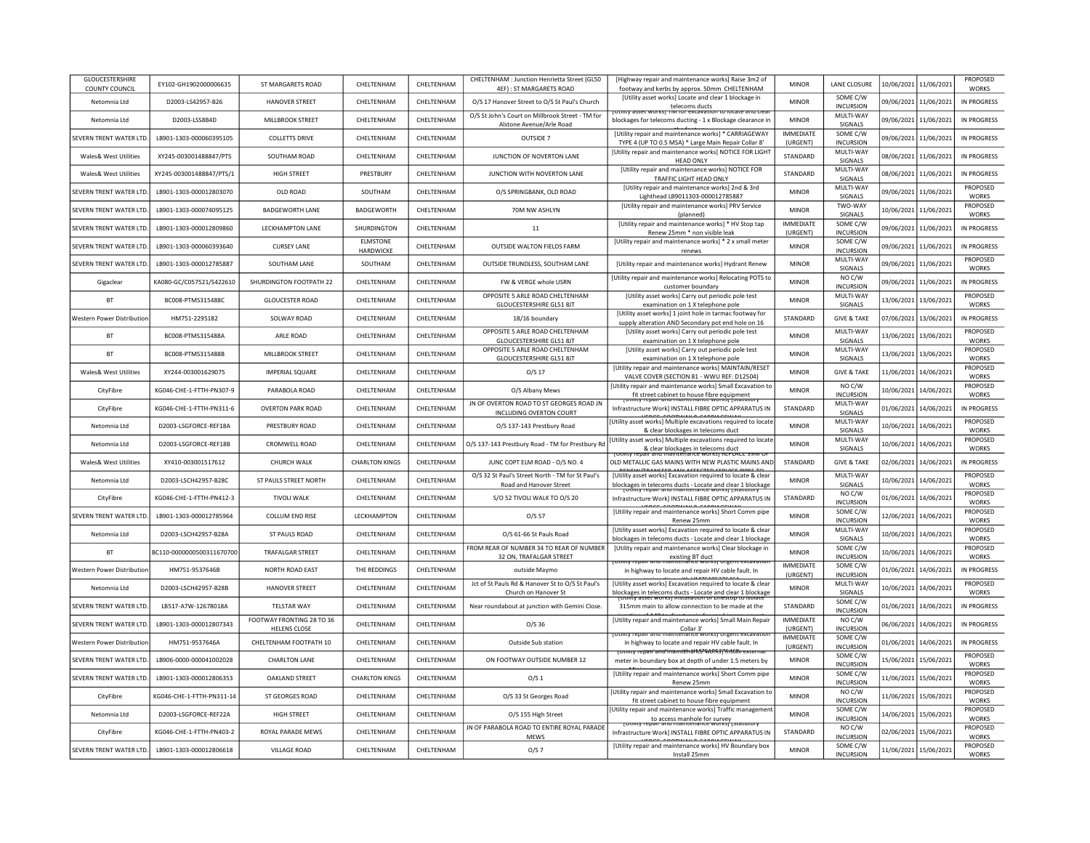| <b>GLOUCESTERSHIRE</b><br><b>COUNTY COUNCIL</b> | EY102-GH1902000006635     | ST MARGARETS ROAD                                | CHELTENHAM            | CHELTENHAM        | CHELTENHAM : Junction Henrietta Street (GL50<br>4EF): ST MARGARETS ROAD      | [Highway repair and maintenance works] Raise 3m2 of<br>footway and kerbs by approx. 50mm CHELTENHAM                                       | MINOR                        | LANE CLOSURE                 | 10/06/2021 11/06/2021 |                       | PROPOSED<br><b>WORKS</b>        |
|-------------------------------------------------|---------------------------|--------------------------------------------------|-----------------------|-------------------|------------------------------------------------------------------------------|-------------------------------------------------------------------------------------------------------------------------------------------|------------------------------|------------------------------|-----------------------|-----------------------|---------------------------------|
| Netomnia Ltd                                    | D2003-LS42957-B26         | <b>HANOVER STREET</b>                            | CHFITENHAM            | <b>CHFITENHAM</b> | O/S 17 Hanover Street to O/S St Paul's Church                                | [Utility asset works] Locate and clear 1 blockage in<br>telecoms ducts                                                                    | <b>MINOR</b>                 | SOME C/W<br><b>INCURSION</b> | 09/06/2021 11/06/2021 |                       | IN PROGRESS                     |
| Netomnia Ltd                                    | D2003-LSS8B4D             | MILLBROOK STREET                                 | CHELTENHAM            | CHELTENHAM        | O/S St John's Court on Millbrook Street - TM for<br>Alstone Avenue/Arle Road | <b>TIVE TOT EXCAVATION</b><br>blockages for telecoms ducting - 1 x Blockage clearance in                                                  | <b>MINOR</b>                 | MULTI-WAY<br>SIGNALS         | 09/06/2021 11/06/2021 |                       | <b>IN PROGRESS</b>              |
| SEVERN TRENT WATER LTD.                         | LB901-1303-000060395105   | <b>COLLETTS DRIVE</b>                            | CHELTENHAM            | CHELTENHAM        | OUTSIDE 7                                                                    | [Utility repair and maintenance works] * CARRIAGEWAY<br>TYPE 4 (UP TO 0.5 MSA) * Large Main Repair Collar 8'                              | <b>IMMEDIATE</b><br>(URGENT) | SOME C/W<br><b>INCURSION</b> | 09/06/2021 11/06/2021 |                       | IN PROGRESS                     |
| Wales& West Utilities                           | XY245-003001488847/PTS    | SOUTHAM ROAD                                     | CHELTENHAM            | CHELTENHAM        | JUNCTION OF NOVERTON LANE                                                    | [Utility repair and maintenance works] NOTICE FOR LIGHT<br><b>HEAD ONLY</b>                                                               | STANDARD                     | MULTI-WAY<br>SIGNALS         | 08/06/2021 11/06/2021 |                       | IN PROGRESS                     |
| Wales& West Utilities                           | XY245-003001488847/PTS/1  | <b>HIGH STREET</b>                               | PRESTBURY             | CHELTENHAM        | JUNCTION WITH NOVERTON LANE                                                  | [Utility repair and maintenance works] NOTICE FOR<br>TRAFFIC LIGHT HEAD ONLY                                                              | <b>STANDARD</b>              | MULTI-WAY<br>SIGNALS         |                       | 08/06/2021 11/06/2021 | <b>IN PROGRESS</b>              |
| SEVERN TRENT WATER LTD                          | LB901-1303-000012803070   | OLD ROAD                                         | SOUTHAM               | CHELTENHAM        | O/S SPRINGBANK, OLD ROAD                                                     | [Utility repair and maintenance works] 2nd & 3rd<br>Lighthead LB9011303-000012785887                                                      | <b>MINOR</b>                 | MULTI-WAY<br>SIGNALS         | 09/06/2021 11/06/2021 |                       | PROPOSED<br><b>WORKS</b>        |
| SEVERN TRENT WATER LTD.                         | LB901-1303-000074095125   | <b>BADGEWORTH LANE</b>                           | <b>BADGEWORTH</b>     | CHELTENHAM        | 70M NW ASHLYN                                                                | [Utility repair and maintenance works] PRV Service<br>(planned)                                                                           | <b>MINOR</b>                 | TWO-WAY<br>SIGNALS           | 10/06/2021 11/06/202: |                       | PROPOSED<br><b>WORKS</b>        |
| SEVERN TRENT WATER LTD.                         | LB901-1303-000012809860   | <b>LECKHAMPTON LANE</b>                          | SHURDINGTON           | CHELTENHAM        | 11                                                                           | [Utility repair and maintenance works] * HV Stop tap<br>Renew 25mm * non visible leak                                                     | <b>IMMEDIATE</b><br>(URGENT) | SOME C/W<br><b>INCURSION</b> |                       | 09/06/2021 11/06/2021 | <b>IN PROGRESS</b>              |
| SEVERN TRENT WATER LTD                          | LB901-1303-000060393640   | <b>CURSEY LANE</b>                               | ELMSTONE<br>HARDWICKE | CHELTENHAM        | OUTSIDE WALTON FIELDS FARM                                                   | [Utility repair and maintenance works] * 2 x small meter<br>renews                                                                        | <b>MINOR</b>                 | SOME C/W<br><b>INCURSION</b> | 09/06/2021            | 11/06/2021            | IN PROGRESS                     |
| SEVERN TRENT WATER ITD                          | LB901-1303-000012785887   | SOUTHAM LANE                                     | SOUTHAM               | CHELTENHAM        | OUTSIDE TRUNDLESS, SOUTHAM LANE                                              | [Utility repair and maintenance works] Hydrant Renew                                                                                      | <b>MINOR</b>                 | MULTI-WAY<br><b>SIGNALS</b>  | 09/06/2021 11/06/2021 |                       | PROPOSED<br><b>WORKS</b>        |
| Gigaclear                                       | KA080-GC/C057521/S422610  | SHURDINGTON FOOTPATH 22                          | CHELTENHAM            | CHELTENHAM        | FW & VERGE whole USRN                                                        | [Utility repair and maintenance works] Relocating POTS to<br>customer boundary                                                            | <b>MINOR</b>                 | NO C/W<br><b>INCURSION</b>   | 09/06/2021 11/06/2021 |                       | <b>IN PROGRESS</b>              |
| <b>BT</b>                                       | BC008-PTMS315488C         | <b>GLOUCESTER ROAD</b>                           | CHELTENHAM            | CHELTENHAM        | OPPOSITE 5 ARLE ROAD CHELTENHAM<br>GLOUCESTERSHIRE GL51 8JT                  | [Utility asset works] Carry out periodic pole test<br>examination on 1 X telephone pole                                                   | <b>MINOR</b>                 | MULTI-WAY<br>SIGNALS         | 13/06/2021 13/06/202: |                       | PROPOSED<br><b>WORKS</b>        |
| Western Power Distribution                      | HM751-2295182             | SOLWAY ROAD                                      | CHELTENHAM            | CHELTENHAM        | 18/16 boundary                                                               | [Utility asset works] 1 joint hole in tarmac footway for<br>supply alteration AND Secondary pot end hole on 16                            | STANDARD                     | <b>GIVE &amp; TAKE</b>       | 07/06/2021 13/06/2021 |                       | <b>IN PROGRESS</b>              |
| <b>BT</b>                                       | BC008-PTMS315488A         | ARLE ROAD                                        | CHELTENHAM            | CHELTENHAM        | OPPOSITE 5 ARLE ROAD CHELTENHAM<br>GLOUCESTERSHIRE GL51 8JT                  | [Utility asset works] Carry out periodic pole test<br>examination on 1 X telephone pole                                                   | <b>MINOR</b>                 | MULTI-WAY<br>SIGNALS         | 13/06/2021 13/06/2021 |                       | PROPOSED<br><b>WORKS</b>        |
| <b>RT</b>                                       | BC008-PTMS315488B         | MILLBROOK STREET                                 | CHELTENHAM            | CHELTENHAM        | OPPOSITE 5 ARLE ROAD CHELTENHAM<br><b>GLOUCESTERSHIRE GL51 8JT</b>           | [Utility asset works] Carry out periodic pole test<br>examination on 1 X telephone pole                                                   | <b>MINOR</b>                 | MULTI-WAY<br>SIGNALS         | 13/06/2021            | 13/06/2021            | PROPOSED<br><b>WORKS</b>        |
| Wales& West Utilities                           | XY244-003001629075        | <b>IMPERIAL SOUARE</b>                           | CHFI TFNHAM           | <b>CHFITENHAM</b> | 0/517                                                                        | [Utility repair and maintenance works] MAINTAIN/RESET<br>VALVE COVER (SECTION 81 - WWU REF: D12504)                                       | <b>MINOR</b>                 | <b>GIVE &amp; TAKE</b>       | 11/06/2021            | 14/06/2021            | PROPOSED<br><b>WORKS</b>        |
| CityFibre                                       | KG046-CHE-1-FTTH-PN307-9  | PARABOLA ROAD                                    | CHELTENHAM            | CHELTENHAM        | O/S Albany Mews                                                              | <b>IUtility repair and maintenance works] Small Excavation to</b><br>fit street cabinet to house fibre equipment                          | <b>MINOR</b>                 | NO C/W<br><b>INCURSION</b>   | 10/06/2021            | 14/06/2021            | PROPOSED<br><b>WORKS</b>        |
| CityFibre                                       | KG046-CHE-1-FTTH-PN311-6  | <b>OVERTON PARK ROAD</b>                         | CHELTENHAM            | CHELTENHAM        | JN OF OVERTON ROAD TO ST GEORGES ROAD JN<br>INCLUDING OVERTON COURT          | Othity repair and maintenance works; istatutor<br>Infrastructure Work] INSTALL FIBRE OPTIC APPARATUS IN                                   | STANDARD                     | MULTI-WAY<br>SIGNALS         | 01/06/2021            | 14/06/2021            | <b>IN PROGRESS</b>              |
| Netomnia Ltd                                    | D2003-LSGFORCE-REF18A     | PRESTBURY ROAD                                   | CHELTENHAM            | CHELTENHAM        | O/S 137-143 Prestbury Road                                                   | <b>UPBOF FOOTHING CABBLECTIL</b><br>[Utility asset works] Multiple excavations required to locate<br>& clear blockages in telecoms duct   | <b>MINOR</b>                 | MULTI-WAY<br>SIGNALS         | 10/06/2021            | 14/06/2021            | PROPOSED<br><b>WORKS</b>        |
| Netomnia Ltd                                    | D2003-LSGFORCE-REF18B     | <b>CROMWELL ROAD</b>                             | CHELTENHAM            | CHELTENHAM        | O/S 137-143 Prestbury Road - TM for Prestbury Rd                             | [Utility asset works] Multiple excavations required to locate<br>& clear blockages in telecoms duct                                       | <b>MINOR</b>                 | MULTI-WAY<br>SIGNALS         | 10/06/2021 14/06/2021 |                       | PROPOSED<br><b>WORKS</b>        |
| <b>Wales&amp; West Utilities</b>                | XY410-003001517612        | CHURCH WALK                                      | <b>CHARLTON KINGS</b> | CHELTENHAM        | JUNC COPT ELM ROAD - O/S NO. 4                                               | OLD METALLIC GAS MAINS WITH NEW PLASTIC MAINS AND                                                                                         | STANDARD                     | <b>GIVE &amp; TAKE</b>       | 02/06/2021 14/06/2021 |                       | <b>IN PROGRESS</b>              |
| Netomnia Ltd                                    | D2003-LSCH42957-B28C      | ST PAULS STREET NORTH                            | CHELTENHAM            | CHELTENHAM        | O/S 32 St Paul's Street North - TM for St Paul's<br>Road and Hanover Street  | [Utility asset works] Excavation required to locate & clear<br>blockages in telecoms ducts - Locate and clear 1 blockage                  | <b>MINOR</b>                 | MULTI-WAY<br>SIGNALS         | 10/06/2021 14/06/2021 |                       | PROPOSED<br><b>WORKS</b>        |
| CityFibre                                       | KG046-CHE-1-FTTH-PN412-3  | <b>TIVOLI WALK</b>                               | CHELTENHAM            | CHELTENHAM        | S/O 52 TIVOLI WALK TO O/S 20                                                 | <u>tv repair and maintenance worksi istatutor</u><br>Infrastructure Work] INSTALL FIBRE OPTIC APPARATUS IN                                | STANDARD                     | NO C/W<br><b>INCURSION</b>   | 01/06/2021 14/06/2021 |                       | PROPOSED<br><b>WORKS</b>        |
| SEVERN TRENT WATER LTD.                         | LB901-1303-000012785964   | COLLUM END RISE                                  | LECKHAMPTON           | CHELTENHAM        | O/S 57                                                                       | [Utility repair and maintenance works] Short Comm pipe<br>Renew 25mm                                                                      | <b>MINOR</b>                 | SOME C/W<br><b>INCURSION</b> |                       | 12/06/2021 14/06/2021 | PROPOSED<br><b>WORKS</b>        |
| Netomnia Ltd                                    | D2003-LSCH42957-B28A      | ST PAULS ROAD                                    | CHELTENHAM            | CHELTENHAM        | O/S 61-66 St Pauls Road                                                      | [Utility asset works] Excavation required to locate & clear<br>blockages in telecoms ducts - Locate and clear 1 blockage                  | <b>MINOR</b>                 | MULTI-WAY<br>SIGNALS         | 10/06/2021            | 14/06/2021            | PROPOSED<br><b>WORKS</b>        |
| <b>BT</b>                                       | BC110-0000000500311670700 | <b>TRAFALGAR STREET</b>                          | CHELTENHAM            | CHELTENHAM        | ROM REAR OF NUMBER 34 TO REAR OF NUMBER<br>32 ON, TRAFALGAR STREET           | [Utility repair and maintenance works] Clear blockage in                                                                                  | <b>MINOR</b>                 | SOME C/W<br><b>INCURSION</b> | 10/06/2021            | 14/06/2021            | PROPOSED<br><b>WORKS</b>        |
| Western Power Distributior                      | HM751-9537646B            | NORTH ROAD EAST                                  | THE REDDINGS          | CHELTENHAM        | outside Maymo                                                                | existing BT duct<br><del>וס נוס וס ומשום המשורר ומשפי וסמונט ו</del><br>πι ελιαναικ<br>in highway to locate and repair HV cable fault. In | <b>IMMEDIATE</b><br>(URGENT) | SOME C/W<br><b>INCURSION</b> | 01/06/2021            | 14/06/2021            | <b>IN PROGRESS</b>              |
| Netomnia Ltd                                    | D2003-LSCH42957-B28B      | <b>HANOVER STREET</b>                            | CHELTENHAM            | CHELTENHAM        | Jct of St Pauls Rd & Hanover St to O/S St Paul's<br>Church on Hanover St     | [Utility asset works] Excavation required to locate & clear<br>blockages in telecoms ducts - Locate and clear 1 blockage                  | <b>MINOR</b>                 | MULTI-WAY<br>SIGNALS         | 10/06/2021            | 14/06/2021            | <b>PROPOSED</b><br><b>WORKS</b> |
| SEVERN TRENT WATER LTD                          | LB517-A7W-12678018A       | <b>TELSTAR WAY</b>                               | CHELTENHAM            | CHELTENHAM        | Near roundabout at junction with Gemini Close.                               | 315mm main to allow connection to be made at the                                                                                          | STANDARD                     | SOME C/W<br><b>INCURSION</b> | 01/06/2021            | 14/06/2021            | <b>IN PROGRESS</b>              |
| SEVERN TRENT WATER LTD                          | LB901-1303-000012807343   | FOOTWAY FRONTING 28 TO 36<br><b>HELENS CLOSE</b> | CHELTENHAM            | CHELTENHAM        | $O/S$ 36                                                                     | [Utility repair and maintenance works] Small Main Repair                                                                                  | <b>IMMEDIATE</b><br>(URGENT) | NO C/W<br><b>INCURSION</b>   | 06/06/2021 14/06/202: |                       | <b>IN PROGRESS</b>              |
| Western Power Distributio                       | HM751-9537646A            | CHELTENHAM FOOTPATH 10                           | CHFI TFNHAM           | CHFITENHAM        | Outside Sub station                                                          | Collar 3'<br>tenance worksj<br><del>epair and main</del><br>in highway to locate and repair HV cable fault. In                            | <b>IMMEDIATE</b><br>(URGENT) | SOME C/W<br><b>INCURSION</b> | 01/06/2021 14/06/2021 |                       | <b>IN PROGRESS</b>              |
| SEVERN TRENT WATER LTD.                         | LB906-0000-000041002028   | <b>CHARLTON LANE</b>                             | CHELTENHAM            | CHELTENHAM        | ON FOOTWAY OUTSIDE NUMBER 12                                                 | tmtv repani anoi inamtéhalité WORSPfristân extern<br>meter in boundary box at depth of under 1.5 meters by                                | <b>MINOR</b>                 | SOME C/W<br><b>INCURSION</b> |                       | 15/06/2021 15/06/2021 | PROPOSED<br><b>WORKS</b>        |
| SEVERN TRENT WATER LTD                          | LB901-1303-000012806353   | <b>OAKLAND STREET</b>                            | <b>CHARLTON KINGS</b> | CHELTENHAM        | O/S <sub>1</sub>                                                             | [Utility repair and maintenance works] Short Comm pipe<br>Renew 25mm                                                                      | <b>MINOR</b>                 | SOME C/W<br><b>INCURSION</b> | 11/06/2021 15/06/2021 |                       | PROPOSED<br><b>WORKS</b>        |
| CityFibre                                       | KG046-CHE-1-FTTH-PN311-14 | ST GEORGES ROAD                                  | CHELTENHAM            | CHELTENHAM        | O/S 33 St Georges Road                                                       | [Utility repair and maintenance works] Small Excavation to<br>fit street cabinet to house fibre equipment                                 | <b>MINOR</b>                 | NO C/W<br><b>INCURSION</b>   |                       | 11/06/2021 15/06/2021 | PROPOSED<br><b>WORKS</b>        |
| Netomnia Ltd                                    | D2003-LSGFORCE-REF22A     | <b>HIGH STREET</b>                               | CHELTENHAM            | CHELTENHAM        | O/S 155 High Street                                                          | [Utility repair and maintenance works] Traffic management                                                                                 | <b>MINOR</b>                 | SOME C/W<br><b>INCURSION</b> |                       | 14/06/2021 15/06/2021 | PROPOSED<br><b>WORKS</b>        |
| CityFibre                                       | KG046-CHE-1-FTTH-PN403-2  | ROYAL PARADE MEWS                                | CHELTENHAM            | CHELTENHAM        | JN OF PARABOLA ROAD TO ENTIRE ROYAL PARADE<br><b>MFWS</b>                    | to access manhole for survey<br>Infrastructure Work] INSTALL FIBRE OPTIC APPARATUS IN                                                     | STANDARD                     | NO C/W<br><b>INCURSION</b>   | 02/06/2021            | 15/06/2021            | <b>PROPOSED</b><br><b>WORKS</b> |
| SEVERN TRENT WATER LTD.                         | LB901-1303-000012806618   | <b>VILLAGE ROAD</b>                              | CHELTENHAM            | CHELTENHAM        | O/S 7                                                                        | [Utility repair and maintenance works] HV Boundary box<br>Install 25mm                                                                    | <b>MINOR</b>                 | SOME C/W<br><b>INCURSION</b> |                       | 11/06/2021 15/06/2021 | <b>PROPOSED</b><br><b>WORKS</b> |
|                                                 |                           |                                                  |                       |                   |                                                                              |                                                                                                                                           |                              |                              |                       |                       |                                 |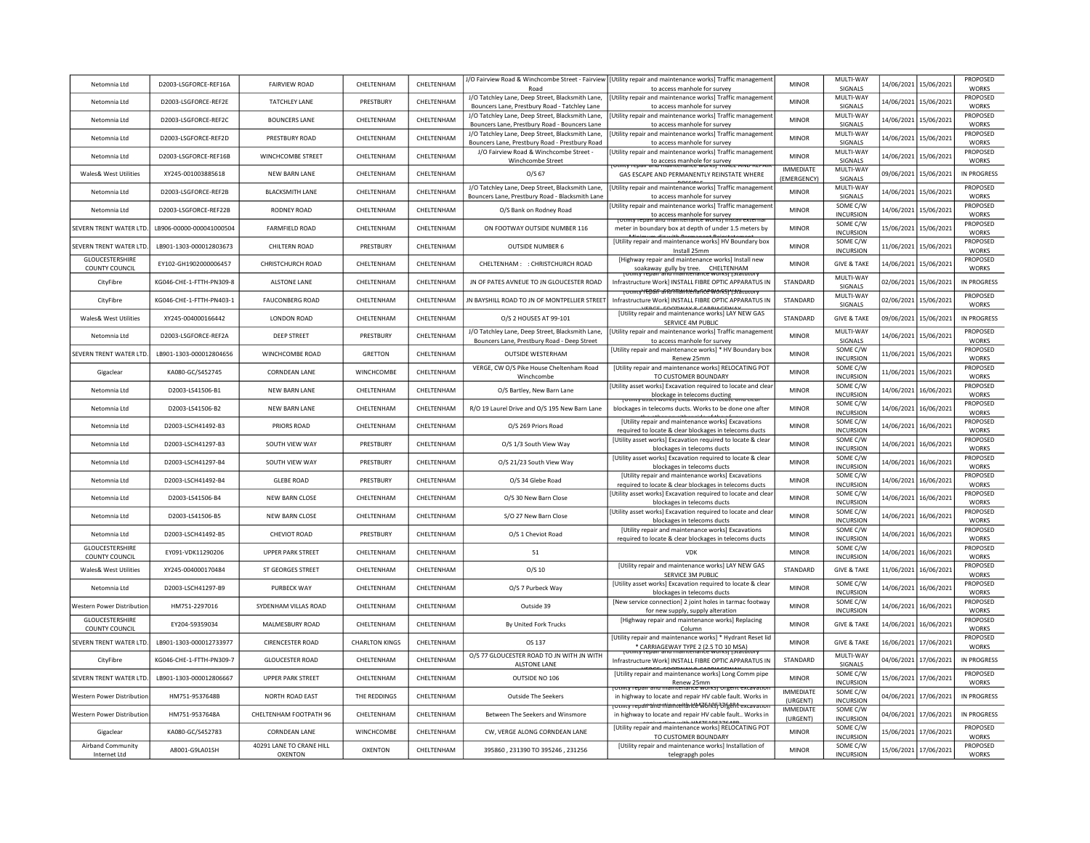| Netomnia Ltd                             | D2003-LSGFORCE-REF16A    | <b>FAIRVIEW ROAD</b>     | CHELTENHAM            | CHELTENHAM        |                                                                                                     | J/O Fairview Road & Winchcombe Street - Fairview   [Utility repair and maintenance works] Traffic management                               | <b>MINOR</b>                    | MULTI-WAY                                  | 14/06/2021<br>15/06/2021 | PROPOSED                           |
|------------------------------------------|--------------------------|--------------------------|-----------------------|-------------------|-----------------------------------------------------------------------------------------------------|--------------------------------------------------------------------------------------------------------------------------------------------|---------------------------------|--------------------------------------------|--------------------------|------------------------------------|
|                                          |                          |                          |                       |                   | Road<br>J/O Tatchley Lane, Deep Street, Blacksmith Lane,                                            | to access manhole for survey<br>[Utility repair and maintenance works] Traffic management                                                  |                                 | SIGNALS<br>MULTI-WAY                       |                          | <b>WORKS</b><br>PROPOSED           |
| Netomnia Ltd                             | D2003-LSGFORCE-REF2E     | <b>TATCHLEY LANE</b>     | PRESTBURY             | CHELTENHAM        | Bouncers Lane, Prestbury Road - Tatchley Lane                                                       | to access manhole for survey                                                                                                               | <b>MINOR</b>                    | SIGNALS                                    | 14/06/2021<br>15/06/2021 | <b>WORKS</b>                       |
| Netomnia Ltd                             | D2003-LSGFORCE-REF2C     | <b>BOUNCERS LANE</b>     | CHELTENHAM            | CHELTENHAM        | J/O Tatchley Lane, Deep Street, Blacksmith Lane.<br>Bouncers Lane, Prestbury Road - Bouncers Lane   | [Utility repair and maintenance works] Traffic managemen<br>to access manhole for survey                                                   | <b>MINOR</b>                    | MULTI-WAY<br>SIGNALS                       | 14/06/2021 15/06/2021    | PROPOSED<br><b>WORKS</b>           |
| Netomnia Ltd                             | D2003-LSGFORCE-REF2D     | PRESTBURY ROAD           | CHELTENHAM            | CHELTENHAM        | J/O Tatchley Lane, Deep Street, Blacksmith Lane,<br>Bouncers Lane, Prestbury Road - Prestbury Road  | Utility repair and maintenance works] Traffic management<br>to access manhole for survey                                                   | <b>MINOR</b>                    | MULTI-WAY<br>SIGNALS                       | 14/06/2021<br>15/06/2021 | PROPOSED<br><b>WORKS</b>           |
| Netomnia Itd                             | D2003-LSGEORCE-REE16B    | <b>WINCHCOMBE STREET</b> | CHFITFNHAM            | CHELTENHAM        | J/O Fairview Road & Winchcombe Street -<br>Winchcombe Street                                        | Utility repair and maintenance works] Traffic management                                                                                   | <b>MINOR</b>                    | MULTI-WAY<br><b>SIGNALS</b>                | 14/06/2021<br>15/06/2021 | PROPOSED<br><b>WORKS</b>           |
| Wales& West Utilities                    | XY245-001003885618       | <b>NEW BARN LANE</b>     | CHELTENHAM            | CHELTENHAM        | $O/S$ 67                                                                                            | to access manhole for survey<br>and mannenance works<br><u>iv renair ann ri</u><br>GAS ESCAPE AND PERMANENTLY REINSTATE WHERE              | <b>IMMEDIATE</b><br>(EMERGENCY) | MULTI-WAY<br>SIGNALS                       | 09/06/2021<br>15/06/2021 | <b>IN PROGRESS</b>                 |
| Netomnia Itd                             | D2003-LSGFORCE-REF2B     | <b>BLACKSMITH LANE</b>   | CHELTENHAM            | CHELTENHAM        | J/O Tatchley Lane, Deep Street, Blacksmith Lane,<br>Bouncers Lane, Prestbury Road - Blacksmith Lane | Utility repair and maintenance works] Traffic managemen<br>to access manhole for survey                                                    | <b>MINOR</b>                    | MULTI-WAY<br>SIGNALS                       | 14/06/2021<br>15/06/2021 | PROPOSED<br><b>WORKS</b>           |
| Netomnia Ltd                             | D2003-LSGFORCE-REF22B    | <b>RODNEY ROAD</b>       | CHELTENHAM            | CHELTENHAM        | O/S Bank on Rodney Road                                                                             | Utility repair and maintenance works] Traffic managemen<br>to access manhole for survey                                                    | <b>MINOR</b>                    | SOME C/W<br><b>INCURSION</b>               | 15/06/2021<br>14/06/2021 | PROPOSED<br><b>WORKS</b>           |
| SEVERN TRENT WATER LTD                   | LB906-00000-000041000504 | <b>FARMFIELD ROAD</b>    | CHELTENHAM            | CHELTENHAM        | ON FOOTWAY OUTSIDE NUMBER 116                                                                       | otility repair and maintenance works! Insta<br>meter in boundary box at depth of under 1.5 meters by                                       | <b>MINOR</b>                    | SOME C/W<br><b>INCURSION</b>               | 15/06/2021<br>15/06/2021 | PROPOSED<br><b>WORKS</b>           |
| SEVERN TRENT WATER LTD                   | LB901-1303-000012803673  | CHILTERN ROAD            | PRESTBURY             | CHELTENHAM        | <b>OUTSIDE NUMBER 6</b>                                                                             | [Utility repair and maintenance works] HV Boundary box                                                                                     | <b>MINOR</b>                    | SOME C/W                                   | 11/06/2021<br>15/06/2021 | PROPOSED<br><b>WORKS</b>           |
| <b>GLOUCESTERSHIRE</b>                   | FY102-GH1902000006457    | CHRISTCHURCH ROAD        | CHELTENHAM            | <b>CHFITENHAM</b> | CHELTENHAM: : CHRISTCHURCH ROAD                                                                     | Install 25mm<br>[Highway repair and maintenance works] Install new                                                                         | <b>MINOR</b>                    | <b>INCURSION</b><br><b>GIVE &amp; TAKE</b> | 15/06/2021<br>14/06/2021 | PROPOSED                           |
| COUNTY COUNCIL<br>CityFibre              | KG046-CHE-1-FTTH-PN309-8 | <b>ALSTONE LANE</b>      | CHELTENHAM            | CHELTENHAM        | JN OF PATES AVNEUE TO JN GLOUCESTER ROAD                                                            | soakaway gully by tree. CHELTENHAM<br>Infrastructure Workl INSTALL FIBRE OPTIC APPARATUS IN                                                | STANDARD                        | MULTI-WAY                                  | 02/06/2021<br>15/06/2021 | <b>WORKS</b><br><b>IN PROGRESS</b> |
| CityFibre                                | KG046-CHE-1-FTTH-PN403-1 | <b>FAUCONBERG ROAD</b>   | CHELTENHAM            | CHELTENHAM        | IN BAYSHILL ROAD TO JN OF MONTPELLIER STREET                                                        | <del>runcy YEDGIF aFRONTANNYCHaFiCE WORSY Y3Nacut</del><br>Infrastructure Work] INSTALL FIBRE OPTIC APPARATUS IN                           | STANDARD                        | SIGNALS<br>MULTI-WAY                       | 02/06/2021<br>15/06/2021 | PROPOSED                           |
| Wales& West Utilities                    | XY245-004000166442       | <b>LONDON ROAD</b>       | CHELTENHAM            | CHELTENHAM        | O/S 2 HOUSES AT 99-101                                                                              | [Utility repair and maintenance works] LAY NEW GAS                                                                                         | STANDARD                        | SIGNALS<br><b>GIVE &amp; TAKE</b>          | 09/06/2021 15/06/2021    | <b>WORKS</b><br><b>IN PROGRESS</b> |
| Netomnia Ltd                             | D2003-LSGFORCE-REF2A     | <b>DEEP STREET</b>       | PRESTBURY             | CHELTENHAM        | J/O Tatchley Lane, Deep Street, Blacksmith Lane,                                                    | SERVICE 4M PUBLIC<br>[Utility repair and maintenance works] Traffic managemen                                                              | MINOR                           | MULTI-WAY                                  | 14/06/2021 15/06/2021    | PROPOSED                           |
|                                          |                          |                          |                       |                   | Bouncers Lane, Prestbury Road - Deep Street                                                         | to access manhole for survey<br>[Utility repair and maintenance works] * HV Boundary box                                                   |                                 | SIGNALS<br>SOME C/W                        |                          | <b>WORKS</b><br>PROPOSED           |
| SEVERN TRENT WATER LTD.                  | LB901-1303-000012804656  | WINCHCOMBE ROAD          | <b>GRETTON</b>        | CHELTENHAM        | <b>OUTSIDE WESTERHAM</b>                                                                            | Renew 25mm                                                                                                                                 | <b>MINOR</b>                    | <b>INCURSION</b>                           | 15/06/2021<br>11/06/2021 | <b>WORKS</b>                       |
| Gigaclear                                | KA080-GC/S452745         | <b>CORNDEAN LANE</b>     | WINCHCOMBE            | CHELTENHAM        | VERGE, CW O/S Pike House Cheltenham Road<br>Winchcombe                                              | [Utility repair and maintenance works] RELOCATING POT<br>TO CUSTOMER BOUNDARY                                                              | <b>MINOR</b>                    | SOME C/W<br><b>INCURSION</b>               | 15/06/2021<br>11/06/2021 | PROPOSED<br><b>WORKS</b>           |
| Netomnia Itd                             | D2003-LS41506-B1         | NFW BARN LANF            | CHFITFNHAM            | CHELTENHAM        | O/S Bartley, New Barn Lane                                                                          | [Utility asset works] Excavation required to locate and clear<br>blockage in telecoms ducting<br>sset worksj excavation to iocate and ciea | <b>MINOR</b>                    | SOME C/W<br><b>INCURSION</b>               | 14/06/2021<br>16/06/2021 | <b>PROPOSED</b><br><b>WORKS</b>    |
| Netomnia Ltd                             | D2003-LS41506-B2         | <b>NEW BARN LANE</b>     | CHELTENHAM            | CHELTENHAM        | R/O 19 Laurel Drive and O/S 195 New Barn Lane                                                       | blockages in telecoms ducts. Works to be done one after                                                                                    | <b>MINOR</b>                    | SOME C/W<br><b>INCURSION</b>               | 14/06/2021<br>16/06/2021 | PROPOSED<br><b>WORKS</b>           |
| Netomnia Ltd                             | D2003-LSCH41492-B3       | PRIORS ROAD              | CHELTENHAM            | CHELTENHAM        | O/S 269 Priors Road                                                                                 | [Utility repair and maintenance works] Excavations<br>required to locate & clear blockages in telecoms ducts                               | <b>MINOR</b>                    | SOME C/W<br><b>INCURSION</b>               | 14/06/2021<br>16/06/2021 | <b>PROPOSED</b><br><b>WORKS</b>    |
| Netomnia Ltd                             | D2003-LSCH41297-B3       | SOUTH VIEW WAY           | PRESTBURY             | CHELTENHAM        | O/S 1/3 South View Way                                                                              | [Utility asset works] Excavation required to locate & clear<br>blockages in telecoms ducts                                                 | <b>MINOR</b>                    | SOME C/W<br><b>INCURSION</b>               | 14/06/2021<br>16/06/2021 | PROPOSED<br><b>WORKS</b>           |
| Netomnia Ltd                             | D2003-LSCH41297-B4       | SOUTH VIEW WAY           | PRESTBURY             | CHELTENHAM        | O/S 21/23 South View Way                                                                            | [Utility asset works] Excavation required to locate & clear<br>blockages in telecoms ducts                                                 | <b>MINOR</b>                    | SOME C/W<br><b>INCURSION</b>               | 14/06/2021<br>16/06/2021 | PROPOSED<br><b>WORKS</b>           |
| Netomnia Ltd                             | D2003-LSCH41492-B4       | <b>GLEBE ROAD</b>        | PRESTBURY             | CHELTENHAM        | O/S 34 Glebe Road                                                                                   | [Utility repair and maintenance works] Excavations<br>required to locate & clear blockages in telecoms ducts                               | <b>MINOR</b>                    | SOME C/W<br><b>INCURSION</b>               | 14/06/2021<br>16/06/2021 | <b>PROPOSED</b><br><b>WORKS</b>    |
| Netomnia Itd                             | D2003-LS41506-B4         | NEW BARN CLOSE           | <b>CHEITENHAM</b>     | CHELTENHAM        | O/S 30 New Barn Close                                                                               | [Utility asset works] Excavation required to locate and clear                                                                              | <b>MINOR</b>                    | SOME C/W<br><b>INCURSION</b>               | 14/06/2021<br>16/06/2021 | <b>PROPOSED</b><br><b>WORKS</b>    |
| Netomnia Ltd                             | D2003-LS41506-B5         | <b>NEW BARN CLOSE</b>    | CHELTENHAM            | CHELTENHAM        | S/O 27 New Barn Close                                                                               | blockages in telecoms ducts<br>[Utility asset works] Excavation required to locate and clear<br>blockages in telecoms ducts                | <b>MINOR</b>                    | SOME C/W<br><b>INCURSION</b>               | 14/06/2021<br>16/06/2021 | PROPOSED<br><b>WORKS</b>           |
|                                          |                          |                          |                       |                   |                                                                                                     | [Utility repair and maintenance works] Excavations                                                                                         |                                 | SOME C/W                                   |                          | PROPOSED                           |
| Netomnia Ltd                             | D2003-LSCH41492-B5       | CHEVIOT ROAD             | PRESTBURY             | CHELTENHAM        | O/S 1 Cheviot Road                                                                                  | required to locate & clear blockages in telecoms ducts                                                                                     | <b>MINOR</b>                    | <b>INCURSION</b>                           | 14/06/2021<br>16/06/2021 | <b>WORKS</b>                       |
| <b>GLOUCESTERSHIRE</b><br>COUNTY COUNCIL | EY091-VDK11290206        | <b>UPPER PARK STREET</b> | CHELTENHAM            | CHELTENHAM        | 51                                                                                                  | <b>VDK</b>                                                                                                                                 | <b>MINOR</b>                    | SOME C/W<br><b>INCURSION</b>               | 14/06/2021<br>16/06/2021 | PROPOSED<br><b>WORKS</b>           |
| Wales& West Utilities                    | XY245-004000170484       | ST GEORGES STREET        | CHELTENHAM            | CHELTENHAM        | $O/S$ 10                                                                                            | [Utility repair and maintenance works] LAY NEW GAS<br>SERVICE 3M PUBLIC                                                                    | STANDARD                        | <b>GIVE &amp; TAKE</b>                     | 11/06/2021<br>16/06/2021 | PROPOSED<br><b>WORKS</b>           |
| Netomnia Itd                             | D2003-LSCH41297-B9       | PURBECK WAY              | CHELTENHAM            | CHELTENHAM        | O/S 7 Purbeck Way                                                                                   | [Utility asset works] Excavation required to locate & clear<br>blockages in telecoms ducts                                                 | <b>MINOR</b>                    | SOME C/W<br><b>INCURSION</b>               | 14/06/2021<br>16/06/2021 | PROPOSED<br><b>WORKS</b>           |
| Western Power Distribution               | HM751-2297016            | SYDENHAM VILLAS ROAD     | CHFITFNHAM            | <b>CHFITENHAM</b> | Outside 39                                                                                          | [New service connection] 2 joint holes in tarmac footway<br>for new supply, supply alteration                                              | <b>MINOR</b>                    | SOME C/W<br><b>INCURSION</b>               | 14/06/2021<br>16/06/2021 | PROPOSED<br><b>WORKS</b>           |
| GLOUCESTERSHIRE<br>COUNTY COUNCIL        | EY204-59359034           | MALMESBURY ROAD          | CHELTENHAM            | CHELTENHAM        | <b>By United Fork Trucks</b>                                                                        | [Highway repair and maintenance works] Replacing<br>Column                                                                                 | <b>MINOR</b>                    | <b>GIVE &amp; TAKE</b>                     | 14/06/2021<br>16/06/2021 | PROPOSED<br><b>WORKS</b>           |
| SEVERN TRENT WATER LTD                   | LB901-1303-000012733977  | <b>CIRENCESTER ROAD</b>  | <b>CHARLTON KINGS</b> | CHELTENHAM        | OS 137                                                                                              | [Utility repair and maintenance works] * Hydrant Reset lid<br>* CARRIAGEWAY TYPE 2 (2.5 TO 10 MSA)                                         | <b>MINOR</b>                    | <b>GIVE &amp; TAKE</b>                     | 16/06/2021<br>17/06/2021 | PROPOSED<br><b>WORKS</b>           |
| CityFibre                                | KG046-CHE-1-FTTH-PN309-7 | <b>GLOUCESTER ROAD</b>   | CHELTENHAM            | CHELTENHAM        | O/S 77 GLOUCESTER ROAD TO JN WITH JN WITH<br>ALSTONE LANE                                           | Infrastructure Work] INSTALL FIBRE OPTIC APPARATUS IN                                                                                      | STANDARD                        | MULTI-WAY<br>SIGNALS                       | 04/06/2021<br>17/06/2021 | <b>IN PROGRESS</b>                 |
| SEVERN TRENT WATER LTD.                  | LB901-1303-000012806667  | <b>UPPER PARK STREET</b> | CHELTENHAM            | CHELTENHAM        | OUTSIDE NO 106                                                                                      | [Utility repair and maintenance works] Long Comm pipe                                                                                      | MINOR                           | SOME C/W<br><b>INCURSION</b>               | 15/06/2021<br>17/06/2021 | PROPOSED<br><b>WORKS</b>           |
| Western Power Distributior               | HM751-9537648B           | <b>NORTH ROAD EAST</b>   | THE REDDINGS          | CHELTENHAM        | Outside The Seekers                                                                                 | Renew 25mm<br><del>וסטומונץ ופן היסט באמצעות המשפט משל היום ומעשי מ</del><br>in highway to locate and repair HV cable fault. Works in      | <b>IMMEDIATE</b><br>(URGENT)    | SOME C/W<br><b>INCURSION</b>               | 17/06/2021<br>04/06/2021 | <b>IN PROGRESS</b>                 |
| <b>Western Power Distribution</b>        | HM751-9537648A           | CHELTENHAM FOOTPATH 96   | CHELTENHAM            | CHELTENHAM        | Between The Seekers and Winsmore                                                                    | rotmty repair and mamteriarice W6fRSJ Orgent excavation<br>in highway to locate and repair HV cable fault Works in                         | <b>IMMEDIATE</b>                | SOME C/W<br><b>INCURSION</b>               | 04/06/2021 17/06/2021    | IN PROGRESS                        |
| Gigaclear                                | KA080-GC/S452783         | <b>CORNDEAN LANE</b>     | WINCHCOMBE            | CHELTENHAM        | CW, VERGE ALONG CORNDEAN LANE                                                                       | [Utility repair and maintenance works] RELOCATING POT                                                                                      | (URGENT)<br><b>MINOR</b>        | SOME C/W                                   | 15/06/2021 17/06/2021    | <b>PROPOSED</b>                    |
| <b>Airband Community</b>                 | A8001-G9LA01SH           | 40291 LANE TO CRANE HILL | OXENTON               | CHELTENHAM        | 395860, 231390 TO 395246, 231256                                                                    | TO CUSTOMER BOUNDARY<br>[Utility repair and maintenance works] Installation of                                                             | <b>MINOR</b>                    | <b>INCURSION</b><br>SOME C/W               | 15/06/2021 17/06/2021    | <b>WORKS</b><br>PROPOSED           |
| Internet Ltd                             |                          | OXENTON                  |                       |                   |                                                                                                     | telegrapgh poles                                                                                                                           |                                 | <b>INCURSION</b>                           |                          | <b>WORKS</b>                       |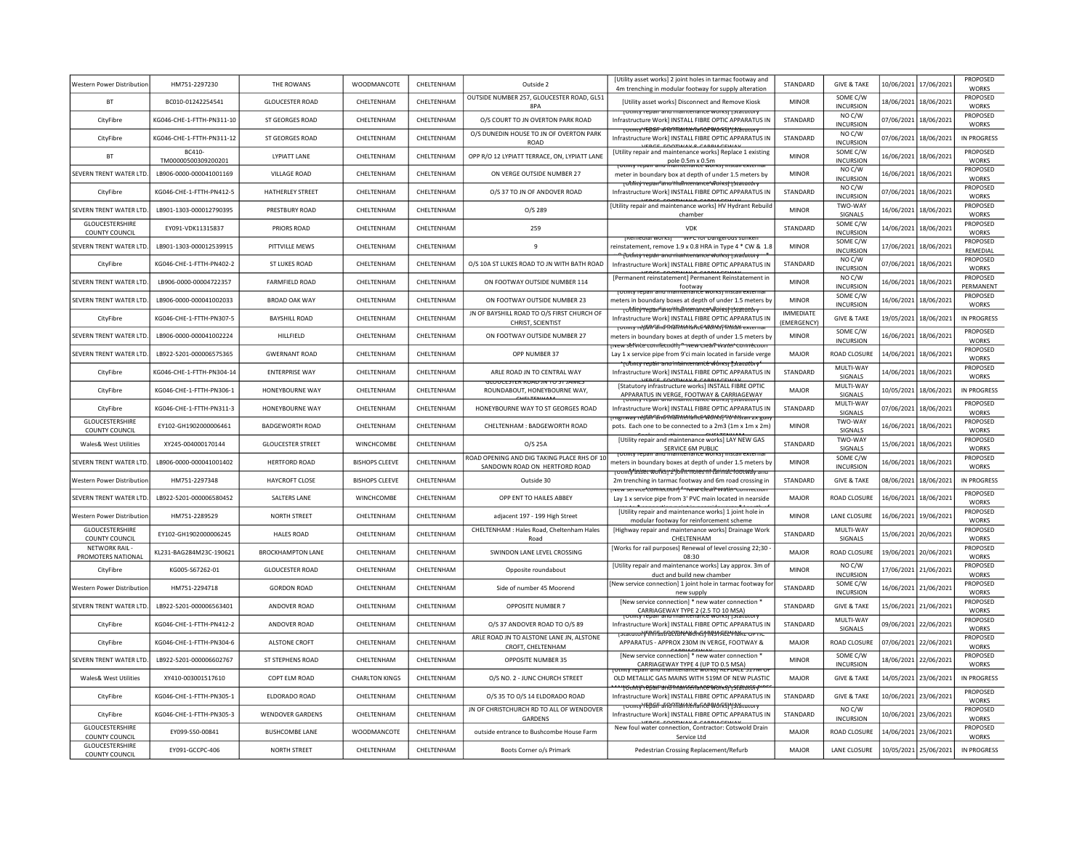| <b>Western Power Distribution</b>        | HM751-2297230                | THE ROWANS               | <b>WOODMANCOTE</b>    | CHELTENHAM        | Outside 2                                                                    | <b>IUtility asset works] 2 joint holes in tarmac footway and</b><br>4m trenching in modular footway for supply alteration                | <b>STANDARD</b>                        | <b>GIVE &amp; TAKE</b>       | 10/06/2021 | 17/06/2021            | PROPOSED<br><b>WORKS</b>        |
|------------------------------------------|------------------------------|--------------------------|-----------------------|-------------------|------------------------------------------------------------------------------|------------------------------------------------------------------------------------------------------------------------------------------|----------------------------------------|------------------------------|------------|-----------------------|---------------------------------|
| <b>BT</b>                                | BC010-01242254541            | <b>GLOUCESTER ROAD</b>   | CHELTENHAM            | CHELTENHAM        | OUTSIDE NUMBER 257, GLOUCESTER ROAD, GL51<br>8PA                             | [Utility asset works] Disconnect and Remove Kiosk                                                                                        | <b>MINOR</b>                           | SOME C/W<br><b>INCURSION</b> | 18/06/2021 | 18/06/2021            | PROPOSED<br><b>WORKS</b>        |
| CityFibre                                | KG046-CHE-1-FTTH-PN311-10    | ST GEORGES ROAD          | CHELTENHAM            | CHELTENHAM        | O/S COURT TO JN OVERTON PARK ROAD                                            | <b>FOURTY TEPAIL and maintenance works practicely</b><br>Infrastructure Work] INSTALL FIBRE OPTIC APPARATUS IN                           | STANDARD                               | NO C/W<br><b>INCURSION</b>   | 07/06/2021 | 18/06/2021            | PROPOSED<br><b>WORKS</b>        |
| CityFibre                                | KG046-CHE-1-FTTH-PN311-12    | <b>ST GEORGES ROAD</b>   | CHELTENHAM            | CHELTENHAM        | O/S DUNEDIN HOUSE TO JN OF OVERTON PARK<br><b>ROAD</b>                       | <del>დიოდ YEDGIF არბერას Mance Worksj უკაალით</del><br>Infrastructure Work] INSTALL FIBRE OPTIC APPARATUS IN                             | STANDARD                               | NO C/W<br><b>INCURSION</b>   | 07/06/2021 | 18/06/2021            | <b>IN PROGRESS</b>              |
| <b>BT</b>                                | BC410<br>TM00000500309200201 | <b>IYPIATT LANF</b>      | <b>CHFITENHAM</b>     | <b>CHFITENHAM</b> | OPP R/O 12 LYPIATT TERRACE, ON, LYPIATT LANE                                 | [Utility repair and maintenance works] Replace 1 existing<br>pole 0.5m x 0.5m<br>repair and maintenance works                            | <b>MINOR</b>                           | SOME C/W<br><b>INCURSION</b> | 16/06/2021 | 18/06/2021            | <b>PROPOSED</b><br><b>WORKS</b> |
| SEVERN TRENT WATER LTD.                  | LB906-0000-000041001169      | <b>VILLAGE ROAD</b>      | CHELTENHAM            | CHELTENHAM        | ON VERGE OUTSIDE NUMBER 27                                                   | meter in boundary box at depth of under 1.5 meters by                                                                                    | <b>MINOR</b>                           | NO C/W<br><b>INCURSION</b>   | 16/06/2021 | 18/06/2021            | PROPOSED<br><b>WORKS</b>        |
| CityFibre                                | KG046-CHE-1-FTTH-PN412-5     | HATHERLEY STREET         | CHELTENHAM            | CHELTENHAM        | O/S 37 TO JN OF ANDOVER ROAD                                                 | rotnirv revan 'ano'thamrenance Workst 15raroror<br>Infrastructure Work] INSTALL FIBRE OPTIC APPARATUS IN                                 | STANDARD                               | NO C/W<br><b>INCURSION</b>   | 07/06/2021 | 18/06/2021            | <b>PROPOSED</b><br><b>WORKS</b> |
| SEVERN TRENT WATER LTD                   | LB901-1303-000012790395      | PRESTBURY ROAD           | CHELTENHAM            | CHELTENHAM        | O/S 289                                                                      | [Utility repair and maintenance works] HV Hydrant Rebuild<br>chamber                                                                     | <b>MINOR</b>                           | TWO-WAY<br>SIGNALS           | 16/06/2021 | 18/06/2021            | PROPOSED<br><b>WORKS</b>        |
| GLOUCESTERSHIRE<br><b>COUNTY COUNCIL</b> | EY091-VDK11315837            | PRIORS ROAD              | CHELTENHAM            | CHELTENHAM        | 259                                                                          | VDK                                                                                                                                      | STANDARD                               | SOME C/W<br><b>INCURSION</b> | 14/06/2021 | 18/06/2021            | PROPOSED<br><b>WORKS</b>        |
| SEVERN TRENT WATER LTD.                  | LB901-1303-000012539915      | PITTVILLE MEWS           | CHELTENHAM            | CHELTENHAM        | 9                                                                            | <b>WPC TOT Dangerous sunker</b><br><b>TREMTEGIAT WORKST</b><br>reinstatement, remove 1.9 x 0.8 HRA in Type 4 * CW & 1.8                  | <b>MINOR</b>                           | SOME C/W<br>INCURSION        | 17/06/2021 | 18/06/2021            | PROPOSED<br>REMEDIAL            |
| CityFibre                                | KG046-CHF-1-FTTH-PN402-2     | ST LUKES ROAD            | CHFI TFNHAM           | <b>CHFITENHAM</b> | O/S 10A ST LUKES ROAD TO JN WITH BATH ROAD                                   | fotfinty repair and maintenance works; i statutor<br>Infrastructure Work] INSTALL FIBRE OPTIC APPARATUS IN                               | <b>STANDARD</b>                        | NO C/W<br><b>INCURSION</b>   | 07/06/2021 | 18/06/2021            | PROPOSED<br><b>WORKS</b>        |
| SEVERN TRENT WATER LTD.                  | LB906-0000-00004722357       | <b>FARMFIELD ROAD</b>    | CHELTENHAM            | CHELTENHAM        | ON FOOTWAY OUTSIDE NUMBER 114                                                | [Permanent reinstatement] Permanent Reinstatement ir                                                                                     | <b>MINOR</b>                           | NO C/W<br><b>INCURSION</b>   | 16/06/2021 | 18/06/2021            | <b>PROPOSED</b><br>PERMANENT    |
| SEVERN TRENT WATER LTD.                  | LB906-0000-000041002033      | <b>BROAD OAK WAY</b>     | CHELTENHAM            | CHELTENHAM        | ON FOOTWAY OUTSIDE NUMBER 23                                                 | footway<br>המוסט amcerance<br>meters in boundary boxes at depth of under 1.5 meters by                                                   | <b>MINOR</b>                           | SOME C/W<br><b>INCURSION</b> | 16/06/2021 | 18/06/2021            | PROPOSED<br><b>WORKS</b>        |
| CityFibre                                | KG046-CHE-1-FTTH-PN307-5     | <b>BAYSHILL ROAD</b>     | CHELTENHAM            | CHELTENHAM        | JN OF BAYSHILL ROAD TO O/S FIRST CHURCH OF<br>CHRIST, SCIENTIST              | rotmity repair and thannenance workst retatutor<br>Infrastructure Work] INSTALL FIBRE OPTIC APPARATUS IN                                 | <b>IMMEDIATE</b><br><b>(EMERGENCY)</b> | <b>GIVE &amp; TAKE</b>       | 19/05/2021 | 18/06/2021            | <b>IN PROGRESS</b>              |
| SEVERN TRENT WATER LTD.                  | LB906-0000-000041002224      | HILLFIELD                | CHELTENHAM            | CHELTENHAM        | ON FOOTWAY OUTSIDE NUMBER 27                                                 | rotmtv reban and namtenafice works finstan externa<br>meters in boundary boxes at depth of under 1.5 meters by                           | <b>MINOR</b>                           | SOME C/W<br>INCURSION        | 16/06/2021 | 18/06/2021            | PROPOSED<br><b>WORKS</b>        |
| SEVERN TRENT WATER LTD                   | LB922-5201-000006575365      | <b>GWERNANT ROAD</b>     | CHELTENHAM            | CHELTENHAM        | OPP NUMBER 37                                                                | wew service comfection לחשיר המשפח water comfection<br>Lay 1 x service pipe from 9'ci main located in farside verge                      | <b>MAJOR</b>                           | ROAD CLOSURE                 | 14/06/2021 | 18/06/2021            | PROPOSED<br><b>WORKS</b>        |
| CityFibre                                | KG046-CHE-1-FTTH-PN304-14    | <b>ENTERPRISE WAY</b>    | CHELTENHAM            | CHELTENHAM        | ARLE ROAD JN TO CENTRAL WAY                                                  | <del>· rutincy repair and intaincerranicle works <sub>I</sub> fisiacatbry</del><br>Infrastructure Work] INSTALL FIBRE OPTIC APPARATUS IN | STANDARD                               | MULTI-WAY<br><b>SIGNALS</b>  | 14/06/2021 | 18/06/2021            | PROPOSED<br><b>WORKS</b>        |
| CityFibre                                | KG046-CHF-1-FTTH-PN306-1     | HONFYBOURNE WAY          | CHFI TFNHAM           | <b>CHFITENHAM</b> | <b>GEOUCESTER RUAD JIV TO ST JAIWE</b><br>ROUNDABOUT, HONEYBOURNE WAY,       | [Statutory infrastructure works] INSTALL FIBRE OPTIC<br>APPARATUS IN VERGE, FOOTWAY & CARRIAGEWAY                                        | MAIOR                                  | MULTI-WAY<br>SIGNALS         | 10/05/2021 | 18/06/2021            | IN PROGRESS                     |
| CityFibre                                | KG046-CHE-1-FTTH-PN311-3     | <b>HONEYBOURNE WAY</b>   | CHELTENHAM            | CHELTENHAM        | HONEYBOURNE WAY TO ST GEORGES ROAD                                           | otinty repair and ma<br>ance works <sub>T</sub> statuto<br>Infrastructure Workl INSTALL FIBRE OPTIC APPARATUS IN                         | STANDARD                               | MULTI-WAY<br>SIGNALS         | 07/06/2021 | 18/06/2021            | PROPOSED<br><b>WORKS</b>        |
| GLOUCESTERSHIRE<br><b>COUNTY COUNCIL</b> | EY102-GH1902000006461        | <b>BADGEWORTH ROAD</b>   | CHELTENHAM            | CHELTENHAM        | CHELTENHAM : BADGEWORTH ROAD                                                 | mgnway répan ana mamténah ce works from islam zx gun<br>pots. Each one to be connected to a 2m3 (1m x 1m x 2m)                           | <b>MINOR</b>                           | TWO-WAY<br>SIGNALS           | 16/06/2021 | 18/06/2021            | <b>PROPOSED</b><br><b>WORKS</b> |
| Wales& West Utilities                    | XY245-004000170144           | <b>GLOUCESTER STREET</b> | WINCHCOMBE            | CHELTENHAM        | O/S 25A                                                                      | [Utility repair and maintenance works] LAY NEW GAS<br>SERVICE 6M PUBLIC                                                                  | STANDARD                               | TWO-WAY<br>SIGNALS           | 15/06/2021 | 18/06/2021            | PROPOSED<br><b>WORKS</b>        |
| SEVERN TRENT WATER LTD                   | LB906-0000-000041001402      | <b>HERTFORD ROAD</b>     | <b>BISHOPS CLEEVE</b> | CHELTENHAM        | ROAD OPENING AND DIG TAKING PLACE RHS OF 10<br>SANDOWN ROAD ON HERTFORD ROAD | meters in boundary boxes at depth of under 1.5 meters by                                                                                 | <b>MINOR</b>                           | SOME C/W<br><b>INCURSION</b> | 16/06/2021 | 18/06/2021            | PROPOSED<br><b>WORKS</b>        |
| <b>Nestern Power Distributior</b>        | HM751-2297348                | <b>HAYCROFT CLOSE</b>    | <b>BISHOPS CLEEVE</b> | CHELTENHAM        | Outside 30                                                                   | Totmty asset workst zijofht notes til farmat footway at<br>2m trenching in tarmac footway and 6m road crossing in                        | STANDARD                               | <b>GIVE &amp; TAKE</b>       | 08/06/2021 | 18/06/2021            | <b>IN PROGRESS</b>              |
| <b>SFVERN TRENT WATER LTD.</b>           | 18922-5201-000006580452      | SAITERS LANE             | <b>WINCHCOMBE</b>     | <b>CHFITENHAM</b> | OPP FNT TO HAILES ABBEY                                                      | <del>e'connection) <sup>ב</sup> rvew clearl water</del> .<br>Lay 1 x service pipe from 3' PVC main located in nearside                   | MAIOR                                  | ROAD CLOSURE                 | 16/06/2021 | 18/06/2021            | PROPOSED<br><b>WORKS</b>        |
| Western Power Distribution               | HM751-2289529                | NORTH STREET             | CHELTENHAM            | CHELTENHAM        | adjacent 197 - 199 High Street                                               | <b>IUtility repair and maintenance works] 1 joint hole in</b><br>modular footway for reinforcement scheme                                | <b>MINOR</b>                           | LANE CLOSURE                 | 16/06/2021 | 19/06/2021            | PROPOSED<br><b>WORKS</b>        |
| GLOUCESTERSHIRE<br><b>COUNTY COUNCIL</b> | EY102-GH1902000006245        | HALES ROAD               | CHELTENHAM            | <b>CHFITENHAM</b> | CHELTENHAM : Hales Road, Cheltenham Hales<br>Road                            | [Highway repair and maintenance works] Drainage Work<br>CHELTENHAM                                                                       | <b>STANDARD</b>                        | MULTI-WAY<br>SIGNALS         | 15/06/2021 | 20/06/2021            | PROPOSED<br><b>WORKS</b>        |
| NETWORK RAIL<br>PROMOTERS NATIONAL       | KL231-BAG284M23C-190621      | <b>BROCKHAMPTON LANE</b> | CHELTENHAM            | CHELTENHAM        | SWINDON LANE LEVEL CROSSING                                                  | [Works for rail purposes] Renewal of level crossing 22;30<br>08:30                                                                       | MAJOR                                  | <b>ROAD CLOSURE</b>          | 19/06/2021 | 20/06/2021            | PROPOSED<br><b>WORKS</b>        |
| CityFibre                                | KG005-S67262-01              | <b>GLOUCESTER ROAD</b>   | CHELTENHAM            | CHELTENHAM        | Opposite roundabout                                                          | [Utility repair and maintenance works] Lay approx. 3m of<br>duct and build new chamber                                                   | <b>MINOR</b>                           | NO C/W<br><b>INCURSION</b>   | 17/06/2021 | 21/06/2021            | PROPOSED<br><b>WORKS</b>        |
| Western Power Distribution               | HM751-2294718                | <b>GORDON ROAD</b>       | CHELTENHAM            | CHELTENHAM        | Side of number 45 Moorend                                                    | [New service connection] 1 joint hole in tarmac footway fo<br>new supply                                                                 | STANDARD                               | SOME C/W<br><b>INCURSION</b> | 16/06/2021 | 21/06/2021            | PROPOSED<br><b>WORKS</b>        |
| SEVERN TRENT WATER ITD.                  | 18922-5201-000006563401      | ANDOVER ROAD             | <b>CHEITENHAM</b>     | <b>CHFITENHAM</b> | <b>OPPOSITE NUMBER 7</b>                                                     | [New service connection] * new water connection *<br>CARRIAGEWAY TYPE 2 (2.5 TO 10 MSA)                                                  | <b>STANDARD</b>                        | <b>GIVE &amp; TAKE</b>       | 15/06/2021 | 21/06/2021            | <b>PROPOSED</b><br><b>WORKS</b> |
| CityFibre                                | KG046-CHE-1-FTTH-PN412-2     | ANDOVER ROAD             | CHELTENHAM            | CHELTENHAM        | O/S 37 ANDOVER ROAD TO O/S 89                                                | Infrastructure Work] INSTALL FIBRE OPTIC APPARATUS IN                                                                                    | STANDARD                               | MULTI-WAY<br>SIGNALS         | 09/06/2021 | 22/06/2021            | PROPOSED<br><b>WORKS</b>        |
| CityFibre                                | KG046-CHE-1-FTTH-PN304-6     | <b>ALSTONE CROFT</b>     | CHELTENHAM            | CHELTENHAM        | ARLE ROAD JN TO ALSTONE LANE JN, ALSTONE<br>CROFT, CHELTENHAM                | τstatutot∀fflffastfû€tūté^w∂rk\$11N\$1ÆEL*fbke OPπt<br>APPARATUS - APPROX 230M IN VERGE, FOOTWAY &                                       | MAJOR                                  | ROAD CLOSURE                 | 07/06/2021 | 22/06/2021            | PROPOSED<br><b>WORKS</b>        |
| SEVERN TRENT WATER LTD.                  | LB922-5201-000006602767      | <b>ST STEPHENS ROAD</b>  | CHELTENHAM            | CHELTENHAM        | OPPOSITE NUMBER 35                                                           | [New service connection] * new water connection *<br>CARRIAGEWAY TYPE 4 (UP TO 0.5 MSA)                                                  | <b>MINOR</b>                           | SOME C/W<br><b>INCURSION</b> | 18/06/2021 | 22/06/2021            | PROPOSED<br><b>WORKS</b>        |
| Wales& West Utilities                    | XY410-003001517610           | COPT ELM ROAD            | <b>CHARLTON KINGS</b> | CHELTENHAM        | O/S NO. 2 - JUNC CHURCH STREET                                               | repair and maintenance worksi KertAce's 17M C<br>OLD METALLIC GAS MAINS WITH 519M OF NEW PLASTIC                                         | MAJOR                                  | <b>GIVE &amp; TAKE</b>       | 14/05/2021 | 23/06/2021            | IN PROGRESS                     |
| CityFibre                                | KG046-CHE-1-FTTH-PN305-1     | ELDORADO ROAD            | CHELTENHAM            | CHELTENHAM        | O/S 35 TO O/S 14 ELDORADO ROAD                                               | Infrastructure Work] INSTALL FIBRE OPTIC APPARATUS IN                                                                                    | STANDARD                               | <b>GIVE &amp; TAKE</b>       | 10/06/2021 | 23/06/2021            | PROPOSED<br><b>WORKS</b>        |
| CityFibre                                | KG046-CHE-1-FTTH-PN305-3     | <b>WENDOVER GARDENS</b>  | CHELTENHAM            | CHELTENHAM        | JN OF CHRISTCHURCH RD TO ALL OF WENDOVER<br>GARDENS                          | <del>otmty`/Eþair and∩nairitériance WorkS}*(státuto</del><br>Infrastructure Work] INSTALL FIBRE OPTIC APPARATUS IN                       | STANDARD                               | NO C/W<br><b>INCURSION</b>   | 10/06/2021 | 23/06/2021            | <b>PROPOSED</b><br><b>WORKS</b> |
| <b>GLOUCESTERSHIRE</b><br>COUNTY COUNCIL | EY099-S50-00841              | <b>BUSHCOMBE LANE</b>    | <b>WOODMANCOTE</b>    | CHELTENHAM        | outside entrance to Bushcombe House Farm                                     | New foul water connection, Contractor: Cotswold Drain<br>Service Ltd                                                                     | MAIOR                                  | ROAD CLOSURE                 | 14/06/2021 | 23/06/2021            | <b>PROPOSED</b><br><b>WORKS</b> |
| GLOUCESTERSHIRE<br><b>COUNTY COUNCIL</b> | EY091-GCCPC-406              | <b>NORTH STREET</b>      | CHELTENHAM            | CHELTENHAM        | Boots Corner o/s Primark                                                     | Pedestrian Crossing Replacement/Refurb                                                                                                   | MAJOR                                  | LANE CLOSURE                 |            | 10/05/2021 25/06/2021 | IN PROGRESS                     |
|                                          |                              |                          |                       |                   |                                                                              |                                                                                                                                          |                                        |                              |            |                       |                                 |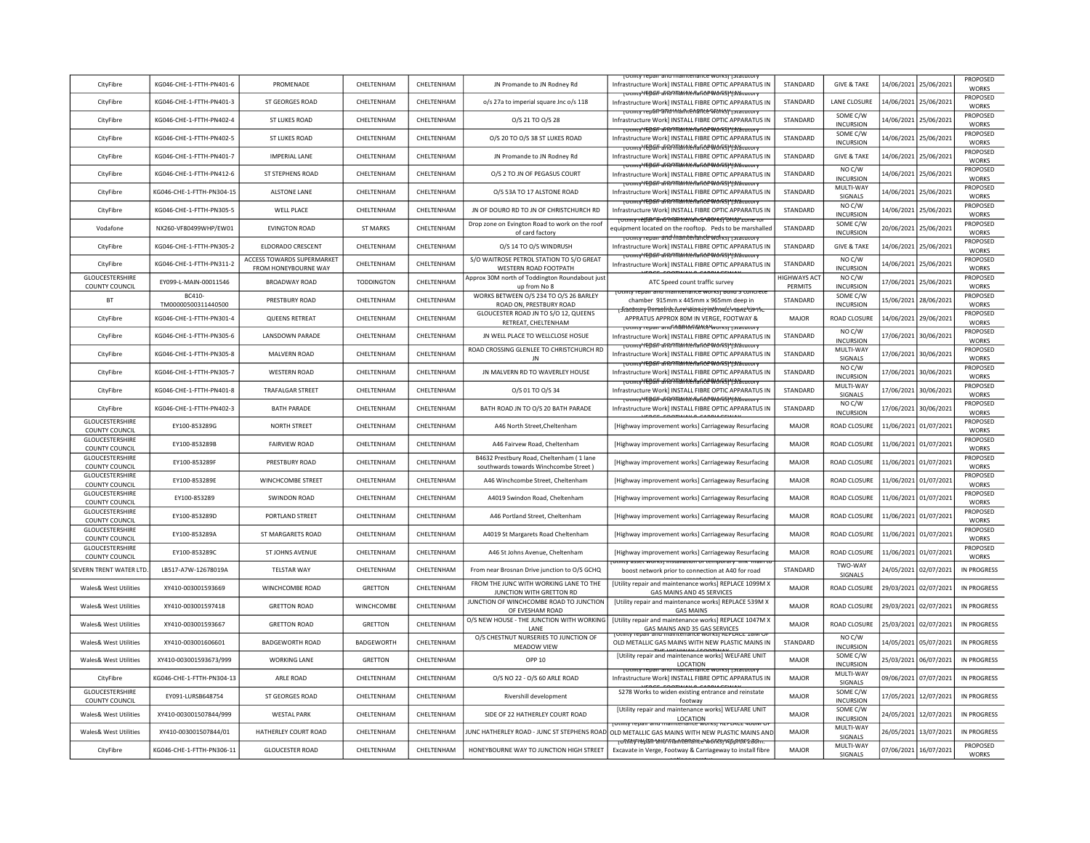| CityFibre                                | KG046-CHF-1-FTTH-PN401-6      | PROMENADE                                                 | <b>CHEITENHAM</b> | <b>CHFITENHAM</b> | JN Promande to JN Rodney Rd                                                        | Infrastructure Work] INSTALL FIBRE OPTIC APPARATUS IN                                                                                                            | <b>STANDARD</b>                | <b>GIVE &amp; TAKE</b>       | 14/06/2021 | 25/06/2021 | <b>PROPOSED</b><br><b>WORKS</b> |
|------------------------------------------|-------------------------------|-----------------------------------------------------------|-------------------|-------------------|------------------------------------------------------------------------------------|------------------------------------------------------------------------------------------------------------------------------------------------------------------|--------------------------------|------------------------------|------------|------------|---------------------------------|
| CityFibre                                | KG046-CHE-1-FTTH-PN401-3      | ST GEORGES ROAD                                           | CHELTENHAM        | CHELTENHAM        | o/s 27a to imperial square Jnc o/s 118                                             | TOtmty fépáir and maintenance Works I Istatutory<br>Infrastructure Work] INSTALL FIBRE OPTIC APPARATUS IN                                                        | STANDARD                       | <b>LANE CLOSURE</b>          | 14/06/2021 | 25/06/2021 | PROPOSED<br><b>WORKS</b>        |
| CityFibre                                | KG046-CHE-1-FTTH-PN402-4      | ST LUKES ROAD                                             | CHELTENHAM        | CHELTENHAM        | 0/S 21 TO 0/S 28                                                                   | <del>Totmty repair and maintenance worksy platutory</del><br>Infrastructure Work] INSTALL FIBRE OPTIC APPARATUS IN                                               | STANDARD                       | SOME C/W<br><b>INCURSION</b> | 14/06/2021 | 25/06/2021 | PROPOSED<br><b>WORKS</b>        |
| CityFibre                                | KG046-CHE-1-FTTH-PN402-5      | <b>ST LUKES ROAD</b>                                      | CHELTENHAM        | CHELTENHAM        | O/S 20 TO O/S 38 ST LUKES ROAD                                                     | <del>τοιπιγΥΕβδΓ δΓΩΩΤΙΔΗΙ\ΕΠδΓιζΕ WORS}Υ3ιδιαιοτ</del> γ<br>Infrastructure Work] INSTALL FIBRE OPTIC APPARATUS IN                                               | STANDARD                       | SOME C/W<br><b>INCURSION</b> | 14/06/2021 | 25/06/2021 | PROPOSED<br><b>WORKS</b>        |
| CityFibre                                | KG046-CHE-1-FTTH-PN401-7      | <b>IMPERIAL LANE</b>                                      | CHELTENHAM        | CHELTENHAM        | JN Promande to JN Rodney Rd                                                        | <del>Tounty YEDGIF aFRONTANNE Nafite WORSTY3tatutory</del><br>Infrastructure Work] INSTALL FIBRE OPTIC APPARATUS IN                                              | STANDARD                       | <b>GIVE &amp; TAKE</b>       | 14/06/2021 | 25/06/2021 | PROPOSED<br><b>WORKS</b>        |
| CityFibre                                | KG046-CHF-1-FTTH-PN412-6      | ST STEPHENS ROAD                                          | <b>CHEITENHAM</b> | CHELTENHAM        | O/S 2 TO IN OF PEGASUS COURT                                                       | <del>στιικγΥΕD&amp;IF aFRO1TRANNenPafice Work5) Y3t&amp;τατσ</del> ι<br>Infrastructure Work] INSTALL FIBRE OPTIC APPARATUS IN                                    | <b>STANDARD</b>                | NO C/W<br><b>INCURSION</b>   | 14/06/2021 | 25/06/2021 | PROPOSED<br><b>WORKS</b>        |
| CityFibre                                | KG046-CHE-1-FTTH-PN304-15     | <b>ALSTONE LANE</b>                                       | CHELTENHAM        | CHELTENHAM        | O/S 53A TO 17 ALSTONE ROAD                                                         | <del>Juliuv YEDAF aFRO TRANICE NAGES WORST YSCALULOR</del><br>Infrastructure Work] INSTALL FIBRE OPTIC APPARATUS IN                                              | STANDARD                       | MULTI-WAY<br>SIGNALS         | 14/06/2021 | 25/06/2021 | PROPOSED<br><b>WORKS</b>        |
| CityFibre                                | KG046-CHE-1-FTTH-PN305-5      | <b>WELL PLACE</b>                                         | CHELTENHAM        | CHELTENHAM        | JN OF DOURO RD TO JN OF CHRISTCHURCH RD                                            | <del>TOtmtvYEDali aRONTAMNerlance WorkSIYStatutor</del> s<br>Infrastructure Work] INSTALL FIBRE OPTIC APPARATUS IN                                               | STANDARD                       | NO C/W<br><b>INCURSION</b>   | 14/06/2021 | 25/06/2021 | PROPOSED<br><b>WORKS</b>        |
| Vodafone                                 | NX260-VF80499WHP/EW01         | <b>EVINGTON ROAD</b>                                      | <b>ST MARKS</b>   | CHELTENHAM        | Drop zone on Evington Road to work on the roof<br>of card factory                  | <del>τοι πιγ rèβâl FanG Man NeMan Ce^WOI RSJ DI O)Y zone τοτ</del><br>equipment located on the rooftop. Peds to be marshalled                                    | STANDARD                       | SOME C/W<br><b>INCURSION</b> | 20/06/2021 | 25/06/2021 | PROPOSED<br><b>WORKS</b>        |
| CityFibre                                | KG046-CHE-1-FTTH-PN305-2      | ELDORADO CRESCENT                                         | CHELTENHAM        | CHELTENHAM        | O/S 14 TO O/S WINDRUSH                                                             | <u>TOtility repair and mainterlance works i istatutory</u><br>Infrastructure Work] INSTALL FIBRE OPTIC APPARATUS IN                                              | STANDARD                       | <b>GIVE &amp; TAKE</b>       | 14/06/2021 | 25/06/2021 | PROPOSED<br><b>WORKS</b>        |
| CityFibre                                | KG046-CHE-1-FTTH-PN311-2      | <b>ACCESS TOWARDS SUPERMARKET</b><br>FROM HONEYBOURNE WAY | CHELTENHAM        | CHELTENHAM        | S/O WAITROSE PETROL STATION TO S/O GREAT<br>WESTERN ROAD FOOTPATH                  | <del>Totmty YEBali and Maintenance Worksj (statutor</del> y<br>Infrastructure Work] INSTALL FIBRE OPTIC APPARATUS IN                                             | STANDARD                       | NO C/W<br><b>INCURSION</b>   | 14/06/2021 | 25/06/2021 | PROPOSED<br><b>WORKS</b>        |
| <b>GLOUCESTERSHIRE</b><br>COUNTY COUNCIL | EY099-L-MAIN-00011546         | BROADWAY ROAD                                             | <b>TODDINGTON</b> | CHELTENHAM        | Approx 30M north of Toddington Roundabout just<br>up from No 8                     | ATC Speed count traffic survey                                                                                                                                   | <b>HIGHWAYS ACT</b><br>PERMITS | NO C/W<br><b>INCURSION</b>   | 17/06/2021 | 25/06/2021 | PROPOSED<br><b>WORKS</b>        |
| <b>BT</b>                                | BC410-<br>TM00000500311440500 | PRESTBURY ROAD                                            | CHELTENHAM        | CHELTENHAM        | WORKS BETWEEN O/S 234 TO O/S 26 BARLEY<br>ROAD ON, PRESTBURY ROAD                  | ווונץ וכטמו מווט ווומווונכוומוונכ איטו גאו סטווט א נטוונוכנ<br>chamber 915mm x 445mm x 965mm deep in                                                             | STANDARD                       | SOME C/W<br><b>INCURSION</b> | 15/06/2021 | 28/06/2021 | PROPOSED<br><b>WORKS</b>        |
| CityFibre                                | KG046-CHE-1-FTTH-PN301-4      | <b>QUEENS RETREAT</b>                                     | CHELTENHAM        | CHELTENHAM        | GLOUCESTER ROAD JN TO S/O 12, QUEENS<br>RETREAT, CHELTENHAM                        | <u>เอโลเน็เบาy ทิกrasti นับในre ฟบิกร์รุ กิฬิวาคน์ข้าทอดข่าวคาท</u><br>APPRATUS APPROX 80M IN VERGE, FOOTWAY &<br>otmty repair and manuferfante works i istatuto | MAJOR                          | ROAD CLOSURE                 | 14/06/2021 | 29/06/2021 | PROPOSED<br><b>WORKS</b>        |
| CityFibre                                | KG046-CHE-1-FTTH-PN305-6      | <b>LANSDOWN PARADE</b>                                    | CHELTENHAM        | CHELTENHAM        | JN WELL PLACE TO WELLCLOSE HOSUE                                                   | Infrastructure Work] INSTALL FIBRE OPTIC APPARATUS IN                                                                                                            | STANDARD                       | NO C/W<br><b>INCURSION</b>   | 17/06/2021 | 30/06/2021 | PROPOSED<br><b>WORKS</b>        |
| CityFibre                                | KG046-CHE-1-FTTH-PN305-8      | <b>MALVERN ROAD</b>                                       | CHELTENHAM        | CHELTENHAM        | ROAD CROSSING GLENLEE TO CHRISTCHURCH RD<br>IN                                     | <del>TOtmty' repair and man terrance worksj ' (statutory</del><br>Infrastructure Work] INSTALL FIBRE OPTIC APPARATUS IN                                          | STANDARD                       | MULTI-WAY<br>SIGNALS         | 17/06/2021 | 30/06/2021 | PROPOSED<br><b>WORKS</b>        |
| CityFibre                                | KG046-CHE-1-FTTH-PN305-7      | <b>WESTERN ROAD</b>                                       | <b>CHEITENHAM</b> | CHELTENHAM        | JN MALVERN RD TO WAVERLEY HOUSE                                                    | <del>ToumtyYEDail and ManNenance MorksJYstatutor</del><br>Infrastructure Workl INSTALL FIBRE OPTIC APPARATUS IN                                                  | STANDARD                       | NO C/W<br><b>INCURSION</b>   | 17/06/2021 | 30/06/2021 | <b>PROPOSED</b><br><b>WORKS</b> |
| CityFibre                                | KG046-CHE-1-FTTH-PN401-8      | TRAFALGAR STREET                                          | CHELTENHAM        | CHELTENHAM        | O/S 01 TO O/S 34                                                                   | TOUTHY TEDAIT and Married and E Works I Tstatutory<br>Infrastructure Work] INSTALL FIBRE OPTIC APPARATUS IN                                                      | STANDARD                       | MULTI-WAY<br>SIGNALS         | 17/06/2021 | 30/06/2021 | PROPOSED<br><b>WORKS</b>        |
| CityFibre                                | KG046-CHE-1-FTTH-PN402-3      | <b>BATH PARADE</b>                                        | CHELTENHAM        | CHELTENHAM        | BATH ROAD JN TO O/S 20 BATH PARADE                                                 | TOtmty repair and maintenance Works   Istatutory<br>Infrastructure Work] INSTALL FIBRE OPTIC APPARATUS IN                                                        | STANDARD                       | NO C/W<br><b>INCURSION</b>   | 17/06/2021 | 30/06/2021 | PROPOSED<br><b>WORKS</b>        |
| GLOUCESTERSHIRE<br>COUNTY COUNCIL        | EY100-853289G                 | <b>NORTH STREET</b>                                       | CHELTENHAM        | CHELTENHAM        | A46 North Street, Cheltenham                                                       | [Highway improvement works] Carriageway Resurfacing                                                                                                              | MAJOR                          | ROAD CLOSURE                 | 11/06/2021 | 01/07/2021 | PROPOSED<br><b>WORKS</b>        |
| GLOUCESTERSHIRE<br>COUNTY COUNCIL        | EY100-853289B                 | <b>FAIRVIEW ROAD</b>                                      | CHELTENHAM        | CHELTENHAM        | A46 Fairvew Road, Cheltenham                                                       | [Highway improvement works] Carriageway Resurfacing                                                                                                              | <b>MAJOR</b>                   | ROAD CLOSURE                 | 11/06/2021 | 01/07/2021 | PROPOSED<br><b>WORKS</b>        |
| GLOUCESTERSHIRE<br>COUNTY COUNCIL        | FY100-853289F                 | PRESTBURY ROAD                                            | <b>CHEITENHAM</b> | <b>CHEITENHAM</b> | B4632 Prestbury Road, Cheltenham (1 lane<br>southwards towards Winchcombe Street ] | [Highway improvement works] Carriageway Resurfacing                                                                                                              | MAIOR                          | ROAD CLOSURE                 | 11/06/2021 | 01/07/2021 | PROPOSED<br><b>WORKS</b>        |
| GLOUCESTERSHIRE<br>COUNTY COUNCIL        | EY100-853289E                 | WINCHCOMBE STREET                                         | CHELTENHAM        | CHELTENHAM        | A46 Winchcombe Street, Cheltenham                                                  | [Highway improvement works] Carriageway Resurfacing                                                                                                              | MAJOR                          | ROAD CLOSURE                 | 11/06/2021 | 01/07/2021 | PROPOSED<br><b>WORKS</b>        |
| GLOUCESTERSHIRE<br>COUNTY COUNCIL        | EY100-853289                  | <b>SWINDON ROAD</b>                                       | CHELTENHAM        | CHELTENHAM        | A4019 Swindon Road, Cheltenham                                                     | [Highway improvement works] Carriageway Resurfacing                                                                                                              | MAJOR                          | ROAD CLOSURE                 | 11/06/2021 | 01/07/2021 | PROPOSED<br><b>WORKS</b>        |
| <b>GLOUCESTERSHIRE</b><br>COUNTY COUNCIL | EY100-853289D                 | PORTLAND STREET                                           | CHELTENHAM        | CHELTENHAM        | A46 Portland Street, Cheltenham                                                    | [Highway improvement works] Carriageway Resurfacing                                                                                                              | <b>MAJOR</b>                   | <b>ROAD CLOSURE</b>          | 11/06/2021 | 01/07/2021 | PROPOSED<br><b>WORKS</b>        |
| GLOUCESTERSHIRE<br>COUNTY COUNCIL        | EY100-853289A                 | ST MARGARETS ROAD                                         | CHELTENHAM        | CHELTENHAM        | A4019 St Margarets Road Cheltenham                                                 | [Highway improvement works] Carriageway Resurfacing                                                                                                              | MAJOR                          | ROAD CLOSURE                 | 11/06/2021 | 01/07/2021 | PROPOSED<br><b>WORKS</b>        |
| GLOUCESTERSHIRE<br>COUNTY COUNCIL        | EY100-853289C                 | ST JOHNS AVENUE                                           | CHELTENHAM        | CHELTENHAM        | A46 St Johns Avenue, Cheltenham                                                    | [Highway improvement works] Carriageway Resurfacing<br>יוויוס משתתפות המודרות המודרת אינטריוס את המודר                                                           | <b>MAJOR</b>                   | ROAD CLOSURE                 | 11/06/2021 | 01/07/2021 | PROPOSED<br><b>WORKS</b>        |
| <b>SEVERN TRENT WATER LTD</b>            | LB517-A7W-12678019A           | <b>TELSTAR WAY</b>                                        | CHELTENHAM        | CHELTENHAM        | From near Brosnan Drive junction to O/S GCHQ                                       | boost network prior to connection at A40 for road                                                                                                                | STANDARD                       | TWO-WAY<br>SIGNALS           | 24/05/2021 | 02/07/2021 | <b>IN PROGRESS</b>              |
| <b>Wales&amp; West Utilities</b>         | XY410-003001593669            | WINCHCOMBE ROAD                                           | <b>GRETTON</b>    | CHELTENHAM        | FROM THE JUNC WITH WORKING LANE TO THE<br>JUNCTION WITH GRETTON RD                 | [Utility repair and maintenance works] REPLACE 1099M X<br>GAS MAINS AND 45 SERVICES                                                                              | <b>MAJOR</b>                   | ROAD CLOSURE                 | 29/03/2021 | 02/07/2021 | IN PROGRESS                     |
| <b>Wales&amp; West Utilities</b>         | XY410-003001597418            | <b>GRETTON ROAD</b>                                       | WINCHCOMBE        | CHELTENHAM        | JUNCTION OF WINCHCOMBE ROAD TO JUNCTION<br>OF EVESHAM ROAD                         | [Utility repair and maintenance works] REPLACE 539M X<br><b>GAS MAINS</b>                                                                                        | <b>MAJOR</b>                   | ROAD CLOSURE                 | 29/03/2021 | 02/07/2021 | IN PROGRESS                     |
| Wales& West Utilities                    | XY410-003001593667            | <b>GRETTON ROAD</b>                                       | <b>GRETTON</b>    | CHELTENHAM        | O/S NEW HOUSE - THE JUNCTION WITH WORKING<br>LANE                                  | [Utility repair and maintenance works] REPLACE 1047M X                                                                                                           | <b>MAJOR</b>                   | ROAD CLOSURE                 | 25/03/2021 | 02/07/2021 | IN PROGRESS                     |
| <b>Wales&amp; West Utilities</b>         | XY410-003001606601            | <b>BADGEWORTH ROAD</b>                                    | BADGEWORTH        | CHELTENHAM        | O/S CHESTNUT NURSERIES TO JUNCTION OF<br>MEADOW VIEW                               | OLD METALLIC GAS MAINS WITH NEW PLASTIC MAINS IN                                                                                                                 | STANDARD                       | NO C/W<br><b>INCURSION</b>   | 14/05/2021 | 05/07/2021 | IN PROGRESS                     |
| <b>Wales&amp; West Utilities</b>         | XY410-003001593673/999        | <b>WORKING LANE</b>                                       | <b>GRETTON</b>    | CHELTENHAM        | OPP 10                                                                             | [Utility repair and maintenance works] WELFARE UNIT<br>LOCATION<br>evan ano mamenance worksi israioro                                                            | MAIOR                          | SOME C/W<br><b>INCURSION</b> | 25/03/2021 | 06/07/2021 | IN PROGRESS                     |
| CityFibre                                | KG046-CHE-1-FTTH-PN304-13     | ARLE ROAD                                                 | CHELTENHAM        | CHELTENHAM        | O/S NO 22 - O/S 60 ARLE ROAD                                                       | Infrastructure Work] INSTALL FIBRE OPTIC APPARATUS IN<br>FROE COOPHING CARRIACTIE                                                                                | MAJOR                          | MULTI-WAY<br>SIGNALS         | 09/06/2021 | 07/07/2021 | <b>IN PROGRESS</b>              |
| GLOUCESTERSHIRE<br>COUNTY COUNCIL        | EY091-LURSB648754             | ST GEORGES ROAD                                           | CHELTENHAM        | CHELTENHAM        | Rivershill development                                                             | S278 Works to widen existing entrance and reinstate<br>footway                                                                                                   | <b>MAJOR</b>                   | SOME C/W<br><b>INCURSION</b> | 17/05/2021 | 12/07/2021 | IN PROGRESS                     |
| <b>Wales&amp; West Utilities</b>         | XY410-003001507844/999        | <b>WESTAL PARK</b>                                        | CHELTENHAM        | CHELTENHAM        | SIDE OF 22 HATHERLEY COURT ROAD                                                    | [Utility repair and maintenance works] WELFARE UNIT<br>LOCATION                                                                                                  | <b>MAJOR</b>                   | SOME C/W<br><b>INCURSION</b> | 24/05/2021 | 12/07/2021 | IN PROGRESS                     |
| Wales& West Utilities                    | XY410-003001507844/01         | HATHERLEY COURT ROAD                                      | CHELTENHAM        | CHELTENHAM        |                                                                                    | IUNC HATHERLEY ROAD - JUNC ST STEPHENS ROAD  OLD METALLIC GAS MAINS WITH NEW PLASTIC MAINS AND <br><del>TORMAY 1 LIJAN ANG MANDANG MGA NG KASANOX 2301</del>     | MAJOR                          | MULTI-WAY<br>SIGNALS         | 26/05/2021 | 13/07/2021 | IN PROGRESS                     |
| CityFibre                                | KG046-CHE-1-FTTH-PN306-11     | <b>GLOUCESTER ROAD</b>                                    | CHELTENHAM        | <b>CHFITENHAM</b> | HONEYBOURNE WAY TO JUNCTION HIGH STREET                                            | Excavate in Verge, Footway & Carriageway to install fibre                                                                                                        | MAIOR                          | MULTI-WAY<br><b>SIGNALS</b>  | 07/06/2021 | 16/07/2021 | PROPOSED<br><b>WORKS</b>        |
|                                          |                               |                                                           |                   |                   |                                                                                    |                                                                                                                                                                  |                                |                              |            |            |                                 |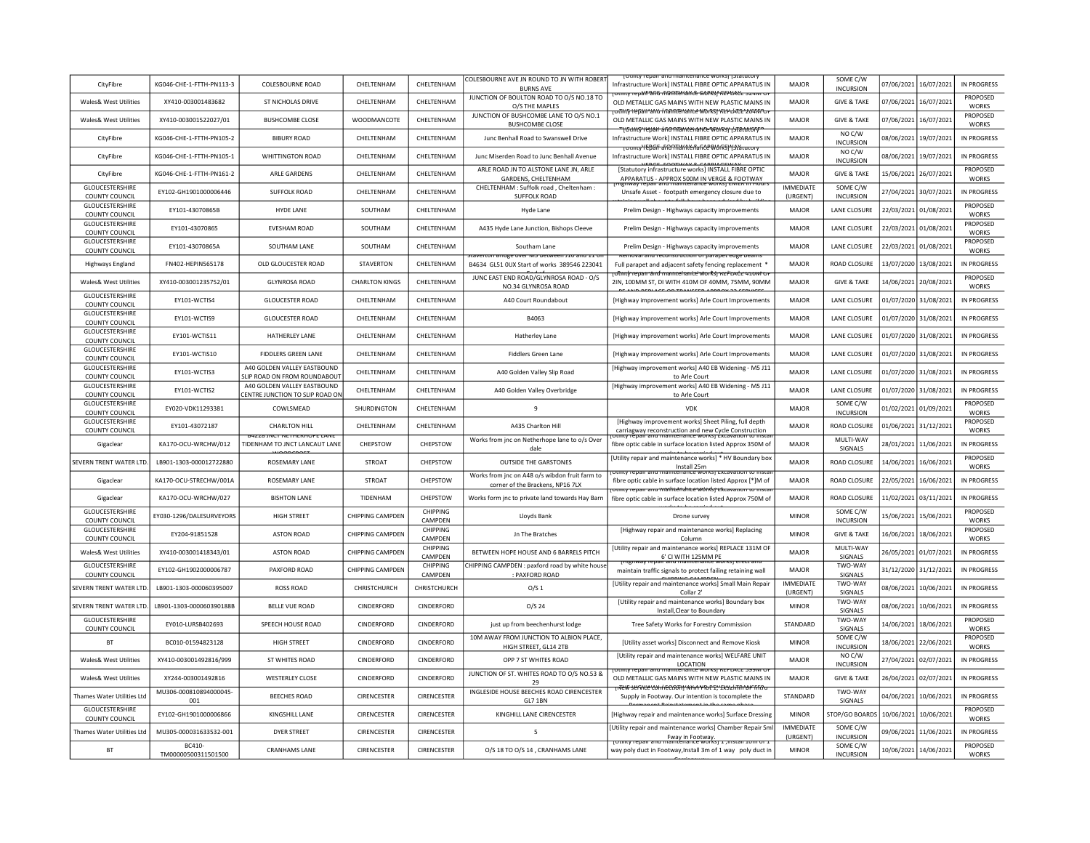| CityFibre                                       | KG046-CHE-1-FTTH-PN113-3      | COLESBOURNE ROAD                                           | <b>CHEITENHAM</b>     | CHELTENHAM          | COLESBOURNE AVE JN ROUND TO JN WITH ROBERT<br><b>BURNS AVE</b>                           | Infrastructure Work] INSTALL FIBRE OPTIC APPARATUS IN                                                                         | MAJOR                        | SOME C/W<br><b>INCURSION</b>     |            | 07/06/2021 16/07/2021 | IN PROGRESS                 |
|-------------------------------------------------|-------------------------------|------------------------------------------------------------|-----------------------|---------------------|------------------------------------------------------------------------------------------|-------------------------------------------------------------------------------------------------------------------------------|------------------------------|----------------------------------|------------|-----------------------|-----------------------------|
| Wales& West Utilities                           | XY410-003001483682            | ST NICHOLAS DRIVE                                          | CHELTENHAM            | CHELTENHAM          | JUNCTION OF BOULTON ROAD TO O/S NO.18 TO<br>O/S THE MAPLES                               | mmyreoaif afio riampuance workst REPLACE szervez<br>OLD METALLIC GAS MAINS WITH NEW PLASTIC MAINS IN                          | MAJOR                        | <b>GIVE &amp; TAKE</b>           |            | 07/06/2021 16/07/2021 | PROPOSED<br><b>WORKS</b>    |
| Wales& West Utilities                           | XY410-003001522027/01         | <b>BUSHCOMBE CLOSE</b>                                     | WOODMANCOTE           | CHELTENHAM          | JUNCTION OF BUSHCOMBE LANE TO O/S NO.1<br><b>BUSHCOMBE CLOSE</b>                         | <del>დ პისწ 1 წესი სიარ პრიტორი სამართლი სამართ</del> ულ<br>OLD METALLIC GAS MAINS WITH NEW PLASTIC MAINS IN                  | MAJOR                        | <b>GIVE &amp; TAKE</b>           |            | 07/06/2021 16/07/2021 | PROPOSED<br><b>WORKS</b>    |
| CityFibre                                       | KG046-CHE-1-FTTH-PN105-2      | <b>BIBURY ROAD</b>                                         | CHELTENHAM            | CHELTENHAM          | Junc Benhall Road to Swanswell Drive                                                     | <del>"   Gancy repair &amp; Fig Maintenance works   {statutory</del><br>Infrastructure Work] INSTALL FIBRE OPTIC APPARATUS IN | MAJOR                        | NOC/W<br><b>INCURSION</b>        |            | 08/06/2021 19/07/2021 | IN PROGRESS                 |
| CityFibre                                       | KG046-CHE-1-FTTH-PN105-1      | <b>WHITTINGTON ROAD</b>                                    | CHELTENHAM            | CHELTENHAM          | Junc Miserden Road to Junc Benhall Avenue                                                | <b>TOUTHLY TEDGE and Than terfance Works) "Islaudury</b><br>Infrastructure Work] INSTALL FIBRE OPTIC APPARATUS IN             | <b>MAJOR</b>                 | NO C/W<br><b>INCURSION</b>       | 08/06/2021 | 19/07/2021            | IN PROGRESS                 |
| CityFibre                                       | KG046-CHF-1-FTTH-PN161-2      | <b>ARIF GARDENS</b>                                        | <b>CHEITENHAM</b>     | <b>CHFITENHAM</b>   | ARLE ROAD JN TO ALSTONE LANE JN, ARLE<br><b>GARDENS, CHELTENHAM</b>                      | [Statutory infrastructure works] INSTALL FIBRE OPTIC<br>APPARATUS - APPROX 500M IN VERGE & FOOTWAY                            | MAIOR                        | <b>GIVE &amp; TAKE</b>           |            | 15/06/2021 26/07/2021 | PROPOSED<br><b>WORKS</b>    |
| GLOUCESTERSHIRE                                 | EY102-GH1901000006446         | <b>SUFFOLK ROAD</b>                                        | CHELTENHAM            | CHELTENHAM          | CHELTENHAM : Suffolk road, Cheltenham :                                                  | Unsafe Asset - footpath emergency closure due to                                                                              | <b>IMMEDIATE</b>             | SOME C/W                         |            | 27/04/2021 30/07/2021 | IN PROGRESS                 |
| COUNTY COUNCIL<br><b>GLOUCESTERSHIRE</b>        | EY101-43070865B               | HYDE LANE                                                  | SOUTHAM               | CHELTENHAM          | <b>SUFFOLK ROAD</b><br>Hyde Lane                                                         | Prelim Design - Highways capacity improvements                                                                                | (URGENT)<br>MAJOR            | <b>INCURSION</b><br>LANE CLOSURE |            | 22/03/2021 01/08/2021 | PROPOSED                    |
| COUNTY COUNCIL<br><b>GLOUCESTERSHIRE</b>        | EY101-43070865                | EVESHAM ROAD                                               | SOUTHAM               | CHELTENHAM          | A435 Hyde Lane Junction, Bishops Cleeve                                                  | Prelim Design - Highways capacity improvements                                                                                | <b>MAJOR</b>                 | LANE CLOSURE                     | 22/03/2021 | 01/08/2021            | <b>WORKS</b><br>PROPOSED    |
| COUNTY COUNCIL<br><b>GLOUCESTERSHIRE</b>        | EY101-43070865A               | SOUTHAM LANE                                               | SOUTHAM               | CHELTENHAM          | Southam Lane                                                                             | Prelim Design - Highways capacity improvements                                                                                | <b>MAJOR</b>                 | LANE CLOSURE                     |            | 22/03/2021 01/08/2021 | <b>WORKS</b><br>PROPOSED    |
| COUNTY COUNCIL<br>Highways England              | FN402-HEPIN565178             | OLD GLOUCESTER ROAD                                        | <b>STAVERTON</b>      | CHELTENHAM          | iverton <del>bridge over ivis betwe</del><br>B4634 GL51 OUX Start of works 389546 223041 | Full parapet and adjacent safety fencing replacement *                                                                        | <b>MAJOR</b>                 | ROAD CLOSURE                     |            | 13/07/2020 13/08/2021 | <b>WORKS</b><br>IN PROGRESS |
| Wales& West Utilities                           | XY410-003001235752/01         | <b>GLYNROSA ROAD</b>                                       | <b>CHARLTON KINGS</b> | CHELTENHAM          | JUNC EAST END ROAD/GLYNROSA ROAD - O/S                                                   | ਹਿmt∲ repair and manneiranite worksj κα≓αλάς 410wt τ<br>2IN, 100MM ST, DI WITH 410M OF 40MM, 75MM, 90MM                       | MAJOR                        | <b>GIVE &amp; TAKE</b>           |            | 14/06/2021 20/08/2021 | <b>PROPOSED</b>             |
| GLOUCESTERSHIRE                                 | EY101-WCTIS4                  | <b>GLOUCESTER ROAD</b>                                     | CHELTENHAM            | CHELTENHAM          | NO.34 GLYNROSA ROAD<br>A40 Court Roundabout                                              | [Highway improvement works] Arle Court Improvements                                                                           | MAJOR                        | LANE CLOSURE                     |            | 01/07/2020 31/08/2021 | <b>WORKS</b><br>IN PROGRESS |
| <b>COUNTY COUNCIL</b><br>GLOUCESTERSHIRE        | EY101-WCTIS9                  | <b>GLOUCESTER ROAD</b>                                     | CHELTENHAM            | CHELTENHAM          | B4063                                                                                    | [Highway improvement works] Arle Court Improvements                                                                           | <b>MAJOR</b>                 | LANE CLOSURE                     |            | 01/07/2020 31/08/2021 | IN PROGRESS                 |
| COUNTY COUNCIL<br>GLOUCESTERSHIRE               | EY101-WCTIS11                 | HATHERLEY LANE                                             | CHELTENHAM            | CHELTENHAM          | Hatherley Lane                                                                           | [Highway improvement works] Arle Court Improvements                                                                           | <b>MAJOR</b>                 | LANE CLOSURE                     |            | 01/07/2020 31/08/2021 | IN PROGRESS                 |
| COUNTY COUNCIL<br>GLOUCESTERSHIRE               | EY101-WCTIS10                 | FIDDLERS GREEN LANE                                        | CHELTENHAM            | CHELTENHAM          | <b>Fiddlers Green Lane</b>                                                               | [Highway improvement works] Arle Court Improvements                                                                           | MAIOR                        | LANE CLOSURE                     |            | 01/07/2020 31/08/2021 | IN PROGRESS                 |
| <b>COUNTY COUNCIL</b><br><b>GLOUCESTERSHIRE</b> | FY101-WCTIS3                  | A40 GOLDEN VALLEY FASTBOUND                                | CHFITENHAM            | <b>CHEITENHAM</b>   | A40 Golden Valley Slip Road                                                              | [Highway improvement works] A40 EB Widening - M5 J11                                                                          | MAIOR                        | LANE CLOSURE                     |            | 01/07/2020 31/08/2021 | IN PROGRESS                 |
| COUNTY COUNCIL<br>GLOUCESTERSHIRE               | EY101-WCTIS2                  | LIP ROAD ON FROM ROUNDABOUT<br>A40 GOLDEN VALLEY EASTBOUND | CHELTENHAM            | CHELTENHAM          | A40 Golden Valley Overbridge                                                             | to Arle Court<br>[Highway improvement works] A40 EB Widening - M5 J11                                                         | MAJOR                        | <b>LANE CLOSURE</b>              |            | 01/07/2020 31/08/2021 | IN PROGRESS                 |
| COUNTY COUNCIL<br><b>GLOUCESTERSHIRE</b>        |                               | <b>ENTRE JUNCTION TO SLIP ROAD ON</b>                      |                       |                     |                                                                                          | to Arle Court                                                                                                                 |                              | SOME C/W                         |            |                       | PROPOSED                    |
| COUNTY COUNCIL<br><b>GLOUCESTERSHIRE</b>        | EY020-VDK11293381             | COWLSMEAD                                                  | SHURDINGTON           | CHELTENHAM          | 9                                                                                        | <b>VDK</b>                                                                                                                    | <b>MAJOR</b>                 | <b>INCURSION</b>                 | 01/02/2021 | 01/09/2021            | <b>WORKS</b><br>PROPOSED    |
| COUNTY COUNCIL                                  | EY101-43072187                | <b>CHARLTON HILL</b>                                       | CHELTENHAM            | CHELTENHAM          | A435 Charlton Hill                                                                       | [Highway improvement works] Sheet Piling, full depth<br>carriagway reconstruction and new Cycle Construction                  | MAJOR                        | ROAD CLOSURE                     |            | 01/06/2021 31/12/2021 | <b>WORKS</b>                |
| Gigaclear                                       | KA170-OCU-WRCHW/012           | TIDENHAM TO JNCT LANCAUT LANE                              | CHEPSTOW              | CHEPSTOW            | Works from jnc on Netherhope lane to o/s Over<br>dale                                    | fibre optic cable in surface location listed Approx 350M of                                                                   | MAJOR                        | MULTI-WAY<br>SIGNALS             |            | 28/01/2021 11/06/2021 | IN PROGRESS                 |
| SEVERN TRENT WATER LTD.                         | 18901-1303-000012722880       | <b>ROSEMARY LANE</b>                                       | <b>STROAT</b>         | CHEPSTOW            | <b>OUTSIDE THE GARSTONES</b>                                                             | [Utility repair and maintenance works] * HV Boundary bo:<br>Install 25m                                                       | MAIOR                        | ROAD CLOSURE                     |            | 14/06/2021 16/06/2021 | PROPOSED<br><b>WORKS</b>    |
| Gigaclear                                       | KA170-OCU-STRECHW/001A        | ROSEMARY LANE                                              | STROAT                | CHEPSTOW            | Works from jnc on A48 o/s wibdon fruit farm to<br>corner of the Brackens, NP16 7LX       | fibre optic cable in surface location listed Approx [*]M of<br>otility repair and mailitendrite works rextavation to insta    | MAJOR                        | ROAD CLOSURE                     |            | 22/05/2021 16/06/2021 | IN PROGRESS                 |
| Gigaclear                                       | KA170-OCU-WRCHW/027           | <b>BISHTON LANE</b>                                        | TIDENHAM              | CHEPSTOW            | Works form jnc to private land towards Hay Barn                                          | fibre optic cable in surface location listed Approx 750M of                                                                   | <b>MAJOR</b>                 | ROAD CLOSURE                     |            | 11/02/2021 03/11/2021 | <b>IN PROGRESS</b>          |
| GLOUCESTERSHIRE<br>COUNTY COUNCIL               | EY030-1296/DALESURVEYORS      | <b>HIGH STREET</b>                                         | CHIPPING CAMPDEN      | CHIPPING<br>CAMPDEN | Lloyds Bank                                                                              | Drone survey                                                                                                                  | <b>MINOR</b>                 | SOME C/W<br><b>INCURSION</b>     | 15/06/2021 | 15/06/2021            | PROPOSED<br><b>WORKS</b>    |
| GLOUCESTERSHIRE<br>COUNTY COUNCIL               | EY204-91851528                | <b>ASTON ROAD</b>                                          | CHIPPING CAMPDEN      | CHIPPING<br>CAMPDEN | Jn The Bratches                                                                          | [Highway repair and maintenance works] Replacing<br>Column                                                                    | <b>MINOR</b>                 | <b>GIVE &amp; TAKE</b>           | 16/06/2021 | 18/06/2021            | PROPOSED<br><b>WORKS</b>    |
| Wales& West Utilities                           | XY410-003001418343/01         | <b>ASTON ROAD</b>                                          | CHIPPING CAMPDEN      | CHIPPING<br>CAMPDEN | BETWEEN HOPE HOUSE AND 6 BARRELS PITCH                                                   | [Utility repair and maintenance works] REPLACE 131M OF<br>6' CLWITH 125MM PF                                                  | MAIOR                        | MULTI-WAY<br>SIGNALS             |            | 26/05/2021 01/07/2021 | <b>IN PROGRESS</b>          |
| <b>GLOUCESTERSHIRE</b><br>COUNTY COUNCIL        | EY102-GH1902000006787         | PAXFORD ROAD                                               | CHIPPING CAMPDEN      | CHIPPING<br>CAMPDEN | CHIPPING CAMPDEN : paxford road by white house<br>: PAXFORD ROAD                         | <b>IPTIWAY LED</b><br>maintain traffic signals to protect failing retaining wall                                              | MAJOR                        | TWO-WAY<br>SIGNALS               |            | 31/12/2020 31/12/2021 | IN PROGRESS                 |
| SEVERN TRENT WATER LTD                          | LB901-1303-000060395007       | <b>ROSS ROAD</b>                                           | CHRISTCHURCH          | CHRISTCHURCH        | O/S <sub>1</sub>                                                                         | [Utility repair and maintenance works] Small Main Repair<br>Collar 2                                                          | <b>IMMEDIATE</b><br>(URGENT) | TWO-WAY<br>SIGNALS               | 08/06/2021 | 10/06/2021            | IN PROGRESS                 |
| SEVERN TRENT WATER LTD                          | LB901-1303-000060390188B      | <b>BELLE VUE ROAD</b>                                      | CINDERFORD            | CINDERFORD          | $O/S$ 24                                                                                 | [Utility repair and maintenance works] Boundary box<br>Install.Clear to Boundary                                              | <b>MINOR</b>                 | TWO-WAY<br>SIGNALS               | 08/06/2021 | 10/06/2021            | IN PROGRESS                 |
| <b>GLOUCESTERSHIRE</b><br>COUNTY COUNCIL        | EY010-LURSB402693             | SPEECH HOUSE ROAD                                          | CINDERFORD            | CINDERFORD          | just up from beechenhurst lodge                                                          | Tree Safety Works for Forestry Commission                                                                                     | STANDARD                     | TWO-WAY<br>SIGNALS               |            | 14/06/2021 18/06/2021 | PROPOSED<br><b>WORKS</b>    |
| <b>BT</b>                                       | BC010-01594823128             | <b>HIGH STREET</b>                                         | CINDERFORD            | CINDERFORD          | 10M AWAY FROM JUNCTION TO ALBION PLACE,<br>HIGH STREET, GL14 2TB                         | [Utility asset works] Disconnect and Remove Kiosk                                                                             | <b>MINOR</b>                 | SOME C/W<br><b>INCURSION</b>     |            | 18/06/2021 22/06/2021 | PROPOSED<br><b>WORKS</b>    |
| Wales& West Utilities                           | XY410-003001492816/999        | ST WHITES ROAD                                             | CINDERFORD            | <b>CINDERFORD</b>   | OPP 7 ST WHITES ROAD                                                                     | [Utility repair and maintenance works] WELFARE UNIT<br>LOCATION                                                               | MAIOR                        | NO C/W<br><b>INCURSION</b>       |            | 27/04/2021 02/07/2021 | IN PROGRESS                 |
| Wales& West Utilities                           | XY244-003001492816            | <b>WESTERLEY CLOSE</b>                                     | CINDERFORD            | CINDERFORD          | JUNCTION OF ST. WHITES ROAD TO O/S NO.53 &<br>29                                         | menance works<br>OLD METALLIC GAS MAINS WITH NEW PLASTIC MAINS IN                                                             | MAJOR                        | <b>GIVE &amp; TAKE</b>           |            | 26/04/2021 02/07/2021 | IN PROGRESS                 |
| Thames Water Utilities Ltd                      | MU306-000810894000045-<br>001 | <b>BEECHES ROAD</b>                                        | CIRENCESTER           | CIRENCESTER         | INGLESIDE HOUSE BEECHES ROAD CIRENCESTER<br>GL7 1BN                                      | r <del>tew service com/recoon) which you to take 2/mm by firth</del><br>Supply in Footway. Our intention is tocomplete the    | STANDARD                     | TWO-WAY<br>SIGNALS               |            | 04/06/2021 10/06/2021 | IN PROGRESS                 |
| GLOUCESTERSHIRE<br>COUNTY COUNCIL               | EY102-GH1901000006866         | KINGSHILL LANE                                             | CIRENCESTER           | CIRENCESTER         | KINGHILL LANE CIRENCESTER                                                                | [Highway repair and maintenance works] Surface Dressing                                                                       | <b>MINOR</b>                 | STOP/GO BOARDS                   |            | 10/06/2021 10/06/2021 | PROPOSED<br><b>WORKS</b>    |
| Thames Water Utilities Ltd                      | MU305-000031633532-001        | <b>DYER STREET</b>                                         | CIRENCESTER           | <b>CIRENCESTER</b>  | 5                                                                                        | [Utility repair and maintenance works] Chamber Repair Sm<br>Fway in Footway.                                                  | <b>IMMEDIATE</b><br>(URGENT) | SOME C/W<br><b>INCURSION</b>     | 09/06/2021 | 11/06/2021            | IN PROGRESS                 |
| <b>BT</b>                                       | BC410-<br>TM00000500311501500 | <b>CRANHAMS LANE</b>                                       | CIRENCESTER           | <b>CIRENCESTER</b>  | O/S 18 TO O/S 14 . CRANHAMS LANE                                                         | way poly duct in Footway, Install 3m of 1 way poly duct in                                                                    | <b>MINOR</b>                 | SOME C/W<br><b>INCURSION</b>     |            | 10/06/2021 14/06/2021 | PROPOSED<br><b>WORKS</b>    |
|                                                 |                               |                                                            |                       |                     |                                                                                          |                                                                                                                               |                              |                                  |            |                       |                             |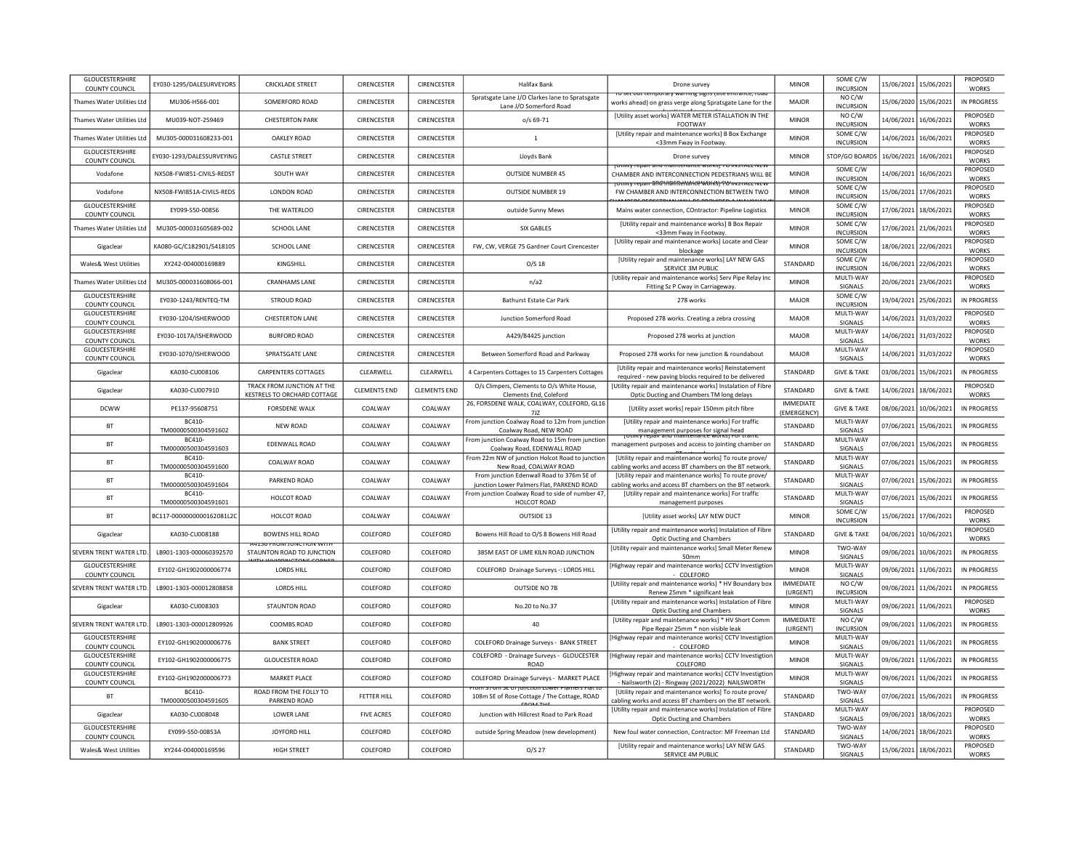| GLOUCESTERSHIRE<br>COUNTY COUNCIL        | EY030-1295/DALESURVEYORS              | <b>CRICKLADE STREET</b>                                   | CIRENCESTER         | <b>CIRENCESTER</b> | <b>Halifax Bank</b>                                                                    | Drone survey                                                                                                          | <b>MINOR</b>                    | SOME C/W<br><b>INCURSION</b>           |                       | 15/06/2021 15/06/2021 | PROPOSED<br><b>WORKS</b>                 |
|------------------------------------------|---------------------------------------|-----------------------------------------------------------|---------------------|--------------------|----------------------------------------------------------------------------------------|-----------------------------------------------------------------------------------------------------------------------|---------------------------------|----------------------------------------|-----------------------|-----------------------|------------------------------------------|
| <b>Thames Water Utilities Ltd</b>        | MU306-H566-001                        | SOMERFORD ROAD                                            | CIRENCESTER         | CIRENCESTER        | Spratsgate Lane J/O Clarkes lane to Spratsgate<br>Lane J/O Somerford Road              | ro secouctemporary warming signs isite entrance, road<br>works ahead) on grass verge along Spratsgate Lane for the    | MAJOR                           | NO C/W<br><b>INCURSION</b>             |                       | 15/06/2020 15/06/2021 | IN PROGRESS                              |
| Thames Water Utilities Ltd               | MU039-NOT-259469                      | <b>CHESTERTON PARK</b>                                    | CIRENCESTER         | CIRENCESTER        | o/s 69-71                                                                              | [Utility asset works] WATER METER ISTALLATION IN THE<br>FOOTWAY                                                       | <b>MINOR</b>                    | NOC/W<br><b>INCURSION</b>              |                       | 14/06/2021 16/06/2021 | PROPOSED<br><b>WORKS</b>                 |
| <b>Thames Water Utilities Ltd</b>        | MU305-000031608233-001                | <b>OAKLEY ROAD</b>                                        | CIRENCESTER         | <b>CIRENCESTER</b> | 1                                                                                      | [Utility repair and maintenance works] B Box Exchange<br><33mm Fway in Footway.                                       | <b>MINOR</b>                    | SOME C/W<br>INCURSION                  |                       | 14/06/2021 16/06/2021 | PROPOSED<br><b>WORKS</b>                 |
| <b>GLOUCESTERSHIRE</b><br>COUNTY COUNCIL | FY030-1293/DAI FSSURVFYING            | <b>CASTI F STREET</b>                                     | <b>CIRENCESTER</b>  | <b>CIRENCESTER</b> | Lloyds Bank                                                                            | Drone survey                                                                                                          | <b>MINOR</b>                    | STOP/GO BOARDS                         | 16/06/2021            | 16/06/2021            | <b>PROPOSED</b><br><b>WORKS</b>          |
| Vodafone                                 | NX508-FWI851-CIVILS-REDST             | SOUTH WAY                                                 | CIRENCESTER         | CIRENCESTER        | <b>OUTSIDE NUMBER 45</b>                                                               | ebail and maintenance works! TO INSTALL NE<br>CHAMBER AND INTERCONNECTION PEDESTRIANS WILL BE                         | <b>MINOR</b>                    | SOME C/W<br><b>INCURSION</b>           |                       | 14/06/2021 16/06/2021 | PROPOSED<br><b>WORKS</b>                 |
| Vodafone                                 | NX508-FWI851A-CIVILS-REDS             | LONDON ROAD                                               | CIRENCESTER         | CIRENCESTER        | OUTSIDE NUMBER 19                                                                      | <del>rotmtv repair and inalinenalice works'i "ולי השפר אבנב ועב</del><br>FW CHAMBER AND INTERCONNECTION BETWEEN TWO   | <b>MINOR</b>                    | SOME C/W<br><b>INCURSION</b>           |                       | 15/06/2021 17/06/2021 | <b>PROPOSED</b><br><b>WORKS</b>          |
| GLOUCESTERSHIRE<br>COUNTY COUNCIL        | EY099-S50-00856                       | THE WATERLOO                                              | CIRENCESTER         | CIRENCESTER        | outside Sunny Mews                                                                     | Mains water connection, COntractor: Pipeline Logistics                                                                | <b>MINOR</b>                    | SOME C/W<br><b>INCURSION</b>           |                       | 17/06/2021 18/06/2021 | PROPOSED<br><b>WORKS</b>                 |
| Thames Water Utilities Ltd               | MU305-000031605689-002                | SCHOOL LANE                                               | CIRENCESTER         | CIRENCESTER        | <b>SIX GABLES</b>                                                                      | [Utility repair and maintenance works] B Box Repair<br><33mm Fway in Footway                                          | <b>MINOR</b>                    | SOME C/W<br><b>INCURSION</b>           |                       | 17/06/2021 21/06/2021 | PROPOSED<br><b>WORKS</b>                 |
| Gigaclear                                | KA080-GC/C182901/S418105              | SCHOOL LANE                                               | CIRENCESTER         | CIRENCESTER        | FW, CW, VERGE 75 Gardner Court Cirencester                                             | [Utility repair and maintenance works] Locate and Clear<br>blockage                                                   | <b>MINOR</b>                    | SOME C/W<br><b>INCURSION</b>           |                       | 18/06/2021 22/06/2021 | PROPOSED<br><b>WORKS</b>                 |
| Wales& West Utilities                    | XY242-004000169889                    | <b>KINGSHILL</b>                                          | CIRENCESTER         | CIRENCESTER        | $O/S$ 18                                                                               | [Utility repair and maintenance works] LAY NEW GAS<br>SERVICE 3M PUBLIC                                               | STANDARD                        | SOME C/W<br><b>INCURSION</b>           |                       | 16/06/2021 22/06/2021 | PROPOSED<br><b>WORKS</b>                 |
| Thames Water Utilities Ltd               | MU305-000031608066-001                | <b>CRANHAMS LANE</b>                                      | CIRENCESTER         | CIRENCESTER        | n/a2                                                                                   | [Utility repair and maintenance works] Serv Pipe Relay Inc<br>Fitting Sz P Cway in Carriageway.                       | <b>MINOR</b>                    | MULTI-WAY<br>SIGNALS                   |                       | 20/06/2021 23/06/2021 | PROPOSED<br><b>WORKS</b>                 |
| GLOUCESTERSHIRE<br>COUNTY COUNCIL        | EY030-1243/RENTEQ-TM                  | <b>STROUD ROAD</b>                                        | CIRENCESTER         | CIRENCESTER        | Bathurst Estate Car Park                                                               | 278 works                                                                                                             | <b>MAJOR</b>                    | SOME C/W<br><b>INCURSION</b>           |                       | 19/04/2021 25/06/2021 | IN PROGRESS                              |
| GLOUCESTERSHIRE<br>COUNTY COUNCIL        | EY030-1204/ISHERWOOD                  | <b>CHESTERTON LANE</b>                                    | CIRENCESTER         | CIRENCESTER        | Junction Somerford Road                                                                | Proposed 278 works. Creating a zebra crossing                                                                         | MAJOR                           | MULTI-WAY<br>SIGNALS                   |                       | 14/06/2021 31/03/2022 | PROPOSED<br><b>WORKS</b>                 |
| GLOUCESTERSHIRE<br>COUNTY COUNCIL        | EY030-1017A/ISHERWOOD                 | <b>BURFORD ROAD</b>                                       | CIRENCESTER         | CIRENCESTER        | A429/B4425 junction                                                                    | Proposed 278 works at junction                                                                                        | MAJOR                           | MULTI-WAY<br>SIGNALS                   |                       | 14/06/2021 31/03/2022 | PROPOSED<br><b>WORKS</b>                 |
| GLOUCESTERSHIRE<br>COUNTY COUNCIL        | EY030-1070/ISHERWOOD                  | <b>SPRATSGATE LANE</b>                                    | CIRENCESTER         | CIRENCESTER        | Between Somerford Road and Parkway                                                     | Proposed 278 works for new junction & roundabout                                                                      | <b>MAJOR</b>                    | MULTI-WAY<br>SIGNALS                   |                       | 14/06/2021 31/03/2022 | PROPOSED<br><b>WORKS</b>                 |
| Gigaclear                                | KA030-CU008106                        | <b>CARPENTERS COTTAGES</b>                                | CLEARWELL           | CLEARWELL          | 4 Carpenters Cottages to 15 Carpenters Cottages                                        | [Utility repair and maintenance works] Reinstatement<br>required - new paving blocks required to be delivered         | STANDARD                        | <b>GIVE &amp; TAKE</b>                 |                       | 03/06/2021 15/06/2021 | IN PROGRESS                              |
| Gigaclear                                | KA030-CU007910                        | TRACK FROM JUNCTION AT THE<br>KESTRELS TO ORCHARD COTTAGE | <b>CLEMENTS END</b> | CLEMENTS END       | O/s Climpers, Clements to O/s White House.<br>Clements End, Coleford                   | <b>IUtility repair and maintenance works) Instalation of Fibre</b><br>Optic Ducting and Chambers TM long delays       | STANDARD                        | <b>GIVE &amp; TAKE</b>                 |                       | 14/06/2021 18/06/2021 | <b>PROPOSED</b><br><b>WORKS</b>          |
| <b>DCWW</b>                              | PE137-95608751                        | <b>FORSDENE WALK</b>                                      | COALWAY             | COALWAY            | 26, FORSDENE WALK, COALWAY, COLEFORD, GL16<br>7JZ                                      | [Utility asset works] repair 150mm pitch fibre                                                                        | <b>IMMEDIATE</b><br>(EMERGENCY) | <b>GIVE &amp; TAKE</b>                 | 08/06/2021            | 10/06/2021            | IN PROGRESS                              |
| <b>BT</b>                                | BC410-<br>TM00000500304591602         | NEW ROAD                                                  | COALWAY             | COALWAY            | From junction Coalway Road to 12m from junction<br>Coalway Road, NEW ROAD              | [Utility repair and maintenance works] For traffic<br>management purposes for signal head                             | STANDARD                        | MULTI-WAY<br>SIGNALS                   | 07/06/2021            | 15/06/2021            | IN PROGRESS                              |
| <b>BT</b>                                | <b>BC410</b><br>TM00000500304591603   | EDENWALL ROAD                                             | COALWAY             | COALWAY            | From junction Coalway Road to 15m from junction<br>Coalway Road, EDENWALL ROAD         | management purposes and access to jointing chamber on                                                                 | STANDARD                        | MULTI-WAY<br>SIGNALS                   | 07/06/2021            | 15/06/2021            | IN PROGRESS                              |
| <b>BT</b>                                | BC410-<br>TM00000500304591600         | COALWAY ROAD                                              | COALWAY             | COALWAY            | From 22m NW of junction Holcot Road to junctior<br>New Road, COALWAY ROAD              | [Utility repair and maintenance works] To route prove/<br>cabling works and access BT chambers on the BT network      | <b>STANDARD</b>                 | MULTI-WAY<br>SIGNALS                   | 07/06/2021            | 15/06/2021            | <b>IN PROGRESS</b>                       |
| <b>BT</b>                                | BC410-<br>TM00000500304591604         | PARKEND ROAD                                              | COALWAY             | COALWAY            | From junction Edenwall Road to 376m SE of<br>junction Lower Palmers Flat, PARKEND ROAD | [Utility repair and maintenance works] To route prove/<br>cabling works and access BT chambers on the BT network      | STANDARD                        | MULTI-WAY<br>SIGNALS                   | 07/06/2021 15/06/2021 |                       | <b>IN PROGRESS</b>                       |
| <b>BT</b>                                | BC410-<br>TM00000500304591601         | HOLCOT ROAD                                               | COALWAY             | <b>COALWAY</b>     | From junction Coalway Road to side of number 47<br>HOLCOT ROAD                         | [Utility repair and maintenance works] For traffic<br>management purposes                                             | STANDARD                        | MULTI-WAY<br>SIGNALS                   | 07/06/2021 15/06/2021 |                       | IN PROGRESS                              |
| <b>BT</b>                                | BC117-0000000000162081L2C             | HOLCOT ROAD                                               | COALWAY             | COALWAY            | OUTSIDE 13                                                                             | [Utility asset works] LAY NEW DUCT                                                                                    | <b>MINOR</b>                    | SOME C/W<br><b>INCURSION</b>           |                       | 15/06/2021 17/06/2021 | PROPOSED<br><b>WORKS</b>                 |
| Gigaclear                                | KA030-CU008188                        | <b>BOWENS HILL ROAD</b>                                   | COLEFORD            | COLEFORD           | Bowens Hill Road to O/S 8 Bowens Hill Road                                             | [Utility repair and maintenance works] Instalation of Fibre<br>Optic Ducting and Chambers                             | <b>STANDARD</b>                 | <b>GIVE &amp; TAKE</b>                 | 04/06/2021 10/06/2021 |                       | PROPOSED<br><b>WORKS</b>                 |
| SEVERN TRENT WATER LTD                   | LB901-1303-000060392570               | A4150 FROM JUNCTION WITH<br>STAUNTON ROAD TO JUNCTION     | COLEFORD            | COLEFORD           | 385M EAST OF LIME KILN ROAD JUNCTION                                                   | [Utility repair and maintenance works] Small Meter Renev<br>50mm                                                      | <b>MINOR</b>                    | TWO-WAY<br>SIGNALS                     | 09/06/2021 10/06/2021 |                       | IN PROGRESS                              |
| GLOUCESTERSHIRE<br><b>COUNTY COUNCIL</b> | FY102-GH1902000006774                 | LORDS HILL                                                | COLEFORD            | COLEFORD           | COLEFORD Drainage Surveys -: LORDS HILL                                                | Highway repair and maintenance works] CCTV Investigtior<br>- COLEFORD                                                 | <b>MINOR</b>                    | MULTI-WAY<br>SIGNALS                   |                       | 09/06/2021 11/06/2021 | IN PROGRESS                              |
| SEVERN TRENT WATER LTD.                  | LB901-1303-000012808858               | <b>LORDS HILL</b>                                         | COLEFORD            | COLEFORD           | OUTSIDE NO 7B                                                                          | [Utility repair and maintenance works] * HV Boundary box<br>Renew 25mm * significant leak                             | <b>IMMEDIATE</b><br>(URGENT)    | NO C/W<br><b>INCURSION</b>             |                       | 09/06/2021 11/06/2021 | <b>IN PROGRESS</b>                       |
| Gigaclear                                | KA030-CU008303                        | <b>STAUNTON ROAD</b>                                      | COLEFORD            | COLEFORD           | No.20 to No.37                                                                         | [Utility repair and maintenance works] Instalation of Fibre<br><b>Optic Ducting and Chambers</b>                      | <b>MINOR</b>                    | MULTI-WAY<br>SIGNALS                   |                       | 09/06/2021 11/06/2021 | PROPOSED<br><b>WORKS</b>                 |
| SEVERN TRENT WATER LTD                   |                                       |                                                           |                     |                    |                                                                                        |                                                                                                                       |                                 |                                        |                       |                       |                                          |
| <b>GLOUCESTERSHIRE</b><br>COUNTY COUNCIL | LB901-1303-000012809926               | COOMBS ROAD                                               | COLEFORD            | COLEFORD           | 40                                                                                     | [Utility repair and maintenance works] * HV Short Comm                                                                | <b>IMMEDIATE</b>                | NO C/W                                 |                       | 09/06/2021 11/06/2021 | IN PROGRESS                              |
|                                          | EY102-GH1902000006776                 | <b>BANK STREET</b>                                        | COLEFORD            | COLEFORD           | COLEFORD Drainage Surveys - BANK STREET                                                | Pipe Repair 25mm * non visible leak<br>Highway repair and maintenance works] CCTV Investigtior                        | (URGENT)<br><b>MINOR</b>        | <b>INCURSION</b><br>MULTI-WAY          | 09/06/2021            | 11/06/2021            | IN PROGRESS                              |
| <b>GLOUCESTERSHIRE</b>                   | EY102-GH1902000006775                 | <b>GLOUCESTER ROAD</b>                                    | COLEFORD            | COLEFORD           | COLEFORD - Drainage Surveys - GLOUCESTER                                               | - COLEFORD<br>[Highway repair and maintenance works] CCTV Investigtio                                                 | <b>MINOR</b>                    | SIGNALS<br>MULTI-WAY                   | 09/06/2021            | 11/06/2021            | IN PROGRESS                              |
| COUNTY COUNCIL<br>GLOUCESTERSHIRE        | EY102-GH1902000006773                 | MARKET PLACE                                              | COLEFORD            | COLEFORD           | <b>ROAD</b><br>COLEFORD Drainage Surveys - MARKET PLACE                                | COLEFORD<br>Highway repair and maintenance works] CCTV Investigtior                                                   | MINOR                           | SIGNALS<br>MULTI-WAY<br><b>SIGNALS</b> | 09/06/2021 11/06/2021 |                       | IN PROGRESS                              |
| COUNTY COUNCIL<br><b>BT</b>              | BC410                                 | ROAD FROM THE FOLLY TO                                    | FETTER HILL         | COLEFORD           | <u>n szom se or junction cowe</u> i<br>108m SE of Rose Cottage / The Cottage, ROAD     | - Nailsworth (2) - Ringway (2021/2022) NAILSWORTH<br>[Utility repair and maintenance works] To route prove/           | STANDARD                        | TWO-WAY<br><b>SIGNALS</b>              | 07/06/2021 15/06/2021 |                       | <b>IN PROGRESS</b>                       |
| Gigaclear                                | TM00000500304591605<br>KA030-CU008048 | PARKEND ROAD<br><b>LOWER LANE</b>                         | <b>FIVE ACRES</b>   | COLEFORD           | Junction with Hillcrest Road to Park Road                                              | cabling works and access BT chambers on the BT network<br>[Utility repair and maintenance works] Instalation of Fibre | STANDARD                        | MULTI-WAY                              |                       | 09/06/2021 18/06/2021 | <b>PROPOSED</b>                          |
| <b>GLOUCESTERSHIRE</b>                   | EY099-S50-00853A                      | JOYFORD HILL                                              | COLEFORD            | COLEFORD           | outside Spring Meadow (new development)                                                | <b>Optic Ducting and Chambers</b><br>New foul water connection. Contractor: MF Freeman Ltd                            | STANDARD                        | SIGNALS<br>TWO-WAY                     |                       | 14/06/2021 18/06/2021 | <b>WORKS</b><br><b>PROPOSED</b>          |
| COUNTY COUNCIL<br>Wales& West Utilities  | XY244-004000169596                    | <b>HIGH STREET</b>                                        | COLEFORD            | COLEFORD           | $O/S$ 27                                                                               | [Utility repair and maintenance works] LAY NEW GAS<br>SERVICE 4M PUBLIC                                               | STANDARD                        | SIGNALS<br>TWO-WAY<br><b>SIGNALS</b>   |                       | 15/06/2021 18/06/2021 | <b>WORKS</b><br>PROPOSED<br><b>WORKS</b> |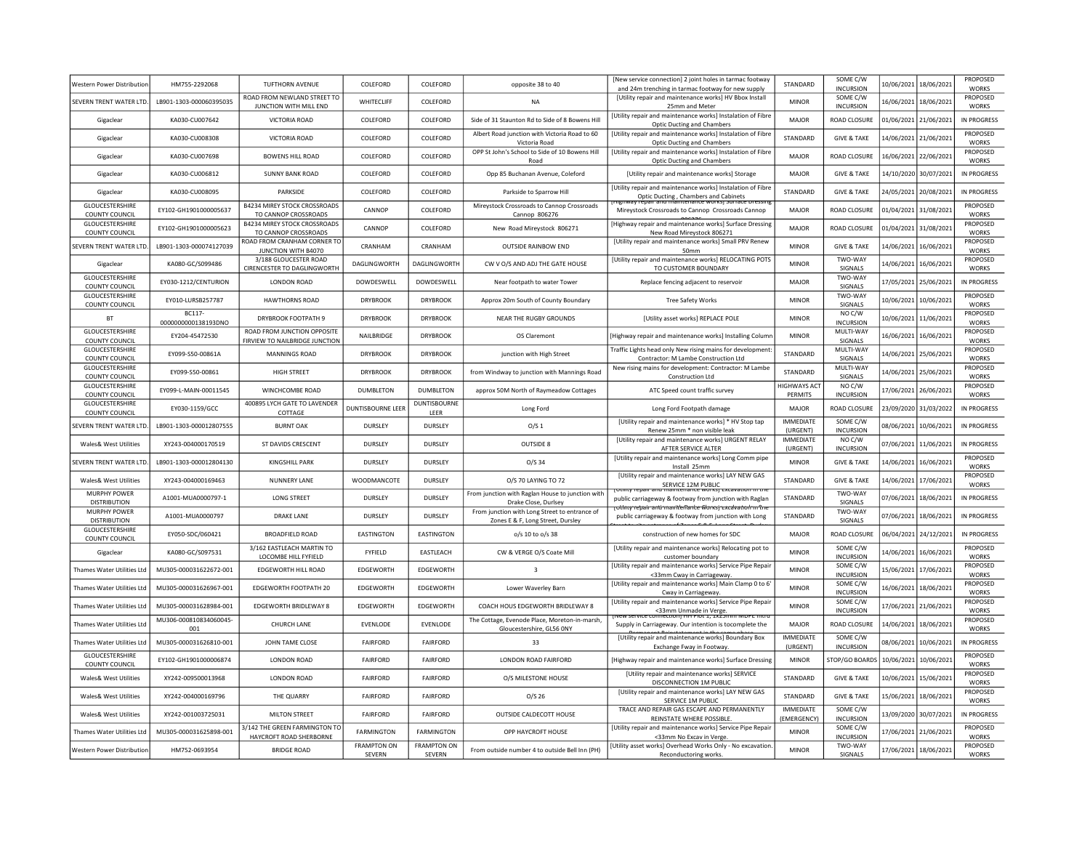| Western Power Distribution                      | HM755-2292068                 | <b>TUFTHORN AVENUE</b>                                        | COLEFORD                     | COLEFORD                     | opposite 38 to 40                                                                  | [New service connection] 2 joint holes in tarmac footway<br>and 24m trenching in tarmac footway for new supply                                              | STANDARD                        | SOME C/W<br><b>INCURSION</b> | 10/06/2021 18/06/2021                    | PROPOSED<br><b>WORKS</b> |
|-------------------------------------------------|-------------------------------|---------------------------------------------------------------|------------------------------|------------------------------|------------------------------------------------------------------------------------|-------------------------------------------------------------------------------------------------------------------------------------------------------------|---------------------------------|------------------------------|------------------------------------------|--------------------------|
| SEVERN TRENT WATER LTD.                         | LB901-1303-000060395035       | ROAD FROM NEWLAND STREET TO<br>JUNCTION WITH MILL END         | WHITECLIFF                   | COLEFORD                     | <b>NA</b>                                                                          | [Utility repair and maintenance works] HV Bbox Install<br>25mm and Meter                                                                                    | <b>MINOR</b>                    | SOME C/W<br>INCURSION        | 16/06/2021 18/06/2021                    | PROPOSED<br><b>WORKS</b> |
| Gigaclear                                       | KA030-CU007642                | <b>VICTORIA ROAD</b>                                          | COLEFORD                     | COLEFORD                     | Side of 31 Staunton Rd to Side of 8 Bowens Hill                                    | [Utility repair and maintenance works] Instalation of Fibre<br>Optic Ducting and Chambers                                                                   | <b>MAJOR</b>                    | <b>ROAD CLOSURE</b>          | 01/06/2021 21/06/2021                    | IN PROGRESS              |
| Gigaclear                                       | KA030-CU008308                | <b>VICTORIA ROAD</b>                                          | COLEFORD                     | COLEFORD                     | Albert Road junction with Victoria Road to 60<br>Victoria Road                     | [Utility repair and maintenance works] Instalation of Fibre<br><b>Optic Ducting and Chambers</b>                                                            | STANDARD                        | <b>GIVE &amp; TAKE</b>       | 14/06/2021 21/06/2021                    | PROPOSED<br><b>WORKS</b> |
| Gigaclear                                       | KA030-CU007698                | <b>BOWENS HILL ROAD</b>                                       | COLEFORD                     | COLEFORD                     | OPP St John's School to Side of 10 Bowens Hill<br>Road                             | [Utility repair and maintenance works] Instalation of Fibre<br><b>Optic Ducting and Chambers</b>                                                            | MAJOR                           | <b>ROAD CLOSURE</b>          | 16/06/2021 22/06/2021                    | PROPOSED<br><b>WORKS</b> |
| Gigaclear                                       | KA030-CU006812                | <b>SUNNY BANK ROAD</b>                                        | COLEFORD                     | COLEFORD                     | Opp 85 Buchanan Avenue, Coleford                                                   | [Utility repair and maintenance works] Storage                                                                                                              | <b>MAJOR</b>                    | <b>GIVE &amp; TAKE</b>       | 14/10/2020 30/07/202                     | IN PROGRESS              |
| Gigaclear                                       | KA030-CU008095                | <b>PARKSIDE</b>                                               | COLEFORD                     | COLEFORD                     | Parkside to Sparrow Hill                                                           | <b>IUtility repair and maintenance works] Instalation of Fibre</b><br>Optic Ducting, Chambers and Cabinets<br>Trepair and maintenance works; surrace pressi | STANDARD                        | <b>GIVE &amp; TAKE</b>       | 24/05/2021 20/08/2021                    | IN PROGRESS              |
| <b>GLOUCESTERSHIRE</b><br>COUNTY COUNCIL        | EY102-GH1901000005637         | <b>B4234 MIREY STOCK CROSSROADS</b><br>TO CANNOP CROSSROADS   | CANNOP                       | COLEFORD                     | Mireystock Crossroads to Cannop Crossroads<br>Cannop 806276                        | Mireystock Crossroads to Cannop Crossroads Cannop                                                                                                           | MAJOR                           | ROAD CLOSURE                 | 01/04/2021 31/08/2021                    | PROPOSED<br><b>WORKS</b> |
| <b>GLOUCESTERSHIRE</b><br><b>COUNTY COUNCIL</b> | FY102-GH1901000005623         | <b>B4234 MIREY STOCK CROSSROADS</b><br>TO CANNOP CROSSROADS   | CANNOP                       | COLEFORD                     | New Road Mireystock 806271                                                         | [Highway repair and maintenance works] Surface Dressing<br>New Road Mireystock 806271                                                                       | MAJOR                           | ROAD CLOSURE                 | 01/04/2021 31/08/2021                    | PROPOSED<br><b>WORKS</b> |
| SEVERN TRENT WATER LTD                          | LB901-1303-000074127039       | ROAD FROM CRANHAM CORNER TO<br>JUNCTION WITH B4070            | CRANHAM                      | CRANHAM                      | <b>OUTSIDE RAINBOW FND</b>                                                         | [Utility repair and maintenance works] Small PRV Renew<br>50 <sub>mm</sub>                                                                                  | <b>MINOR</b>                    | <b>GIVE &amp; TAKE</b>       | 14/06/2021 16/06/2021                    | PROPOSED<br><b>WORKS</b> |
| Gigaclear                                       | KA080-GC/S099486              | 3/188 GLOUCESTER ROAD<br>CIRENCESTER TO DAGLINGWORTH          | DAGLINGWORTH                 | DAGLINGWORTH                 | CW V O/S AND ADJ THE GATE HOUSE                                                    | [Utility repair and maintenance works] RELOCATING POTS<br>TO CUSTOMER BOUNDARY                                                                              | <b>MINOR</b>                    | TWO-WAY<br>SIGNALS           | 14/06/2021 16/06/2021                    | PROPOSED<br><b>WORKS</b> |
| GLOUCESTERSHIRE<br>COUNTY COUNCIL               | EY030-1212/CENTURION          | LONDON ROAD                                                   | DOWDESWELL                   | DOWDESWELL                   | Near footpath to water Tower                                                       | Replace fencing adjacent to reservoir                                                                                                                       | <b>MAJOR</b>                    | TWO-WAY<br><b>SIGNALS</b>    | 17/05/2021 25/06/2021                    | IN PROGRESS              |
| GLOUCESTERSHIRE<br>COUNTY COUNCIL               | EY010-LURSB257787             | <b>HAWTHORNS ROAD</b>                                         | <b>DRYBROOK</b>              | <b>DRYBROOK</b>              | Approx 20m South of County Boundary                                                | Tree Safety Works                                                                                                                                           | <b>MINOR</b>                    | TWO-WAY<br>SIGNALS           | 10/06/2021 10/06/2021                    | PROPOSED<br><b>WORKS</b> |
| <b>BT</b>                                       | BC117-<br>0000000000138193DNO | DRYBROOK FOOTPATH 9                                           | <b>DRYBROOK</b>              | <b>DRYBROOK</b>              | NEAR THE RUGBY GROUNDS                                                             | [Utility asset works] REPLACE POLE                                                                                                                          | <b>MINOR</b>                    | NO C/W<br><b>INCURSION</b>   | 10/06/2021 11/06/2021                    | PROPOSED<br><b>WORKS</b> |
| <b>GLOUCESTERSHIRE</b><br><b>COUNTY COUNCIL</b> | FY204-45472530                | ROAD FROM JUNCTION OPPOSITE<br>FIRVIEW TO NAILBRIDGE JUNCTION | NAILBRIDGE                   | <b>DRYBROOK</b>              | OS Claremont                                                                       | [Highway repair and maintenance works] Installing Columi                                                                                                    | <b>MINOR</b>                    | MULTI-WAY<br>SIGNALS         | 16/06/2021 16/06/2021                    | PROPOSED<br><b>WORKS</b> |
| GLOUCESTERSHIRE<br><b>COUNTY COUNCIL</b>        | FY099-S50-00861A              | <b>MANNINGS ROAD</b>                                          | <b>DRYBROOK</b>              | <b>DRYBROOK</b>              | junction with High Street                                                          | Traffic Lights head only New rising mains for development:<br>Contractor: M Lambe Construction Ltd                                                          | <b>STANDARD</b>                 | MULTI-WAY<br><b>SIGNALS</b>  | 14/06/2021<br>25/06/2021                 | PROPOSED<br><b>WORKS</b> |
| GLOUCESTERSHIRE<br>COUNTY COUNCIL               | EY099-S50-00861               | HIGH STREET                                                   | <b>DRYBROOK</b>              | <b>DRYBROOK</b>              | from Windway to junction with Mannings Road                                        | New rising mains for development: Contractor: M Lambe<br>Construction Ltd                                                                                   | STANDARD                        | MULTI-WAY<br>SIGNALS         | 14/06/2021 25/06/2021                    | PROPOSED<br><b>WORKS</b> |
| GLOUCESTERSHIRE<br>COUNTY COUNCIL               | EY099-L-MAIN-00011545         | WINCHCOMBE ROAD                                               | <b>DUMBLETON</b>             | <b>DUMBLETON</b>             | approx 50M North of Raymeadow Cottages                                             | ATC Speed count traffic survey                                                                                                                              | <b>HIGHWAYS ACT</b><br>PERMITS  | NO C/W<br><b>INCURSION</b>   | 17/06/2021<br>26/06/2021                 | PROPOSED<br><b>WORKS</b> |
| GLOUCESTERSHIRE<br>COUNTY COUNCIL               | EY030-1159/GCC                | 400895 LYCH GATE TO LAVENDER<br>COTTAGE                       | DUNTISBOURNE LEER            | <b>DUNTISBOURNE</b><br>LEER  | Long Ford                                                                          | Long Ford Footpath damage                                                                                                                                   | <b>MAJOR</b>                    | ROAD CLOSURE                 | 23/09/2020<br>31/03/202                  | IN PROGRESS              |
| <b>SEVERN TRENT WATER LTD</b>                   | LB901-1303-000012807555       | <b>BURNT OAK</b>                                              | DURSLEY                      | DURSLEY                      | O/S <sub>1</sub>                                                                   | [Utility repair and maintenance works] * HV Stop tap<br>Renew 25mm * non visible leal                                                                       | <b>IMMEDIATE</b><br>(URGENT)    | SOME C/W<br><b>INCURSION</b> | 08/06/2021<br>10/06/202                  | <b>IN PROGRESS</b>       |
| Wales& West Utilities                           | XY243-004000170519            | ST DAVIDS CRESCENT                                            | <b>DURSLEY</b>               | <b>DURSLEY</b>               | OUTSIDE 8                                                                          | [Utility repair and maintenance works] URGENT RELAY<br>AFTER SERVICE ALTER                                                                                  | IMMEDIATE<br>(URGENT)           | NO C/W<br><b>INCURSION</b>   | 07/06/2021 11/06/2021                    | IN PROGRESS              |
| <b>SFVERN TRENT WATER ITD</b>                   | LB901-1303-000012804130       | <b>KINGSHILL PARK</b>                                         | <b>DURSLEY</b>               | <b>DURSLEY</b>               | $O/S$ 34                                                                           | [Utility repair and maintenance works] Long Comm pipe<br>Install 25mm                                                                                       | <b>MINOR</b>                    | <b>GIVE &amp; TAKE</b>       | 14/06/2021 16/06/2021                    | PROPOSED<br><b>WORKS</b> |
| <b>Wales&amp; West Utilities</b>                | XY243-004000169463            | NUNNERY LANE                                                  | WOODMANCOTE                  | <b>DURSLEY</b>               | 0/S 70 LAYING TO 72                                                                | [Utility repair and maintenance works] LAY NEW GAS<br>SERVICE 12M PUBLIC                                                                                    | STANDARD                        | <b>GIVE &amp; TAKE</b>       | 14/06/2021 17/06/2021                    | PROPOSED<br><b>WORKS</b> |
| MURPHY POWER<br><b>DISTRIBUTION</b>             | A1001-MUA0000797-1            | <b>LONG STREET</b>                                            | DURSLEY                      | DURSLEY                      | From junction with Raglan House to junction with<br>Drake Close, Durlsey           | public carriageway & footway from junction with Raglan<br>rotinty rebair anti marritenante Worksi excavation in In                                          | STANDARD                        | TWO-WAY<br>SIGNALS           | 07/06/2021 18/06/2021                    | IN PROGRESS              |
| <b>MURPHY POWER</b><br><b>DISTRIBUTION</b>      | A1001-MUA0000797              | <b>DRAKE LANE</b>                                             | <b>DURSLEY</b>               | <b>DURSLEY</b>               | From junction with Long Street to entrance of<br>Zones E & F, Long Street, Dursley | public carriageway & footway from junction with Long                                                                                                        | STANDARD                        | TWO-WAY<br>SIGNALS           | 07/06/2021 18/06/2021                    | IN PROGRESS              |
| GLOUCESTERSHIRE<br>COUNTY COUNCIL               | EY050-SDC/060421              | <b>BROADFIELD ROAD</b>                                        | EASTINGTON                   | EASTINGTON                   | o/s 10 to o/s 38                                                                   | construction of new homes for SDC                                                                                                                           | MAJOR                           | ROAD CLOSURE                 | 06/04/2021 24/12/2021                    | IN PROGRESS              |
| Gigaclear                                       | KA080-GC/S097531              | 3/162 EASTLEACH MARTIN TO<br>LOCOMBE HILL FYFIELD             | <b>FYFIELD</b>               | EASTLEACH                    | CW & VERGE O/S Coate Mill                                                          | [Utility repair and maintenance works] Relocating pot to<br>customer boundary                                                                               | <b>MINOR</b>                    | SOME C/W<br><b>INCURSION</b> | 14/06/2021 16/06/2021                    | PROPOSED<br><b>WORKS</b> |
| <b>Thames Water Utilities Ltd</b>               | MU305-000031622672-001        | EDGEWORTH HILL ROAD                                           | <b>FDGFWORTH</b>             | <b>FDGFWORTH</b>             | $\overline{3}$                                                                     | [Utility repair and maintenance works] Service Pipe Repair<br><33mm Cway in Carriageway                                                                     | <b>MINOR</b>                    | SOME C/W<br><b>INCURSION</b> | 15/06/2021 17/06/2021                    | PROPOSED<br><b>WORKS</b> |
| <b>Thames Water Utilities Ltd</b>               | MU305-000031626967-001        | EDGEWORTH FOOTPATH 20                                         | <b>EDGEWORTH</b>             | EDGEWORTH                    | Lower Waverley Barn                                                                | [Utility repair and maintenance works] Main Clamp 0 to 6<br>Cway in Carriageway                                                                             | <b>MINOR</b>                    | SOME C/W<br><b>INCURSION</b> | 16/06/2021 18/06/2021                    | PROPOSED<br><b>WORKS</b> |
| Thames Water Utilities Ltd                      | MU305-000031628984-001        | EDGEWORTH BRIDLEWAY 8                                         | EDGEWORTH                    | EDGEWORTH                    | COACH HOUS EDGEWORTH BRIDLEWAY 8                                                   | [Utility repair and maintenance works] Service Pipe Repair<br>.33mm Unmade in Verge<br><del>vew service connection חדר איטני ב, צ</del>                     | <b>MINOR</b>                    | SOME C/W<br><b>INCURSION</b> | 17/06/2021 21/06/2021                    | PROPOSED<br><b>WORKS</b> |
| <b>Thames Water Utilities Ltd</b>               | MU306-000810834060045-<br>001 | <b>CHURCH LANE</b>                                            | EVENLODE                     | EVENLODE                     | The Cottage, Evenode Place, Moreton-in-marsh,<br>Gloucestershire, GL56 ONY         | Supply in Carriageway. Our intention is tocomplete the                                                                                                      | <b>MAJOR</b>                    | ROAD CLOSURE                 | 18/06/2021<br>14/06/2021                 | PROPOSED<br><b>WORKS</b> |
| Thames Water Utilities Ltd                      | MU305-000031626810-001        | JOHN TAME CLOSE                                               | <b>FAIRFORD</b>              | <b>FAIRFORD</b>              | 33                                                                                 | [Utility repair and maintenance works] Boundary Box<br>Exchange Fway in Footway.                                                                            | <b>IMMEDIATE</b><br>(URGENT)    | SOME C/W<br><b>INCURSION</b> | 08/06/2021<br>10/06/2021                 | IN PROGRESS              |
| <b>GLOUCESTERSHIRE</b><br><b>COUNTY COUNCIL</b> | EY102-GH1901000006874         | <b>LONDON ROAD</b>                                            | <b>FAIRFORD</b>              | <b>FAIRFORD</b>              | LONDON ROAD FAIRFORD                                                               | [Highway repair and maintenance works] Surface Dressing                                                                                                     | <b>MINOR</b>                    |                              | STOP/GO BOARDS   10/06/2021   10/06/2021 | PROPOSED<br><b>WORKS</b> |
| <b>Wales&amp; West Utilities</b>                | XY242-009500013968            | <b>LONDON ROAD</b>                                            | <b>FAIRFORD</b>              | <b>FAIRFORD</b>              | O/S MILESTONE HOUSE                                                                | [Utility repair and maintenance works] SERVICE<br>DISCONNECTION 1M PUBLIC                                                                                   | STANDARD                        | <b>GIVE &amp; TAKE</b>       | 10/06/2021 15/06/2021                    | PROPOSED<br><b>WORKS</b> |
| Wales& West Utilities                           | XY242-004000169796            | THE QUARRY                                                    | <b>FAIRFORD</b>              | <b>FAIRFORD</b>              | $O/S$ 26                                                                           | [Utility repair and maintenance works] LAY NEW GAS<br>SERVICE 1M PUBLIC                                                                                     | <b>STANDARD</b>                 | <b>GIVE &amp; TAKE</b>       | 15/06/2021 18/06/2021                    | PROPOSED<br><b>WORKS</b> |
| Wales& West Utilities                           | XY242-001003725031            | MILTON STREET                                                 | <b>FAIRFORD</b>              | <b>FAIRFORD</b>              | OUTSIDE CALDECOTT HOUSE                                                            | TRACE AND REPAIR GAS ESCAPE AND PERMANENTLY<br>REINSTATE WHERE POSSIBLE                                                                                     | <b>IMMEDIATE</b><br>(EMERGENCY) | SOME C/W<br><b>INCURSION</b> | 13/09/2020 30/07/2021                    | IN PROGRESS              |
| <b>Thames Water Utilities Ltd</b>               | MU305-000031625898-001        | 3/142 THE GREEN FARMINGTON TO<br>HAYCROFT ROAD SHERBORNE      | <b>FARMINGTON</b>            | <b>FARMINGTON</b>            | OPP HAYCROFT HOUSE                                                                 | [Utility repair and maintenance works] Service Pipe Repair<br><33mm No Excav in Verge.                                                                      | <b>MINOR</b>                    | SOME C/W<br><b>INCURSION</b> | 17/06/2021 21/06/2021                    | PROPOSED<br><b>WORKS</b> |
| Western Power Distribution                      | HM752-0693954                 | <b>BRIDGE ROAD</b>                                            | <b>FRAMPTON ON</b><br>SEVERN | <b>FRAMPTON ON</b><br>SEVERN | From outside number 4 to outside Bell Inn (PH)                                     | [Utility asset works] Overhead Works Only - No excavation<br>Reconductoring works.                                                                          | <b>MINOR</b>                    | TWO-WAY<br>SIGNALS           | 17/06/2021 18/06/2021                    | PROPOSED<br><b>WORKS</b> |
|                                                 |                               |                                                               |                              |                              |                                                                                    |                                                                                                                                                             |                                 |                              |                                          |                          |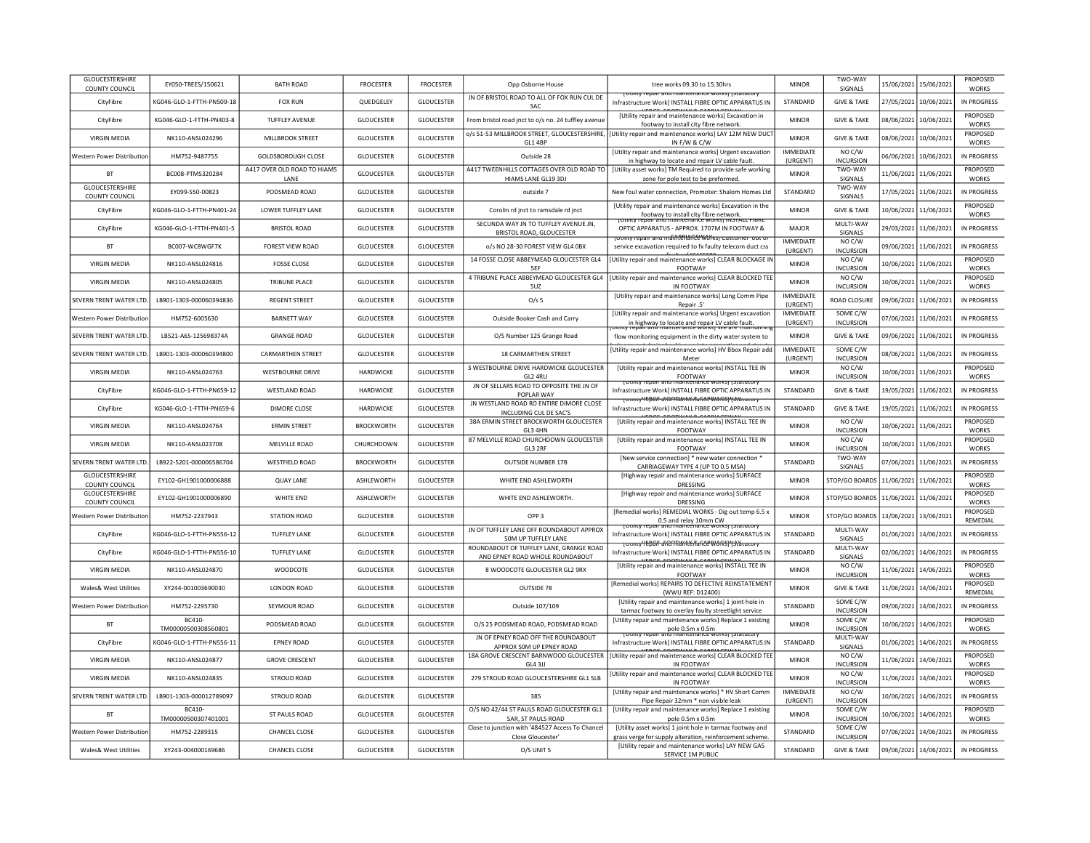| GLOUCESTERSHIRE<br>COUNTY COUNCIL        | EY050-TREES/150621                  | <b>BATH ROAD</b>                    | <b>FROCESTER</b>   | <b>FROCESTER</b>  | Opp Osborne House                                                          | tree works 09.30 to 15.30hrs                                                                                                    | <b>MINOR</b>                 | TWO-WAY<br>SIGNALS                     | 15/06/2021 | 15/06/2021 | PROPOSED<br><b>WORKS</b>        |
|------------------------------------------|-------------------------------------|-------------------------------------|--------------------|-------------------|----------------------------------------------------------------------------|---------------------------------------------------------------------------------------------------------------------------------|------------------------------|----------------------------------------|------------|------------|---------------------------------|
| CityFibre                                | KG046-GLO-1-FTTH-PN509-18           | <b>FOX RUN</b>                      | QUEDGELEY          | <b>GLOUCESTER</b> | JN OF BRISTOL ROAD TO ALL OF FOX RUN CUL DE<br>SAC                         | roulity repair and maintenance works) istatutory<br>Infrastructure Workl INSTALL FIBRE OPTIC APPARATUS IN                       | STANDARD                     | <b>GIVE &amp; TAKE</b>                 | 27/05/2021 | 10/06/2021 | <b>IN PROGRESS</b>              |
| CityFibre                                | KG046-GLO-1-FTTH-PN403-8            | <b>TUFFLEY AVENUE</b>               | GLOUCESTER         | <b>GLOUCESTER</b> | From bristol road jnct to o/s no. 24 tuffley avenue                        | [Utility repair and maintenance works] Excavation in<br>footway to install city fibre network.                                  | <b>MINOR</b>                 | <b>GIVE &amp; TAKE</b>                 | 08/06/2021 | 10/06/2021 | PROPOSED<br><b>WORKS</b>        |
| <b>VIRGIN MEDIA</b>                      | NK110-ANSL024296                    | <b>MILLBROOK STREET</b>             | <b>GLOUCESTER</b>  | <b>GLOUCESTER</b> | o/s 51-53 MILLBROOK STREET, GLOUCESTERSHIRE,<br><b>GL1 4BP</b>             | [Utility repair and maintenance works] LAY 12M NEW DUC<br><b>IN F/W &amp; C/W</b>                                               | <b>MINOR</b>                 | <b>GIVE &amp; TAKE</b>                 | 08/06/2021 | 10/06/2021 | PROPOSED<br><b>WORKS</b>        |
| Western Power Distribution               | HM752-9487755                       | GOLDSBOROUGH CLOSE                  | <b>GLOUCESTER</b>  | <b>GLOUCESTER</b> | Outside 28                                                                 | [Utility repair and maintenance works] Urgent excavation<br>in highway to locate and repair LV cable fault.                     | <b>IMMEDIATE</b><br>(URGENT) | NO C/W<br><b>INCURSION</b>             | 06/06/2021 | 10/06/2021 | <b>IN PROGRESS</b>              |
| <b>BT</b>                                | BC008-PTMS320284                    | A417 OVER OLD ROAD TO HIAMS<br>LANE | <b>GLOUCESTER</b>  | <b>GLOUCESTER</b> | A417 TWEENHILLS COTTAGES OVER OLD ROAD TO<br>HIAMS LANE GL19 3DJ           | [Utility asset works] TM Required to provide safe working<br>zone for pole test to be preformed.                                | <b>MINOR</b>                 | TWO-WAY<br>SIGNALS                     | 11/06/2021 | 11/06/2021 | PROPOSED<br><b>WORKS</b>        |
| <b>GLOUCESTERSHIRE</b><br>COUNTY COUNCIL | EY099-S50-00823                     | PODSMEAD ROAD                       | GLOUCESTER         | <b>GLOUCESTER</b> | outside 7                                                                  | New foul water connection, Promoter: Shalom Homes Ltd                                                                           | STANDARD                     | TWO-WAY<br>SIGNALS                     | 17/05/2021 | 11/06/2021 | IN PROGRESS                     |
| CityFibre                                | G046-GLO-1-FTTH-PN401-24            | <b>LOWER TUFFLEY LANE</b>           | <b>GLOUCESTER</b>  | <b>GLOUCESTER</b> | Corolin rd jnct to ramsdale rd jnct                                        | <b>IUtility repair and maintenance works] Excavation in the</b><br>footway to install city fibre network.                       | <b>MINOR</b>                 | <b>GIVE &amp; TAKE</b>                 | 10/06/2021 | 11/06/2021 | PROPOSED<br><b>WORKS</b>        |
| CityFibre                                | KG046-GLO-1-FTTH-PN401-5            | <b>BRISTOL ROAD</b>                 | GLOUCESTER         | <b>GLOUCESTER</b> | SECUNDA WAY JN TO TUFFLEY AVENUE JN,<br>BRISTOL ROAD, GLOUCESTER           | epair ario maintenance works) in STALL FIBN<br>OPTIC APPARATUS - APPROX. 1707M IN FOOTWAY &                                     | <b>MAJOR</b>                 | MULTI-WAY<br><b>SIGNALS</b>            | 29/03/2021 | 11/06/2021 | <b>IN PROGRESS</b>              |
| <b>BT</b>                                | BC007-WC8WGF7K                      | <b>FOREST VIEW ROAD</b>             | <b>GLOUCESTER</b>  | GLOUCESTER        | o/s NO 28-30 FOREST VIEW GL4 0BX                                           | <del>rotmty repair and máintériance Works<sub>T</sub> custor</del><br>service excavation required to fx faulty telecom duct css | <b>IMMEDIATE</b><br>(URGENT) | NO C/W<br><b>INCURSION</b>             | 09/06/2021 | 11/06/2021 | <b>IN PROGRESS</b>              |
| <b>VIRGIN MEDIA</b>                      | NK110-ANSL024816                    | <b>FOSSE CLOSE</b>                  | <b>GLOUCESTER</b>  | <b>GLOUCESTER</b> | 14 FOSSE CLOSE ABBEYMEAD GLOUCESTER GL4<br>5EF                             | [Utility repair and maintenance works] CLEAR BLOCKAGE IN<br>FOOTWAY                                                             | MINOR                        | NO C/W<br><b>INCURSION</b>             | 10/06/2021 | 11/06/2021 | <b>PROPOSED</b><br><b>WORKS</b> |
| <b>VIRGIN MEDIA</b>                      | NK110-ANSL024805                    | TRIBUNE PLACE                       | <b>GLOUCESTER</b>  | <b>GLOUCESTER</b> | 4 TRIBUNE PLACE ABBEYMEAD GLOUCESTER GL4<br>5UZ                            | [Utility repair and maintenance works] CLEAR BLOCKED TEE<br>IN FOOTWAY                                                          | <b>MINOR</b>                 | NO <sub>C</sub> /W<br><b>INCURSION</b> | 10/06/2021 | 11/06/2021 | PROPOSED<br><b>WORKS</b>        |
| SEVERN TRENT WATER LTD.                  | LB901-1303-000060394836             | <b>REGENT STREET</b>                | <b>GLOUCESTER</b>  | <b>GLOUCESTER</b> | O/s <sub>5</sub>                                                           | [Utility repair and maintenance works] Long Comm Pipe<br>Repair .5'                                                             | <b>IMMEDIATE</b><br>(URGENT) | ROAD CLOSURE                           | 09/06/2021 | 11/06/2021 | <b>IN PROGRESS</b>              |
| Western Power Distribution               | HM752-6005630                       | <b>BARNETT WAY</b>                  | GLOUCESTER         | <b>GLOUCESTER</b> | Outside Booker Cash and Carry                                              | [Utility repair and maintenance works] Urgent excavation<br>in highway to locate and repair LV cable fault.                     | IMMEDIATE<br>(URGENT)        | SOME C/W<br><b>INCURSION</b>           | 07/06/2021 | 11/06/2021 | <b>IN PROGRESS</b>              |
| SEVERN TRENT WATER LTD                   | LB521-A6S-125698374A                | <b>GRANGE ROAD</b>                  | <b>GLOUCESTER</b>  | <b>GLOUCESTER</b> | O/S Number 125 Grange Road                                                 | flow monitoring equipment in the dirty water system to                                                                          | <b>MINOR</b>                 | <b>GIVE &amp; TAKE</b>                 | 09/06/2021 | 11/06/2021 | <b>IN PROGRESS</b>              |
| SEVERN TRENT WATER ITD.                  | LB901-1303-000060394800             | <b>CARMARTHEN STREET</b>            | GLOUCESTER         | <b>GLOUCESTER</b> | 18 CARMARTHEN STREET                                                       | [Utility repair and maintenance works] HV Bbox Repair add<br>Meter                                                              | ΙΜΜΕΝΙΔΤΕ<br>(URGENT)        | SOME C/W<br><b>INCURSION</b>           | 08/06/2021 | 11/06/2021 | IN PROGRESS                     |
| <b>VIRGIN MEDIA</b>                      | NK110-ANSL024763                    | <b>WESTBOURNE DRIVE</b>             | <b>HARDWICKF</b>   | <b>GLOUCESTER</b> | 3 WESTBOURNE DRIVE HARDWICKE GLOUCESTER<br>GL2 4RU                         | [Utility repair and maintenance works] INSTALL TEE IN<br>FOOTWAY                                                                | <b>MINOR</b>                 | NO C/W<br><b>INCURSION</b>             | 10/06/2021 | 11/06/2021 | <b>PROPOSED</b><br><b>WORKS</b> |
| CityFibre                                | KG046-GLO-1-FTTH-PN659-12           | <b>WESTLAND ROAD</b>                | HARDWICKE          | <b>GLOUCESTER</b> | JN OF SELLARS ROAD TO OPPOSITE THE JN OF<br>POPI AR WAY                    | प्राणाप्रास्करा ताल<br>Infrastructure Workl INSTALL FIBRE OPTIC APPARATUS IN                                                    | STANDARD                     | <b>GIVE &amp; TAKE</b>                 | 19/05/2021 | 11/06/2021 | <b>IN PROGRESS</b>              |
| CityFibre                                | KG046-GLO-1-FTTH-PN659-6            | <b>DIMORE CLOSE</b>                 | HARDWICKE          | <b>GLOUCESTER</b> | JN WESTLAND ROAD RO ENTIRE DIMORE CLOSE<br>INCLUDING CUL DE SAC'S          | TOUTHLY YEDGIF aFRONTAMMEMARCE WORKSITSCALUTORY<br>Infrastructure Work] INSTALL FIBRE OPTIC APPARATUS IN                        | STANDARD                     | <b>GIVE &amp; TAKE</b>                 | 19/05/2021 | 11/06/2021 | IN PROGRESS                     |
| <b>VIRGIN MEDIA</b>                      | NK110-ANSL024764                    | <b>ERMIN STREET</b>                 | <b>BROCKWORTH</b>  | <b>GLOUCESTER</b> | 38A ERMIN STREET BROCKWORTH GLOUCESTER<br>GL3 4HN                          | UPBCF FOOTHING CABBLES<br>[Utility repair and maintenance works] INSTALL TEE IN<br>FOOTWAY                                      | <b>MINOR</b>                 | NO C/W<br><b>INCURSION</b>             | 10/06/2021 | 11/06/2021 | PROPOSED<br><b>WORKS</b>        |
| <b>VIRGIN MEDIA</b>                      | NK110-ANSL023708                    | MELVILLE ROAD                       | CHURCHDOWN         | <b>GLOUCESTER</b> | 87 MELVILLE ROAD CHURCHDOWN GLOUCESTER<br>GL3 2RF                          | [Utility repair and maintenance works] INSTALL TEE IN<br>FOOTWAY                                                                | <b>MINOR</b>                 | NO C/W<br><b>INCURSION</b>             | 10/06/2021 | 11/06/2021 | PROPOSED<br><b>WORKS</b>        |
| SEVERN TRENT WATER LTD                   | LB922-5201-000006586704             | <b>WESTFIELD ROAD</b>               | <b>BROCKWORTH</b>  | <b>GLOUCESTER</b> | <b>OUTSIDE NUMBER 17B</b>                                                  | [New service connection] * new water connection *<br>CARRIAGEWAY TYPE 4 (UP TO 0.5 MSA)                                         | STANDARD                     | TWO-WAY<br>SIGNALS                     | 07/06/2021 | 11/06/2021 | <b>IN PROGRESS</b>              |
| <b>GLOUCESTERSHIRE</b><br>COUNTY COUNCIL | FY102-GH1901000006888               | <b>OUAY LANE</b>                    | <b>ASHI FWORTH</b> | <b>GLOUCESTER</b> | WHITE FND ASHI FWORTH                                                      | [Highway repair and maintenance works] SURFACE<br><b>DRESSING</b>                                                               | <b>MINOR</b>                 | STOP/GO BOARDS                         | 11/06/2021 | 11/06/2021 | PROPOSED<br><b>WORKS</b>        |
| GLOUCESTERSHIRE<br>COUNTY COUNCIL        | EY102-GH1901000006890               | WHITE END                           | ASHLEWORTH         | <b>GLOUCESTER</b> | WHITE END ASHLEWORTH.                                                      | [Highway repair and maintenance works] SURFACE<br>DRESSING                                                                      | MINOR                        | STOP/GO BOARDS                         | 11/06/2021 | 11/06/2021 | PROPOSED<br><b>WORKS</b>        |
| Western Power Distribution               | HM752-2237943                       | <b>STATION ROAD</b>                 | GLOUCESTER         | <b>GLOUCESTER</b> | OPP <sub>3</sub>                                                           | [Remedial works] REMEDIAL WORKS - Dig out temp 6.5 x<br>0.5 and relay 10mm CW                                                   | <b>MINOR</b>                 | STOP/GO BOARDS                         | 13/06/2021 | 13/06/2021 | PROPOSED<br>REMEDIAL            |
| CityFibre                                | KG046-GLO-1-FTTH-PN556-12           | <b>TUFFLEY LANE</b>                 | <b>GLOUCESTER</b>  | <b>GLOUCESTER</b> | JN OF TUFFLEY LANE OFF ROUNDABOUT APPROX<br>50M UP TUFFLEY LANE            | Othey repair and maintenance works!<br>Infrastructure Work] INSTALL FIBRE OPTIC APPARATUS IN                                    | STANDARD                     | MULTI-WAY<br>SIGNALS                   | 01/06/2021 | 14/06/2021 | <b>IN PROGRESS</b>              |
| CityFibre                                | KG046-GLO-1-FTTH-PN556-10           | <b>TUFFLEY LANE</b>                 | <b>GLOUCESTER</b>  | <b>GLOUCESTER</b> | ROUNDABOUT OF TUFFLEY LANE, GRANGE ROAD<br>AND EPNEY ROAD WHOLE ROUNDABOUT | rotmty'fébair and maintenance Works) i statutory<br>Infrastructure Work] INSTALL FIBRE OPTIC APPARATUS IN                       | STANDARD                     | MULTI-WAY<br>SIGNALS                   | 02/06/2021 | 14/06/2021 | <b>IN PROGRESS</b>              |
| <b>VIRGIN MEDIA</b>                      | NK110-ANSL024870                    | <b>WOODCOTE</b>                     | <b>GLOUCESTER</b>  | <b>GLOUCESTER</b> | 8 WOODCOTE GLOUCESTER GL2 9RX                                              | [Utility repair and maintenance works] INSTALL TEE IN<br>FOOTWAY                                                                | <b>MINOR</b>                 | NO C/W<br><b>INCURSION</b>             | 11/06/2021 | 14/06/2021 | <b>PROPOSED</b><br><b>WORKS</b> |
| <b>Wales&amp; West Utilities</b>         | XY244-001003690030                  | <b>LONDON ROAD</b>                  | <b>GLOUCESTER</b>  | <b>GLOUCESTER</b> | OUTSIDE 78                                                                 | [Remedial works] REPAIRS TO DEFECTIVE REINSTATEMENT<br>(WWU REF: D12400)                                                        | <b>MINOR</b>                 | <b>GIVE &amp; TAKE</b>                 | 11/06/2021 | 14/06/2021 | PROPOSED<br>REMEDIAL            |
| <b>Nestern Power Distribution</b>        | HM752-2295730                       | SEYMOUR ROAD                        | <b>GLOUCESTER</b>  | <b>GLOUCESTER</b> | Outside 107/109                                                            | [Utility repair and maintenance works] 1 joint hole in<br>tarmac footway to overlay faulty streetlight service                  | STANDARD                     | SOME C/W<br><b>INCURSION</b>           | 09/06/2021 | 14/06/2021 | <b>IN PROGRESS</b>              |
| <b>BT</b>                                | <b>BC410</b><br>TM00000500308560801 | PODSMEAD ROAD                       | <b>GLOUCESTER</b>  | <b>GLOUCESTER</b> | O/S 25 PODSMEAD ROAD, PODSMEAD ROAD                                        | [Utility repair and maintenance works] Replace 1 existing<br>pole 0.5m x 0.5m<br>דסמות דפו דסמות ומשת המשפח המשפח המשפח         | MINOR                        | SOME C/W<br><b>INCURSION</b>           | 10/06/2021 | 14/06/2021 | PROPOSED<br><b>WORKS</b>        |
| CityFibre                                | KG046-GLO-1-FTTH-PN556-11           | <b>EPNEY ROAD</b>                   | <b>GLOUCESTER</b>  | <b>GLOUCESTER</b> | JN OF EPNEY ROAD OFF THE ROUNDABOUT<br>APPROX 50M UP EPNEY ROAD            | Infrastructure Work] INSTALL FIBRE OPTIC APPARATUS IN                                                                           | STANDARD                     | MULTI-WAY<br>SIGNALS                   | 01/06/2021 | 14/06/2021 | IN PROGRESS                     |
| <b>VIRGIN MEDIA</b>                      | NK110-ANSL024877                    | <b>GROVE CRESCENT</b>               | <b>GLOUCESTER</b>  | GLOUCESTER        | 18A GROVE CRESCENT BARNWOOD GLOUCESTER<br>GL4 3JJ                          | [Utility repair and maintenance works] CLEAR BLOCKED TEI<br>IN FOOTWAY                                                          | <b>MINOR</b>                 | NO C/W<br>INCURSION                    | 11/06/2021 | 14/06/2021 | PROPOSED<br><b>WORKS</b>        |
| <b>VIRGIN MEDIA</b>                      | NK110-ANSL024835                    | <b>STROUD ROAD</b>                  | <b>GLOUCESTER</b>  | <b>GLOUCESTER</b> | 279 STROUD ROAD GLOUCESTERSHIRE GL1 5LB                                    | [Utility repair and maintenance works] CLEAR BLOCKED TEE<br>IN FOOTWAY                                                          | <b>MINOR</b>                 | NOC/W<br><b>INCURSION</b>              | 11/06/2021 | 14/06/2021 | PROPOSED<br><b>WORKS</b>        |
| SEVERN TRENT WATER LTD.                  | LB901-1303-000012789097             | <b>STROUD ROAD</b>                  | <b>GLOUCESTER</b>  | <b>GLOUCESTER</b> | 385                                                                        | [Utility repair and maintenance works] * HV Short Comm<br>Pipe Repair 32mm * non visible leak                                   | <b>IMMEDIATE</b><br>(URGENT) | NO C/W<br><b>INCURSION</b>             | 10/06/2021 | 14/06/2021 | <b>IN PROGRESS</b>              |
| <b>BT</b>                                | <b>BC410</b><br>TM00000500307401001 | ST PAULS ROAD                       | GLOUCESTER         | <b>GLOUCESTER</b> | O/S NO 42/44 ST PAULS ROAD GLOUCESTER GL1<br>5AR, ST PAULS ROAD            | [Utility repair and maintenance works] Replace 1 existing<br>pole 0.5m x 0.5m                                                   | <b>MINOR</b>                 | SOME C/W<br><b>INCURSION</b>           | 10/06/2021 | 14/06/2021 | PROPOSED<br><b>WORKS</b>        |
| Western Power Distribution               | HM752-2289315                       | CHANCEL CLOSE                       | <b>GLOUCESTER</b>  | <b>GLOUCESTER</b> | Close to junction with '484527 Access To Chancel<br>Close Gloucester'      | [Utility asset works] 1 joint hole in tarmac footway and<br>grass verge for supply alteration, reinforcement scheme             | STANDARD                     | SOME C/W<br><b>INCURSION</b>           | 07/06/2021 | 14/06/2021 | <b>IN PROGRESS</b>              |
| Wales& West Utilities                    | XY243-004000169686                  | CHANCEL CLOSE                       | GLOUCESTER         | <b>GLOUCESTER</b> | O/S UNIT 5                                                                 | [Utility repair and maintenance works] LAY NEW GAS<br>SERVICE 1M PUBLIC                                                         | STANDARD                     | <b>GIVE &amp; TAKE</b>                 | 09/06/2021 | 14/06/2021 | <b>IN PROGRESS</b>              |
|                                          |                                     |                                     |                    |                   |                                                                            |                                                                                                                                 |                              |                                        |            |            |                                 |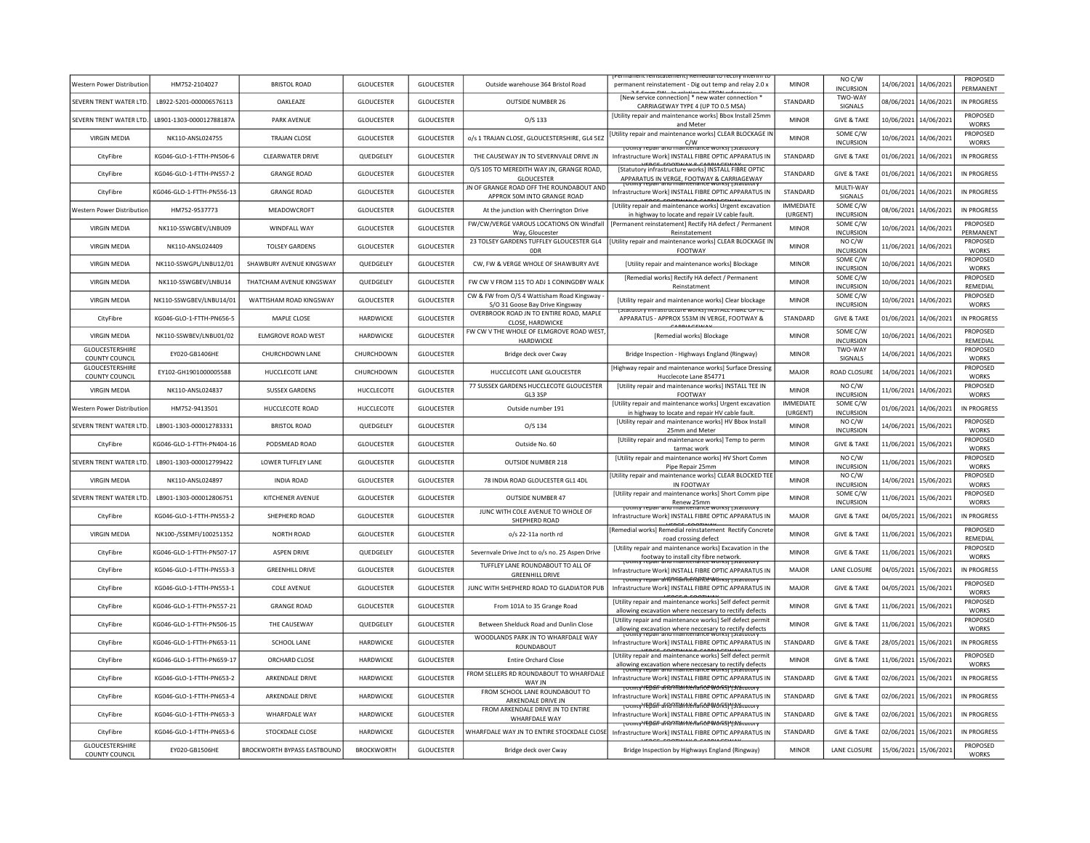| Western Power Distribution               | HM752-2104027             | BRISTOL ROAD                       | <b>GLOUCESTER</b> | <b>GLOUCESTER</b> | Outside warehouse 364 Bristol Road                                            | permanent reinstatement - Dig out temp and relay 2.0 x                                                                                                                                                                                                                | <b>MINOR</b>                 | NO <sub>C</sub> /W<br><b>INCURSION</b> |                       | 14/06/2021 14/06/2021 | PROPOSED<br>PERMANENT           |
|------------------------------------------|---------------------------|------------------------------------|-------------------|-------------------|-------------------------------------------------------------------------------|-----------------------------------------------------------------------------------------------------------------------------------------------------------------------------------------------------------------------------------------------------------------------|------------------------------|----------------------------------------|-----------------------|-----------------------|---------------------------------|
| SEVERN TRENT WATER LTD.                  | LB922-5201-000006576113   | OAKLEAZE                           | <b>GLOUCESTER</b> | <b>GLOUCESTER</b> | <b>OUTSIDE NUMBER 26</b>                                                      | [New service connection] * new water connection<br>CARRIAGEWAY TYPE 4 (UP TO 0.5 MSA)                                                                                                                                                                                 | STANDARD                     | TWO-WAY<br>SIGNALS                     |                       | 08/06/2021 14/06/2021 | IN PROGRESS                     |
| SEVERN TRENT WATER LTD.                  | LB901-1303-000012788187A  | PARK AVENUE                        | <b>GLOUCESTER</b> | <b>GLOUCESTER</b> | $O/S$ 133                                                                     | [Utility repair and maintenance works] Bbox Install 25mm<br>and Meter                                                                                                                                                                                                 | <b>MINOR</b>                 | <b>GIVE &amp; TAKE</b>                 | 10/06/2021            | 14/06/2021            | PROPOSED<br><b>WORKS</b>        |
| <b>VIRGIN MEDIA</b>                      | NK110-ANSL024755          | <b>TRAJAN CLOSE</b>                | <b>GLOUCESTER</b> | GLOUCESTER        | o/s 1 TRAJAN CLOSE, GLOUCESTERSHIRE, GL4 5EZ                                  | [Utility repair and maintenance works] CLEAR BLOCKAGE IN<br>C/W                                                                                                                                                                                                       | <b>MINOR</b>                 | SOME C/W<br><b>INCURSION</b>           |                       | 10/06/2021 14/06/2021 | PROPOSED<br><b>WORKS</b>        |
| CityFibre                                | KG046-GLO-1-FTTH-PN506-6  | <b>CLEARWATER DRIVE</b>            | QUEDGELEY         | <b>GLOUCESTER</b> | THE CAUSEWAY JN TO SEVERNVALE DRIVE JN                                        | ן טנווונץ וכטמו מווט ווומווונכוומוונכ שטו ג.<br>Infrastructure Work] INSTALL FIBRE OPTIC APPARATUS IN                                                                                                                                                                 | STANDARD                     | <b>GIVE &amp; TAKE</b>                 | 01/06/2021 14/06/2021 |                       | IN PROGRESS                     |
| CityFibre                                | KG046-GLO-1-FTTH-PN557-2  | <b>GRANGE ROAD</b>                 | GLOUCESTER        | <b>GLOUCESTER</b> | O/S 105 TO MEREDITH WAY JN, GRANGE ROAD,<br><b>GLOUCESTER</b>                 | [Statutory infrastructure works] INSTALL FIBRE OPTIC<br>APPARATUS IN VERGE. FOOTWAY & CARRIAGEWAY                                                                                                                                                                     | STANDARD                     | <b>GIVE &amp; TAKE</b>                 |                       | 01/06/2021 14/06/2021 | <b>IN PROGRESS</b>              |
| CityFibre                                | KG046-GLO-1-FTTH-PN556-13 | <b>GRANGE ROAD</b>                 | <b>GLOUCESTER</b> | <b>GLOUCESTER</b> | IN OF GRANGE ROAD OFF THE ROUNDABOUT AND<br>APPROX 50M INTO GRANGE ROAD       | Infrastructure Work] INSTALL FIBRE OPTIC APPARATUS IN                                                                                                                                                                                                                 | STANDARD                     | MULTI-WAY<br><b>SIGNALS</b>            |                       | 01/06/2021 14/06/2021 | IN PROGRESS                     |
| Western Power Distribution               | HM752-9537773             | MEADOWCROFT                        | <b>GLOUCESTER</b> | <b>GLOUCESTER</b> | At the junction with Cherrington Drive                                        | [Utility repair and maintenance works] Urgent excavation<br>in highway to locate and repair LV cable fault.                                                                                                                                                           | <b>IMMEDIATE</b><br>(URGENT) | SOME C/W<br><b>INCURSION</b>           |                       | 08/06/2021 14/06/2021 | IN PROGRESS                     |
| <b>VIRGIN MEDIA</b>                      | NK110-SSWGBEV/LNBU09      | WINDFALL WAY                       | <b>GLOUCESTER</b> | <b>GLOUCESTER</b> | FW/CW/VERGE VAROUS LOCATIONS ON Windfall<br>Way, Gloucester                   | [Permanent reinstatement] Rectify HA defect / Permanent<br>Reinstatement                                                                                                                                                                                              | <b>MINOR</b>                 | SOME C/W<br><b>INCURSION</b>           |                       | 10/06/2021 14/06/2021 | PROPOSED<br>PERMANENT           |
| <b>VIRGIN MEDIA</b>                      | NK110-ANSL024409          | <b>TOLSEY GARDENS</b>              | <b>GLOUCESTER</b> | <b>GLOUCESTER</b> | 23 TOLSEY GARDENS TUFFLEY GLOUCESTER GL4<br>0DR                               | [Utility repair and maintenance works] CLEAR BLOCKAGE IN<br>FOOTWAY                                                                                                                                                                                                   | <b>MINOR</b>                 | NO C/W<br><b>INCURSION</b>             |                       | 11/06/2021 14/06/2021 | PROPOSED<br><b>WORKS</b>        |
| <b>VIRGIN MEDIA</b>                      | NK110-SSWGPL/LNBU12/01    | SHAWBURY AVENUE KINGSWAY           | QUEDGELEY         | <b>GLOUCESTER</b> | CW, FW & VERGE WHOLE OF SHAWBURY AVE                                          | [Utility repair and maintenance works] Blockage                                                                                                                                                                                                                       | <b>MINOR</b>                 | SOME C/W<br><b>INCURSION</b>           |                       | 10/06/2021 14/06/2021 | PROPOSED<br><b>WORKS</b>        |
| <b>VIRGIN MEDIA</b>                      | NK110-SSWGBEV/LNBU14      | THATCHAM AVENUE KINGSWAY           | QUEDGELEY         | GLOUCESTER        | FW CW V FROM 115 TO ADJ 1 CONINGDBY WALK                                      | [Remedial works] Rectify HA defect / Permanent<br>Reinstatment                                                                                                                                                                                                        | <b>MINOR</b>                 | SOME C/W<br>INCURSION                  |                       | 10/06/2021 14/06/2021 | PROPOSED<br>REMEDIAL            |
| <b>VIRGIN MEDIA</b>                      | NK110-SSWGBFV/LNBU14/01   | WATTISHAM ROAD KINGSWAY            | <b>GLOUCESTER</b> | <b>GLOUCESTER</b> | CW & FW from O/S 4 Wattisham Road Kingsway<br>S/O 31 Goose Bay Drive Kingsway | [Utility repair and maintenance works] Clear blockage                                                                                                                                                                                                                 | <b>MINOR</b>                 | SOME C/W<br><b>INCURSION</b>           |                       | 10/06/2021 14/06/2021 | PROPOSED<br><b>WORKS</b>        |
| CityFibre                                | KG046-GLO-1-FTTH-PN656-5  | MAPLE CLOSE                        | HARDWICKE         | <b>GLOUCESTER</b> | OVERBROOK ROAD JN TO ENTIRE ROAD, MAPLE<br>CLOSE, HARDWICKE                   | ים המונח המונח המונח המונח המונח המונח המונח המונח המונח המונח המונח המונח המונח המונח המונח המונח ה<br>במונח המונח המונח המונח המונח המונח המונח המונח המונח המונח המונח המונח המונח המונח המונח המונח המונח המונח המ<br>APPARATUS - APPROX 553M IN VERGE, FOOTWAY & | STANDARD                     | <b>GIVE &amp; TAKE</b>                 |                       | 01/06/2021 14/06/2021 | IN PROGRESS                     |
| <b>VIRGIN MEDIA</b>                      | NK110-SSWBEV/LNBU01/02    | <b>ELMGROVE ROAD WEST</b>          | HARDWICKE         | <b>GLOUCESTER</b> | FW CW V THE WHOLE OF ELMGROVE ROAD WEST<br>HARDWICKE                          | [Remedial works] Blockage                                                                                                                                                                                                                                             | <b>MINOR</b>                 | SOME C/W<br><b>INCURSION</b>           |                       | 10/06/2021 14/06/2021 | <b>PROPOSED</b><br>REMEDIAL     |
| GLOUCESTERSHIRE<br><b>COUNTY COUNCIL</b> | EY020-GB1406HE            | CHURCHDOWN LANE                    | CHURCHDOWN        | <b>GLOUCESTER</b> | Bridge deck over Cway                                                         | Bridge Inspection - Highways England (Ringway)                                                                                                                                                                                                                        | <b>MINOR</b>                 | TWO-WAY<br>SIGNALS                     |                       | 14/06/2021 14/06/2021 | PROPOSED<br><b>WORKS</b>        |
| GLOUCESTERSHIRE<br>COUNTY COUNCIL        | EY102-GH1901000005588     | HUCCLECOTE LANE                    | CHURCHDOWN        | <b>GLOUCESTER</b> | HUCCLECOTE LANE GLOUCESTER                                                    | [Highway repair and maintenance works] Surface Dressing<br>Hucclecote Lane 854771                                                                                                                                                                                     | MAJOR                        | ROAD CLOSURE                           |                       | 14/06/2021 14/06/2021 | PROPOSED<br><b>WORKS</b>        |
| <b>VIRGIN MEDIA</b>                      | NK110-ANSL024837          | SUSSEX GARDENS                     | HUCCLECOTE        | <b>GLOUCESTER</b> | 77 SUSSEX GARDENS HUCCLECOTE GLOUCESTER<br>GL3 3SP                            | [Utility repair and maintenance works] INSTALL TEE IN<br>FOOTWAY                                                                                                                                                                                                      | <b>MINOR</b>                 | NO C/W<br><b>INCURSION</b>             |                       | 11/06/2021 14/06/2021 | PROPOSED<br>WORKS               |
| Western Power Distributio                | HM752-9413501             | HUCCLECOTE ROAD                    | HUCCLECOTE        | GLOUCESTER        | Outside number 191                                                            | [Utility repair and maintenance works] Urgent excavation<br>in highway to locate and repair HV cable fault                                                                                                                                                            | <b>IMMEDIATE</b><br>(URGENT) | SOME C/W<br><b>INCURSION</b>           |                       | 01/06/2021 14/06/2021 | IN PROGRESS                     |
| SEVERN TRENT WATER LTD                   | LB901-1303-000012783331   | <b>BRISTOL ROAD</b>                | QUEDGELEY         | <b>GLOUCESTER</b> | O/S 134                                                                       | [Utility repair and maintenance works] HV Bbox Install<br>25mm and Meter                                                                                                                                                                                              | <b>MINOR</b>                 | NO C/W<br><b>INCURSION</b>             |                       | 14/06/2021 15/06/2021 | <b>PROPOSED</b><br><b>WORKS</b> |
| CityFibre                                | KG046-GLO-1-FTTH-PN404-16 | PODSMEAD ROAD                      | <b>GLOUCESTER</b> | <b>GLOUCESTER</b> | Outside No. 60                                                                | [Utility repair and maintenance works] Temp to perm<br>tarmac work                                                                                                                                                                                                    | <b>MINOR</b>                 | <b>GIVE &amp; TAKE</b>                 |                       | 11/06/2021 15/06/2021 | PROPOSED<br><b>WORKS</b>        |
| SEVERN TRENT WATER LTD                   | LB901-1303-000012799422   | LOWER TUFFLEY LANE                 | <b>GLOUCESTER</b> | <b>GLOUCESTER</b> | OUTSIDE NUMBER 218                                                            | [Utility repair and maintenance works] HV Short Comm<br>Pipe Repair 25mm                                                                                                                                                                                              | <b>MINOR</b>                 | NO C/W<br><b>INCURSION</b>             | 11/06/2021            | 15/06/2021            | PROPOSED<br><b>WORKS</b>        |
| <b>VIRGIN MEDIA</b>                      | NK110-ANSL024897          | <b>INDIA ROAD</b>                  | <b>GLOUCESTER</b> | GLOUCESTER        | 78 INDIA ROAD GLOUCESTER GL1 4DL                                              | [Utility repair and maintenance works] CLEAR BLOCKED TEE<br>IN FOOTWAY                                                                                                                                                                                                | <b>MINOR</b>                 | NO C/W<br><b>INCURSION</b>             |                       | 14/06/2021 15/06/2021 | PROPOSED<br><b>WORKS</b>        |
| SEVERN TRENT WATER LTD                   | LB901-1303-000012806751   | KITCHENER AVENUE                   | GLOUCESTER        | <b>GLOUCESTER</b> | <b>OUTSIDE NUMBER 47</b>                                                      | [Utility repair and maintenance works] Short Comm pipe<br>Renew 25mm<br>Totinty repair and maintenance work                                                                                                                                                           | <b>MINOR</b>                 | SOME C/W<br><b>INCURSION</b>           | 11/06/2021 15/06/2021 |                       | PROPOSED<br><b>WORKS</b>        |
| CityFibre                                | KG046-GLO-1-FTTH-PN553-2  | SHEPHERD ROAD                      | <b>GLOUCESTER</b> | <b>GLOUCESTER</b> | JUNC WITH COLE AVENUE TO WHOLE OF<br>SHEPHERD ROAD                            | Infrastructure Work] INSTALL FIBRE OPTIC APPARATUS IN<br>-------                                                                                                                                                                                                      | MAIOR                        | <b>GIVE &amp; TAKE</b>                 | 04/05/2021            | 15/06/2021            | IN PROGRESS                     |
| <b>VIRGIN MEDIA</b>                      | NK100-/SSEMFI/100251352   | <b>NORTH ROAD</b>                  | <b>GLOUCESTER</b> | <b>GLOUCESTER</b> | o/s 22-11a north rd                                                           | Remedial works] Remedial reinstatement Rectify Concrete<br>road crossing defect                                                                                                                                                                                       | <b>MINOR</b>                 | <b>GIVE &amp; TAKE</b>                 | 11/06/2021 15/06/2021 |                       | <b>PROPOSED</b><br>REMEDIAL     |
| CityFibre                                | KG046-GLO-1-FTTH-PN507-17 | <b>ASPEN DRIVE</b>                 | <b>OUFDGELEY</b>  | <b>GLOUCESTER</b> | Severnvale Drive Jnct to o/s no. 25 Aspen Drive                               | [Utility repair and maintenance works] Excavation in the<br>footway to install city fibre network                                                                                                                                                                     | <b>MINOR</b>                 | <b>GIVE &amp; TAKE</b>                 | 11/06/2021 15/06/2021 |                       | PROPOSED<br><b>WORKS</b>        |
| CityFibre                                | KG046-GLO-1-FTTH-PN553-3  | <b>GREENHILL DRIVE</b>             | <b>GLOUCESTER</b> | <b>GLOUCESTER</b> | TUFFLEY LANE ROUNDABOUT TO ALL OF<br><b>GREENHILL DRIVE</b>                   | Infrastructure Work] INSTALL FIBRE OPTIC APPARATUS IN                                                                                                                                                                                                                 | <b>MAJOR</b>                 | LANE CLOSURE                           | 04/05/2021            | 15/06/2021            | IN PROGRESS                     |
| CityFibre                                | KG046-GLO-1-FTTH-PN553-1  | COLE AVENUE                        | <b>GLOUCESTER</b> | GLOUCESTER        | JUNC WITH SHEPHERD ROAD TO GLADIATOR PUB                                      | Tothicy repair affortifantenance works potatutory<br>Infrastructure Work] INSTALL FIBRE OPTIC APPARATUS IN                                                                                                                                                            | MAJOR                        | <b>GIVE &amp; TAKE</b>                 | 04/05/2021 15/06/2021 |                       | PROPOSED<br><b>WORKS</b>        |
| CityFibre                                | KG046-GLO-1-FTTH-PN557-21 | <b>GRANGE ROAD</b>                 | GLOUCESTER        | GLOUCESTER        | From 101A to 35 Grange Road                                                   | [Utility repair and maintenance works] Self defect permit<br>allowing excavation where neccesary to rectify defects                                                                                                                                                   | <b>MINOR</b>                 | <b>GIVE &amp; TAKE</b>                 | 11/06/2021 15/06/2021 |                       | PROPOSED<br><b>WORKS</b>        |
| CityFibre                                | KG046-GLO-1-FTTH-PN506-15 | THE CAUSEWAY                       | QUEDGELEY         | GLOUCESTER        | Between Shelduck Road and Dunlin Close                                        | [Utility repair and maintenance works] Self defect permit<br>allowing excavation where neccesary to rectify defects<br>Tounty repair and maintenance works [statutory]                                                                                                | <b>MINOR</b>                 | <b>GIVE &amp; TAKE</b>                 | 11/06/2021 15/06/2021 |                       | PROPOSED<br>WORKS               |
| CityFibre                                | KG046-GLO-1-FTTH-PN653-11 | SCHOOL LANE                        | <b>HARDWICKF</b>  | <b>GLOUCESTER</b> | WOODLANDS PARK JN TO WHARFDALE WAY<br><b>ROUNDABOUT</b>                       | Infrastructure Work] INSTALL FIBRE OPTIC APPARATUS IN                                                                                                                                                                                                                 | STANDARD                     | <b>GIVE &amp; TAKE</b>                 |                       | 28/05/2021 15/06/2021 | IN PROGRESS                     |
| CityFibre                                | KG046-GLO-1-FTTH-PN659-17 | ORCHARD CLOSE                      | <b>HARDWICKF</b>  | <b>GLOUCESTER</b> | <b>Entire Orchard Close</b>                                                   | [Utility repair and maintenance works] Self defect permit<br>allowing excavation where neccesary to rectify defects<br>TPDAIL AND MAINTPOANCE WORKS                                                                                                                   | <b>MINOR</b>                 | <b>GIVE &amp; TAKE</b>                 |                       | 11/06/2021 15/06/2021 | PROPOSED<br><b>WORKS</b>        |
| CityFibre                                | KG046-GLO-1-FTTH-PN653-2  | ARKENDALE DRIVE                    | <b>HARDWICKE</b>  | <b>GLOUCESTER</b> | FROM SELLERS RD ROUNDABOUT TO WHARFDALE<br>WAY JN                             | Infrastructure Work] INSTALL FIBRE OPTIC APPARATUS IN                                                                                                                                                                                                                 | STANDARD                     | <b>GIVE &amp; TAKE</b>                 |                       | 02/06/2021 15/06/2021 | IN PROGRESS                     |
| CityFibre                                | KG046-GLO-1-FTTH-PN653-4  | ARKENDALE DRIVE                    | <b>HARDWICKE</b>  | <b>GLOUCESTER</b> | FROM SCHOOL LANE ROUNDABOUT TO<br>ARKENDALE DRIVE JN                          | TOUTHY TEDAIT ANOTHAMINE MARKET TRANSMITTED TO<br>Infrastructure Work] INSTALL FIBRE OPTIC APPARATUS IN                                                                                                                                                               | STANDARD                     | <b>GIVE &amp; TAKE</b>                 |                       | 02/06/2021 15/06/2021 | IN PROGRESS                     |
| CityFibre                                | KG046-GLO-1-FTTH-PN653-3  | WHARFDALE WAY                      | HARDWICKE         | GLOUCESTER        | FROM ARKENDALE DRIVE JN TO ENTIRE<br>WHARFDALE WAY                            | <del>rotmty'repair anonnamteriance Works i i statutory</del><br>Infrastructure Work] INSTALL FIBRE OPTIC APPARATUS IN                                                                                                                                                 | STANDARD                     | <b>GIVE &amp; TAKE</b>                 | 02/06/2021 15/06/2021 |                       | IN PROGRESS                     |
| CityFibre                                | KG046-GLO-1-FTTH-PN653-6  | STOCKDALE CLOSE                    | <b>HARDWICKF</b>  | <b>GLOUCESTER</b> | WHARFDALE WAY JN TO ENTIRE STOCKDALE CLOSE                                    | <del>Totmty YEDSIF aFRONTMING AaRCE WORSJ "[3t'átt</del><br>Infrastructure Work] INSTALL FIBRE OPTIC APPARATUS IN                                                                                                                                                     | STANDARD                     | <b>GIVE &amp; TAKE</b>                 | 02/06/2021 15/06/2021 |                       | IN PROGRESS                     |
| GLOUCESTERSHIRE<br><b>COUNTY COUNCIL</b> | FY020-GB1506HF            | <b>BROCKWORTH BYPASS EASTBOUND</b> | <b>BROCKWORTH</b> | <b>GLOUCESTER</b> | Bridge deck over Cway                                                         | Bridge Inspection by Highways England (Ringway)                                                                                                                                                                                                                       | <b>MINOR</b>                 | LANE CLOSURE                           | 15/06/2021 15/06/2021 |                       | PROPOSED<br><b>WORKS</b>        |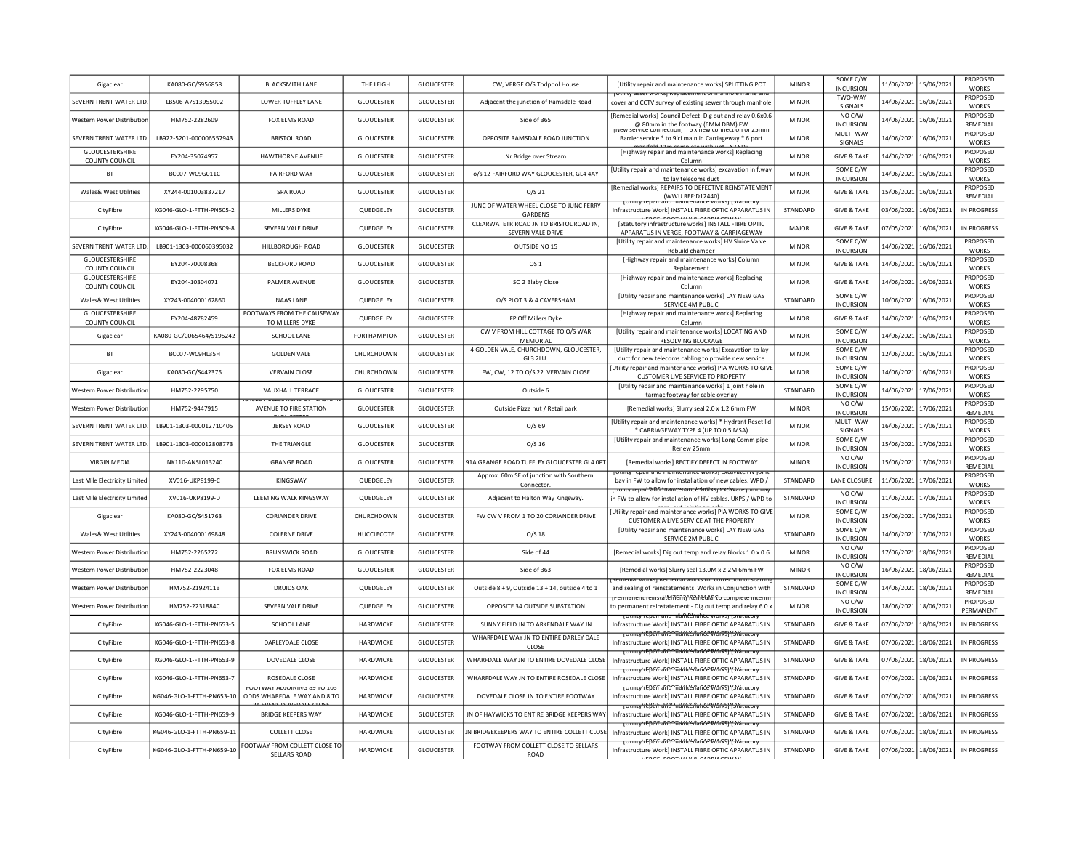| Gigaclear                                | KA080-GC/S956858          | <b>BLACKSMITH LANE</b>                                            | THE LEIGH          | <b>GLOUCESTER</b> | CW, VERGE O/S Todpool House                               | <b>IUtility repair and maintenance worksl SPLITTING POT</b>                                                                                               | <b>MINOR</b>    | SOME C/W<br><b>INCURSION</b>               |            | 11/06/2021 15/06/2021 | PROPOSED<br><b>WORKS</b>        |
|------------------------------------------|---------------------------|-------------------------------------------------------------------|--------------------|-------------------|-----------------------------------------------------------|-----------------------------------------------------------------------------------------------------------------------------------------------------------|-----------------|--------------------------------------------|------------|-----------------------|---------------------------------|
| SEVERN TRENT WATER LTD                   | LB506-A7S13955002         | <b>LOWER TUFFLEY LANE</b>                                         | <b>GLOUCESTER</b>  | <b>GLOUCESTER</b> | Adjacent the junction of Ramsdale Road                    | <b>TOURILY asset works</b> replacement of mannole frame and<br>cover and CCTV survey of existing sewer through manhole                                    | <b>MINOR</b>    | TWO-WAY<br>SIGNALS                         |            | 14/06/2021 16/06/2021 | PROPOSED<br><b>WORKS</b>        |
| Western Power Distribution               | HM752-2282609             | FOX ELMS ROAD                                                     | <b>GLOUCESTER</b>  | <b>GLOUCESTER</b> | Side of 365                                               | [Remedial works] Council Defect: Dig out and relay 0.6x0.6                                                                                                | <b>MINOR</b>    | NO C/W                                     |            | 14/06/2021 16/06/2021 | PROPOSED<br>REMEDIAL            |
| SEVERN TRENT WATER LTD.                  | LB922-5201-000006557943   | <b>BRISTOL ROAD</b>                                               | <b>GLOUCESTER</b>  | <b>GLOUCESTER</b> | OPPOSITE RAMSDALE ROAD JUNCTION                           | @ 80mm in the footway (6MM DBM) FW<br>Barrier service * to 9'ci main in Carriageway * 6 port                                                              | <b>MINOR</b>    | <b>INCURSION</b><br>MULTI-WAY              |            | 14/06/2021 16/06/2021 | PROPOSED                        |
| GLOUCESTERSHIRE                          | EY204-35074957            | <b>HAWTHORNE AVENUE</b>                                           | <b>GLOUCESTER</b>  | <b>GLOUCESTER</b> | Nr Bridge over Stream                                     | [Highway repair and maintenance works] Replacing                                                                                                          | <b>MINOR</b>    | SIGNALS<br><b>GIVE &amp; TAKE</b>          |            | 14/06/2021 16/06/2021 | <b>WORKS</b><br>PROPOSED        |
| COUNTY COUNCIL<br><b>BT</b>              | BC007-WC9G011C            | <b>FAIRFORD WAY</b>                                               | <b>GLOUCESTER</b>  | <b>GLOUCESTER</b> | o/s 12 FAIRFORD WAY GLOUCESTER, GL4 4AY                   | Column<br>[Utility repair and maintenance works] excavation in f.way                                                                                      | <b>MINOR</b>    | SOME C/W                                   |            | 14/06/2021 16/06/2021 | <b>WORKS</b><br>PROPOSED        |
| Wales& West Utilities                    | XY244-001003837217        | <b>SPA ROAD</b>                                                   | <b>GLOUCESTER</b>  | <b>GLOUCESTER</b> | O/S <sub>21</sub>                                         | to lay telecoms duct<br>[Remedial works] REPAIRS TO DEFECTIVE REINSTATEMENT                                                                               | <b>MINOR</b>    | <b>INCURSION</b><br><b>GIVE &amp; TAKE</b> |            | 15/06/2021 16/06/2021 | <b>WORKS</b><br>PROPOSED        |
| CityFibre                                | KG046-GLO-1-FTTH-PN505-2  | MILLERS DYKE                                                      | QUEDGELEY          | <b>GLOUCESTER</b> | JUNC OF WATER WHEEL CLOSE TO JUNC FERRY                   | (WWU REF:D12440)<br>rounty repair and maintenance wórksi i statutor<br>Infrastructure Work] INSTALL FIBRE OPTIC APPARATUS IN                              | STANDARD        | <b>GIVE &amp; TAKE</b>                     |            | 03/06/2021 16/06/2021 | REMEDIAL<br>IN PROGRESS         |
| CityFibre                                | KG046-GLO-1-FTTH-PN509-8  | SEVERN VALE DRIVE                                                 | QUEDGELEY          | <b>GLOUCESTER</b> | <b>GARDENS</b><br>CLEARWATETR ROAD JN TO BRISTOL ROAD JN. | [Statutory infrastructure works] INSTALL FIBRE OPTIC                                                                                                      | MAJOR           | <b>GIVE &amp; TAKE</b>                     | 07/05/2021 | 16/06/2021            | IN PROGRESS                     |
| SEVERN TRENT WATER LTD                   | LB901-1303-000060395032   | <b>HILLBOROUGH ROAD</b>                                           | <b>GLOUCESTER</b>  | <b>GLOUCESTER</b> | SEVERN VALE DRIVE<br>OUTSIDE NO 15                        | APPARATUS IN VERGE, FOOTWAY & CARRIAGEWAY<br>[Utility repair and maintenance works] HV Sluice Valve                                                       | <b>MINOR</b>    | SOME C/W                                   |            | 14/06/2021 16/06/2021 | PROPOSED                        |
| <b>GLOUCESTERSHIRE</b>                   | EY204-70008368            | <b>BECKFORD ROAD</b>                                              | <b>GLOUCESTER</b>  | <b>GLOUCESTER</b> | OS 1                                                      | Rebuild chamber<br>[Highway repair and maintenance works] Column                                                                                          | <b>MINOR</b>    | <b>INCURSION</b><br><b>GIVE &amp; TAKE</b> |            | 14/06/2021 16/06/2021 | <b>WORKS</b><br><b>PROPOSED</b> |
| COUNTY COUNCIL<br><b>GLOUCESTERSHIRE</b> |                           |                                                                   |                    |                   |                                                           | Replacement<br>[Highway repair and maintenance works] Replacing                                                                                           |                 |                                            |            |                       | <b>WORKS</b><br>PROPOSED        |
| COUNTY COUNCIL                           | EY204-10304071            | PALMER AVENUE                                                     | GLOUCESTER         | <b>GLOUCESTER</b> | SO 2 Blaby Close                                          | Column<br>[Utility repair and maintenance works] LAY NEW GAS                                                                                              | <b>MINOR</b>    | <b>GIVE &amp; TAKE</b><br>SOME C/W         |            | 14/06/2021 16/06/2021 | <b>WORKS</b><br>PROPOSED        |
| Wales& West Utilities<br>GLOUCESTERSHIRE | XY243-004000162860        | <b>NAAS LANE</b><br>FOOTWAYS FROM THE CAUSEWAY                    | QUEDGELEY          | <b>GLOUCESTER</b> | O/S PLOT 3 & 4 CAVERSHAM                                  | SERVICE 4M PUBLIC<br>[Highway repair and maintenance works] Replacing                                                                                     | STANDARD        | <b>INCURSION</b>                           |            | 10/06/2021 16/06/2021 | <b>WORKS</b><br>PROPOSED        |
| COUNTY COUNCIL                           | EY204-48782459            | TO MILLERS DYKE                                                   | QUEDGELEY          | GLOUCESTER        | FP Off Millers Dyke                                       | Column                                                                                                                                                    | <b>MINOR</b>    | <b>GIVE &amp; TAKE</b>                     |            | 14/06/2021 16/06/2021 | <b>WORKS</b>                    |
| Gigaclear                                | KA080-GC/C065464/S195242  | SCHOOL LANE                                                       | <b>FORTHAMPTON</b> | <b>GLOUCESTER</b> | CW V FROM HILL COTTAGE TO O/S WAR<br>MEMORIAL             | [Utility repair and maintenance works] LOCATING AND<br>RESOLVING BLOCKAGE                                                                                 | <b>MINOR</b>    | SOME C/W<br><b>INCURSION</b>               |            | 14/06/2021 16/06/2021 | PROPOSED<br><b>WORKS</b>        |
| <b>BT</b>                                | BC007-WC9HL35H            | <b>GOLDEN VALE</b>                                                | CHURCHDOWN         | <b>GLOUCESTER</b> | 4 GOLDEN VALE, CHURCHDOWN, GLOUCESTER,<br>GL3 2LU.        | [Utility repair and maintenance works] Excavation to lay<br>duct for new telecoms cabling to provide new service                                          | <b>MINOR</b>    | SOME C/W<br><b>INCURSION</b>               |            | 12/06/2021 16/06/2021 | <b>PROPOSED</b><br><b>WORKS</b> |
| Gigaclear                                | KA080-GC/S442375          | <b>VERVAIN CLOSE</b>                                              | CHURCHDOWN         | <b>GLOUCESTER</b> | FW, CW, 12 TO O/S 22 VERVAIN CLOSE                        | [Utility repair and maintenance works] PIA WORKS TO GIVI<br>CUSTOMER LIVE SERVICE TO PROPERTY                                                             | <b>MINOR</b>    | SOME C/W<br><b>INCURSION</b>               |            | 14/06/2021 16/06/2021 | PROPOSED<br><b>WORKS</b>        |
| Western Power Distribution               | HM752-2295750             | VAUXHALL TERRACE                                                  | <b>GLOUCESTER</b>  | <b>GLOUCESTER</b> | Outside 6                                                 | [Utility repair and maintenance works] 1 joint hole in<br>tarmac footway for cable overlay                                                                | STANDARD        | SOME C/W<br><b>INCURSION</b>               |            | 14/06/2021 17/06/2021 | PROPOSED<br><b>WORKS</b>        |
| Western Power Distributior               | HM752-9447915             | <b>54520 ACCESS ROAD OFF EASTER</b><br>AVENUE TO FIRE STATION     | <b>GLOUCESTER</b>  | <b>GLOUCESTER</b> | Outside Pizza hut / Retail park                           | [Remedial works] Slurry seal 2.0 x 1.2 6mm FW                                                                                                             | <b>MINOR</b>    | NO C/W<br><b>INCURSION</b>                 | 15/06/2021 | 17/06/2021            | PROPOSED<br>REMEDIAL            |
| SEVERN TRENT WATER LTD                   | LB901-1303-000012710405   | <b>JERSEY ROAD</b>                                                | <b>GLOUCESTER</b>  | <b>GLOUCESTER</b> | $O/S$ 69                                                  | [Utility repair and maintenance works] * Hydrant Reset lic<br>* CARRIAGEWAY TYPE 4 (UP TO 0.5 MSA)                                                        | <b>MINOR</b>    | MULTI-WAY<br>SIGNALS                       |            | 16/06/2021 17/06/2021 | PROPOSED<br><b>WORKS</b>        |
| SEVERN TRENT WATER LTD                   | LB901-1303-000012808773   | THE TRIANGLE                                                      | <b>GLOUCESTER</b>  | <b>GLOUCESTER</b> | $O/S$ 16                                                  | [Utility repair and maintenance works] Long Comm pipe<br>Renew 25mm                                                                                       | <b>MINOR</b>    | SOME C/W<br><b>INCURSION</b>               |            | 15/06/2021 17/06/2021 | PROPOSED<br><b>WORKS</b>        |
| <b>VIRGIN MEDIA</b>                      | NK110-ANSL013240          | <b>GRANGE ROAD</b>                                                | <b>GLOUCESTER</b>  | <b>GLOUCESTER</b> | 91A GRANGE ROAD TUFFLEY GLOUCESTER GL4 OPT                | [Remedial works] RECTIFY DEFECT IN FOOTWAY                                                                                                                | <b>MINOR</b>    | NO C/W<br><b>INCURSION</b>                 |            | 15/06/2021 17/06/2021 | PROPOSED<br>REMEDIAL            |
| Last Mile Electricity Limited            | XV016-UKP8199-C           | KINGSWAY                                                          | QUEDGELEY          | <b>GLOUCESTER</b> | Approx. 60m SE of junction with Southern<br>Connector     | ail and maintenance works) excavate hy io<br>bay in FW to allow for installation of new cables. WPD /                                                     | STANDARD        | <b>LANE CLOSURE</b>                        |            | 11/06/2021 17/06/2021 | PROPOSED<br><b>WORKS</b>        |
| Last Mile Electricity Limited            | XV016-UKP8199-D           | <b>LEEMING WALK KINGSWAY</b>                                      | QUEDGELEY          | <b>GLOUCESTER</b> | Adjacent to Halton Way Kingsway.                          | rotility repail "anti-finanteriante worksrexcavate romt pay<br>in FW to allow for installation of HV cables. UKPS / WPD to                                | STANDARD        | NO C/W<br><b>INCURSION</b>                 | 11/06/2021 | 17/06/2021            | PROPOSED<br><b>WORKS</b>        |
| Gigaclear                                | KA080-GC/S451763          | <b>CORIANDER DRIVE</b>                                            | CHURCHDOWN         | GLOUCESTER        | FW CW V FROM 1 TO 20 CORIANDER DRIVE                      | [Utility repair and maintenance works] PIA WORKS TO GIV<br>CUSTOMER A LIVE SERVICE AT THE PROPERTY                                                        | <b>MINOR</b>    | SOME C/W<br><b>INCURSION</b>               |            | 15/06/2021 17/06/2021 | PROPOSED<br><b>WORKS</b>        |
| Wales& West Utilities                    | XY243-004000169848        | <b>COLERNE DRIVE</b>                                              | HUCCLECOTE         | GLOUCESTER        | $O/S$ 18                                                  | [Utility repair and maintenance works] LAY NEW GAS<br>SERVICE 2M PUBLIC                                                                                   | STANDARD        | SOME C/W<br><b>INCURSION</b>               |            | 14/06/2021 17/06/2021 | PROPOSED<br><b>WORKS</b>        |
| Western Power Distribution               | HM752-2265272             | <b>BRUNSWICK ROAD</b>                                             | GLOUCESTER         | <b>GLOUCESTER</b> | Side of 44                                                | [Remedial works] Dig out temp and relay Blocks 1.0 x 0.6                                                                                                  | <b>MINOR</b>    | NO C/W<br><b>INCURSION</b>                 | 17/06/2021 | 18/06/2021            | PROPOSED<br>REMEDIAL            |
| Western Power Distribution               | HM752-2223048             | FOX ELMS ROAD                                                     | <b>GLOUCESTER</b>  | <b>GLOUCESTER</b> | Side of 363                                               | [Remedial works] Slurry seal 13.0M x 2.2M 6mm FW                                                                                                          | <b>MINOR</b>    | NO C/W<br><b>INCURSION</b>                 | 16/06/2021 | 18/06/2021            | PROPOSED<br>REMEDIAL            |
| Western Power Distributio                | HM752-2192411B            | <b>DRUIDS OAK</b>                                                 | QUEDGELEY          | <b>GLOUCESTER</b> | Outside 8 + 9. Outside 13 + 14, outside 4 to 1            | וכטומן איטונגאן מכוווכטומן איטונגאן וטון פענטון טון אנס<br>and sealing of reinstatements Works in Conjunction with                                        | STANDARD        | SOME C/W<br><b>INCURSION</b>               | 14/06/2021 | 18/06/2021            | PROPOSED<br>REMEDIAL            |
| Western Power Distributio                | HM752-2231884C            | SEVERN VALE DRIVE                                                 | QUEDGELEY          | GLOUCESTER        | OPPOSITE 34 OUTSIDE SUBSTATION                            | <del>remianent reinstätenTenty Renfeularto compiete interii</del><br>to permanent reinstatement - Dig out temp and relay 6.0 >                            | <b>MINOR</b>    | NO C/W<br><b>INCURSION</b>                 | 18/06/2021 | 18/06/2021            | PROPOSED<br>PERMANENT           |
| CityFibre                                | KG046-GLO-1-FTTH-PN653-5  | SCHOOL LANE                                                       | <b>HARDWICKE</b>   | GLOUCESTER        | SUNNY FIELD JN TO ARKENDALE WAY JN                        | <u>rotility repair and rifamtenance works। 1</u> 5ta<br>Infrastructure Work] INSTALL FIBRE OPTIC APPARATUS IN                                             | STANDARD        | <b>GIVE &amp; TAKE</b>                     |            | 07/06/2021 18/06/2021 | IN PROGRESS                     |
| CityFibre                                | KG046-GLO-1-FTTH-PN653-8  | DARLEYDALE CLOSE                                                  | <b>HARDWICKE</b>   | <b>GLOUCESTER</b> | WHARFDALE WAY JN TO ENTIRE DARLEY DALE<br>CLOSE           | <del>լ otmty / EDair an&amp; man itenance Works   / statuto</del><br>Infrastructure Work] INSTALL FIBRE OPTIC APPARATUS IN                                | STANDARD        | <b>GIVE &amp; TAKE</b>                     |            | 07/06/2021 18/06/2021 | <b>IN PROGRESS</b>              |
| CityFibre                                | KG046-GLO-1-FTTH-PN653-9  | DOVEDALE CLOSE                                                    | <b>HARDWICKF</b>   | <b>GLOUCESTER</b> |                                                           | <del>rotmty YEDAIF aFRONTAMNériaNCE WORSHYStat</del><br>WHARFDALE WAY JN TO ENTIRE DOVEDALE CLOSE   Infrastructure Work] INSTALL FIBRE OPTIC APPARATUS IN | <b>STANDARD</b> | <b>GIVE &amp; TAKE</b>                     |            | 07/06/2021 18/06/2021 | IN PROGRESS                     |
| CityFibre                                | KG046-GLO-1-FTTH-PN653-1  | ROSEDALE CLOSE                                                    | <b>HARDWICKE</b>   | <b>GLOUCESTER</b> | WHARFDALE WAY JN TO ENTIRE ROSEDALE CLOSE                 | <del>լʊtɪɪɪtyΥEþ͡alf aliQNTMINtérlafice Work5]*[stătuto</del><br>Infrastructure Work] INSTALL FIBRE OPTIC APPARATUS IN                                    | STANDARD        | <b>GIVE &amp; TAKE</b>                     |            | 07/06/2021 18/06/2021 | <b>IN PROGRESS</b>              |
| CityFibre                                | KG046-GLO-1-FTTH-PN653-10 | <b>FUUTWAT ADJUINING 69 TU 105</b><br>ODDS WHARFDALE WAY AND 8 TO | <b>HARDWICKE</b>   | <b>GLOUCESTER</b> | DOVEDALE CLOSE JN TO ENTIRE FOOTWAY                       | roumu/fébáif afiûntiaintériance Worksi i statutor<br>Infrastructure Work] INSTALL FIBRE OPTIC APPARATUS IN                                                | STANDARD        | <b>GIVE &amp; TAKE</b>                     |            | 07/06/2021 18/06/2021 | <b>IN PROGRESS</b>              |
| CityFibre                                | KG046-GLO-1-FTTH-PN659-9  | <b>BRIDGE KEEPERS WAY</b>                                         | <b>HARDWICKE</b>   | <b>GLOUCESTER</b> | JN OF HAYWICKS TO ENTIRE BRIDGE KEEPERS WAY               | tormey repair anonmantenance works) (starocory<br>Infrastructure Work] INSTALL FIBRE OPTIC APPARATUS IN                                                   | STANDARD        | <b>GIVE &amp; TAKE</b>                     |            | 07/06/2021 18/06/2021 | <b>IN PROGRESS</b>              |
| CityFibre                                | KG046-GLO-1-FTTH-PN659-11 | <b>COLLETT CLOSE</b>                                              | <b>HARDWICKE</b>   | GLOUCESTER        | IN BRIDGEKEEPERS WAY TO ENTIRE COLLETT CLOSE              | <del>დიოდ YEDSIF არბერას Mance Works ყვაადით ჯ</del><br>Infrastructure Work] INSTALL FIBRE OPTIC APPARATUS IN                                             | STANDARD        | <b>GIVE &amp; TAKE</b>                     | 07/06/2021 | 18/06/2021            | <b>IN PROGRESS</b>              |
| CityFibre                                | KG046-GLO-1-FTTH-PN659-10 | FOOTWAY FROM COLLETT CLOSE TO                                     | <b>HARDWICKF</b>   | <b>GLOUCESTER</b> | FOOTWAY FROM COLLETT CLOSE TO SELLARS                     | <del>ToumyYEDali aRQATIMINGRaNCEWORSJY3t&amp;cucor</del><br>Infrastructure Work] INSTALL FIBRE OPTIC APPARATUS IN                                         | <b>STANDARD</b> | <b>GIVE &amp; TAKE</b>                     |            | 07/06/2021 18/06/2021 | IN PROGRESS                     |
|                                          |                           | SELLARS ROAD                                                      |                    |                   | <b>ROAD</b>                                               |                                                                                                                                                           |                 |                                            |            |                       |                                 |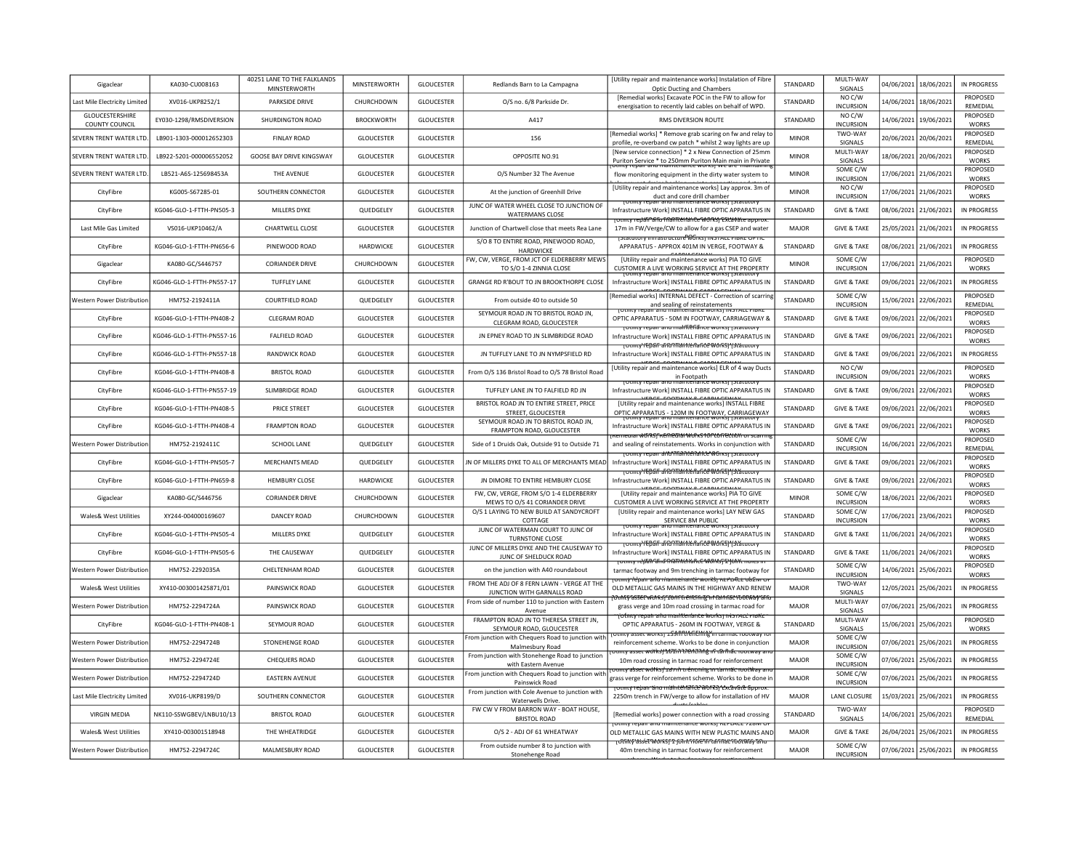| Gigaclear                         | KA030-CU008163            | 40251 LANE TO THE FALKLANDS<br>MINSTERWORTH | MINSTERWORTH      | <b>GLOUCESTER</b> | Redlands Barn to La Campagna                                              | [Utility repair and maintenance works] Instalation of Fibre<br><b>Optic Ducting and Chambers</b>                                          | <b>STANDARD</b> | MULTI-WAY<br>SIGNALS         |            | 04/06/2021 18/06/2021 | IN PROGRESS                     |
|-----------------------------------|---------------------------|---------------------------------------------|-------------------|-------------------|---------------------------------------------------------------------------|-------------------------------------------------------------------------------------------------------------------------------------------|-----------------|------------------------------|------------|-----------------------|---------------------------------|
| Last Mile Electricity Limited     | XV016-UKP8252/1           | <b>PARKSIDE DRIVE</b>                       | CHURCHDOWN        | <b>GLOUCESTER</b> | O/S no. 6/8 Parkside Dr.                                                  | [Remedial works] Excavate POC in the FW to allow for<br>energisation to recently laid cables on behalf of WPD.                            | STANDARD        | NO C/W<br><b>INCURSION</b>   |            | 14/06/2021 18/06/2021 | PROPOSED<br>REMEDIAL            |
| GLOUCESTERSHIRE<br>COUNTY COUNCIL | FY030-1298/RMSDIVERSION   | SHURDINGTON ROAD                            | <b>BROCKWORTH</b> | GLOUCESTER        | A417                                                                      | RMS DIVERSION ROUTE                                                                                                                       | STANDARD        | NO C/W<br><b>INCURSION</b>   |            | 14/06/2021 19/06/2021 | PROPOSED<br><b>WORKS</b>        |
| SEVERN TRENT WATER LTD.           | LB901-1303-000012652303   | <b>FINLAY ROAD</b>                          | <b>GLOUCESTER</b> | <b>GLOUCESTER</b> | 156                                                                       | [Remedial works] * Remove grab scaring on fw and relay to<br>profile, re-overband cw patch * whilst 2 way lights are up                   | <b>MINOR</b>    | TWO-WAY<br>SIGNALS           |            | 20/06/2021 20/06/2021 | PROPOSED<br>REMEDIAL            |
| SEVERN TRENT WATER LTD.           | LB922-5201-000006552052   | <b>GOOSE BAY DRIVE KINGSWAY</b>             | <b>GLOUCESTER</b> | <b>GLOUCESTER</b> | OPPOSITE NO.91                                                            | [New service connection] * 2 x New Connection of 25mm<br>Puriton Service * to 250mm Puriton Main main in Private                          | <b>MINOR</b>    | MUITI-WAY<br>SIGNALS         |            | 18/06/2021 20/06/2021 | <b>PROPOSED</b><br><b>WORKS</b> |
| SEVERN TRENT WATER LTD.           | LB521-A6S-125698453A      | THE AVENUE                                  | <b>GLOUCESTER</b> | <b>GLOUCESTER</b> | O/S Number 32 The Avenue                                                  | flow monitoring equipment in the dirty water system to                                                                                    | <b>MINOR</b>    | SOME C/W<br><b>INCURSION</b> |            | 17/06/2021 21/06/2021 | PROPOSED<br><b>WORKS</b>        |
| CityFibre                         | KG005-S67285-01           | SOUTHERN CONNECTOR                          | <b>GLOUCESTER</b> | <b>GLOUCESTER</b> | At the junction of Greenhill Drive                                        | [Utility repair and maintenance works] Lay approx. 3m of<br>duct and core drill chamber                                                   | <b>MINOR</b>    | NO C/W<br><b>INCURSION</b>   |            | 17/06/2021 21/06/2021 | PROPOSED<br>WORKS               |
| CityFibre                         | KG046-GLO-1-FTTH-PN505-3  | MILLERS DYKE                                | QUEDGELEY         | <b>GLOUCESTER</b> | JUNC OF WATER WHEEL CLOSE TO JUNCTION OF<br><b>WATERMANS CLOSE</b>        | i Othity repair and maintenance works! I Statutor<br>Infrastructure Work] INSTALL FIBRE OPTIC APPARATUS IN                                | STANDARD        | <b>GIVE &amp; TAKE</b>       |            | 08/06/2021 21/06/2021 | IN PROGRESS                     |
| Last Mile Gas Limited             | VS016-UKP10462/A          | CHARTWELL CLOSE                             | <b>GLOUCESTER</b> | <b>GLOUCESTER</b> | Junction of Chartwell close that meets Rea Lane                           | rotmtv redáfi afu friantieriari ĉe Worksi Exicavate appro:<br>17m in FW/Verge/CW to allow for a gas CSEP and water                        | <b>MAJOR</b>    | <b>GIVE &amp; TAKE</b>       |            | 25/05/2021 21/06/2021 | IN PROGRESS                     |
| CityFibre                         | KG046-GLO-1-FTTH-PN656-6  | PINEWOOD ROAD                               | <b>HARDWICKE</b>  | <b>GLOUCESTER</b> | S/O 8 TO ENTIRE ROAD, PINEWOOD ROAD,<br><b>HARDWICKF</b>                  | [Statutory imrastructure Works] INSTALL FIBRE OPTI<br>APPARATUS - APPROX 401M IN VERGE, FOOTWAY &                                         | STANDARD        | <b>GIVE &amp; TAKE</b>       |            | 08/06/2021 21/06/2021 | IN PROGRESS                     |
| Gigaclear                         | KA080-GC/S446757          | <b>CORIANDER DRIVE</b>                      | CHURCHDOWN        | <b>GLOUCESTER</b> | FW. CW. VERGE. FROM ICT OF FLDERBERRY MEWS<br>TO S/O 1-4 ZINNIA CLOSE     | [Utility repair and maintenance works] PIA TO GIVE<br>CUSTOMER A LIVE WORKING SERVICE AT THE PROPERTY                                     | <b>MINOR</b>    | SOME C/W<br><b>INCURSION</b> |            | 17/06/2021 21/06/2021 | <b>PROPOSED</b><br><b>WORKS</b> |
| CityFibre                         | KG046-GLO-1-FTTH-PN557-17 | TUFFLEY LANE                                | <b>GLOUCESTER</b> | GLOUCESTER        | GRANGE RD R'BOUT TO JN BROOKTHORPE CLOSE                                  | Infrastructure Work] INSTALL FIBRE OPTIC APPARATUS IN                                                                                     | STANDARD        | <b>GIVE &amp; TAKE</b>       |            | 09/06/2021 22/06/2021 | IN PROGRESS                     |
| Western Power Distribution        | HM752-2192411A            | COURTFIELD ROAD                             | QUEDGELEY         | <b>GLOUCESTER</b> | From outside 40 to outside 50                                             | UPBOF FOOTHING CABBIACT<br>[Remedial works] INTERNAL DEFECT - Correction of scarring<br>and sealing of reinstatements                     | STANDARD        | SOME C/W<br><b>INCURSION</b> |            | 15/06/2021 22/06/2021 | PROPOSED<br>REMEDIAL            |
| CityFibre                         | KG046-GLO-1-FTTH-PN408-2  | CLEGRAM ROAD                                | GLOUCESTER        | <b>GLOUCESTER</b> | SEYMOUR ROAD JN TO BRISTOL ROAD JN.<br>CLEGRAM ROAD, GLOUCESTER           | ונכווסוונכ שטומטוויש ואנו רוב<br>OPTIC APPARATUS - 50M IN FOOTWAY, CARRIAGEWAY &                                                          | STANDARD        | <b>GIVE &amp; TAKE</b>       |            | 09/06/2021 22/06/2021 | PROPOSED<br><b>WORKS</b>        |
| CityFibre                         | KG046-GLO-1-FTTH-PN557-16 | <b>FALFIELD ROAD</b>                        | GLOUCESTER        | <b>GLOUCESTER</b> | JN EPNEY ROAD TO JN SLIMBRIDGE ROAD                                       | τοιπιγ repair and malifienance works τριαιοικη<br>Infrastructure Work] INSTALL FIBRE OPTIC APPARATUS IN                                   | STANDARD        | <b>GIVE &amp; TAKE</b>       |            | 09/06/2021 22/06/2021 | PROPOSED<br><b>WORKS</b>        |
| CityFibre                         | KG046-GLO-1-FTTH-PN557-18 | <b>RANDWICK ROAD</b>                        | <b>GLOUCESTER</b> | <b>GLOUCESTER</b> | IN TUFFLEY LANE TO IN NYMPSFIFLD RD                                       | <del>τοιπιγΥΕΒ2ΓΓ ΔΓΙΩΠΤΑΛΙΝΕΙΠΑΓΙΔΕ WORS   ΥSIΔιαιο</del><br>Infrastructure Work1 INSTALL FIBRE OPTIC APPARATUS IN                       | STANDARD        | <b>GIVE &amp; TAKE</b>       |            | 09/06/2021 22/06/2021 | IN PROGRESS                     |
| CityFibre                         | KG046-GLO-1-FTTH-PN408-8  | <b>BRISTOL ROAD</b>                         | <b>GLOUCESTER</b> | <b>GLOUCESTER</b> | From O/S 136 Bristol Road to O/S 78 Bristol Road                          | [Utility repair and maintenance works] ELR of 4 way Ducts<br>in Footpath                                                                  | STANDARD        | NO C/W<br><b>INCURSION</b>   |            | 09/06/2021 22/06/2021 | PROPOSED<br><b>WORKS</b>        |
| CityFibre                         | KG046-GLO-1-FTTH-PN557-19 | <b>SLIMBRIDGE ROAD</b>                      | <b>GLOUCESTER</b> | <b>GLOUCESTER</b> | TUFFLEY LANE JN TO FALFIELD RD JN                                         | <u>toulity repair and mainteriance works i istatutory</u><br>Infrastructure Work] INSTALL FIBRE OPTIC APPARATUS IN                        | <b>STANDARD</b> | <b>GIVE &amp; TAKE</b>       |            | 09/06/2021 22/06/2021 | PROPOSED<br><b>WORKS</b>        |
| CityFibre                         | KG046-GLO-1-FTTH-PN408-5  | PRICE STREET                                | <b>GLOUCESTER</b> | <b>GLOUCESTER</b> | BRISTOL ROAD JN TO ENTIRE STREET, PRICE<br>STREET, GLOUCESTER             | <b>UPBRE FOOTMALE CABBLES</b><br>[Utility repair and maintenance works] INSTALL FIBRE<br>OPTIC APPARATUS - 120M IN FOOTWAY, CARRIAGEWAY   | STANDARD        | <b>GIVE &amp; TAKE</b>       | 09/06/2021 | 22/06/2021            | PROPOSED<br><b>WORKS</b>        |
| CityFibre                         | KG046-GLO-1-FTTH-PN408-4  | <b>FRAMPTON ROAD</b>                        | <b>GLOUCESTER</b> | <b>GLOUCESTER</b> | SEYMOUR ROAD JN TO BRISTOL ROAD JN,<br>FRAMPTON ROAD, GLOUCESTER          | Infrastructure Work] INSTALL FIBRE OPTIC APPARATUS IN                                                                                     | STANDARD        | <b>GIVE &amp; TAKE</b>       |            | 09/06/2021 22/06/2021 | PROPOSED<br><b>WORKS</b>        |
| <b>Western Power Distribution</b> | HM752-2192411C            | SCHOOL LANE                                 | <b>OUFDGELEY</b>  | <b>GLOUCESTER</b> | Side of 1 Druids Oak, Outside 91 to Outside 71                            | <del>:uiai ฟซ์iRSj<sup>e</sup>kEMeZilál WolkS 10Pt&amp;NEttliðil or sca</del><br>and sealing of reinstatements. Works in conjunction with | <b>STANDARD</b> | SOME C/W<br><b>INCURSION</b> |            | 16/06/2021 22/06/2021 | PROPOSED<br>RFMFDIAI            |
| CityFibre                         | KG046-GLO-1-FTTH-PN505-7  | <b>MERCHANTS MEAD</b>                       | QUEDGELEY         | GLOUCESTER        | JN OF MILLERS DYKE TO ALL OF MERCHANTS MEAD                               | potinty repair and Thankenande WGrks) potatutor<br>Infrastructure Work] INSTALL FIBRE OPTIC APPARATUS IN                                  | STANDARD        | <b>GIVE &amp; TAKE</b>       |            | 09/06/2021 22/06/2021 | PROPOSED<br><b>WORKS</b>        |
| CityFibre                         | KG046-GLO-1-FTTH-PN659-8  | <b>HEMBURY CLOSE</b>                        | HARDWICKE         | <b>GLOUCESTER</b> | JN DIMORE TO ENTIRE HEMBURY CLOSE                                         | <u> rotmty /EĐấi ብበር በሽልስሲጅበልበሮድ WorkSI Ystátutor</u><br>Infrastructure Work] INSTALL FIBRE OPTIC APPARATUS IN                            | <b>STANDARD</b> | <b>GIVE &amp; TAKE</b>       |            | 09/06/2021 22/06/2021 | PROPOSED<br><b>WORKS</b>        |
| Gigaclear                         | KA080-GC/S446756          | <b>CORIANDER DRIVE</b>                      | CHURCHDOWN        | <b>GLOUCESTER</b> | FW, CW, VERGE, FROM S/O 1-4 ELDERBERRY<br>MEWS TO O/S 41 CORIANDER DRIVE  | [Utility repair and maintenance works] PIA TO GIVE<br>CUSTOMER A LIVE WORKING SERVICE AT THE PROPERTY                                     | <b>MINOR</b>    | SOME C/W<br><b>INCURSION</b> |            | 18/06/2021 22/06/2021 | PROPOSED<br><b>WORKS</b>        |
| Wales& West Utilities             | XY244-004000169607        | <b>DANCEY ROAD</b>                          | CHURCHDOWN        | <b>GLOUCESTER</b> | O/S 1 LAYING TO NEW BUILD AT SANDYCROFT<br>COTTAGE                        | [Utility repair and maintenance works] LAY NEW GAS<br>SERVICE 8M PUBLIC                                                                   | STANDARD        | SOME C/W<br><b>INCURSION</b> |            | 17/06/2021 23/06/2021 | PROPOSED<br><b>WORKS</b>        |
| CityFibre                         | KG046-GLO-1-FTTH-PN505-4  | <b>MILLERS DYKE</b>                         | QUEDGELEY         | GLOUCESTER        | JUNC OF WATERMAN COURT TO JUNC OF<br><b>TURNSTONE CLOSE</b>               | <b>TOURLY TEDAIL AND MAINTENANCE WORK</b><br>Infrastructure Work] INSTALL FIBRE OPTIC APPARATUS IN                                        | STANDARD        | <b>GIVE &amp; TAKE</b>       | 11/06/2021 | 24/06/2021            | PROPOSED<br><b>WORKS</b>        |
| CityFibre                         | KG046-GLO-1-FTTH-PN505-6  | THE CAUSEWAY                                | QUEDGELEY         | GLOUCESTER        | JUNC OF MILLERS DYKE AND THE CAUSEWAY TO<br>JUNC OF SHELDUCK ROAD         | <del>TotmtyYEBall and maintenance Worksj (statutory</del><br>Infrastructure Work] INSTALL FIBRE OPTIC APPARATUS IN                        | STANDARD        | <b>GIVE &amp; TAKE</b>       | 11/06/2021 | 24/06/2021            | PROPOSED<br><b>WORKS</b>        |
| <b>Nestern Power Distribution</b> | HM752-2292035A            | CHELTENHAM ROAD                             | <b>GLOUCESTER</b> | <b>GLOUCESTER</b> | on the junction with A40 roundabout                                       | <del>וסמוונץ ו פֿולה "Totmty" ו פֿולופי המילה לה</del><br>tarmac footway and 9m trenching in tarmac footway for                           | STANDARD        | SOME C/W<br><b>INCURSION</b> | 14/06/2021 | 25/06/2021            | PROPOSED<br><b>WORKS</b>        |
| Wales& West Utilities             | XY410-003001425871/01     | PAINSWICK ROAD                              | <b>GLOUCESTER</b> | GLOUCESTER        | FROM THE ADJ OF 8 FERN LAWN - VERGE AT THE<br>JUNCTION WITH GARNALLS ROAD | <del>omnev leban arlu niameirante worksi ner pRee ub2iw o</del><br>OLD METALLIC GAS MAINS IN THE HIGHWAY AND RENEW                        | <b>MAJOR</b>    | TWO-WAY<br>SIGNALS           | 12/05/2021 | 25/06/2021            | IN PROGRESS                     |
| Western Power Distribution        | HM752-2294724A            | PAINSWICK ROAD                              | GLOUCESTER        | <b>GLOUCESTER</b> | From side of number 110 to junction with Eastern<br>Avenue                | <del>\OthEySSSEPWOARSJSDHIFEI ENDFATZAT DITAGELTOODWAYSFA</del><br>grass verge and 10m road crossing in tarmac road for                   | MAJOR           | MULTI-WAY<br>SIGNALS         | 07/06/2021 | 25/06/2021            | IN PROGRESS                     |
| CityFibre                         | KG046-GLO-1-FTTH-PN408-1  | SEYMOUR ROAD                                | <b>GLOUCESTER</b> | <b>GLOUCESTER</b> | FRAMPTON ROAD JN TO THERESA STREET JN,<br>SEYMOUR ROAD, GLOUCESTER        | <del>ofmty repair ahu maintenance worksj nis racc ris</del><br>OPTIC APPARATUS - 260M IN FOOTWAY, VERGE &                                 | STANDARD        | MULTI-WAY<br>SIGNALS         |            | 15/06/2021 25/06/2021 | PROPOSED<br><b>WORKS</b>        |
| Western Power Distribution        | HM752-2294724B            | STONEHENGE ROAD                             | <b>GLOUCESTER</b> | <b>GLOUCESTER</b> | From junction with Chequers Road to junction with<br>Malmesbury Road      | ity asset works <del>i 159m (Ment Milg'in ta</del><br>reinforcement scheme. Works to be done in conjunction                               | <b>MAJOR</b>    | SOME C/W<br><b>INCURSION</b> |            | 07/06/2021 25/06/2021 | <b>IN PROGRESS</b>              |
| Western Power Distribution        | HM752-2294724F            | CHEQUERS ROAD                               | <b>GLOUCESTER</b> | <b>GLOUCESTER</b> | From junction with Stonehenge Road to junction<br>with Eastern Avenue     | nty asset worksj 101 m 1 fertim fig nf târfriat rootway<br>10m road crossing in tarmac road for reinforcement                             | MAIOR           | SOME C/W<br><b>INCURSION</b> |            | 07/06/2021 25/06/2021 | IN PROGRESS                     |
| Western Power Distribution        | HM752-2294724D            | <b>EASTERN AVENUE</b>                       | <b>GLOUCESTER</b> | <b>GLOUCESTER</b> | From junction with Chequers Road to junction with<br>Painswick Road       | π <del>ιπιγ asser wol ks†1 ε/λ h τι encning in tarmac rootWay a</del><br>grass verge for reinforcement scheme. Works to be done in        | MAJOR           | SOME C/W<br><b>INCURSION</b> |            | 07/06/2021 25/06/2021 | IN PROGRESS                     |
| Last Mile Electricity Limited     | XV016-UKP8199/D           | SOUTHERN CONNECTOR                          | <b>GLOUCESTER</b> | <b>GLOUCESTER</b> | From junction with Cole Avenue to junction with<br>Waterwells Drive.      | rotility rebair and maintenance works rexcavate approx.<br>2250m trench in FW/verge to allow for installation of HV                       | <b>MAJOR</b>    | LANE CLOSURE                 |            | 15/03/2021 25/06/2021 | IN PROGRESS                     |
| <b>VIRGIN MEDIA</b>               | NK110-SSWGBEV/LNBU10/13   | <b>BRISTOL ROAD</b>                         | <b>GLOUCESTER</b> | <b>GLOUCESTER</b> | FW CW V FROM BARRON WAY - BOAT HOUSE,<br><b>BRISTOL ROAD</b>              | [Remedial works] power connection with a road crossing                                                                                    | STANDARD        | TWO-WAY<br>SIGNALS           | 14/06/2021 | 25/06/2021            | PROPOSED<br>REMEDIAL            |
| Wales& West Utilities             | XY410-003001518948        | THE WHEATRIDGE                              | <b>GLOUCESTER</b> | GLOUCESTER        | O/S 2 - ADJ OF 61 WHEATWAY                                                | Other repair and mantenance works   NEFLACE 7201913<br>OLD METALLIC GAS MAINS WITH NEW PLASTIC MAINS AND                                  | <b>MAJOR</b>    | <b>GIVE &amp; TAKE</b>       |            | 26/04/2021 25/06/2021 | IN PROGRESS                     |
| Western Power Distribution        | HM752-2294724C            | MALMESBURY ROAD                             | <b>GLOUCESTER</b> | <b>GLOUCESTER</b> | From outside number 8 to junction with<br>Stonehenge Road                 | ᠊ <sub>᠊</sub> ᠇ᠸᡘᡕᡝᠰ᠍ᡎ᠊᠍ᡈᢌ᠍ᡩᡛ᠊ᡐ᠋᠔ᡟᠷ <del>᠌ᠫᠶ᠊ᡗ᠄ᢆᠶᡉᡀᡯᡏᡏᡉᢨᡏᡏ᠒᠘ᡏ᠓᠔ᡌᡃᡏ᠖᠐ᢗᢂᠮ᠀ᠯ᠗</del> ᡆ<br>40m trenching in tarmac footway for reinforcement  | <b>MAJOR</b>    | SOME C/W<br><b>INCURSION</b> |            | 07/06/2021 25/06/2021 | IN PROGRESS                     |
|                                   |                           |                                             |                   |                   |                                                                           |                                                                                                                                           |                 |                              |            |                       |                                 |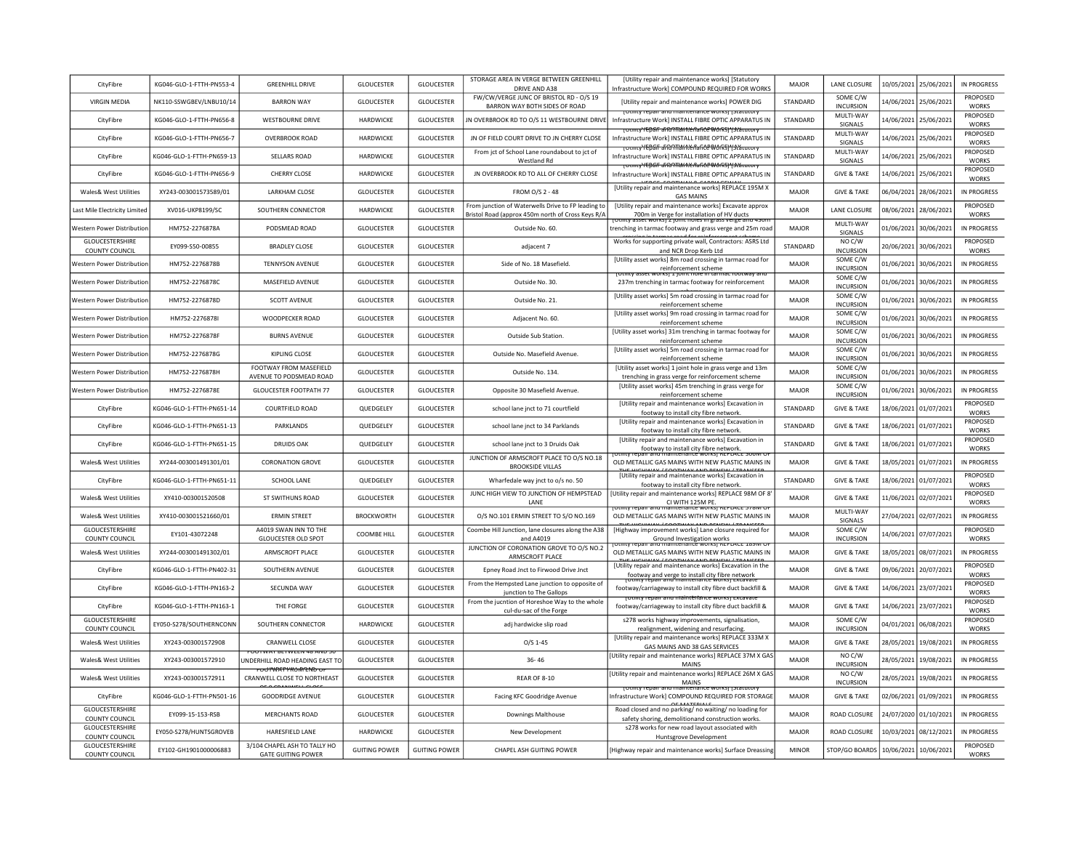| CityFibre                                | KG046-GLO-1-FTTH-PN553-4  | <b>GREENHILL DRIVE</b>                                                    | <b>GLOUCESTER</b>    | <b>GLOUCESTER</b>    | STORAGE AREA IN VERGE BETWEEN GREENHILL<br>DRIVE AND A38                                                | [Utility repair and maintenance works] [Statutory<br>Infrastructure Work] COMPOUND REQUIRED FOR WORKS                    | MAIOR        | <b>LANE CLOSURE</b>                      |            | 10/05/2021 25/06/2021 | IN PROGRESS                     |
|------------------------------------------|---------------------------|---------------------------------------------------------------------------|----------------------|----------------------|---------------------------------------------------------------------------------------------------------|--------------------------------------------------------------------------------------------------------------------------|--------------|------------------------------------------|------------|-----------------------|---------------------------------|
| <b>VIRGIN MEDIA</b>                      | NK110-SSWGBEV/LNBU10/14   | <b>BARRON WAY</b>                                                         | <b>GLOUCESTER</b>    | <b>GLOUCESTER</b>    | FW/CW/VERGE JUNC OF BRISTOL RD - O/S 19<br>BARRON WAY BOTH SIDES OF ROAD                                | <b>IUtility repair and maintenance worksl POWER DIG</b>                                                                  | STANDARD     | SOME C/W<br><b>INCURSION</b>             |            | 14/06/2021 25/06/2021 | PROPOSED<br><b>WORKS</b>        |
| CityFibre                                | KG046-GLO-1-FTTH-PN656-8  | <b>WESTBOURNE DRIVE</b>                                                   | HARDWICKE            | <b>GLOUCESTER</b>    | IN OVERBROOK RD TO O/S 11 WESTBOURNE DRIVE                                                              | <b>FOURCY TEDAIL AND MAINTENANCE WOLKS   JOINTUM</b><br>Infrastructure Work] INSTALL FIBRE OPTIC APPARATUS IN            | STANDARD     | MULTI-WAY<br>SIGNALS                     |            | 14/06/2021 25/06/2021 | PROPOSED<br><b>WORKS</b>        |
| CityFibre                                | KG046-GLO-1-FTTH-PN656-7  | <b>OVERBROOK ROAD</b>                                                     | HARDWICKE            | <b>GLOUCESTER</b>    | JN OF FIELD COURT DRIVE TO JN CHERRY CLOSE                                                              | <del>TOURNYEDAF aRONTAMICAARCEWORSIY3CALUUD</del><br>Infrastructure Work] INSTALL FIBRE OPTIC APPARATUS IN               | STANDARD     | MULTI-WAY<br>SIGNALS                     |            | 14/06/2021 25/06/2021 | PROPOSED<br><b>WORKS</b>        |
| CityFibre                                | KG046-GLO-1-FTTH-PN659-13 | SELLARS ROAD                                                              | HARDWICKE            | GLOUCESTER           | From jct of School Lane roundabout to jct of<br>Westland Rd                                             | <b>TOUTHLY TEDGE and Thankenance Works) "Islautory</b><br>Infrastructure Work] INSTALL FIBRE OPTIC APPARATUS IN          | STANDARD     | MULTI-WAY<br>SIGNALS                     |            | 14/06/2021 25/06/2021 | PROPOSED<br><b>WORKS</b>        |
| CityFibre                                | KG046-GLO-1-FTTH-PN656-9  | <b>CHERRY CLOSE</b>                                                       | <b>HARDWICKE</b>     | <b>GLOUCESTER</b>    | JN OVERBROOK RD TO ALL OF CHERRY CLOSE                                                                  | <b>TOtmty'repair and Than Nenance Works) ' (statutor</b><br>Infrastructure Work] INSTALL FIBRE OPTIC APPARATUS IN        | STANDARD     | <b>GIVE &amp; TAKE</b>                   |            | 14/06/2021 25/06/2021 | <b>PROPOSED</b><br><b>WORKS</b> |
| Wales& West Utilities                    | XY243-003001573589/01     | <b>LARKHAM CLOSE</b>                                                      | <b>GLOUCESTER</b>    | GLOUCESTER           | FROM O/S 2 - 48                                                                                         | <b>IUtility repair and maintenance works] REPLACE 195M X</b><br><b>GAS MAINS</b>                                         | <b>MAJOR</b> | <b>GIVE &amp; TAKE</b>                   |            | 06/04/2021 28/06/2021 | IN PROGRESS                     |
| Last Mile Electricity Limited            | XV016-UKP8199/SC          | SOUTHERN CONNECTOR                                                        | HARDWICKE            | <b>GLOUCESTER</b>    | From junction of Waterwells Drive to FP leading to<br>Bristol Road (approx 450m north of Cross Keys R/A | [Utility repair and maintenance works] Excavate approx<br>700m in Verge for installation of HV ducts                     | MAJOR        | LANE CLOSURE                             |            | 08/06/2021 28/06/2021 | PROPOSED<br><b>WORKS</b>        |
| Western Power Distributior               | HM752-2276878A            | PODSMEAD ROAD                                                             | <b>GLOUCESTER</b>    | <b>GLOUCESTER</b>    | Outside No. 60.                                                                                         | totility asset worksj z joint noies in grass verge and 430<br>trenching in tarmac footway and grass verge and 25m road   | <b>MAJOR</b> | MULTI-WAY<br>SIGNALS                     |            | 01/06/2021 30/06/2021 | IN PROGRESS                     |
| GLOUCESTERSHIRE<br><b>COUNTY COUNCIL</b> | EY099-S50-00855           | <b>BRADLEY CLOSE</b>                                                      | <b>GLOUCESTER</b>    | GLOUCESTER           | adiacent 7                                                                                              | Works for supporting private wall, Contractors: ASRS Ltd<br>and NCR Drop Kerb Ltd                                        | STANDARD     | NO C/W<br><b>INCURSION</b>               |            | 20/06/2021 30/06/2021 | PROPOSED<br><b>WORKS</b>        |
| Western Power Distribution               | HM752-2276878B            | <b>TENNYSON AVENUE</b>                                                    | <b>GLOUCESTER</b>    | <b>GLOUCESTER</b>    | Side of No. 18 Masefield.                                                                               | [Utility asset works] 8m road crossing in tarmac road for<br>reinforcement scheme                                        | MAJOR        | SOME C/W<br><b>INCURSION</b>             |            | 01/06/2021 30/06/2021 | IN PROGRESS                     |
| Western Power Distributio                | HM752-2276878C            | MASFFIFI D AVENUE                                                         | <b>GLOUCESTER</b>    | <b>GLOUCESTER</b>    | Outside No. 30                                                                                          | <u>UIKSJ I JUINT NUIE IN TAI</u><br>237m trenching in tarmac footway for reinforcement                                   | MAIOR        | SOME C/W<br><b>INCURSION</b>             |            | 01/06/2021 30/06/2021 | IN PROGRESS                     |
| Western Power Distributio                | HM752-2276878D            | <b>SCOTT AVENUE</b>                                                       | <b>GLOUCESTER</b>    | <b>GLOUCESTER</b>    | Outside No. 21.                                                                                         | [Utility asset works] 5m road crossing in tarmac road for<br>reinforcement scheme                                        | MAJOR        | SOME C/W<br><b>INCURSION</b>             |            | 01/06/2021 30/06/2021 | IN PROGRESS                     |
| Western Power Distributio                | HM752-2276878I            | WOODPECKER ROAD                                                           | <b>GLOUCESTER</b>    | <b>GLOUCESTER</b>    | Adjacent No. 60.                                                                                        | [Utility asset works] 9m road crossing in tarmac road for<br>reinforcement scheme                                        | MAIOR        | SOME C/W<br><b>INCURSION</b>             |            | 01/06/2021 30/06/2021 | IN PROGRESS                     |
| Western Power Distributio                | HM752-2276878F            | <b>BURNS AVENUE</b>                                                       | GLOUCESTER           | <b>GLOUCESTER</b>    | Outside Sub Station.                                                                                    | [Utility asset works] 31m trenching in tarmac footway for<br>reinforcement scheme                                        | <b>MAJOR</b> | SOME C/W<br><b>INCURSION</b>             |            | 01/06/2021 30/06/2021 | IN PROGRESS                     |
| Western Power Distributio                | HM752-2276878G            | KIPLING CLOSE                                                             | <b>GLOUCESTER</b>    | <b>GLOUCESTER</b>    | Outside No. Masefield Avenue.                                                                           | [Utility asset works] 5m road crossing in tarmac road for<br>reinforcement scheme                                        | MAJOR        | SOME C/W<br><b>INCURSION</b>             |            | 01/06/2021 30/06/2021 | IN PROGRESS                     |
| Western Power Distributio                | HM752-2276878H            | FOOTWAY FROM MASEFIELD<br>AVENUE TO PODSMEAD ROAD                         | <b>GLOUCESTER</b>    | GLOUCESTER           | Outside No. 134                                                                                         | [Utility asset works] 1 joint hole in grass verge and 13m<br>trenching in grass verge for reinforcement scheme           | MAJOR        | SOME C/W<br><b>INCURSION</b>             |            | 01/06/2021 30/06/2021 | <b>IN PROGRESS</b>              |
| Western Power Distributio                | HM752-2276878E            | <b>GLOUCESTER FOOTPATH 77</b>                                             | <b>GLOUCESTER</b>    | <b>GLOUCESTER</b>    | Opposite 30 Masefield Avenue.                                                                           | [Utility asset works] 45m trenching in grass verge for<br>reinforcement scheme                                           | <b>MAJOR</b> | SOME C/W<br><b>INCURSION</b>             |            | 01/06/2021 30/06/2021 | IN PROGRESS                     |
| CityFibre                                | KG046-GLO-1-FTTH-PN651-14 | COURTEIFLD ROAD                                                           | <b>OUFDGELEY</b>     | <b>GLOUCESTER</b>    | school lane jnct to 71 courtfield                                                                       | <b>IUtility repair and maintenance works] Excavation in</b><br>footway to install city fibre network                     | STANDARD     | <b>GIVE &amp; TAKE</b>                   |            | 18/06/2021 01/07/2021 | PROPOSED<br><b>WORKS</b>        |
| CityFibre                                | KG046-GLO-1-FTTH-PN651-13 | PARKLANDS                                                                 | QUEDGELEY            | <b>GLOUCESTER</b>    | school lane jnct to 34 Parklands                                                                        | <b>IUtility repair and maintenance works] Excavation in</b><br>footway to install city fibre network                     | STANDARD     | <b>GIVE &amp; TAKE</b>                   |            | 18/06/2021 01/07/2021 | PROPOSED<br>WORKS               |
| CityFibre                                | KG046-GLO-1-FTTH-PN651-15 | <b>DRUIDS OAK</b>                                                         | QUEDGELEY            | <b>GLOUCESTER</b>    | school lane jnct to 3 Druids Oak                                                                        | [Utility repair and maintenance works] Excavation in<br>footway to install city fibre network                            | STANDARD     | <b>GIVE &amp; TAKE</b>                   |            | 18/06/2021 01/07/2021 | <b>PROPOSED</b><br><b>WORKS</b> |
| Wales& West Utilities                    | XY244-003001491301/01     | <b>CORONATION GROVE</b>                                                   | GLOUCESTER           | GLOUCESTER           | JUNCTION OF ARMSCROFT PLACE TO O/S NO.18<br><b>BROOKSIDE VILLAS</b>                                     | OLD METALLIC GAS MAINS WITH NEW PLASTIC MAINS IN                                                                         | <b>MAJOR</b> | <b>GIVE &amp; TAKE</b>                   |            | 18/05/2021 01/07/2021 | IN PROGRESS                     |
| CityFibre                                | KG046-GLO-1-FTTH-PN651-11 | SCHOOL LANE                                                               | QUEDGELEY            | <b>GLOUCESTER</b>    | Wharfedale way jnct to o/s no. 50                                                                       | [Utility repair and maintenance works] Excavation in<br>footway to install city fibre network                            | STANDARD     | <b>GIVE &amp; TAKE</b>                   |            | 18/06/2021 01/07/2021 | PROPOSED<br><b>WORKS</b>        |
| Wales& West Utilities                    | XY410-003001520508        | ST SWITHUNS ROAD                                                          | <b>GLOUCESTER</b>    | <b>GLOUCESTER</b>    | JUNC HIGH VIEW TO JUNCTION OF HEMPSTEAD<br><b>I ANF</b>                                                 | [Utility repair and maintenance works] REPLACE 98M OF 8'<br>CI WITH 125M PE                                              | MAIOR        | <b>GIVE &amp; TAKE</b>                   |            | 11/06/2021 02/07/2021 | PROPOSED<br><b>WORKS</b>        |
| Wales& West Utilities                    | XY410-003001521660/01     | <b>ERMIN STREET</b>                                                       | <b>BROCKWORTH</b>    | <b>GLOUCESTER</b>    | O/S NO.101 ERMIN STREET TO S/O NO.169                                                                   | untv repair ano ma<br>OLD METALLIC GAS MAINS WITH NEW PLASTIC MAINS IN                                                   | <b>MAJOR</b> | MULTI-WAY<br>SIGNALS                     |            | 27/04/2021 02/07/2021 | IN PROGRESS                     |
| GLOUCESTERSHIRE                          | EY101-43072248            | A4019 SWAN INN TO THE                                                     | COOMBE HILL          | <b>GLOUCESTER</b>    | Coombe Hill Junction, lane closures along the A38                                                       | <b>EURINIAN IFRATILIAN AND BEAT</b><br>[Highway improvement works] Lane closure required for                             | MAJOR        | SOME C/W                                 |            | 14/06/2021 07/07/2021 | PROPOSED                        |
| COUNTY COUNCIL                           |                           | <b>GLOUCESTER OLD SPOT</b>                                                |                      |                      | and A4019                                                                                               | Ground Investigation works<br>otility repair and maintenance worksj RePLACE 189M O                                       |              | <b>INCURSION</b>                         |            |                       | <b>WORKS</b>                    |
| Wales& West Utilities                    | XY244-003001491302/01     | <b>ARMSCROFT PLACE</b>                                                    | <b>GLOUCESTER</b>    | <b>GLOUCESTER</b>    | JUNCTION OF CORONATION GROVE TO O/S NO.2<br>ARMSCROFT PLACE                                             | OLD METALLIC GAS MAINS WITH NEW PLASTIC MAINS IN                                                                         | <b>MAJOR</b> | <b>GIVE &amp; TAKE</b>                   | 18/05/2021 | 08/07/2021            | IN PROGRESS                     |
| CityFibre                                | KG046-GLO-1-FTTH-PN402-31 | SOUTHERN AVENUE                                                           | <b>GLOUCESTER</b>    | <b>GLOUCESTER</b>    | Epney Road Jnct to Firwood Drive Jnct                                                                   | [Utility repair and maintenance works] Excavation in the<br>footway and verge to install city fibre network              | <b>MAJOR</b> | <b>GIVE &amp; TAKE</b>                   |            | 09/06/2021 20/07/2021 | PROPOSED<br><b>WORKS</b>        |
| CityFibre                                | KG046-GLO-1-FTTH-PN163-2  | SECUNDA WAY                                                               | <b>GLOUCESTER</b>    | GLOUCESTER           | From the Hempsted Lane junction to opposite of<br>junction to The Gallops                               | footway/carriageway to install city fibre duct backfill &<br><u>וטנווונץ וכפסוד סווט וווסווונלווסוונכ שטואקן באנסעסו</u> | <b>MAJOR</b> | <b>GIVE &amp; TAKE</b>                   |            | 14/06/2021 23/07/2021 | PROPOSED<br><b>WORKS</b>        |
| CityFibre                                | KG046-GLO-1-FTTH-PN163-1  | THE FORGE                                                                 | <b>GLOUCESTER</b>    | <b>GLOUCESTER</b>    | From the jucntion of Horeshoe Way to the whole<br>cul-du-sac of the Forge                               | footway/carriageway to install city fibre duct backfill &                                                                | MAIOR        | <b>GIVE &amp; TAKE</b>                   |            | 14/06/2021 23/07/2021 | <b>PROPOSED</b><br><b>WORKS</b> |
| GLOUCESTERSHIRE<br>COUNTY COUNCIL        | EY050-S278/SOUTHERNCONN   | SOUTHERN CONNECTOR                                                        | HARDWICKE            | <b>GLOUCESTER</b>    | adi hardwicke slip road                                                                                 | s278 works highway improvements, signalisation,<br>realignment, widening and resurfacing.                                | MAJOR        | SOME C/W<br><b>INCURSION</b>             |            | 04/01/2021 06/08/2021 | PROPOSED<br><b>WORKS</b>        |
| Wales& West Utilities                    | XY243-003001572908        | CRANWELL CLOSE                                                            | <b>GLOUCESTER</b>    | <b>GLOUCESTER</b>    | $O/S$ 1-45                                                                                              | [Utility repair and maintenance works] REPLACE 333M X<br>GAS MAINS AND 38 GAS SERVICES                                   | MAIOR        | <b>GIVE &amp; TAKE</b>                   |            | 28/05/2021 19/08/2021 | IN PROGRESS                     |
| Wales& West Utilities                    | XY243-003001572910        | <b>FUUTWAT BETWEEN 46 AND 50</b><br><b>JNDERHILL ROAD HEADING EAST TO</b> | <b>GLOUCESTER</b>    | <b>GLOUCESTER</b>    | $36 - 46$                                                                                               | [Utility repair and maintenance works] REPLACE 37M X GAS<br><b>MAINS</b>                                                 | MAJOR        | NO C/W<br><b>INCURSION</b>               |            | 28/05/2021 19/08/2021 | IN PROGRESS                     |
| Wales& West Utilities                    | XY243-003001572911        | ᠇ᠦᡠᡰᡃᢂ᠋ᡯᠻ᠊ᡰᡃᠰᡃᡡᡃ᠌ᡊᢪᡗᡌᠣ᠊ᡨ<br>CRANWELL CLOSE TO NORTHEAST                   | GLOUCESTER           | GLOUCESTER           | REAR OF 8-10                                                                                            | [Utility repair and maintenance works] REPLACE 26M X GAS<br>MAINS<br><del>maintenance</del>                              | MAJOR        | NO C/W<br><b>INCURSION</b>               |            | 28/05/2021 19/08/2021 | IN PROGRESS                     |
| CityFibre                                | KG046-GLO-1-FTTH-PN501-16 | <b>GOODRIDGE AVENUE</b>                                                   | <b>GLOUCESTER</b>    | <b>GLOUCESTER</b>    | Facing KFC Goodridge Avenue                                                                             | Infrastructure Work] COMPOUND REQUIRED FOR STORAGE                                                                       | <b>MAJOR</b> | <b>GIVE &amp; TAKE</b>                   |            | 02/06/2021 01/09/2021 | IN PROGRESS                     |
| GLOUCESTERSHIRE<br><b>COUNTY COUNCIL</b> | EY099-15-153-RSB          | <b>MERCHANTS ROAD</b>                                                     | <b>GLOUCESTER</b>    | <b>GLOUCESTER</b>    | <b>Downings Malthouse</b>                                                                               | Road closed and no parking/ no waiting/ no loading for<br>safety shoring, demolitionand construction works.              | MAJOR        | ROAD CLOSURE                             |            | 24/07/2020 01/10/2021 | IN PROGRESS                     |
| GLOUCESTERSHIRE<br>COUNTY COUNCIL        | EY050-S278/HUNTSGROVEB    | HARESFIELD LANE                                                           | HARDWICKE            | <b>GLOUCESTER</b>    | New Development                                                                                         | s278 works for new road lavout associated with<br>Huntsgrove Development                                                 | MAJOR        | ROAD CLOSURE                             |            | 10/03/2021 08/12/2021 | IN PROGRESS                     |
| GLOUCESTERSHIRE<br>COUNTY COUNCIL        | EY102-GH1901000006883     | 3/104 CHAPEL ASH TO TALLY HO<br><b>GATE GUITING POWER</b>                 | <b>GUITING POWER</b> | <b>GUITING POWER</b> | CHAPEL ASH GUITING POWER                                                                                | [Highway repair and maintenance works] Surface Dreassing                                                                 | <b>MINOR</b> | STOP/GO BOARDS   10/06/2021   10/06/2021 |            |                       | PROPOSED<br><b>WORKS</b>        |
|                                          |                           |                                                                           |                      |                      |                                                                                                         |                                                                                                                          |              |                                          |            |                       |                                 |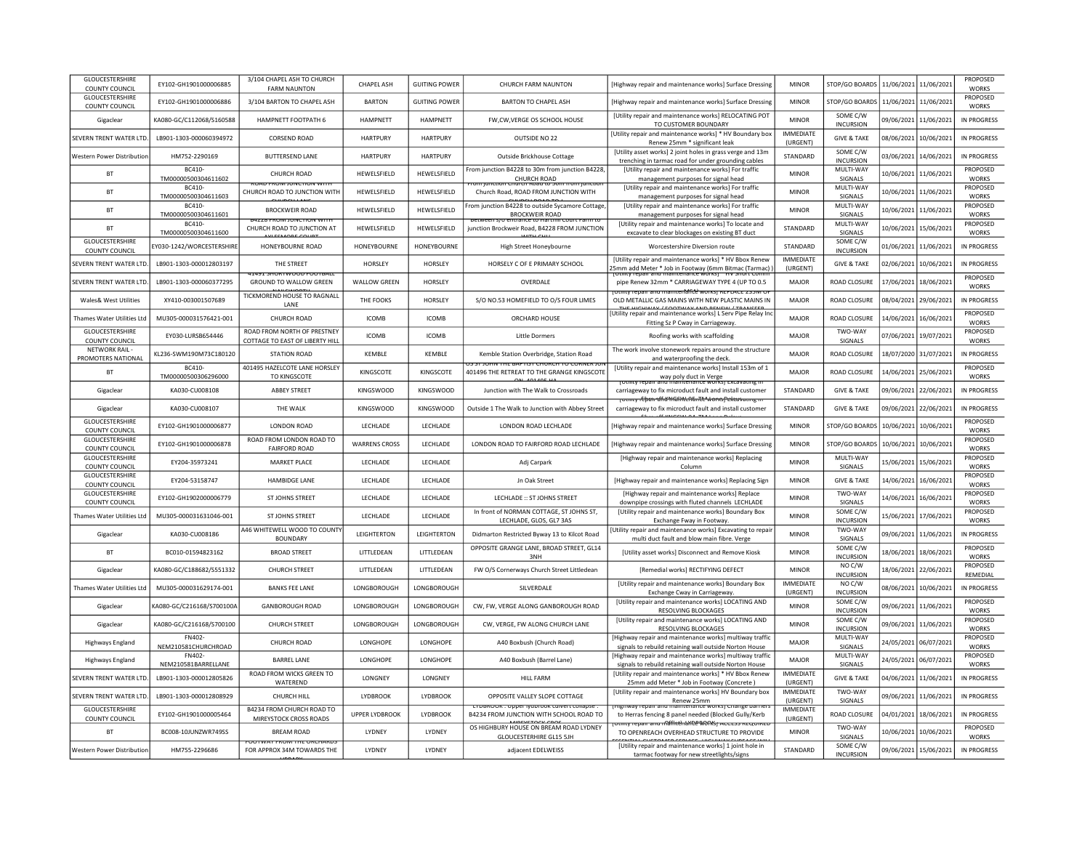| GLOUCESTERSHIRE<br>COUNTY COUNCIL        | EY102-GH1901000006885         | 3/104 CHAPEL ASH TO CHURCH<br><b>FARM NAUNTON</b>              | CHAPEL ASH            | <b>GUITING POWER</b> | CHURCH FARM NAUNTON                                                                        | [Highway repair and maintenance works] Surface Dressing                                                                                   | <b>MINOR</b>                 | STOP/GO BOARDS   11/06/2021   11/06/2021 |            |                       | PROPOSED<br><b>WORKS</b>        |
|------------------------------------------|-------------------------------|----------------------------------------------------------------|-----------------------|----------------------|--------------------------------------------------------------------------------------------|-------------------------------------------------------------------------------------------------------------------------------------------|------------------------------|------------------------------------------|------------|-----------------------|---------------------------------|
| <b>GLOUCESTERSHIRE</b><br>COUNTY COUNCIL | EY102-GH1901000006886         | 3/104 BARTON TO CHAPEL ASH                                     | <b>BARTON</b>         | <b>GUITING POWER</b> | <b>BARTON TO CHAPEL ASH</b>                                                                | [Highway repair and maintenance works] Surface Dressing                                                                                   | <b>MINOR</b>                 | STOP/GO BOARDS                           |            | 11/06/2021 11/06/2021 | PROPOSED<br><b>WORKS</b>        |
| Gigaclear                                | KA080-GC/C112068/S160588      | HAMPNETT FOOTPATH 6                                            | <b>HAMPNFTT</b>       | <b>HAMPNFTT</b>      | FW, CW, VERGE OS SCHOOL HOUSE                                                              | [Utility repair and maintenance works] RELOCATING POT<br>TO CUSTOMER BOUNDARY                                                             | <b>MINOR</b>                 | SOME C/W<br>INCURSION                    |            | 09/06/2021 11/06/2021 | IN PROGRESS                     |
| SEVERN TRENT WATER LTD.                  | LB901-1303-000060394972       | CORSEND ROAD                                                   | <b>HARTPURY</b>       | <b>HARTPURY</b>      | OUTSIDE NO.22                                                                              | [Utility repair and maintenance works] * HV Boundary box<br>Renew 25mm * significant leak                                                 | <b>IMMEDIATE</b><br>(URGENT) | <b>GIVE &amp; TAKE</b>                   | 08/06/2021 | 10/06/2021            | IN PROGRESS                     |
| Western Power Distribution               | HM752-2290169                 | <b>BUTTERSEND LANE</b>                                         | <b>HARTPURY</b>       | <b>HARTPURY</b>      | Outside Brickhouse Cottage                                                                 | [Utility asset works] 2 joint holes in grass verge and 13m<br>trenching in tarmac road for under grounding cables                         | STANDARD                     | SOME C/W<br><b>INCURSION</b>             |            | 03/06/2021 14/06/2021 | IN PROGRESS                     |
| <b>BT</b>                                | BC410-<br>TM00000500304611602 | CHURCH ROAD                                                    | HEWELSFIELD           | HEWELSFIELD          | rom junction B4228 to 30m from junction B4228<br>CHURCH ROAD                               | [Utility repair and maintenance works] For traffic<br>management purposes for signal head                                                 | <b>MINOR</b>                 | MULTI-WAY<br>SIGNALS                     |            | 10/06/2021 11/06/2021 | PROPOSED<br><b>WORKS</b>        |
| <b>BT</b>                                | BC410-<br>TM00000500304611603 | <b>RUAD FRUNITUNCTION WIT</b><br>CHURCH ROAD TO JUNCTION WITH  | HEWELSFIELD           | HEWELSFIELD          | <u>. mirch Board to Sun from Building</u><br>Church Road, ROAD FROM JUNCTION WITH          | [Utility repair and maintenance works] For traffic<br>management purposes for signal head                                                 | <b>MINOR</b>                 | MULTI-WAY<br>SIGNALS                     |            | 10/06/2021 11/06/2021 | PROPOSED<br><b>WORKS</b>        |
| BT                                       | BC410-<br>TM00000500304611601 | <b>BROCKWEIR ROAD</b>                                          | HEWELSFIELD           | HEWELSFIELD          | rom junction B4228 to outside Sycamore Cottage<br><b>BROCKWEIR ROAD</b>                    | [Utility repair and maintenance works] For traffic<br>management purposes for signal head                                                 | <b>MINOR</b>                 | MULTI-WAY<br>SIGNALS                     |            | 10/06/2021 11/06/2021 | PROPOSED<br><b>WORKS</b>        |
| <b>BT</b>                                | BC410-<br>TM00000500304611600 | <b>ZZ6 FROM JONCHON WH</b><br>CHURCH ROAD TO JUNCTION AT       | HEWELSFIELD           | HEWELSFIELD          | s/o entrance to narthiirc<br>junction Brockweir Road, B4228 FROM JUNCTION                  | [Utility repair and maintenance works] To locate and<br>excavate to clear blockages on existing BT duct                                   | STANDARD                     | MULTI-WAY<br>SIGNALS                     |            | 10/06/2021 15/06/2021 | PROPOSED<br><b>WORKS</b>        |
| <b>GLOUCESTERSHIRE</b><br>COUNTY COUNCIL | EY030-1242/WORCESTERSHIRI     | HONEYBOURNE ROAD                                               | <b>HONEYBOURNE</b>    | <b>HONEYBOURNE</b>   | High Street Honeybourne                                                                    | Worcestershire Diversion route                                                                                                            | STANDARD                     | SOME C/W<br><b>INCURSION</b>             |            | 01/06/2021 11/06/2021 | IN PROGRESS                     |
| SEVERN TRENT WATER LTD.                  | LB901-1303-000012803197       | THE STREET                                                     | HORSLEY               | HORSLEY              | HORSELY C OF E PRIMARY SCHOOL                                                              | <b>IUtility repair and maintenance works1 * HV Bbox Renew</b><br>Smm add Meter * Job in Footway (6mm Bitmac (Tarmac)                      | <b>IMMEDIATE</b><br>(URGENT) | <b>GIVE &amp; TAKE</b>                   |            | 02/06/2021 10/06/2021 | IN PROGRESS                     |
| SEVERN TRENT WATER LTD                   | LB901-1303-000060377295       | GROUND TO WALLOW GREEN                                         | <b>WALLOW GREEN</b>   | HORSLEY              | OVERDALE                                                                                   | pipe Renew 32mm * CARRIAGEWAY TYPE 4 (UP TO 0.5                                                                                           | <b>MAJOR</b>                 | ROAD CLOSURE                             |            | 17/06/2021 18/06/2021 | PROPOSED<br>WORKS               |
| Wales& West Utilities                    | XY410-003001507689            | TICKMOREND HOUSE TO RAGNALL<br>LANE                            | THE FOOKS             | HORSLEY              | S/O NO.53 HOMEFIELD TO O/S FOUR LIMES                                                      | יטנוווגץ וכניסוו סווט וווסווונכווסוונג שטו אזן ו <i>וברבאכב בס</i> טועו ט<br>OLD METALLIC GAS MAINS WITH NEW PLASTIC MAINS IN             | MAJOR                        | ROAD CLOSURE                             |            | 08/04/2021 29/06/2021 | IN PROGRESS                     |
| Thames Water Utilities Ltd               | MU305-000031576421-001        | <b>CHURCH ROAD</b>                                             | <b>ICOMB</b>          | <b>ICOMB</b>         | ORCHARD HOUSE                                                                              | [Utility repair and maintenance works] L Serv Pipe Relay Ind<br>Fitting Sz P Cway in Carriageway.                                         | <b>MAJOR</b>                 | ROAD CLOSURE                             |            | 14/06/2021 16/06/2021 | PROPOSED<br><b>WORKS</b>        |
| <b>GLOUCESTERSHIRE</b><br>COUNTY COUNCIL | EY030-LURSB654446             | ROAD FROM NORTH OF PRESTNEY<br>COTTAGE TO EAST OF LIBERTY HILL | <b>ICOMB</b>          | <b>ICOMB</b>         | <b>Little Dormers</b>                                                                      | Roofing works with scaffolding                                                                                                            | MAJOR                        | TWO-WAY<br>SIGNALS                       |            | 07/06/2021 19/07/2021 | PROPOSED<br><b>WORKS</b>        |
| NFTWORK RAIL-<br>PROMOTERS NATIONAL      | KI236-SWM190M73C180120        | STATION ROAD                                                   | <b>KFMBIF</b>         | <b>KFMBIF</b>        | Kemble Station Overbridge, Station Road                                                    | The work involve stonework repairs around the structure<br>and waterproofing the deck                                                     | MAIOR                        | ROAD CLOSURE                             |            | 18/07/2020 31/07/2021 | IN PROGRESS                     |
| <b>BT</b>                                | BC410-<br>TM00000500306296000 | 401495 HAZELCOTE LANE HORSLEY<br>TO KINGSCOTE                  | KINGSCOTE             | KINGSCOTE            | $55.51$ K/my The BAPTIST Church TO CORNer TO<br>401496 THE RETREAT TO THE GRANGE KINGSCOTE | IUtility repair and maintenance works] Install 153m of 1<br>way poly duct in Verge<br>Tothity repair and maniteriance worksjextavating in | MAJOR                        | ROAD CLOSURE                             | 14/06/2021 | 25/06/2021            | PROPOSED<br><b>WORKS</b>        |
| Gigaclear                                | KA030-CU008108                | <b>ABBEY STREET</b>                                            | <b>KINGSWOOD</b>      | <b>KINGSWOOD</b>     | Junction with The Walk to Crossroads                                                       | carriageway to fix microduct fault and install customer                                                                                   | STANDARD                     | <b>GIVE &amp; TAKE</b>                   | 09/06/2021 | 22/06/2021            | IN PROGRESS                     |
| Gigaclear                                | KA030-CU008107                | THE WALK                                                       | KINGSWOOD             | <b>KINGSWOOD</b>     | Outside 1 The Walk to Junction with Abbey Street                                           | toumy féban africhtaintenante works rekeavanng in<br>carriageway to fix microduct fault and install customer                              | STANDARD                     | <b>GIVE &amp; TAKE</b>                   | 09/06/2021 | 22/06/2021            | IN PROGRESS                     |
| GLOUCESTERSHIRE<br>COUNTY COUNCIL        | EY102-GH1901000006877         | <b>LONDON ROAD</b>                                             | LECHLADE              | LECHLADE             | LONDON ROAD LECHLADE                                                                       | [Highway repair and maintenance works] Surface Dressing                                                                                   | MINOR                        | STOP/GO BOARDS                           |            | 10/06/2021 10/06/2021 | PROPOSED<br><b>WORKS</b>        |
| <b>GLOUCESTERSHIRE</b><br>COUNTY COUNCIL | FY102-GH1901000006878         | ROAD FROM LONDON ROAD TO<br><b>FAIRFORD ROAD</b>               | <b>WARRENS CROSS</b>  | <b>IFCHIADE</b>      | LONDON ROAD TO FAIRFORD ROAD LECHLADE                                                      | [Highway repair and maintenance works] Surface Dressing                                                                                   | <b>MINOR</b>                 | STOP/GO BOARDS                           | 10/06/2021 | 10/06/2021            | PROPOSED<br><b>WORKS</b>        |
| <b>GLOUCESTERSHIRE</b><br>COUNTY COUNCIL | EY204-35973241                | <b>MARKET PLACE</b>                                            | LECHLADE              | LECHLADE             | Adj Carpark                                                                                | [Highway repair and maintenance works] Replacing<br>Column                                                                                | <b>MINOR</b>                 | MULTI-WAY<br>SIGNALS                     |            | 15/06/2021 15/06/2021 | PROPOSED<br><b>WORKS</b>        |
| GLOUCESTERSHIRE<br>COUNTY COUNCIL        | EY204-53158747                | HAMBIDGE LANE                                                  | LECHLADE              | LECHLADE             | Jn Oak Street                                                                              | [Highway repair and maintenance works] Replacing Sign                                                                                     | <b>MINOF</b>                 | <b>GIVE &amp; TAKE</b>                   |            | 14/06/2021 16/06/2021 | PROPOSED<br><b>WORKS</b>        |
| <b>GLOUCESTERSHIRE</b><br>COUNTY COUNCIL | EY102-GH1902000006779         | ST JOHNS STREET                                                | LECHLADE              | LECHLADE             | LECHLADE :: ST JOHNS STREET                                                                | [Highway repair and maintenance works] Replace<br>downpipe crossings with fluted channels LECHLADE                                        | <b>MINOR</b>                 | TWO-WAY<br>SIGNALS                       |            | 14/06/2021 16/06/2021 | PROPOSED<br><b>WORKS</b>        |
| Thames Water Utilities Ltd               | MU305-000031631046-001        | <b>ST JOHNS STREET</b>                                         | LECHLADE              | LECHLADE             | In front of NORMAN COTTAGE, ST JOHNS ST,<br>LECHLADE, GLOS, GL7 3AS                        | [Utility repair and maintenance works] Boundary Box<br>Exchange Fway in Footway.                                                          | <b>MINOR</b>                 | SOME C/W<br><b>INCURSION</b>             |            | 15/06/2021 17/06/2021 | PROPOSED<br><b>WORKS</b>        |
| Gigaclear                                | KA030-CU008186                | 446 WHITEWELL WOOD TO COUNT<br><b>BOUNDARY</b>                 | LEIGHTERTON           | LEIGHTERTON          | Didmarton Restricted Byway 13 to Kilcot Road                                               | Utility repair and maintenance works] Excavating to repai<br>multi duct fault and blow main fibre. Verge                                  | <b>MINOR</b>                 | TWO-WAY<br><b>SIGNALS</b>                | 09/06/2021 | 11/06/2021            | <b>IN PROGRESS</b>              |
| <b>BT</b>                                | BC010-01594823162             | <b>BROAD STREET</b>                                            | LITTLEDEAN            | LITTLEDEAN           | OPPOSITE GRANGE LANE, BROAD STREET, GL14<br>3NH                                            | [Utility asset works] Disconnect and Remove Kiosk                                                                                         | <b>MINOR</b>                 | SOME C/W<br><b>INCURSION</b>             |            | 18/06/2021 18/06/2021 | <b>PROPOSED</b><br><b>WORKS</b> |
| Gigaclear                                | KA080-GC/C188682/S551332      | <b>CHURCH STREET</b>                                           | LITTLEDEAN            | LITTLEDEAN           | FW O/S Cornerways Church Street Littledean                                                 | [Remedial works] RECTIFYING DEFECT                                                                                                        | <b>MINOR</b>                 | NO C/W<br><b>INCURSION</b>               |            | 18/06/2021 22/06/2021 | PROPOSED<br>REMEDIAL            |
| <b>Thames Water Utilities Ltd</b>        | MU305-000031629174-001        | <b>BANKS FEE LANE</b>                                          | LONGBOROUGH           | LONGBOROUGH          | SILVERDALE                                                                                 | [Utility repair and maintenance works] Boundary Box<br>Exchange Cway in Carriageway.                                                      | <b>IMMEDIATE</b><br>(URGENT) | NO C/W<br><b>INCURSION</b>               | 08/06/2021 | 10/06/2021            | IN PROGRESS                     |
| Gigaclear                                | KA080-GC/C216168/S700100A     | <b>GANBOROUGH ROAD</b>                                         | LONGBOROUGH           | LONGBOROUGH          | CW, FW, VERGE ALONG GANBOROUGH ROAD                                                        | [Utility repair and maintenance works] LOCATING AND<br>RESOLVING BLOCKAGES                                                                | <b>MINOR</b>                 | SOME C/W<br><b>INCURSION</b>             |            | 09/06/2021 11/06/2021 | PROPOSED<br><b>WORKS</b>        |
| Gigaclear                                | KA080-GC/C216168/S700100      | <b>CHURCH STREET</b>                                           | LONGBOROUGH           | LONGBOROUGH          | CW, VERGE, FW ALONG CHURCH LANE                                                            | [Utility repair and maintenance works] LOCATING AND<br><b>RESOLVING BLOCKAGES</b>                                                         | <b>MINOR</b>                 | SOME C/W<br><b>INCURSION</b>             |            | 09/06/2021 11/06/2021 | PROPOSED<br><b>WORKS</b>        |
| Highways England                         | FN402<br>NEM210581CHURCHROAD  | <b>CHURCH ROAD</b>                                             | LONGHOPE              | LONGHOPE             | A40 Boxbush (Church Road)                                                                  | [Highway repair and maintenance works] multiway traffic<br>signals to rebuild retaining wall outside Norton House                         | MAJOR                        | MULTI-WAY<br>SIGNALS                     |            | 24/05/2021 06/07/2021 | PROPOSED<br><b>WORKS</b>        |
| Highways England                         | FN402-<br>NEM210581BARRELLANE | <b>BARREL LANE</b>                                             | <b>LONGHOPE</b>       | <b>LONGHOPE</b>      | A40 Boxbush (Barrel Lane)                                                                  | [Highway repair and maintenance works] multiway traffic<br>signals to rebuild retaining wall outside Norton House                         | MAIOR                        | MULTI-WAY<br>SIGNALS                     |            | 24/05/2021 06/07/2021 | <b>PROPOSED</b><br><b>WORKS</b> |
| SEVERN TRENT WATER LTD                   | LB901-1303-000012805826       | ROAD FROM WICKS GREEN TO<br>WATEREND                           | LONGNEY               | LONGNEY              | <b>HILL FARM</b>                                                                           | <b>IUtility repair and maintenance works1 * HV Bbox Renew</b><br>25mm add Meter * Job in Footway (Concrete)                               | <b>IMMEDIATE</b><br>(URGENT) | <b>GIVE &amp; TAKE</b>                   |            | 04/06/2021 11/06/2021 | IN PROGRESS                     |
| SEVERN TRENT WATER LTD                   | LB901-1303-000012808929       | CHURCH HILL                                                    | <b>LYDBROOK</b>       | LYDBROOK             | OPPOSITE VALLEY SLOPE COTTAGE                                                              | [Utility repair and maintenance works] HV Boundary box<br>Renew 25mm                                                                      | <b>IMMEDIATE</b><br>(URGENT) | TWO-WAY<br>SIGNALS                       |            | 09/06/2021 11/06/2021 | IN PROGRESS                     |
| GLOUCESTERSHIRE<br>COUNTY COUNCIL        | EY102-GH1901000005464         | B4234 FROM CHURCH ROAD TO<br>MIREYSTOCK CROSS ROADS            | <b>UPPER LYDBROOK</b> | LYDBROOK             | <b>LTDBROOK: Opper Iyaprook cuivert conapse</b><br>B4234 FROM JUNCTION WITH SCHOOL ROAD TO | mway repair and maintenance works) Change barrier<br>to Herras fencing 8 panel needed (Blocked Gully/Kerb                                 | <b>IMMEDIATE</b><br>(URGENT) | ROAD CLOSURE                             |            | 04/01/2021 18/06/2021 | IN PROGRESS                     |
| <b>BT</b>                                | BC008-10JUNZWR749SS           | <b>BREAM ROAD</b>                                              | <b>I YDNEY</b>        | <b>IYDNEY</b>        | OS HIGHBURY HOUSE ON BREAM ROAD LYDNEY<br>GLOUCESTERHIRE GL15 5JH                          | otmty repair and malihtenaYiCe WORKsj אככבסס וגבעסוויה<br>TO OPENREACH OVERHEAD STRUCTURE TO PROVIDE                                      | <b>MINOR</b>                 | TWO-WAY<br>SIGNALS                       | 10/06/2021 | 10/06/2021            | PROPOSED<br><b>WORKS</b>        |
| Western Power Distribution               | HM755-2296686                 | FOR APPROX 34M TOWARDS THE                                     | <b>IYDNEY</b>         | LYDNEY               | adjacent EDELWEISS                                                                         | [Utility repair and maintenance works] 1 joint hole in<br>tarmac footway for new streetlights/signs                                       | STANDARD                     | SOME C/W<br><b>INCURSION</b>             |            | 09/06/2021 15/06/2021 | IN PROGRESS                     |
|                                          |                               |                                                                |                       |                      |                                                                                            |                                                                                                                                           |                              |                                          |            |                       |                                 |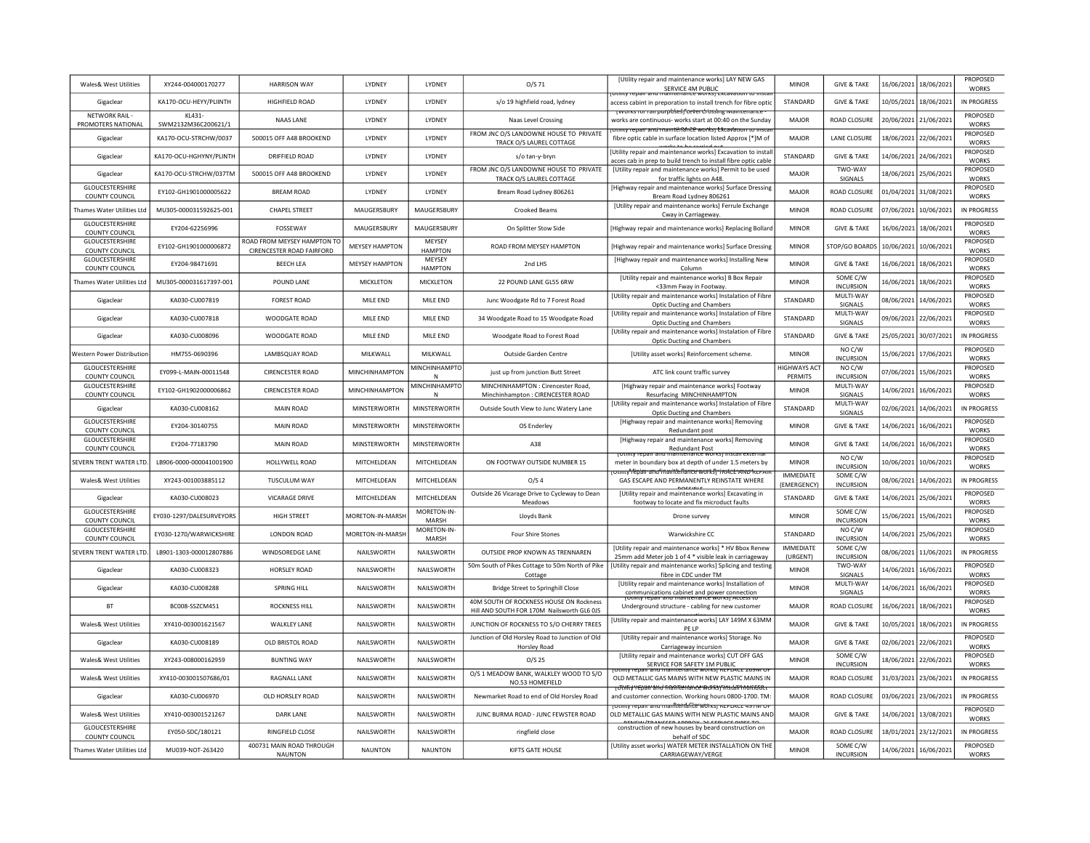| Wales& West Utilities                     | XY244-004000170277            | <b>HARRISON WAY</b>                                      | LYDNEY                | LYDNEY                   | $O/S$ 71                                                                              | [Utility repair and maintenance works] LAY NEW GAS<br>SERVICE 4M PUBLIC                                                                                 | <b>MINOR</b>                    | <b>GIVE &amp; TAKE</b>                 |            | 16/06/2021 18/06/2021 | PROPOSED<br>WORKS               |
|-------------------------------------------|-------------------------------|----------------------------------------------------------|-----------------------|--------------------------|---------------------------------------------------------------------------------------|---------------------------------------------------------------------------------------------------------------------------------------------------------|---------------------------------|----------------------------------------|------------|-----------------------|---------------------------------|
| Gigaclear                                 | KA170-OCU-HEYY/PLIINTH        | HIGHFIELD ROAD                                           | LYDNEY                | LYDNEY                   | s/o 19 highfield road, lydney                                                         | Othity repair and maintenance works excavation to insta<br>access cabint in preporation to install trench for fibre optic                               | STANDARD                        | <b>GIVE &amp; TAKE</b>                 |            | 10/05/2021 18/06/2021 | <b>IN PROGRESS</b>              |
| <b>NETWORK RAIL</b><br>PROMOTERS NATIONAL | KL431-<br>SWM2132M36C200621/1 | <b>NAAS LANE</b>                                         | <b>I YDNFY</b>        | <b>I YDNFY</b>           | Naas Level Crossing                                                                   | <del>[vvorks ror rampurpbses]"cever crossing ivianno</del><br>works are continuous- works start at 00:40 on the Sunday                                  | MAIOR                           | <b>ROAD CLOSURE</b>                    |            | 20/06/2021 21/06/2021 | PROPOSED<br><b>WORKS</b>        |
| Gigaclear                                 | KA170-OCU-STRCHW/0037         | 500015 OFF A48 BROOKEND                                  | LYDNEY                | LYDNEY                   | FROM JNC O/S LANDOWNE HOUSE TO PRIVATE<br>TRACK O/S LAUREL COTTAGE                    | <del>zumy repair anu maintënance worksj L</del> Aca <del>vauon co ins</del><br>fibre optic cable in surface location listed Approx [*]M of              | <b>MAJOR</b>                    | <b>LANE CLOSURE</b>                    |            | 18/06/2021 22/06/2021 | PROPOSED<br><b>WORKS</b>        |
| Gigaclear                                 | KA170-OCU-HGHYNY/PLINTH       | DRIFFIELD ROAD                                           | LYDNEY                | LYDNEY                   | s/o tan-v-brvn                                                                        | <b>IUtility repair and maintenance works] Excavation to instal</b><br>acces cab in prep to build trench to install fibre optic cable                    | <b>STANDARD</b>                 | <b>GIVE &amp; TAKE</b>                 |            | 14/06/2021 24/06/2021 | PROPOSED<br><b>WORKS</b>        |
| Gigaclear                                 | KA170-OCU-STRCHW/037TM        | 500015 OFF A48 BROOKEND                                  | LYDNEY                | LYDNEY                   | FROM JNC O/S LANDOWNE HOUSE TO PRIVATE<br>TRACK O/S LAUREL COTTAGE                    | [Utility repair and maintenance works] Permit to be used<br>for traffic lights on A48.                                                                  | MAJOR                           | <b>TWO-WAY</b><br>SIGNALS              | 18/06/2021 | 25/06/2021            | PROPOSED<br><b>WORKS</b>        |
| GLOUCESTERSHIRE<br>COUNTY COUNCIL         | EY102-GH1901000005622         | <b>BREAM ROAD</b>                                        | LYDNEY                | LYDNEY                   | Bream Road Lydney 806261                                                              | [Highway repair and maintenance works] Surface Dressing<br>Bream Road Lydney 806261                                                                     | MAJOR                           | <b>ROAD CLOSURE</b>                    | 01/04/2021 | 31/08/2021            | PROPOSED<br><b>WORKS</b>        |
| Thames Water Utilities Ltd                | MU305-000031592625-001        | <b>CHAPEL STREET</b>                                     | MAUGERSBURY           | MAUGERSBURY              | Crooked Beams                                                                         | [Utility repair and maintenance works] Ferrule Exchange<br>Cway in Carriageway                                                                          | <b>MINOR</b>                    | ROAD CLOSURE                           | 07/06/2021 | 10/06/2021            | IN PROGRESS                     |
| <b>GLOUCESTERSHIRE</b><br>COUNTY COUNCIL  | EY204-62256996                | FOSSEWAY                                                 | MAUGERSBURY           | MAUGERSBURY              | On Splitter Stow Side                                                                 | [Highway repair and maintenance works] Replacing Bollard                                                                                                | <b>MINOR</b>                    | <b>GIVE &amp; TAKE</b>                 | 16/06/2021 | 18/06/2021            | <b>PROPOSED</b><br><b>WORKS</b> |
| GLOUCESTERSHIRE<br>COUNTY COUNCIL         | EY102-GH1901000006872         | ROAD FROM MEYSEY HAMPTON TO<br>CIRENCESTER ROAD FAIRFORD | <b>MEYSEY HAMPTON</b> | MEYSEY<br><b>HAMPTON</b> | ROAD FROM MEYSEY HAMPTON                                                              | [Highway repair and maintenance works] Surface Dressing                                                                                                 | <b>MINOR</b>                    | STOP/GO BOARD:                         | 10/06/2021 | 10/06/2021            | PROPOSED<br><b>WORKS</b>        |
| <b>GLOUCESTERSHIRE</b><br>COUNTY COUNCIL  | EY204-98471691                | <b>BEECH LEA</b>                                         | <b>MEYSEY HAMPTON</b> | MFYSFY<br><b>HAMPTON</b> | 2nd LHS                                                                               | [Highway repair and maintenance works] Installing New<br>Column                                                                                         | <b>MINOR</b>                    | <b>GIVE &amp; TAKE</b>                 |            | 16/06/2021 18/06/2021 | <b>PROPOSED</b><br><b>WORKS</b> |
| Thames Water Utilities Ltd                | MU305-000031617397-001        | POUND LANE                                               | MICKLETON             | MICKLETON                | 22 POUND LANE GL55 6RW                                                                | [Utility repair and maintenance works] B Box Repair<br><33mm Fway in Footway                                                                            | <b>MINOR</b>                    | SOME C/W<br><b>INCURSION</b>           |            | 16/06/2021 18/06/2021 | PROPOSED<br><b>WORKS</b>        |
| Gigaclear                                 | KA030-CU007819                | <b>FOREST ROAD</b>                                       | MILE END              | MILE END                 | Junc Woodgate Rd to 7 Forest Road                                                     | [Utility repair and maintenance works] Instalation of Fibre<br>Optic Ducting and Chambers                                                               | STANDARD                        | MULTI-WAY<br>SIGNALS                   |            | 08/06/2021 14/06/2021 | PROPOSED<br><b>WORKS</b>        |
| Gigaclear                                 | KA030-CU007818                | WOODGATE ROAD                                            | MILE END              | MILE END                 | 34 Woodgate Road to 15 Woodgate Road                                                  | [Utility repair and maintenance works] Instalation of Fibre<br><b>Optic Ducting and Chambers</b>                                                        | STANDARD                        | MULTI-WAY<br>SIGNALS                   |            | 09/06/2021 22/06/2021 | PROPOSED<br>WORKS               |
| Gigaclear                                 | KA030-CU008096                | WOODGATE ROAD                                            | MILE END              | MILE END                 | Woodgate Road to Forest Road                                                          | [Utility repair and maintenance works] Instalation of Fibre<br>Optic Ducting and Chambers                                                               | STANDARD                        | <b>GIVE &amp; TAKE</b>                 | 25/05/2021 | 30/07/2021            | IN PROGRESS                     |
| Western Power Distribution                | HM755-0690396                 | LAMBSQUAY ROAD                                           | MILKWALL              | MILKWALL                 | Outside Garden Centre                                                                 | [Utility asset works] Reinforcement scheme.                                                                                                             | <b>MINOR</b>                    | NO C/W<br><b>INCURSION</b>             |            | 15/06/2021 17/06/2021 | <b>PROPOSED</b><br><b>WORKS</b> |
| <b>GLOUCESTERSHIRE</b><br>COUNTY COUNCIL  | FY099-I-MAIN-00011548         | <b>CIRENCESTER ROAD</b>                                  | <b>MINCHINHAMPTON</b> | <b>MINCHINHAMPTC</b>     | just up from junction Butt Street                                                     | ATC link count traffic survey                                                                                                                           | <b>HIGHWAYS ACT</b><br>PERMITS  | NO <sub>C</sub> /W<br><b>INCURSION</b> | 07/06/2021 | 15/06/2021            | <b>PROPOSED</b><br><b>WORKS</b> |
| GLOUCESTERSHIRE<br>COUNTY COUNCIL         | EY102-GH1902000006862         | <b>CIRENCESTER ROAD</b>                                  | MINCHINHAMPTON        | MINCHINHAMPTO<br>N       | MINCHINHAMPTON : Cirencester Road.<br>Minchinhampton : CIRENCESTER ROAD               | [Highway repair and maintenance works] Footway<br>Resurfacing MINCHINHAMPTON                                                                            | <b>MINOR</b>                    | MULTI-WAY<br>SIGNALS                   | 14/06/2021 | 16/06/2021            | PROPOSED<br><b>WORKS</b>        |
| Gigaclear                                 | KA030-CU008162                | <b>MAIN ROAD</b>                                         | MINSTERWORTH          | MINSTERWORTH             | Outside South View to Junc Watery Lane                                                | [Utility repair and maintenance works] Instalation of Fibre<br><b>Optic Ducting and Chambers</b>                                                        | STANDARD                        | MULTI-WAY<br>SIGNALS                   | 02/06/2021 | 14/06/2021            | IN PROGRESS                     |
| <b>GLOUCESTERSHIRE</b><br>COUNTY COUNCIL  | EY204-30140755                | <b>MAIN ROAD</b>                                         | MINSTERWORTH          | MINSTERWORTH             | OS Enderley                                                                           | [Highway repair and maintenance works] Removing<br>Redundant post                                                                                       | <b>MINOR</b>                    | <b>GIVE &amp; TAKE</b>                 | 14/06/2021 | 16/06/2021            | PROPOSED<br><b>WORKS</b>        |
| GLOUCESTERSHIRE<br>COUNTY COUNCIL         | EY204-77183790                | <b>MAIN ROAD</b>                                         | <b>MINSTERWORTH</b>   | <b>MINSTERWORTH</b>      | A38                                                                                   | [Highway repair and maintenance works] Removing<br>Redundant Post                                                                                       | <b>MINOR</b>                    | <b>GIVE &amp; TAKE</b>                 | 14/06/2021 | 16/06/2021            | PROPOSED<br><b>WORKS</b>        |
| <b>SEVERN TRENT WATER LTD</b>             | LB906-0000-000041001900       | HOLLYWELL ROAD                                           | MITCHELDEAN           | MITCHELDEAN              | ON FOOTWAY OUTSIDE NUMBER 15                                                          | meter in boundary box at depth of under 1.5 meters by                                                                                                   | <b>MINOR</b>                    | NO C/W<br><b>INCURSION</b>             | 10/06/2021 | 10/06/2021            | PROPOSED<br><b>WORKS</b>        |
| <b>Wales&amp; West Utilities</b>          | XY243-001003885112            | TUSCULUM WAY                                             | MITCHFLDFAN           | MITCHELDEAN              | O/S <sub>4</sub>                                                                      | y*fépan and'inaritteftance works} i KACE AND KEPA<br>GAS ESCAPE AND PERMANENTLY REINSTATE WHERE                                                         | <b>IMMEDIATE</b><br>(EMERGENCY) | SOME C/W<br><b>INCURSION</b>           | 08/06/2021 | 14/06/2021            | IN PROGRESS                     |
| Gigaclear                                 | KA030-CU008023                | <b>VICARAGE DRIVE</b>                                    | MITCHELDEAN           | MITCHELDEAN              | Outside 26 Vicarage Drive to Cycleway to Dean<br>Meadows                              | [Utility repair and maintenance works] Excavating in<br>footway to locate and fix microduct faults                                                      | STANDARD                        | <b>GIVE &amp; TAKE</b>                 |            | 14/06/2021 25/06/2021 | PROPOSED<br><b>WORKS</b>        |
| GLOUCESTERSHIRE<br><b>COUNTY COUNCIL</b>  | EY030-1297/DALESURVEYORS      | <b>HIGH STREET</b>                                       | MORFTON-IN-MARS       | MORETON-IN-<br>MARSH     | Lloyds Bank                                                                           | Drone survey                                                                                                                                            | <b>MINOR</b>                    | SOME C/W<br><b>INCURSION</b>           |            | 15/06/2021 15/06/2021 | PROPOSED<br><b>WORKS</b>        |
| <b>GLOUCESTERSHIRE</b><br>COUNTY COUNCIL  | EY030-1270/WARWICKSHIRE       | <b>LONDON ROAD</b>                                       | MORETON-IN-MARSH      | MORETON-IN-<br>MARSH     | Four Shire Stones                                                                     | Warwickshire CC                                                                                                                                         | STANDARD                        | NO C/W<br><b>INCURSION</b>             |            | 14/06/2021 25/06/2021 | PROPOSED<br>WORKS               |
| SEVERN TRENT WATER LTD.                   | LB901-1303-000012807886       | WINDSOREDGE LANE                                         | NAILSWORTH            | NAILSWORTH               | OUTSIDE PROP KNOWN AS TRENNAREN                                                       | [Utility repair and maintenance works] * HV Bbox Renew<br>25mm add Meter job 1 of 4 * visible leak in carriageway                                       | <b>IMMEDIATE</b><br>(URGENT)    | SOME C/W<br><b>INCURSION</b>           | 08/06/2021 | 11/06/2021            | IN PROGRESS                     |
| Gigaclear                                 | KA030-CU008323                | <b>HORSLEY ROAD</b>                                      | NAILSWORTH            | NAILSWORTH               | 50m South of Pikes Cottage to 50m North of Pike<br>Cottage                            | [Utility repair and maintenance works] Splicing and testing<br>fibre in CDC under TM                                                                    | <b>MINOR</b>                    | TWO-WAY<br>SIGNALS                     |            | 14/06/2021 16/06/2021 | PROPOSED<br><b>WORKS</b>        |
| Gigaclear                                 | KA030-CU008288                | SPRING HILL                                              | <b>NAILSWORTH</b>     | NAILSWORTH               | <b>Bridge Street to Springhill Close</b>                                              | [Utility repair and maintenance works] Installation of<br>communications cabinet and power connection<br>Tourny repair and maintenance worksj Access to | <b>MINOR</b>                    | MULTI-WAY<br>SIGNALS                   | 14/06/2021 | 16/06/2021            | PROPOSED<br><b>WORKS</b>        |
| <b>BT</b>                                 | BC008-SSZCM451                | <b>ROCKNESS HILL</b>                                     | NAILSWORTH            | NAILSWORTH               | 40M SOUTH OF ROCKNESS HOUSE ON Rockness<br>Hill AND SOUTH FOR 170M Nailsworth GL6 0JS | Underground structure - cabling for new customer                                                                                                        | MAJOR                           | <b>ROAD CLOSURE</b>                    | 16/06/2021 | 18/06/2021            | PROPOSED<br><b>WORKS</b>        |
| Wales& West Utilities                     | XY410-003001621567            | <b>WALKLEY LANE</b>                                      | NAILSWORTH            | NAILSWORTH               | JUNCTION OF ROCKNESS TO S/O CHERRY TREES                                              | [Utility repair and maintenance works] LAY 149M X 63MM<br>PFII                                                                                          | MAJOR                           | <b>GIVE &amp; TAKE</b>                 | 10/05/2021 | 18/06/2021            | IN PROGRESS                     |
| Gigaclear                                 | KA030-CU008189                | OLD BRISTOL ROAD                                         | NAILSWORTH            | NAILSWORTH               | Junction of Old Horsley Road to Junction of Old<br><b>Horsley Road</b>                | [Utility repair and maintenance works] Storage. No<br>Carriageway incursion                                                                             | MAJOR                           | <b>GIVE &amp; TAKE</b>                 | 02/06/2021 | 22/06/2021            | PROPOSED<br><b>WORKS</b>        |
| Wales& West Utilities                     | XY243-008000162959            | <b>BUNTING WAY</b>                                       | NAILSWORTH            | NAILSWORTH               | $O/S$ 25                                                                              | <b>IUtility repair and maintenance worksl CUT OFF GAS</b><br>SERVICE FOR SAFETY 1M PUBLIC                                                               | <b>MINOR</b>                    | SOME C/W<br><b>INCURSION</b>           | 18/06/2021 | 22/06/2021            | PROPOSED<br>WORKS               |
| Wales& West Utilities                     | XY410-003001507686/01         | RAGNALL LANE                                             | NAILSWORTH            | NAILSWORTH               | O/S 1 MEADOW BANK, WALKLEY WOOD TO S/O<br>NO.53 HOMEFIELD                             | repair and maintenance worksj KEPLACE ZO9IVI (<br>OLD METALLIC GAS MAINS WITH NEW PLASTIC MAINS IN                                                      | MAJOR                           | ROAD CLOSURE                           | 31/03/2021 | 23/06/2021            | IN PROGRESS                     |
| Gigaclear                                 | KA030-CU006970                | OLD HORSLEY ROAD                                         | NAILSWORTH            | NAILSWORTH               | Newmarket Road to end of Old Horsley Road                                             | <del>, Jülity' répair arid frantteriarice worksj<sup>e</sup>ntsdammuttude.</del><br>and customer connection. Working hours 0800-1700. TM:               | <b>MAJOR</b>                    | <b>ROAD CLOSURE</b>                    | 03/06/2021 | 23/06/2021            | <b>IN PROGRESS</b>              |
| Wales& West Utilities                     | XY410-003001521267            | <b>DARK LANE</b>                                         | NAILSWORTH            | NAILSWORTH               | JUNC BURMA ROAD - JUNC FEWSTER ROAD                                                   | <u>y repair and maiftenafice worksjike PLACe 497M i</u><br>OLD METALLIC GAS MAINS WITH NEW PLASTIC MAINS AND                                            | MAJOR                           | <b>GIVE &amp; TAKE</b>                 |            | 14/06/2021 13/08/2021 | <b>PROPOSED</b><br><b>WORKS</b> |
| <b>GLOUCESTERSHIRE</b><br>COUNTY COUNCIL  | EY050-SDC/180121              | RINGFIELD CLOSE                                          | NAILSWORTH            | NAILSWORTH               | ringfield close                                                                       | construction of new houses by beard construction on<br>behalf of SDC                                                                                    | MAIOR                           | <b>ROAD CLOSURE</b>                    |            | 18/01/2021 23/12/2021 | IN PROGRESS                     |
| Thames Water Utilities Ltd                | MU039-NOT-263420              | 400731 MAIN ROAD THROUGH<br><b>NAUNTON</b>               | <b>NAUNTON</b>        | <b>NAUNTON</b>           | KIFTS GATE HOUSE                                                                      | [Utility asset works] WATER METER INSTALLATION ON THE<br>CARRIAGEWAY/VERGE                                                                              | <b>MINOR</b>                    | SOME C/W<br><b>INCURSION</b>           |            | 14/06/2021 16/06/2021 | PROPOSED<br><b>WORKS</b>        |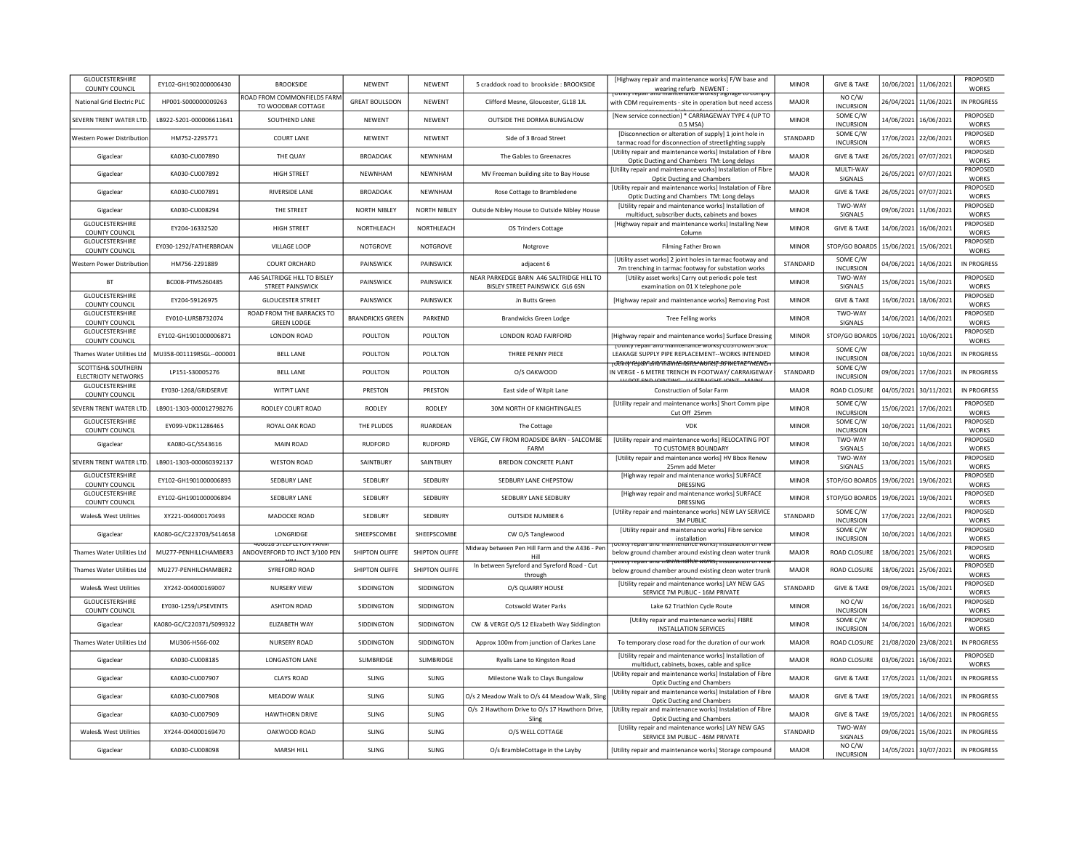| <b>GLOUCESTERSHIRE</b><br>COUNTY COUNCIL          | EY102-GH1902000006430    | <b>BROOKSIDE</b>                                        | NEWENT                  | NEWENT              | 5 craddock road to brookside : BROOKSIDE                                    | [Highway repair and maintenance works] F/W base and<br>wearing refurb NEWENT                                                | <b>MINOR</b> | <b>GIVE &amp; TAKE</b>              |                       | 10/06/2021 11/06/2021 | PROPOSED<br>WORKS               |
|---------------------------------------------------|--------------------------|---------------------------------------------------------|-------------------------|---------------------|-----------------------------------------------------------------------------|-----------------------------------------------------------------------------------------------------------------------------|--------------|-------------------------------------|-----------------------|-----------------------|---------------------------------|
| National Grid Electric PLC                        | HP001-S000000009263      | ROAD FROM COMMONFIELDS FARM<br>TO WOODBAR COTTAGE       | <b>GREAT BOULSDON</b>   | NEWENT              | Clifford Mesne, Gloucester, GL18 1JL                                        | <u>TOUTHLY TEDAIT AND MAINTENANCE WORKST SIGNAGE TO COMPTY</u><br>with CDM requirements - site in operation but need access | MAJOR        | NO C/W<br><b>INCURSION</b>          |                       | 26/04/2021 11/06/2021 | <b>IN PROGRESS</b>              |
| SEVERN TRENT WATER LTD                            | LB922-5201-000006611641  | SOUTHEND LANE                                           | <b>NEWENT</b>           | NFWFNT              | OUTSIDE THE DORMA BUNGALOW                                                  | [New service connection] * CARRIAGEWAY TYPE 4 (UP TO<br>0.5 MSA                                                             | <b>MINOR</b> | SOME C/W<br><b>INCURSION</b>        |                       | 14/06/2021 16/06/2021 | PROPOSED<br><b>WORKS</b>        |
| Western Power Distribution                        | HM752-2295771            | <b>COURT LANE</b>                                       | <b>NFWFNT</b>           | <b>NFWFNT</b>       | Side of 3 Broad Street                                                      | [Disconnection or alteration of supply] 1 joint hole in<br>tarmac road for disconnection of streetlighting supply           | STANDARD     | SOME C/W<br><b>INCURSION</b>        |                       | 17/06/2021 22/06/2021 | PROPOSED<br><b>WORKS</b>        |
| Gigaclear                                         | KA030-CU007890           | THE QUAY                                                | <b>BROADOAK</b>         | NEWNHAM             | The Gables to Greenacres                                                    | <b>IUtility repair and maintenance works) Instalation of Fibre</b><br>Optic Ducting and Chambers TM: Long delays            | MAJOR        | <b>GIVE &amp; TAKE</b>              |                       | 26/05/2021 07/07/2021 | PROPOSED<br><b>WORKS</b>        |
| Gigaclear                                         | KA030-CU007892           | <b>HIGH STREET</b>                                      | NEWNHAM                 | NEWNHAM             | MV Freeman building site to Bay House                                       | [Utility repair and maintenance works] Installation of Fibre<br>Optic Ducting and Chambers                                  | MAIOR        | MULTI-WAY<br>SIGNALS                |                       | 26/05/2021 07/07/2021 | PROPOSED<br><b>WORKS</b>        |
| Gigaclear                                         | KA030-CU007891           | <b>RIVERSIDE LANE</b>                                   | <b>BROADOAK</b>         | <b>NEWNHAM</b>      | Rose Cottage to Brambledene                                                 | [Utility repair and maintenance works] Instalation of Fibre<br>Optic Ducting and Chambers TM: Long delays                   | MAJOR        | <b>GIVE &amp; TAKE</b>              |                       | 26/05/2021 07/07/2021 | PROPOSED<br><b>WORKS</b>        |
| Gigaclear                                         | KA030-CU008294           | THE STREET                                              | NORTH NIBLEY            | <b>NORTH NIBLEY</b> | Outside Nibley House to Outside Nibley House                                | [Utility repair and maintenance works] Installation of<br>multiduct, subscriber ducts, cabinets and boxes                   | <b>MINOR</b> | TWO-WAY<br>SIGNALS                  |                       | 09/06/2021 11/06/2021 | PROPOSED<br><b>WORKS</b>        |
| <b>GLOUCESTERSHIRE</b><br><b>COUNTY COUNCIL</b>   | EY204-16332520           | <b>HIGH STREET</b>                                      | NORTHLEACH              | NORTHLEACH          | OS Trinders Cottage                                                         | [Highway repair and maintenance works] Installing New<br>Column                                                             | <b>MINOR</b> | <b>GIVE &amp; TAKE</b>              |                       | 14/06/2021 16/06/2021 | PROPOSED<br><b>WORKS</b>        |
| GLOUCESTERSHIRE<br>COUNTY COUNCIL                 | EY030-1292/FATHERBROAN   | VILLAGE LOOP                                            | NOTGROVE                | <b>NOTGROVE</b>     | Notgrove                                                                    | Filming Father Brown                                                                                                        | <b>MINOR</b> | STOP/GO BOARDS                      | 15/06/2021            | 15/06/2021            | PROPOSED<br><b>WORKS</b>        |
| Western Power Distribution                        | HM756-2291889            | COURT ORCHARD                                           | PAINSWICK               | PAINSWICK           | adjacent 6                                                                  | [Utility asset works] 2 joint holes in tarmac footway and<br>7m trenching in tarmac footway for substation works            | STANDARD     | SOME C/W<br><b>INCURSION</b>        |                       | 04/06/2021 14/06/2021 | IN PROGRESS                     |
| <b>BT</b>                                         | BC008-PTMS260485         | A46 SALTRIDGE HILL TO BISLEY<br><b>STREET PAINSWICK</b> | PAINSWICK               | PAINSWICK           | NEAR PARKEDGE BARN A46 SALTRIDGE HILL TO<br>BISLEY STREET PAINSWICK GL6 6SN | [Utility asset works] Carry out periodic pole test<br>examination on 01 X telephone pole                                    | <b>MINOR</b> | TWO-WAY<br>SIGNALS                  |                       | 15/06/2021 15/06/2021 | PROPOSED<br><b>WORKS</b>        |
| GLOUCESTERSHIRE<br><b>COUNTY COUNCIL</b>          | EY204-59126975           | <b>GLOUCESTER STREET</b>                                | PAINSWICK               | PAINSWICK           | Jn Butts Green                                                              | [Highway repair and maintenance works] Removing Post                                                                        | <b>MINOR</b> | <b>GIVE &amp; TAKE</b>              |                       | 16/06/2021 18/06/2021 | PROPOSED<br><b>WORKS</b>        |
| GLOUCESTERSHIRE<br>COUNTY COUNCIL                 | EY010-LURSB732074        | ROAD FROM THE BARRACKS TO<br><b>GREEN LODGE</b>         | <b>BRANDRICKS GREEN</b> | PARKEND             | <b>Brandwicks Green Lodge</b>                                               | Tree Felling works                                                                                                          | <b>MINOR</b> | TWO-WAY<br>SIGNALS                  |                       | 14/06/2021 14/06/2021 | PROPOSED<br><b>WORKS</b>        |
| GLOUCESTERSHIRE<br>COUNTY COUNCIL                 | EY102-GH1901000006871    | LONDON ROAD                                             | POULTON                 | POULTON             | LONDON ROAD FAIRFORD                                                        | [Highway repair and maintenance works] Surface Dressing                                                                     | <b>MINOR</b> | STOP/GO BOARDS                      |                       | 10/06/2021 10/06/2021 | PROPOSED<br>WORKS               |
| Thames Water Utilities Ltd                        | MU358-001119RSGL--000001 | <b>BELL LANE</b>                                        | POULTON                 | POULTON             | THREE PENNY PIECE                                                           | TULINILY TEDAIL AND MAINLENANCE WORKST COSTOMER SIDE<br>LEAKAGE SUPPLY PIPE REPLACEMENT--WORKS INTENDED                     | <b>MINOR</b> | SOME C/W<br><b>INCURSION</b>        |                       | 08/06/2021 10/06/2021 | IN PROGRESS                     |
| SCOTTISH& SOUTHERN<br><b>ELECTRICITY NETWORKS</b> | LP151-S30005276          | <b>BELL LANE</b>                                        | POULTON                 | POULTON             | O/S OAKWOOD                                                                 | <del>ŢŨſſĭŧŊŶſĔŊIJĨſĨĸĨĦŨŶŦŧIJſĦĔĿſĠſŔĿĿŴŎſŔŜŢIJŎĹŴĔŦŔĔŶŇĔŇĊĦ</del><br>IN VERGE - 6 METRE TRENCH IN FOOTWAY/ CARRAIGEWAY    | STANDARD     | SOME C/W<br><b>INCURSION</b>        |                       | 09/06/2021 17/06/2021 | <b>IN PROGRESS</b>              |
| <b>GLOUCESTERSHIRE</b><br>COUNTY COUNCIL          | FY030-1268/GRIDSFRVF     | <b>WITPIT LANE</b>                                      | PRESTON                 | PRESTON             | <b>Fast side of Witnit Lane</b>                                             | Construction of Solar Farm                                                                                                  | MAIOR        | <b>ROAD CLOSURE</b>                 |                       | 04/05/2021 30/11/2021 | IN PROGRESS                     |
| SEVERN TRENT WATER LTD                            | LB901-1303-000012798276  | RODLEY COURT ROAD                                       | <b>RODLEY</b>           | RODLEY              | 30M NORTH OF KNIGHTINGALES                                                  | <b>IUtility repair and maintenance works] Short Comm pipe</b><br>Cut Off 25mm                                               | <b>MINOR</b> | SOME C/W<br><b>INCURSION</b>        |                       | 15/06/2021 17/06/2021 | PROPOSED<br><b>WORKS</b>        |
|                                                   |                          |                                                         |                         |                     |                                                                             |                                                                                                                             |              |                                     |                       |                       |                                 |
| <b>GLOUCESTERSHIRE</b><br>COUNTY COUNCIL          | EY099-VDK11286465        | ROYAL OAK ROAD                                          | THE PLUDDS              | RUARDEAN            | The Cottage                                                                 | VDK                                                                                                                         | <b>MINOR</b> | SOME C/W<br><b>INCURSION</b>        | 10/06/2021            | 11/06/2021            | <b>PROPOSED</b><br><b>WORKS</b> |
| Gigaclear                                         | KA080-GC/S543616         | MAIN ROAD                                               | <b>RUDFORD</b>          | <b>RUDFORD</b>      | VERGE, CW FROM ROADSIDE BARN - SALCOMBE<br>FARM                             | [Utility repair and maintenance works] RELOCATING POT<br>TO CUSTOMER BOUNDARY                                               | <b>MINOR</b> | <b>TWO-WAY</b><br>SIGNALS           | 10/06/2021            | 14/06/2021            | PROPOSED<br><b>WORKS</b>        |
| SEVERN TRENT WATER LTD                            | LB901-1303-000060392137  | <b>WESTON ROAD</b>                                      | SAINTBURY               | SAINTBURY           | <b>BREDON CONCRETE PLANT</b>                                                | <b>IUtility repair and maintenance worksl HV Bbox Renew</b><br>25mm add Meter                                               | <b>MINOR</b> | TWO-WAY<br>SIGNALS                  | 13/06/2021            | 15/06/2021            | PROPOSED<br><b>WORKS</b>        |
| <b>GLOUCESTERSHIRE</b><br>COUNTY COUNCIL          | EY102-GH1901000006893    | <b>SEDBURY LANE</b>                                     | SEDBURY                 | SEDBURY             | SEDBURY LANE CHEPSTOW                                                       | [Highway repair and maintenance works] SURFACE<br>DRESSING                                                                  | <b>MINOR</b> | STOP/GO BOARDS                      | 19/06/2021            | 19/06/2021            | PROPOSED<br><b>WORKS</b>        |
| <b>GLOUCESTERSHIRE</b><br>COUNTY COUNCIL          | FY102-GH1901000006894    | SEDBURY LANE                                            | SEDBURY                 | SEDBURY             | SEDBURY LANE SEDBURY                                                        | [Highway repair and maintenance works] SURFACE<br><b>DRESSING</b>                                                           | <b>MINOR</b> | STOP/GO BOARDS                      | 19/06/2021 19/06/2021 |                       | <b>PROPOSED</b><br><b>WORKS</b> |
| Wales& West Utilities                             | XY221-004000170493       | MADOCKE ROAD                                            | SEDBURY                 | SEDBURY             | <b>OUTSIDE NUMBER 6</b>                                                     | [Utility repair and maintenance works] NEW LAY SERVICE<br><b>3M PUBLIC</b>                                                  | STANDARD     | SOME C/W<br><b>INCURSION</b>        |                       | 17/06/2021 22/06/2021 | PROPOSED<br><b>WORKS</b>        |
| Gigaclear                                         | KA080-GC/C223703/S414658 | LONGRIDGE                                               | SHEEPSCOMBE             | SHEEPSCOMBE         | CW O/S Tanglewood                                                           | [Utility repair and maintenance works] Fibre service<br>installation                                                        | <b>MINOR</b> | SOME C/W<br><b>INCURSION</b>        |                       | 10/06/2021 14/06/2021 | PROPOSED<br><b>WORKS</b>        |
| Thames Water Utilities Ltd                        | MU277-PENHILLCHAMBER3    | 400016 STEEPLETON FARW<br>ANDOVERFORD TO JNCT 3/100 PEN | SHIPTON OLIFFE          | SHIPTON OLIFFE      | Midway between Pen Hill Farm and the A436 - Per<br>Hill                     | rotility repair and maintenance works) installation of Nev<br>below ground chamber around existing clean water trunk        | MAJOR        | ROAD CLOSURE                        | 18/06/2021            | 25/06/2021            | PROPOSED<br><b>WORKS</b>        |
| Thames Water Utilities Ltd                        | MU277-PENHILCHAMBER2     | SYREFORD ROAD                                           | SHIPTON OLIFFE          | SHIPTON OLIFFE      | In between Syreford and Syreford Road - Cut<br>through                      | otmty repair and maintenálice worksi mstan<br>below ground chamber around existing clean water trunk                        | <b>MAJOR</b> | <b>ROAD CLOSURE</b>                 | 18/06/2021            | 25/06/2021            | PROPOSED<br><b>WORKS</b>        |
| Wales& West Utilities                             | XY242-004000169007       | <b>NURSERY VIEW</b>                                     | SIDDINGTON              | SIDDINGTON          | O/S QUARRY HOUSE                                                            | [Utility repair and maintenance works] LAY NEW GAS<br>SERVICE 7M PUBLIC - 16M PRIVATE                                       | STANDARD     | <b>GIVE &amp; TAKE</b>              |                       | 09/06/2021 15/06/2021 | PROPOSED<br><b>WORKS</b>        |
| <b>GLOUCESTERSHIRE</b><br>COUNTY COUNCIL          | EY030-1259/LPSEVENTS     | <b>ASHTON ROAD</b>                                      | SIDDINGTON              | SIDDINGTON          | <b>Cotswold Water Parks</b>                                                 | Lake 62 Triathlon Cycle Route                                                                                               | <b>MINOR</b> | NO C/W<br><b>INCURSION</b>          |                       | 16/06/2021 16/06/2021 | PROPOSED<br><b>WORKS</b>        |
| Gigaclear                                         | KA080-GC/C220371/S099322 | FLIZARFTH WAY                                           | <b>SIDDINGTON</b>       | <b>SIDDINGTON</b>   | CW & VERGE O/S 12 Elizabeth Way Siddington                                  | [Utility repair and maintenance works] FIBRE<br><b>INSTALLATION SERVICES</b>                                                | <b>MINOR</b> | SOME C/W<br><b>INCURSION</b>        |                       | 14/06/2021 16/06/2021 | PROPOSED<br><b>WORKS</b>        |
| Thames Water Utilities Ltd                        | MU306-H566-002           | NURSERY ROAD                                            | SIDDINGTON              | SIDDINGTON          | Approx 100m from junction of Clarkes Lane                                   | To temporary close road for the duration of our work                                                                        | MAJOR        | ROAD CLOSURE                        |                       | 21/08/2020 23/08/2021 | <b>IN PROGRESS</b>              |
| Gigaclear                                         | KA030-CU008185           | <b>LONGASTON LANE</b>                                   | <b>SLIMBRIDGE</b>       | <b>SLIMBRIDGE</b>   | Ryalls Lane to Kingston Road                                                | [Utility repair and maintenance works] Installation of<br>multiduct, cabinets, boxes, cable and splice                      | MAIOR        | <b>ROAD CLOSURE</b>                 | 03/06/2021            | 16/06/2021            | PROPOSED<br><b>WORKS</b>        |
| Gigaclear                                         | KA030-CU007907           | <b>CLAYS ROAD</b>                                       | <b>SLING</b>            | <b>SLING</b>        | Milestone Walk to Clays Bungalow                                            | [Utility repair and maintenance works] Instalation of Fibre<br><b>Optic Ducting and Chambers</b>                            | MAJOR        | <b>GIVE &amp; TAKE</b>              | 17/05/2021            | 11/06/2021            | IN PROGRESS                     |
| Gigaclear                                         | KA030-CU007908           | MEADOW WALK                                             | SLING                   | SLING               | O/s 2 Meadow Walk to O/s 44 Meadow Walk, Slin                               | [Utility repair and maintenance works] Instalation of Fibre<br>Optic Ducting and Chambers                                   | MAJOR        | <b>GIVE &amp; TAKE</b>              | 19/05/2021            | 14/06/2021            | IN PROGRESS                     |
| Gigaclear                                         | KA030-CU007909           | <b>HAWTHORN DRIVE</b>                                   | <b>SLING</b>            | <b>SLING</b>        | O/s 2 Hawthorn Drive to O/s 17 Hawthorn Drive,<br>Sling                     | [Utility repair and maintenance works] Instalation of Fibre<br>Optic Ducting and Chambers                                   | MAJOR        | <b>GIVE &amp; TAKE</b>              |                       | 19/05/2021 14/06/2021 | IN PROGRESS                     |
| Wales& West Utilities                             | XY244-004000169470       | <b>OAKWOOD ROAD</b>                                     | <b>SLING</b>            | <b>SLING</b>        | O/S WELL COTTAGE                                                            | [Utility repair and maintenance works] LAY NEW GAS<br>SERVICE 3M PUBLIC - 46M PRIVATE                                       | STANDARD     | TWO-WAY<br><b>SIGNALS</b><br>NO C/W |                       | 09/06/2021 15/06/2021 | IN PROGRESS                     |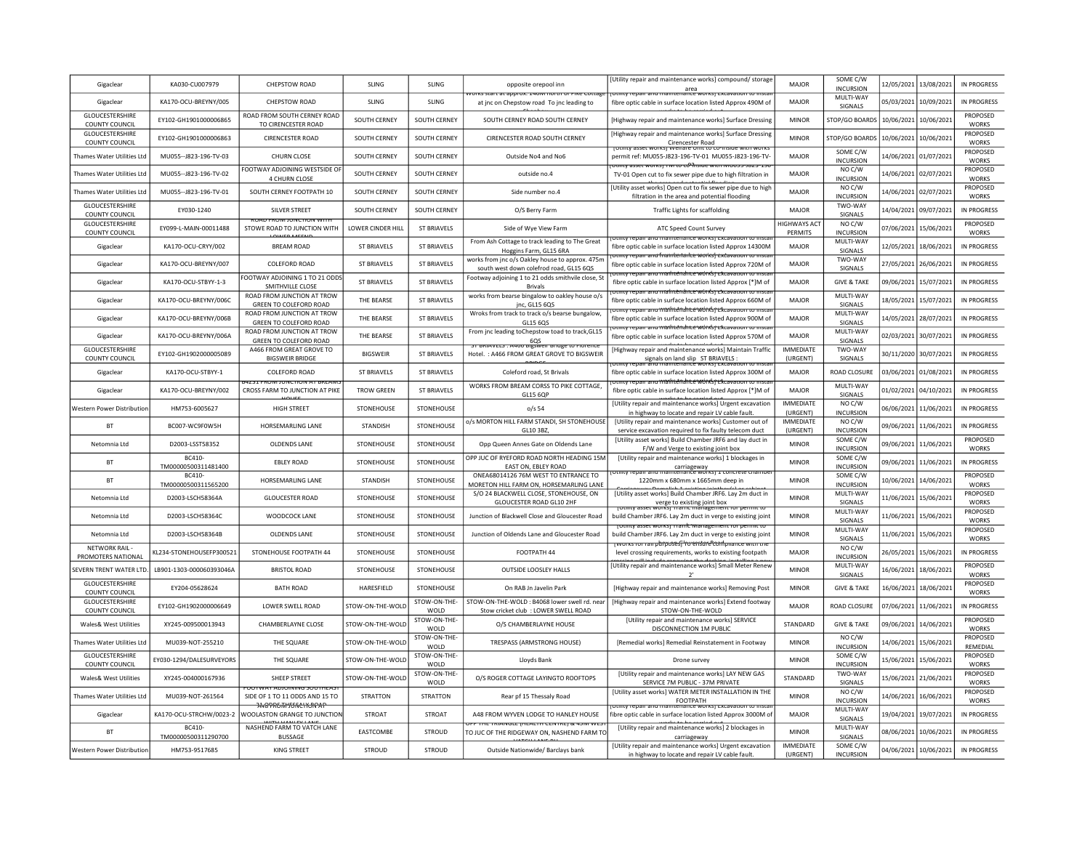| Gigaclear                                       | KA030-CU007979                | <b>CHEPSTOW ROAD</b>                                                          | <b>SLING</b>        | <b>SLING</b>               | opposite orepool inn<br>orks start at approx. 140M horth or Pike Cottage                      | [Utility repair and maintenance works] compound/ storage<br>area<br>TULINILY TEDAIL and maintenance works) excavation to inst           | <b>MAJOR</b>                   | SOME C/W<br><b>INCURSION</b>      |                       | 12/05/2021 13/08/2021 | <b>IN PROGRESS</b>                 |
|-------------------------------------------------|-------------------------------|-------------------------------------------------------------------------------|---------------------|----------------------------|-----------------------------------------------------------------------------------------------|-----------------------------------------------------------------------------------------------------------------------------------------|--------------------------------|-----------------------------------|-----------------------|-----------------------|------------------------------------|
| Gigaclear                                       | KA170-OCU-BREYNY/005          | <b>CHEPSTOW ROAD</b>                                                          | <b>SLING</b>        | <b>SLING</b>               | at jnc on Chepstow road To jnc leading to                                                     | fibre optic cable in surface location listed Approx 490M of                                                                             | <b>MAJOR</b>                   | MULTI-WAY<br>SIGNALS              | 05/03/2021            | 10/09/2021            | IN PROGRESS                        |
| GLOUCESTERSHIRE<br>COUNTY COUNCIL               | EY102-GH1901000006865         | ROAD FROM SOUTH CERNEY ROAD<br>TO CIRENCESTER ROAD                            | SOUTH CERNEY        | <b>SOUTH CERNEY</b>        | SOUTH CERNEY ROAD SOUTH CERNEY                                                                | [Highway repair and maintenance works] Surface Dressing                                                                                 | <b>MINOR</b>                   | <b>STOP/GO BOARDS</b>             | 10/06/2021            | 10/06/2021            | PROPOSED<br><b>WORKS</b>           |
| GLOUCESTERSHIRE<br>COUNTY COUNCIL               | EY102-GH1901000006863         | <b>CIRENCESTER ROAD</b>                                                       | <b>SOUTH CERNEY</b> | SOUTH CERNEY               | CIRENCESTER ROAD SOUTH CERNEY                                                                 | Highway repair and maintenance works] Surface Dressing<br>Cirencester Road                                                              | <b>MINOR</b>                   | <b>STOP/GO BOARD</b>              | 10/06/2021            | 10/06/2021            | PROPOSED<br><b>WORKS</b>           |
| Thames Water Utilities Ltd                      | MU055 -- J823-196-TV-03       | CHURN CLOSE                                                                   | SOUTH CERNEY        | SOUTH CERNEY               | Outside No4 and No6                                                                           | permit ref: MU055-J823-196-TV-01 MU055-J823-196-TV                                                                                      | MAJOR                          | SOME C/W<br><b>INCURSION</b>      | 14/06/2021            | 01/07/2021            | PROPOSED<br><b>WORKS</b>           |
| Thames Water Utilities Lto                      | MU055--J823-196-TV-02         | FOOTWAY ADJOINING WESTSIDE O<br><b>4 CHURN CLOSE</b>                          | SOUTH CERNEY        | SOUTH CERNEY               | outside no.4                                                                                  | <u>טנווונץ Systet Works וואז דואר (Cullity asset Works) וואסט</u><br>TV-01 Open cut to fix sewer pipe due to high filtration in         | <b>MAJOR</b>                   | NO C/W<br><b>INCURSION</b>        | 14/06/2021            | 02/07/2021            | <b>PROPOSED</b><br><b>WORKS</b>    |
| <b>Thames Water Utilities Ltd</b>               | MU055--J823-196-TV-01         | SOUTH CERNEY FOOTPATH 10                                                      | SOUTH CERNEY        | <b>SOUTH CERNEY</b>        | Side number no.4                                                                              | [Utility asset works] Open cut to fix sewer pipe due to high                                                                            | MAIOR                          | NO C/W<br><b>INCURSION</b>        | 14/06/2021 02/07/2021 |                       | <b>PROPOSED</b><br><b>WORKS</b>    |
| GLOUCESTERSHIRE<br>COUNTY COUNCIL               | EY030-1240                    | <b>SILVER STREET</b>                                                          | SOUTH CERNEY        | <b>SOUTH CERNEY</b>        | O/S Berry Farm                                                                                | filtration in the area and potential flooding<br><b>Traffic Lights for scaffolding</b>                                                  | <b>MAJOR</b>                   | TWO-WAY<br>SIGNALS                |                       | 14/04/2021 09/07/2021 | <b>IN PROGRESS</b>                 |
| GLOUCESTERSHIRE<br>COUNTY COUNCIL               | EY099-L-MAIN-00011488         | <b><i><u>NUAD ERUNI IUNU. HUN WITH</u></i></b><br>STOWE ROAD TO JUNCTION WITH | LOWER CINDER HILI   | <b>ST BRIAVELS</b>         | Side of Wye View Farm                                                                         | ATC Speed Count Survey                                                                                                                  | <b>HIGHWAYS ACT</b><br>PERMITS | NO C/W<br><b>INCURSION</b>        | 07/06/2021 15/06/202: |                       | PROPOSED<br><b>WORKS</b>           |
| Gigaclear                                       | KA170-OCU-CRYY/002            | <b>BREAM ROAD</b>                                                             | <b>ST BRIAVELS</b>  | <b>ST BRIAVELS</b>         | From Ash Cottage to track leading to The Great                                                | itility repair and maintenance works) excavation to insta<br>fibre optic cable in surface location listed Approx 14300M                 | <b>MAJOR</b>                   | MULTI-WAY                         | 12/05/2021 18/06/2021 |                       | <b>IN PROGRESS</b>                 |
| Gigaclear                                       | KA170-OCU-BREYNY/007          | COLEFORD ROAD                                                                 | <b>ST BRIAVELS</b>  | <b>ST BRIAVELS</b>         | Hoggins Farm, GL15 6RA<br>works from jnc o/s Oakley house to approx. 475m                     | otility repair and friantleifarice works! excavation to insta<br>fibre optic cable in surface location listed Approx 720M of            | <b>MAJOR</b>                   | SIGNALS<br>TWO-WAY                | 27/05/2021            | 26/06/2021            | <b>IN PROGRESS</b>                 |
| Gigaclear                                       | KA170-OCU-STBYY-1-3           | OOTWAY ADJOINING 1 TO 21 ODD!                                                 | <b>ST BRIAVELS</b>  | <b>ST BRIAVELS</b>         | south west down colefrod road, GL15 6QS<br>Footway adjoining 1 to 21 odds smithvile close, St | y repair anu maihténance worksjickcavation to ii                                                                                        | <b>MAJOR</b>                   | SIGNALS<br><b>GIVE &amp; TAKE</b> | 09/06/2021            | 15/07/2021            | <b>IN PROGRESS</b>                 |
|                                                 |                               | SMITHVILLE CLOSE<br>ROAD FROM JUNCTION AT TROW                                |                     |                            | <b>Brivals</b><br>works from bearse bingalow to oakley house o/s                              | fibre optic cable in surface location listed Approx [*]M of<br><u>ry repair anu mainténance worksjickcavation</u>                       | MAIOR                          | MULTI-WAY                         |                       |                       |                                    |
| Gigaclear                                       | KA170-OCU-BREYNY/006C         | GREEN TO COLEFORD ROAD<br>ROAD FROM JUNCTION AT TROW                          | THE BEARSE          | <b>ST BRIAVELS</b>         | inc. GL15 6QS<br>Wroks from track to track o/s bearse bungalow,                               | fibre optic cable in surface location listed Approx 660M of<br>rumuy repair amu mailnténainte wórksj ckcavauon to mst                   |                                | SIGNALS<br>MULTI-WAY              | 18/05/2021            | 15/07/2021            | <b>IN PROGRESS</b>                 |
| Gigaclear                                       | KA170-OCU-BREYNY/006B         | <b>GREEN TO COLEFORD ROAD</b><br>ROAD FROM JUNCTION AT TROW                   | THE BEARSE          | <b>ST BRIAVELS</b>         | GL15 6QS<br>From jnc leading toChepstow toad to track, GL15                                   | fibre optic cable in surface location listed Approx 900M of<br><del>ty repair and mailitendrice work's jextavation to inst</del>        | <b>MAJOR</b>                   | SIGNALS<br>MULTI-WAY              | 14/05/2021            | 28/07/2021            | <b>IN PROGRESS</b>                 |
| Gigaclear                                       | KA170-OCU-BREYNY/006A         | GREEN TO COLEFORD ROAD                                                        | THE BEARSE          | <b>ST BRIAVELS</b>         | 6QS<br>bigsweit bridge to riore                                                               | fibre optic cable in surface location listed Approx 570M of                                                                             | MAJOR<br><b>IMMFDIATE</b>      | SIGNALS                           | 02/03/2021            | 30/07/2021            | <b>IN PROGRESS</b>                 |
| <b>GLOUCESTERSHIRE</b><br><b>COUNTY COUNCIL</b> | EY102-GH1902000005089         | A466 FROM GREAT GROVE TO<br><b>BIGSWEIR BRIDGE</b>                            | <b>BIGSWEIR</b>     | <b>ST BRIAVELS</b>         | Hotel.: A466 FROM GREAT GROVE TO BIGSWEIR                                                     | [Highway repair and maintenance works] Maintain Traffic<br>signals on land slip ST BRIAVELS<br>in and maintenance worksj excava         | (URGENT)                       | TWO-WAY<br>SIGNALS                | 30/11/2020 30/07/202: |                       | IN PROGRESS                        |
| Gigaclear                                       | KA170-OCU-STBYY-1             | <b>COLEFORD ROAD</b><br>4731 FRUNTUNG IN AT BREAT                             | <b>ST BRIAVELS</b>  | <b>ST BRIAVELS</b>         | Coleford road, St Brivals                                                                     | fibre optic cable in surface location listed Approx 300M of<br>y repair anu maihténánce wórksi excavation to ii                         | MAJOR                          | <b>ROAD CLOSURE</b>               | 03/06/2021 01/08/2021 |                       | IN PROGRESS                        |
| Gigaclear                                       | KA170-OCU-BREYNY/002          | CROSS FARM TO JUNCTION AT PIKE                                                | <b>TROW GREEN</b>   | <b>ST BRIAVELS</b>         | WORKS FROM BREAM CORSS TO PIKE COTTAGE,<br>GL15 6QP                                           | fibre optic cable in surface location listed Approx [*]M of                                                                             | <b>MAJOR</b>                   | MULTI-WAY<br>SIGNALS              | 01/02/2021 04/10/2021 |                       | <b>IN PROGRESS</b>                 |
| Western Power Distributio                       | HM753-6005627                 | <b>HIGH STREET</b>                                                            | STONEHOUSE          | STONEHOUSE                 | $o/s$ 54                                                                                      | [Utility repair and maintenance works] Urgent excavation<br>in highway to locate and repair LV cable fault.                             | <b>IMMEDIATE</b><br>(URGENT)   | NO C/W<br><b>INCURSION</b>        | 06/06/2021 11/06/202: |                       | <b>IN PROGRESS</b>                 |
| <b>BT</b>                                       | BC007-WC9F0W5H                | <b>HORSEMARLING LANE</b>                                                      | <b>STANDISH</b>     | STONEHOUSE                 | o/s MORTON HILL FARM STANDI, SH STONEHOUSE<br>GL10 3BZ,                                       | [Utility repair and maintenance works] Customer out of<br>service excavation required to fix faulty telecom duct                        | IMMEDIATE<br>(URGENT)          | NO C/W<br><b>INCURSION</b>        | 09/06/2021 11/06/2021 |                       | <b>IN PROGRESS</b>                 |
| Netomnia I td                                   | D2003-LSST58352               | OLDENDS LANE                                                                  | STONEHOUSE          | STONEHOUSE                 | Opp Queen Annes Gate on Oldends Lane                                                          | [Utility asset works] Build Chamber JRF6 and lay duct in<br>F/W and Verge to existing joint box                                         | <b>MINOR</b>                   | SOME C/W<br><b>INCURSION</b>      | 09/06/2021            | 11/06/2021            | PROPOSED<br><b>WORKS</b>           |
| <b>BT</b>                                       | BC410-<br>TM00000500311481400 | <b>EBLEY ROAD</b>                                                             | STONEHOUSE          | STONEHOUSE                 | OPP JUC OF RYEFORD ROAD NORTH HEADING 15M<br>EAST ON, EBLEY ROAD                              | [Utility repair and maintenance works] 1 blockages in<br>carriageway<br><del>תפחסתכפ works</del>                                        | <b>MINOR</b>                   | SOME C/W<br><b>INCURSION</b>      | 09/06/2021            | 11/06/2021            | <b>IN PROGRESS</b>                 |
| BT                                              | BC410-<br>TM00000500311565200 | HORSEMARLING LANE                                                             | STANDISH            | STONEHOUSE                 | ONEA68014126 76M WEST TO ENTRANCE TO<br>MORETON HILL FARM ON, HORSEMARLING LANE               | गाता ताम म<br>1220mm x 680mm x 1665mm deep in                                                                                           | <b>MINOR</b>                   | SOME C/W<br><b>INCURSION</b>      | 10/06/2021            | 14/06/2021            | PROPOSED<br><b>WORKS</b>           |
| Netomnia Ltd                                    | D2003-LSCH58364A              | <b>GLOUCESTER ROAD</b>                                                        | STONEHOUSE          | STONEHOUSE                 | S/O 24 BLACKWELL CLOSE, STONEHOUSE, ON<br>GLOUCESTER ROAD GL10 2HF                            | [Utility asset works] Build Chamber JRF6. Lay 2m duct in                                                                                | <b>MINOR</b>                   | MULTI-WAY<br>SIGNALS              | 11/06/2021            | 15/06/2021            | PROPOSED<br><b>WORKS</b>           |
| Netomnia Ltd                                    | D2003-LSCH58364C              | WOODCOCK LANE                                                                 | STONEHOUSE          | STONEHOUSE                 | Junction of Blackwell Close and Gloucester Road                                               | verge to existing joint box<br>asset works <sub>1</sub> traint management<br>build Chamber JRF6. Lay 2m duct in verge to existing joint | <b>MINOR</b>                   | MULTI-WAY<br>SIGNALS              | 11/06/2021            | 15/06/2021            | PROPOSED<br><b>WORKS</b>           |
| Netomnia Ltd                                    | D2003-LSCH58364B              | OLDENDS LANE                                                                  | STONEHOUSE          | STONEHOUSE                 | Junction of Oldends Lane and Gloucester Road                                                  | TOthity asset works) traint iwanagement for permit to<br>build Chamber JRF6. Lay 2m duct in verge to existing joint                     | <b>MINOR</b>                   | MULTI-WAY                         | 11/06/2021            | 15/06/2021            | PROPOSED                           |
| <b>NFTWORK RAIL</b>                             | KL234-STONEHOUSEFP30052:      | STONEHOUSE FOOTPATH 44                                                        | <b>STONEHOUSE</b>   | STONEHOUSE                 | FOOTPATH 44                                                                                   | <u>דער הואס וואס די הלהלטופי הוא הואס מאוסטים וואס אוס או</u><br>level crossing requirements, works to existing footpath                | MAIOR                          | <b>SIGNALS</b><br>NO C/W          | 26/05/2021            | 15/06/2021            | <b>WORKS</b><br><b>IN PROGRESS</b> |
| PROMOTERS NATIONAL<br>SEVERN TRENT WATER LTD.   | LB901-1303-000060393046A      | <b>BRISTOL ROAD</b>                                                           | STONEHOUSE          | STONEHOUSE                 | OUTSIDE LOOSLEY HALLS                                                                         | [Utility repair and maintenance works] Small Meter Renew                                                                                | <b>MINOR</b>                   | <b>INCURSION</b><br>MULTI-WAY     | 16/06/2021 18/06/2021 |                       | PROPOSED                           |
| GLOUCESTERSHIRE                                 |                               |                                                                               |                     |                            |                                                                                               |                                                                                                                                         |                                | SIGNALS                           |                       |                       | <b>WORKS</b><br>PROPOSED           |
| <b>COUNTY COUNCIL</b><br><b>GLOUCESTERSHIRE</b> | EY204-05628624                | <b>BATH ROAD</b>                                                              | HARESFIELD          | STONEHOUSE<br>STOW-ON-THE- | On RAB Jn Javelin Park<br>STOW-ON-THE-WOLD: B4068 lower swell rd, near                        | [Highway repair and maintenance works] Removing Post<br>[Highway repair and maintenance works] Extend footway                           | <b>MINOR</b>                   | <b>GIVE &amp; TAKE</b>            | 16/06/2021            | 18/06/2021            | <b>WORKS</b>                       |
| COUNTY COUNCIL                                  | EY102-GH1902000006649         | LOWER SWELL ROAD                                                              | STOW-ON-THE-WOLD    | WOLD<br>STOW-ON-THE-       | Stow cricket club : LOWER SWELL ROAD                                                          | STOW-ON-THE-WOLD<br>[Utility repair and maintenance works] SERVICE                                                                      | <b>MAJOR</b>                   | ROAD CLOSURE                      | 07/06/2021            | 11/06/2021            | <b>IN PROGRESS</b><br>PROPOSED     |
| <b>Wales&amp; West Utilities</b>                | XY245-009500013943            | CHAMBERLAYNE CLOSE                                                            | STOW-ON-THE-WOLD    | WOLD<br>STOW-ON-THE-       | O/S CHAMBERLAYNE HOUSE                                                                        | DISCONNECTION 1M PUBLIC                                                                                                                 | STANDARD                       | <b>GIVE &amp; TAKE</b><br>NO C/W  | 09/06/2021            | 14/06/2021            | <b>WORKS</b><br>PROPOSED           |
| Thames Water Utilities Ltd<br>GLOUCESTERSHIRE   | MU039-NOT-255210              | THE SOUARE                                                                    | STOW-ON-THE-WOLD    | WOLD<br>STOW-ON-THE-       | TRESPASS (ARMSTRONG HOUSE)                                                                    | [Remedial works] Remedial Reinstatement in Footway                                                                                      | <b>MINOR</b>                   | <b>INCURSION</b><br>SOME C/W      |                       | 14/06/2021 15/06/2021 | RFMFDIAI<br>PROPOSED               |
| <b>COUNTY COUNCIL</b>                           | EY030-1294/DALESURVEYORS      | THE SQUARE                                                                    | STOW-ON-THE-WOLD    | WOLD                       | Lloyds Bank                                                                                   | Drone survey                                                                                                                            | <b>MINOR</b>                   | <b>INCURSION</b>                  | 15/06/2021            | 15/06/2021            | <b>WORKS</b>                       |
| <b>Wales&amp; West Utilities</b>                | XY245-004000167936            | SHEEP STREET<br><b>UUTWAT ADJUINING SUUTHEAS</b>                              | STOW-ON-THE-WOLD    | STOW-ON-THE-<br>WOLD       | O/S ROGER COTTAGE LAYINGTO ROOFTOPS                                                           | [Utility repair and maintenance works] LAY NEW GAS<br>SERVICE 7M PUBLIC - 37M PRIVATE                                                   | STANDARD                       | TWO-WAY<br>SIGNALS                |                       | 15/06/2021 21/06/2021 | PROPOSED<br><b>WORKS</b>           |
| Thames Water Utilities Ltd                      | MU039-NOT-261564              | SIDE OF 1 TO 11 ODDS AND 15 TO<br><del>X48 ጉRG/M ነበናናር ነነር ክኖ A</del> '       | STRATTON            | <b>STRATTON</b>            | Rear pf 15 Thessaly Road                                                                      | [Utility asset works] WATER METER INSTALLATION IN THE<br>FOOTPATH<br>ntenance works) c                                                  | <b>MINOR</b>                   | NO C/W<br><b>INCURSION</b>        | 14/06/2021            | 16/06/2021            | PROPOSED<br><b>WORKS</b>           |
| Gigaclear                                       | KA170-OCU-STRCHW/0023-2       | WOOLASTON GRANGE TO JUNCTION                                                  | <b>STROAT</b>       | <b>STROAT</b>              | A48 FROM WYVEN LODGE TO HANLEY HOUSE<br>THE INSINUE THESE IT VEHICLE                          | fibre optic cable in surface location listed Approx 3000M of                                                                            | MAJOR                          | MULTI-WAY<br><b>SIGNALS</b>       | 19/04/2021 19/07/2021 |                       | IN PROGRESS                        |
| BT                                              | BC410<br>TM00000500311290700  | NASHEND FARM TO VATCH LANE<br><b>BUSSAGE</b>                                  | EASTCOMBE           | STROUD                     | TO JUC OF THE RIDGEWAY ON, NASHEND FARM TO                                                    | [Utility repair and maintenance works] 2 blockages in<br>carriageway                                                                    | <b>MINOR</b>                   | MULTI-WAY<br>SIGNALS              | 08/06/2021 10/06/2021 |                       | <b>IN PROGRESS</b>                 |
| Western Power Distribution                      | HM753-9517685                 | <b>KING STREET</b>                                                            | <b>STROUD</b>       | <b>STROUD</b>              | Outside Nationwide/ Barclays bank                                                             | [Utility repair and maintenance works] Urgent excavation<br>in highway to locate and repair LV cable fault.                             | <b>IMMEDIATE</b><br>(URGENT)   | SOME C/W<br><b>INCURSION</b>      | 04/06/2021 10/06/2021 |                       | <b>IN PROGRESS</b>                 |
|                                                 |                               |                                                                               |                     |                            |                                                                                               |                                                                                                                                         |                                |                                   |                       |                       |                                    |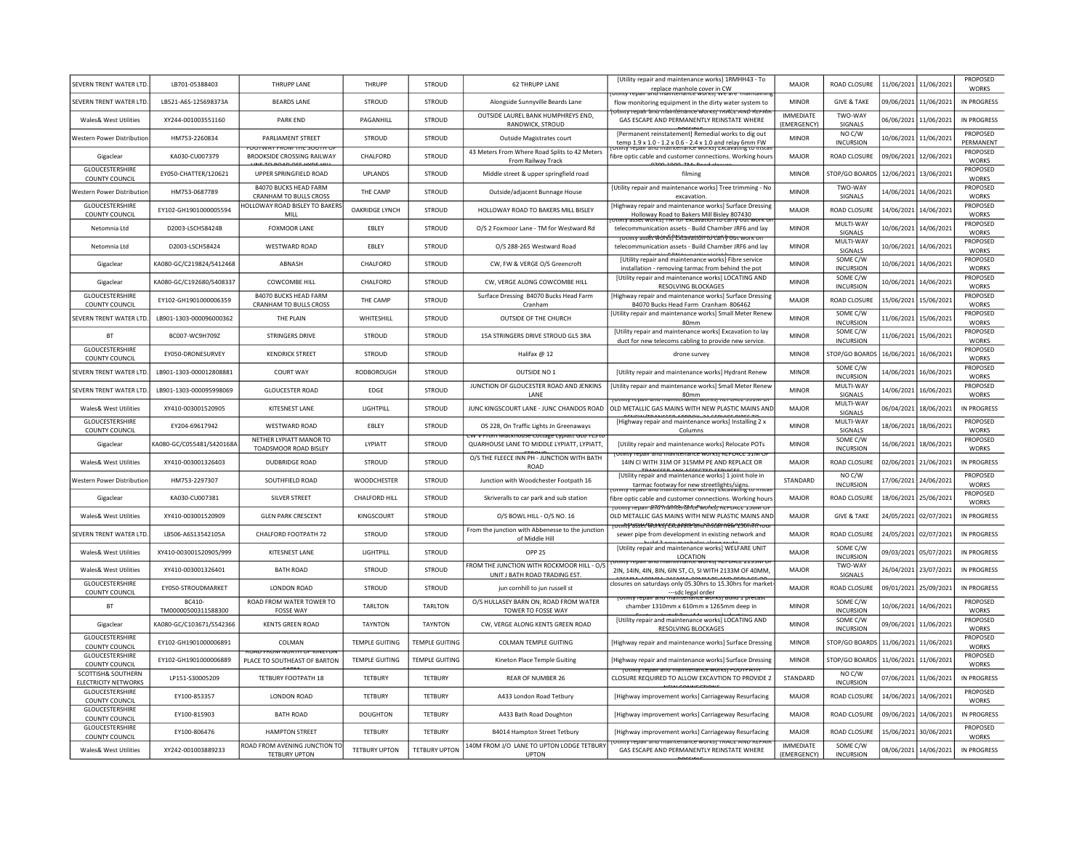| SEVERN TRENT WATER LTD                            | LB701-05388403                      | THRUPP LANE                                                   | THRUPP                | <b>STROUD</b>         | <b>62 THRUPP LANE</b>                                                             | <b>IUtility repair and maintenance works] 1RMHH43 - To</b><br>replace manhole cover in CW<br>otiitty repair and maintenance worksi we are maintaini              | MAIOR                           | ROAD CLOSURE                         | 11/06/2021            | 11/06/2021            | PROPOSED<br><b>WORKS</b>        |
|---------------------------------------------------|-------------------------------------|---------------------------------------------------------------|-----------------------|-----------------------|-----------------------------------------------------------------------------------|------------------------------------------------------------------------------------------------------------------------------------------------------------------|---------------------------------|--------------------------------------|-----------------------|-----------------------|---------------------------------|
| SEVERN TRENT WATER LTD                            | LB521-A6S-125698373A                | <b>BEARDS LANE</b>                                            | <b>STROUD</b>         | <b>STROUD</b>         | Alongside Sunnyville Beards Lane                                                  | flow monitoring equipment in the dirty water system to<br><del>olmcy repair amb mlannlemance worksprivated and iter</del> a                                      | <b>MINOR</b>                    | <b>GIVE &amp; TAKE</b>               |                       | 09/06/2021 11/06/2021 | IN PROGRESS                     |
| <b>Wales&amp; West Utilities</b>                  | XY244-001003551160                  | <b>PARK FND</b>                                               | PAGANHILL             | <b>STROUD</b>         | OUTSIDE LAUREL BANK HUMPHREYS END,<br>RANDWICK, STROUD                            | GAS ESCAPE AND PERMANENTLY REINSTATE WHERE                                                                                                                       | <b>IMMEDIATE</b><br>(EMERGENCY) | TWO-WAY<br>SIGNALS                   |                       | 06/06/2021 11/06/2021 | IN PROGRESS                     |
| Western Power Distributio                         | HM753-2260834                       | PARLIAMENT STREET<br><b>ATTWAL COUNTING ABUTE</b>             | <b>STROUD</b>         | <b>STROUD</b>         | Outside Magistrates court                                                         | [Permanent reinstatement] Remedial works to dig out<br>temp 1.9 x 1.0 - 1.2 x 0.6 - 2.4 x 1.0 and relay 6mm FW                                                   | <b>MINOR</b>                    | NO C/W<br><b>INCURSION</b>           |                       | 10/06/2021 11/06/2021 | PROPOSED<br>PFRMANFNT           |
| Gigaclear                                         | KA030-CU007379                      | BROOKSIDE CROSSING RAILWAY                                    | CHALFORD              | STROUD                | 43 Meters From Where Road Splits to 42 Meters<br>From Railway Track               | fibre optic cable and customer connections. Working hour:                                                                                                        | <b>MAJOR</b>                    | ROAD CLOSURE                         |                       | 09/06/2021 12/06/2021 | PROPOSED<br><b>WORKS</b>        |
| GLOUCESTERSHIRE<br>COUNTY COUNCIL                 | EY050-CHATTER/120621                | UPPER SPRINGFIELD ROAD                                        | <b>UPLANDS</b>        | <b>STROUD</b>         | Middle street & upper springfield road                                            | filming                                                                                                                                                          | <b>MINOR</b>                    | STOP/GO BOARDS                       |                       | 12/06/2021 13/06/2021 | PROPOSED<br><b>WORKS</b>        |
| Western Power Distributior                        | HM753-0687789                       | <b>B4070 BUCKS HEAD FARM</b><br><b>CRANHAM TO BULLS CROSS</b> | THE CAMP              | STROUD                | Outside/adjacent Bunnage House                                                    | [Utility repair and maintenance works] Tree trimming - No<br>excavation                                                                                          | <b>MINOF</b>                    | <b>TWO-WAY</b><br>SIGNALS            | 14/06/2021            | 14/06/2021            | PROPOSED<br><b>WORKS</b>        |
| <b>GLOUCESTERSHIRE</b><br>COUNTY COUNCIL          | EY102-GH1901000005594               | HOLLOWAY ROAD BISLEY TO BAKERS<br>MILL                        | OAKRIDGE LYNCH        | STROUD                | HOLLOWAY ROAD TO BAKERS MILL BISLEY                                               | [Highway repair and maintenance works] Surface Dressin<br>Holloway Road to Bakers Mill Bisley 807430                                                             | MAIOR                           | ROAD CLOSURE                         | 14/06/2021            | 14/06/2021            | PROPOSED<br><b>WORKS</b>        |
| Netomnia Ltd                                      | D2003-LSCH58424B                    | <b>FOXMOOR LANE</b>                                           | EBLEY                 | <b>STROUD</b>         | O/S 2 Foxmoor Lane - TM for Westward Rd                                           | itility asset works) hivi for excavation to carry out work.<br>telecommunication assets - Build Chamber JRF6 and lay                                             | <b>MINOR</b>                    | MULTI-WAY<br><b>SIGNALS</b>          | 10/06/2021            | 14/06/2021            | PROPOSED<br><b>WORKS</b>        |
| Netomnia Ltd                                      | D2003-LSCH58424                     | <b>WESTWARD ROAD</b>                                          | EBLEY                 | <b>STROUD</b>         | O/S 288-265 Westward Road                                                         | totility asset works <del>) Extavation to can y out work</del><br>telecommunication assets - Build Chamber JRF6 and lay                                          | <b>MINOR</b>                    | MULTI-WAY<br><b>SIGNALS</b>          |                       | 10/06/2021 14/06/2021 | PROPOSED<br><b>WORKS</b>        |
| Gigaclear                                         | KA080-GC/C219824/S412468            | ABNASH                                                        | CHALFORD              | STROUD                | CW, FW & VERGE O/S Greencroft                                                     | <b>I</b> Utility repair and maintenance works Fibre service<br>installation - removing tarmac from behind the pot                                                | <b>MINOR</b>                    | SOME C/W<br><b>INCURSION</b>         |                       | 10/06/2021 14/06/2021 | <b>PROPOSED</b><br><b>WORKS</b> |
| Gigaclear                                         | KA080-GC/C192680/S408337            | <b>COWCOMBE HILL</b>                                          | CHALFORD              | <b>STROUD</b>         | CW. VERGE ALONG COWCOMBE HILL                                                     | [Utility repair and maintenance works] LOCATING AND<br>RESOLVING BLOCKAGES                                                                                       | <b>MINOR</b>                    | SOME C/W<br><b>INCURSION</b>         |                       | 10/06/2021 14/06/2021 | PROPOSED<br><b>WORKS</b>        |
| GLOUCESTERSHIRE<br>COUNTY COUNCIL                 | EY102-GH1901000006359               | <b>B4070 BUCKS HEAD FARM</b><br>CRANHAM TO BULLS CROSS        | THE CAMP              | STROUD                | Surface Dressing B4070 Bucks Head Farm<br>Cranham                                 | [Highway repair and maintenance works] Surface Dressing<br>B4070 Bucks Head Farm Cranham 806462                                                                  | MAJOR                           | ROAD CLOSURE                         |                       | 15/06/2021 15/06/2021 | PROPOSED<br><b>WORKS</b>        |
| SEVERN TRENT WATER LTD                            | LB901-1303-000096000362             | THE PLAIN                                                     | WHITESHILL            | <b>STROUD</b>         | OUTSIDE OF THE CHURCH                                                             | [Utility repair and maintenance works] Small Meter Renew<br>80mm                                                                                                 | <b>MINOR</b>                    | SOME C/W<br><b>INCURSION</b>         |                       | 11/06/2021 15/06/2021 | PROPOSED<br><b>WORKS</b>        |
| <b>BT</b>                                         | BC007-WC9H709Z                      | <b>STRINGERS DRIVE</b>                                        | <b>STROUD</b>         | <b>STROUD</b>         | 15A STRINGERS DRIVE STROUD GL5 3RA                                                | [Utility repair and maintenance works] Excavation to lay<br>duct for new telecoms cabling to provide new service.                                                | <b>MINOR</b>                    | SOME C/W<br><b>INCURSION</b>         |                       | 11/06/2021 15/06/2021 | PROPOSED<br><b>WORKS</b>        |
| GLOUCESTERSHIRE<br>COUNTY COUNCIL                 | <b>FY050-DRONESURVEY</b>            | <b>KENDRICK STREET</b>                                        | <b>STROUD</b>         | <b>STROUD</b>         | Halifax @ 12                                                                      | drone survey                                                                                                                                                     | <b>MINOR</b>                    | STOP/GO BOARDS                       | 16/06/2021            | 16/06/2021            | <b>PROPOSED</b><br><b>WORKS</b> |
| SEVERN TRENT WATER LTD                            | LB901-1303-000012808881             | <b>COURT WAY</b>                                              | <b>RODBOROUGH</b>     | STROUD                | OUTSIDE NO 1                                                                      | [Utility repair and maintenance works] Hydrant Renew                                                                                                             | <b>MINOR</b>                    | SOME C/W<br><b>INCURSION</b>         | 14/06/2021            | 16/06/2021            | PROPOSED<br><b>WORKS</b>        |
| <b>SFVERN TRENT WATER ITE</b>                     | LB901-1303-000095998069             | <b>GLOUCESTER ROAD</b>                                        | EDGE                  | <b>STROUD</b>         | JUNCTION OF GLOUCESTER ROAD AND JENKINS<br>LANE                                   | [Utility repair and maintenance works] Small Meter Renew<br>80mm                                                                                                 | <b>MINOR</b>                    | MULTI-WAY<br>SIGNALS                 | 14/06/2021            | 16/06/2021            | PROPOSED<br><b>WORKS</b>        |
| Wales& West Utilities                             | XY410-003001520905                  | KITESNEST LANE                                                | LIGHTPILL             | STROUD                | JUNC KINGSCOURT LANE - JUNC CHANDOS ROAD                                          | <u>Julius repair and maintenance works; KEPD</u><br>OLD METALLIC GAS MAINS WITH NEW PLASTIC MAINS AND                                                            | <b>MAJOR</b>                    | MULTI-WAY<br>SIGNALS                 | 06/04/2021            | 18/06/2021            | IN PROGRESS                     |
| GLOUCESTERSHIRE<br><b>COUNTY COUNCIL</b>          | EY204-69617942                      | WESTWARD ROAD                                                 | EBLEY                 | <b>STROUD</b>         | OS 228, On Traffic Lights Jn Greenaways                                           | [Highway repair and maintenance works] Installing 2 x<br>Columns                                                                                                 | MINOR                           | MULTI-WAY<br>SIGNALS                 |                       | 18/06/2021 18/06/2021 | PROPOSED<br><b>WORKS</b>        |
| Gigaclear                                         | KA080-GC/C055481/S420168/           | NFTHER I YPIATT MANOR TO<br>TOADSMOOR ROAD BISLEY             | <b>IYPIATT</b>        | <b>STROUD</b>         | ioni iviackiiduse cottage cypiatt o<br>QUARHOUSE LANE TO MIDDLE LYPIATT, LYPIATT, | [Utility repair and maintenance works] Relocate POTs                                                                                                             | <b>MINOR</b>                    | SOME C/W<br><b>INCURSION</b>         |                       | 16/06/2021 18/06/2021 | PROPOSED<br><b>WORKS</b>        |
| Wales& West Utilities                             | XY410-003001326403                  | <b>DUDBRIDGE ROAD</b>                                         | STROUD                | STROUD                | O/S THE FLEECE INN PH - JUNCTION WITH BATH<br><b>ROAD</b>                         | <b>GIRL INQUIRENGINE WORKST NET LACE STIM OF</b><br>14IN CI WITH 31M OF 315MM PE AND REPLACE OR                                                                  | MAJOR                           | ROAD CLOSURE                         |                       | 02/06/2021 21/06/2021 | IN PROGRESS                     |
| Western Power Distribution                        | HM753-2297307                       | SOUTHFIELD ROAD                                               | WOODCHESTER           | STROUD                | Junction with Woodchester Footpath 16                                             | [Utility repair and maintenance works] 1 joint hole in                                                                                                           | STANDARD                        | NO C/W<br><b>INCURSION</b>           |                       | 17/06/2021 24/06/2021 | PROPOSED<br><b>WORKS</b>        |
| Gigaclear                                         | KA030-CU007381                      | SILVER STREET                                                 | <b>CHALFORD HILL</b>  | <b>STROUD</b>         | Skriveralls to car park and sub station                                           | tarmac footway for new streetlights/signs.<br>Unity repair and maintenance works Excavating to msta<br>fibre optic cable and customer connections. Working hours | <b>MAJOR</b>                    | ROAD CLOSURE                         | 18/06/2021            | 25/06/2021            | PROPOSED<br><b>WORKS</b>        |
| Wales& West Utilities                             | XY410-003001520909                  | <b>GLEN PARK CRESCENT</b>                                     | KINGSCOURT            | <b>STROUD</b>         | 0/S BOWL HILL - 0/S NO. 16                                                        | otmty repair สำใช้ ใกล้ที่ให้ยาสีทันยังพบใหร่า หนยนคนนี้ 156W O<br>OLD METALLIC GAS MAINS WITH NEW PLASTIC MAINS AND                                             | <b>MAJOR</b>                    | <b>GIVE &amp; TAKE</b>               | 24/05/2021            | 02/07/2021            | IN PROGRESS                     |
| <b>SEVERN TRENT WATER LTD</b>                     | LB506-A6S13542105A                  | CHALFORD FOOTPATH 72                                          | <b>STROUD</b>         | <b>STROUD</b>         | From the junction with Abbenesse to the junction<br>of Middle Hill                | <del>rounty asset worksjiekt avate and instan new 1966 it nou</del><br>sewer pipe from development in existing network and                                       | <b>MAJOR</b>                    | ROAD CLOSURE                         | 24/05/2021            | 02/07/2021            | IN PROGRESS                     |
| <b>Wales&amp; West Utilities</b>                  | XY410-003001520905/999              | <b>KITESNEST LANE</b>                                         | <b>IIGHTPILL</b>      | <b>STROUD</b>         | <b>OPP 25</b>                                                                     | [Utility repair and maintenance works] WELFARE UNIT<br>LOCATION                                                                                                  | MAIOR                           | SOME C/W<br><b>INCURSION</b>         | 09/03/2021            | 05/07/2021            | <b>IN PROGRESS</b>              |
| Wales& West Utilities                             | XY410-003001326401                  | <b>BATH ROAD</b>                                              | STROUD                | <b>STROUD</b>         | FROM THE JUNCTION WITH ROCKMOOR HILL - O/S<br>UNIT J BATH ROAD TRADING EST        | inty repair and mainten<br>C WUINST NEFEASE 2133IVI<br>2IN: 14IN: 4IN: 8IN: 6IN ST. CL SI WITH 2133M OF 40MM                                                     | MAIOR                           | TWO-WAY<br>SIGNALS                   | 26/04/2021            | 23/07/2021            | IN PROGRESS                     |
| GLOUCESTERSHIRE<br><b>COUNTY COUNCIL</b>          | EY050-STROUDMARKET                  | <b>LONDON ROAD</b>                                            | <b>STROUD</b>         | <b>STROUD</b>         | jun cornhill to jun russell st                                                    | closures on saturdays only 05.30hrs to 15.30hrs for market                                                                                                       | <b>MAJOR</b>                    | ROAD CLOSURE                         | 09/01/2021            | 25/09/2021            | <b>IN PROGRESS</b>              |
| BT                                                | <b>BC410</b><br>TM00000500311588300 | ROAD FROM WATER TOWER TO<br><b>FOSSE WAY</b>                  | <b>TARLTON</b>        | TARLTON               | O/S HULLASEY BARN ON, ROAD FROM WATER<br>TOWER TO FOSSE WAY                       | --sdc legal order<br>Tomity repair and maintenance worksj odint I precast<br>chamber 1310mm x 610mm x 1265mm deep in                                             | <b>MINOR</b>                    | SOME C/W<br><b>INCURSION</b>         | 10/06/2021            | 14/06/2021            | PROPOSED<br><b>WORKS</b>        |
| Gigaclear                                         | KA080-GC/C103671/S542366            | <b>KENTS GREEN ROAD</b>                                       | <b>TAYNTON</b>        | <b>TAYNTON</b>        | CW, VERGE ALONG KENTS GREEN ROAD                                                  | [Utility repair and maintenance works] LOCATING AND<br>RESOLVING BLOCKAGES                                                                                       | <b>MINOR</b>                    | SOME C/W<br><b>INCURSION</b>         |                       | 09/06/2021 11/06/2021 | PROPOSED<br><b>WORKS</b>        |
| GLOUCESTERSHIRE<br>COUNTY COUNCIL                 | EY102-GH1901000006891               | COLMAN                                                        | <b>TEMPLE GUITING</b> | <b>TEMPLE GUITING</b> | <b>COLMAN TEMPLE GUITING</b>                                                      | [Highway repair and maintenance works] Surface Dressing                                                                                                          | <b>MINOR</b>                    | STOP/GO BOARDS                       | 11/06/2021 11/06/2021 |                       | PROPOSED<br><b>WORKS</b>        |
| GLOUCESTERSHIRE<br>COUNTY COUNCIL                 | FY102-GH1901000006889               | ,,,,,,,,<br>PLACE TO SOUTHEAST OF BARTON                      | <b>TEMPLE GUITING</b> | <b>TEMPLE GUITING</b> | Kineton Place Temple Guiting                                                      | [Highway repair and maintenance works] Surface Dressing                                                                                                          | <b>MINOR</b>                    | STOP/GO BOARDS 11/06/2021 11/06/2021 |                       |                       | <b>PROPOSED</b><br><b>WORKS</b> |
| SCOTTISH& SOUTHERN<br><b>ELECTRICITY NETWORKS</b> | LP151-S30005209                     | TETBURY FOOTPATH 18                                           | TETBURY               | <b>TETBURY</b>        | <b>REAR OF NUMBER 26</b>                                                          | <u>ominy regair ang maintenance workst rootrea i</u><br>CLOSURE REQUIRED TO ALLOW EXCAVTION TO PROVIDE 2                                                         | STANDARD                        | NO C/W<br><b>INCURSION</b>           |                       | 07/06/2021 11/06/2021 | IN PROGRESS                     |
| GLOUCESTERSHIRE<br>COUNTY COUNCIL                 | EY100-853357                        | <b>LONDON ROAD</b>                                            | <b>TETBURY</b>        | <b>TETBURY</b>        | A433 London Road Tetbury                                                          | [Highway improvement works] Carriageway Resurfacing                                                                                                              | <b>MAJOR</b>                    | ROAD CLOSURE                         |                       | 14/06/2021 14/06/2021 | PROPOSED<br><b>WORKS</b>        |
| <b>GLOUCESTERSHIRE</b><br>COUNTY COUNCIL          | EY100-815903                        | <b>BATH ROAD</b>                                              | <b>DOUGHTON</b>       | <b>TETBURY</b>        | A433 Bath Road Doughton                                                           | [Highway improvement works] Carriageway Resurfacing                                                                                                              | MAJOR                           | ROAD CLOSURE                         |                       | 09/06/2021 14/06/2021 | IN PROGRESS                     |
| GLOUCESTERSHIRE                                   | EY100-806476                        | <b>HAMPTON STREET</b>                                         | TFTBURY               | TFTBURY               | B4014 Hampton Street Tetbury                                                      | [Highway improvement works] Carriageway Resurfacing                                                                                                              | <b>MAJOR</b>                    | <b>ROAD CLOSURE</b>                  | 15/06/2021            | 30/06/2021            | PROPOSED<br><b>WORKS</b>        |
| <b>COUNTY COUNCIL</b><br>Wales& West Utilities    | XY242-001003889233                  | ROAD FROM AVENING JUNCTION TO<br><b>TFTBURY UPTON</b>         | <b>TETBURY UPTON</b>  | <b>TETBURY UPTON</b>  | 140M FROM J/O LANE TO UPTON LODGE TETBURY<br><b>UPTON</b>                         | y repair and maintenance works; in the AND NETH.<br>GAS ESCAPE AND PERMANENTLY REINSTATE WHERE                                                                   | ΙΜΜΕΝΙΔΤΕ<br>(EMERGENCY)        | SOME C/W<br><b>INCURSION</b>         |                       | 08/06/2021 14/06/2021 | IN PROGRESS                     |
|                                                   |                                     |                                                               |                       |                       |                                                                                   |                                                                                                                                                                  |                                 |                                      |                       |                       |                                 |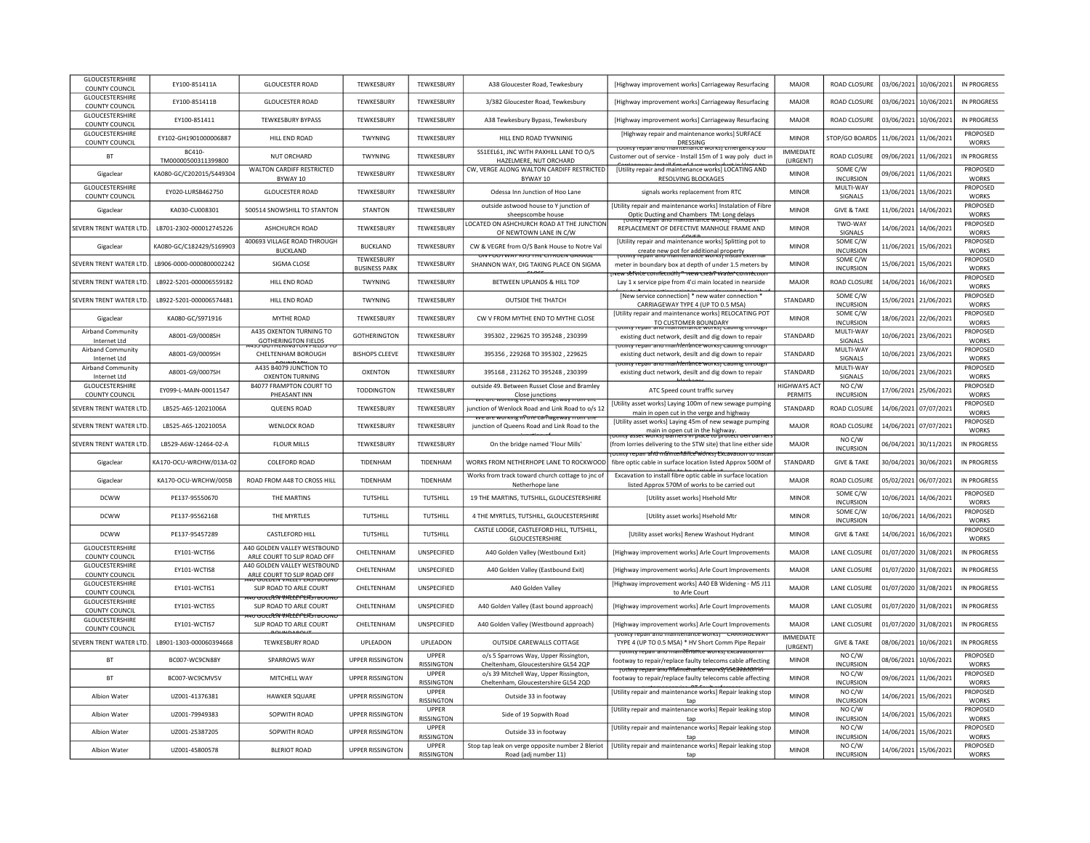| <b>GLOUCESTERSHIRE</b><br>COUNTY COUNCIL | FY100-851411A                       | <b>GLOUCESTER ROAD</b>                                            | <b>TFWKFSBURY</b>                      | <b>TFWKFSBURY</b>          | A38 Gloucester Road, Tewkesbury                                                             | [Highway improvement works] Carriageway Resurfacing                                                                         | MAIOR                        | ROAD CLOSURE                            |            | 03/06/2021 10/06/2021 | IN PROGRESS                     |
|------------------------------------------|-------------------------------------|-------------------------------------------------------------------|----------------------------------------|----------------------------|---------------------------------------------------------------------------------------------|-----------------------------------------------------------------------------------------------------------------------------|------------------------------|-----------------------------------------|------------|-----------------------|---------------------------------|
| GLOUCESTERSHIRE<br>COUNTY COUNCIL        | EY100-851411B                       | <b>GLOUCESTER ROAD</b>                                            | TEWKESBURY                             | TEWKESBURY                 | 3/382 Gloucester Road, Tewkesbury                                                           | [Highway improvement works] Carriageway Resurfacing                                                                         | MAJOR                        | <b>ROAD CLOSURE</b>                     |            | 03/06/2021 10/06/2021 | IN PROGRESS                     |
| GLOUCESTERSHIRE<br><b>COUNTY COUNCIL</b> | EY100-851411                        | <b>TEWKESBURY BYPASS</b>                                          | TEWKESBURY                             | TEWKESBURY                 | A38 Tewkesbury Bypass, Tewkesbury                                                           | [Highway improvement works] Carriageway Resurfacing                                                                         | MAJOR                        | <b>ROAD CLOSURE</b>                     | 03/06/2021 | 10/06/2021            | <b>IN PROGRESS</b>              |
| <b>GLOUCESTERSHIRE</b><br>COUNTY COUNCIL | EY102-GH1901000006887               | HILL END ROAD                                                     | <b>TWYNING</b>                         | TEWKESBURY                 | HILL END ROAD TYWNINIG                                                                      | [Highway repair and maintenance works] SURFACE<br>DRESSING                                                                  | <b>MINOR</b>                 | STOP/GO BOARDS                          | 11/06/2021 | 11/06/2021            | PROPOSED<br><b>WORKS</b>        |
| <b>BT</b>                                | <b>BC410</b><br>TM00000500311399800 | <b>NUT ORCHARD</b>                                                | <b>TWYNING</b>                         | TEWKESBURY                 | SS1EEL61, JNC WITH PAXHILL LANE TO O/S<br>HAZELMERE, NUT ORCHARD                            | <b>JULIIILY I CHAIL AIRE</b><br>Customer out of service - Install 15m of 1 way poly duct in                                 | <b>IMMEDIATE</b><br>(URGENT) | <b>ROAD CLOSURE</b>                     |            | 09/06/2021 11/06/2021 | <b>IN PROGRESS</b>              |
| Gigaclear                                | KA080-GC/C202015/S449304            | <b>WALTON CARDIFF RESTRICTED</b><br>BYWAY 10                      | TEWKESBURY                             | TEWKESBURY                 | CW, VERGE ALONG WALTON CARDIFF RESTRICTED<br>BYWAY 10                                       | [Utility repair and maintenance works] LOCATING AND<br>RESOLVING BLOCKAGES                                                  | <b>MINOR</b>                 | SOME C/W<br><b>INCURSION</b>            |            | 09/06/2021 11/06/2021 | PROPOSED<br><b>WORKS</b>        |
| <b>GLOUCESTERSHIRE</b><br>COUNTY COUNCIL | FY020-LURSB462750                   | <b>GLOUCESTER ROAD</b>                                            | TFWKFSBURY                             | <b>TFWKFSBURY</b>          | Odessa Inn Junction of Hoo Lane                                                             | signals works replacement from RTC                                                                                          | <b>MINOR</b>                 | MUITI-WAY<br>SIGNALS                    |            | 13/06/2021 13/06/2021 | PROPOSED<br><b>WORKS</b>        |
| Gigaclear                                | KA030-CU008301                      | 500514 SNOWSHILL TO STANTON                                       | <b>STANTON</b>                         | TEWKESBURY                 | outside astwood house to Y junction of<br>sheepscombe house                                 | <b>IUtility repair and maintenance works) Instalation of Fibre</b><br>Optic Ducting and Chambers TM: Long delays            | <b>MINOR</b>                 | <b>GIVE &amp; TAKE</b>                  |            | 11/06/2021 14/06/2021 | PROPOSED<br><b>WORKS</b>        |
| SEVERN TRENT WATER LTD                   | LB701-2302-000012745226             | <b>ASHCHURCH ROAD</b>                                             | TEWKESBURY                             | TFWKFSBURY                 | OCATED ON ASHCHURCH ROAD AT THE JUNCTION<br>OF NEWTOWN LANE IN C/W                          | it <del>v repair and maintenance works</del> i<br>REPLACEMENT OF DEFECTIVE MANHOLE FRAME AND                                | <b>MINOR</b>                 | TWO-WAY<br>SIGNALS                      |            | 14/06/2021 14/06/2021 | <b>PROPOSED</b><br><b>WORKS</b> |
| Gigaclear                                | KA080-GC/C182429/S169903            | 400693 VILLAGE ROAD THROUGH<br><b>BUCKLAND</b>                    | <b>BUCKLAND</b>                        | <b>TEWKESBURY</b>          | CW & VEGRE from O/S Bank House to Notre Val                                                 | [Utility repair and maintenance works] Splitting pot to<br>create new pot for additional property                           | <b>MINOR</b>                 | SOME C/W<br><b>INCURSION</b>            |            | 11/06/2021 15/06/2021 | PROPOSED<br><b>WORKS</b>        |
| SEVERN TRENT WATER LTD                   | LB906-0000-0000800002242            | SIGMA CLOSE                                                       | TEWKESBURY                             | TEWKESBURY                 | UN FUUTWAT KOS TOE CITROEN GARAGE<br>SHANNON WAY, DIG TAKING PLACE ON SIGMA                 | enance works<br>meter in boundary box at depth of under 1.5 meters by                                                       | <b>MINOR</b>                 | SOME C/W                                |            | 15/06/2021 15/06/2021 | PROPOSED                        |
| SEVERN TRENT WATER LTD                   | LB922-5201-000006559182             | HILL END ROAD                                                     | <b>BUSINESS PARK</b><br><b>TWYNING</b> | TEWKESBURY                 | BETWEEN UPLANDS & HILL TOP                                                                  | service connection in Threw Cream water to<br>Lay 1 x service pipe from 4'ci main located in nearside                       | <b>MAJOR</b>                 | <b>INCURSION</b><br><b>ROAD CLOSURE</b> |            | 14/06/2021 16/06/2021 | <b>WORKS</b><br>PROPOSED        |
| SEVERN TRENT WATER LTD.                  | LB922-5201-000006574481             | HILL END ROAD                                                     | <b>TWYNING</b>                         | TFWKFSBURY                 | <b>OUTSIDE THE THATCH</b>                                                                   | [New service connection] * new water connection '                                                                           | STANDARD                     | SOME C/W                                |            |                       | <b>WORKS</b><br>PROPOSED        |
|                                          |                                     |                                                                   |                                        |                            |                                                                                             | CARRIAGEWAY TYPE 4 (UP TO 0.5 MSA)<br>[Utility repair and maintenance works] RELOCATING POT                                 |                              | <b>INCURSION</b><br>SOME C/W            |            | 15/06/2021 21/06/2021 | <b>WORKS</b><br>PROPOSED        |
| Gigaclear                                | KA080-GC/S971916                    | MYTHE ROAD                                                        | TEWKESBURY                             | TEWKESBURY                 | CW V FROM MYTHE END TO MYTHE CLOSE                                                          | TO CUSTOMER BOUNDARY                                                                                                        | <b>MINOR</b>                 | <b>INCURSION</b>                        |            | 18/06/2021 22/06/2021 | <b>WORKS</b>                    |
| Airband Community<br>Internet Ltd        | A8001-G9/0008SH                     | A435 OXENTON TURNING TO<br><b>GOTHERINGTON FIELDS</b>             | <b>GOTHERINGTON</b>                    | TEWKESBURY                 | 395302, 229625 TO 395248, 230399                                                            | existing duct network, desilt and dig down to repair<br><u>rotility repair and maintenance worksi capiline tiiroue</u>      | STANDARD                     | MULTI-WAY<br>SIGNALS                    |            | 10/06/2021 23/06/2021 | PROPOSED<br><b>WORKS</b>        |
| <b>Airband Community</b><br>Internet Ltd | A8001-G9/0009SH                     | CHELTENHAM BOROUGH                                                | <b>BISHOPS CLEEVE</b>                  | TEWKESBURY                 | 395356, 229268 TO 395302, 229625                                                            | existing duct network, desilt and dig down to repair                                                                        | STANDARD                     | MULTI-WAY<br>SIGNALS                    |            | 10/06/2021 23/06/2021 | PROPOSED<br><b>WORKS</b>        |
| <b>Airband Community</b><br>Internet Ltd | A8001-G9/0007SH                     | A435 B4079 JUNCTION TO<br><b>OXENTON TURNING</b>                  | OXENTON                                | TEWKESBURY                 | 395168, 231262 TO 395248, 230399                                                            | <del>rounty repair and mailtlenlance worksj cabiing tinougi</del><br>existing duct network, desilt and dig down to repair   | STANDARD                     | MULTI-WAY<br>SIGNALS                    |            | 10/06/2021 23/06/2021 | PROPOSED<br><b>WORKS</b>        |
| GLOUCESTERSHIRE                          | EY099-L-MAIN-00011547               | B4077 FRAMPTON COURT TO                                           | <b>TODDINGTON</b>                      | TEWKESBURY                 | outside 49. Between Russet Close and Bramley                                                | ATC Speed count traffic survey                                                                                              | <b>HIGHWAYS ACT</b>          | NO C/W                                  | 17/06/2021 | 25/06/2021            | PROPOSED                        |
| COUNTY COUNCIL<br>SEVERN TRENT WATER LTD | LB525-A6S-12021006A                 | PHEASANT INN<br>QUEENS ROAD                                       | TEWKESBURY                             | TEWKESBURY                 | Close junctions<br>mg in the carriagewa<br>junction of Wenlock Road and Link Road to o/s 12 | [Utility asset works] Laying 100m of new sewage pumping                                                                     | PERMITS<br><b>STANDARD</b>   | <b>INCURSION</b><br>ROAD CLOSURE        |            | 14/06/2021 07/07/2021 | <b>WORKS</b><br><b>PROPOSED</b> |
| SEVERN TRENT WATER LTD                   | LB525-A6S-12021005A                 | <b>WENLOCK ROAD</b>                                               | TEWKESBURY                             | TEWKESBURY                 | we are working in the carriageway from th                                                   | main in open cut in the verge and highway<br>[Utility asset works] Laying 45m of new sewage pumping                         | MAJOR                        | <b>ROAD CLOSURE</b>                     |            | 14/06/2021 07/07/2021 | <b>WORKS</b><br><b>PROPOSED</b> |
|                                          |                                     |                                                                   |                                        |                            | junction of Queens Road and Link Road to the                                                | main in open cut in the highway.<br>Entry asset works partiers in place to protect                                          |                              | NO C/W                                  |            |                       | <b>WORKS</b>                    |
| SEVERN TRENT WATER LTD                   | LB529-A6W-12464-02-A                | <b>FLOUR MILLS</b>                                                | TEWKESBURY                             | TFWKFSBURY                 | On the bridge named 'Flour Mills'                                                           | (from lorries delivering to the STW site) that line either side<br>วเทเพาะpan and malmentalle works; Excavation to mstar    | MAJOR                        | <b>INCURSION</b>                        | 06/04/2021 | 30/11/2021            | IN PROGRESS                     |
| Gigaclear                                | KA170-OCU-WRCHW/013A-02             | <b>COLEFORD ROAD</b>                                              | TIDENHAM                               | TIDENHAM                   | WORKS FROM NETHERHOPE LANE TO ROCKWOOD                                                      | fibre optic cable in surface location listed Approx 500M of                                                                 | STANDARD                     | <b>GIVE &amp; TAKE</b>                  | 30/04/2021 | 30/06/2021            | <b>IN PROGRESS</b>              |
| Gigaclear                                | KA170-OCU-WRCHW/005B                | ROAD FROM A48 TO CROSS HILL                                       | TIDENHAM                               | TIDENHAM                   | Works from track toward church cottage to jnc of<br>Netherhope lane                         | Excavation to install fibre optic cable in surface location<br>listed Approx 570M of works to be carried out                | MAJOR                        | <b>ROAD CLOSURE</b>                     | 05/02/2021 | 06/07/2021            | IN PROGRESS                     |
| <b>DCWW</b>                              | PE137-95550670                      | THE MARTINS                                                       | TUTSHILL                               | <b>TUTSHILL</b>            | 19 THE MARTINS, TUTSHILL, GLOUCESTERSHIRE                                                   | [Utility asset works] Hsehold Mtr                                                                                           | <b>MINOR</b>                 | SOME C/W<br><b>INCURSION</b>            | 10/06/2021 | 14/06/2021            | PROPOSED<br><b>WORKS</b>        |
| <b>DCWW</b>                              | PE137-95562168                      | THE MYRTLES                                                       | TUTSHILL                               | <b>TUTSHILL</b>            | 4 THE MYRTLES, TUTSHILL, GLOUCESTERSHIRE                                                    | [Utility asset works] Hsehold Mtr                                                                                           | <b>MINOR</b>                 | SOME C/W<br><b>INCURSION</b>            | 10/06/2021 | 14/06/2021            | PROPOSED<br><b>WORKS</b>        |
| <b>DCWW</b>                              | PF137-95457289                      | CASTI FFORD HILL                                                  | <b>TUTSHILL</b>                        | <b>TUTSHILL</b>            | CASTLE LODGE, CASTLEFORD HILL, TUTSHILL,<br>GLOUCESTERSHIRE                                 | [Utility asset works] Renew Washout Hydrant                                                                                 | <b>MINOR</b>                 | <b>GIVE &amp; TAKE</b>                  |            | 14/06/2021 16/06/2021 | PROPOSED<br><b>WORKS</b>        |
| <b>GLOUCESTERSHIRE</b><br>COUNTY COUNCIL | FY101-WCTIS6                        | A40 GOLDEN VALLEY WESTBOUND<br>ARLE COURT TO SLIP ROAD OFF        | CHFITENHAM                             | <b>UNSPECIFIED</b>         | A40 Golden Valley (Westbound Exit)                                                          | [Highway improvement works] Arle Court Improvements                                                                         | MAIOR                        | LANE CLOSURE                            |            | 01/07/2020 31/08/2021 | <b>IN PROGRESS</b>              |
| GLOUCESTERSHIRE<br>COUNTY COUNCIL        | EY101-WCTIS8                        | A40 GOLDEN VALLEY WESTBOUND<br>ARLE COURT TO SLIP ROAD OFF        | CHELTENHAM                             | UNSPECIFIED                | A40 Golden Valley (Eastbound Exit)                                                          | [Highway improvement works] Arle Court Improvements                                                                         | MAJOR                        | LANE CLOSURE                            | 01/07/2020 | 31/08/2021            | <b>IN PROGRESS</b>              |
| <b>GLOUCESTERSHIRE</b><br>COUNTY COUNCIL | EY101-WCTIS1                        | <b>UULULIY VALLET LAJTDUUIY</b><br>SLIP ROAD TO ARLE COURT        | CHELTENHAM                             | UNSPECIFIED                | A40 Golden Valley                                                                           | [Highway improvement works] A40 EB Widening - M5 J11<br>to Arle Court                                                       | MAJOR                        | <b>LANE CLOSURE</b>                     | 01/07/2020 | 31/08/2021            | IN PROGRESS                     |
| <b>GLOUCESTERSHIRE</b><br>COUNTY COUNCIL | EY101-WCTIS5                        | <del>40 GOLDEN VARLEPLAS roOON</del> t<br>SLIP ROAD TO ARLE COURT | CHELTENHAM                             | UNSPECIFIED                | A40 Golden Valley (East bound approach)                                                     | [Highway improvement works] Arle Court Improvements                                                                         | <b>MAJOR</b>                 | LANE CLOSURE                            | 01/07/2020 | 31/08/2021            | <b>IN PROGRESS</b>              |
| GLOUCESTERSHIRE<br>COUNTY COUNCIL        | FY101-WCTIS7                        | <del>u Guldên VALLEYLASTBUUNI</del><br>SLIP ROAD TO ARLE COURT    | CHELTENHAM                             | UNSPECIFIED                | A40 Golden Valley (Westbound approach)                                                      | [Highway improvement works] Arle Court Improvements                                                                         | <b>MAJOR</b>                 | LANE CLOSURE                            |            | 01/07/2020 31/08/2021 | IN PROGRESS                     |
| SEVERN TRENT WATER LTD                   | LB901-1303-000060394668             | <b>TEWKESBURY ROAD</b>                                            | UPLEADON                               | UPLEADON                   | OUTSIDE CAREWALLS COTTAGE                                                                   | <b>TOthity repair and maintenance works</b> [ " CARRIAGEWA<br>TYPE 4 (UP TO 0.5 MSA) * HV Short Comm Pipe Repair            | <b>IMMEDIATE</b><br>(URGENT) | <b>GIVE &amp; TAKE</b>                  | 08/06/2021 | 10/06/2021            | <b>IN PROGRESS</b>              |
| <b>BT</b>                                | BC007-WC9CN88Y                      | SPARROWS WAY                                                      | <b>UPPER RISSINGTON</b>                | UPPER<br><b>RISSINGTON</b> | o/s 5 Sparrows Way, Upper Rissington,<br>Cheltenham, Gloucestershire GL54 2QF               | <u>rotility repair and maintenance worksj excavation i</u><br>footway to repair/replace faulty telecoms cable affecting     | <b>MINOR</b>                 | NO C/W<br><b>INCURSION</b>              |            | 08/06/2021 10/06/2021 | PROPOSED<br><b>WORKS</b>        |
| <b>BT</b>                                | BC007-WC9CMV5V                      | MITCHELL WAY                                                      | <b>UPPER RISSINGTON</b>                | UPPER<br><b>RISSINGTON</b> | o/s 39 Mitchell Way, Upper Rissington,                                                      | ruthay regan <del>'any fila</del> inieharfoe workSCExt 394488C<br>footway to repair/replace faulty telecoms cable affecting | <b>MINOR</b>                 | NO C/W                                  |            | 09/06/2021 11/06/2021 | PROPOSED<br><b>WORKS</b>        |
| <b>Albion Water</b>                      | UZ001-41376381                      | <b>HAWKER SQUARE</b>                                              | <b>UPPER RISSINGTON</b>                | UPPER                      | Cheltenham, Gloucestershire GL54 2QD<br>Outside 33 in footway                               | [Utility repair and maintenance works] Repair leaking stop                                                                  | <b>MINOR</b>                 | <b>INCURSION</b><br>NO C/W              | 14/06/2021 | 15/06/2021            | PROPOSED                        |
| Albion Water                             | UZ001-79949383                      | SOPWITH ROAD                                                      | <b>UPPER RISSINGTON</b>                | <b>RISSINGTON</b><br>UPPER | Side of 19 Sopwith Road                                                                     | tap<br>[Utility repair and maintenance works] Repair leaking stop                                                           | <b>MINOR</b>                 | <b>INCURSION</b><br>NO C/W              |            | 14/06/2021 15/06/2021 | <b>WORKS</b><br>PROPOSED        |
|                                          |                                     |                                                                   |                                        | <b>RISSINGTON</b><br>UPPER |                                                                                             | tap<br>[Utility repair and maintenance works] Repair leaking stop                                                           |                              | <b>INCURSION</b><br>NO C/W              |            |                       | <b>WORKS</b><br>PROPOSED        |
| Albion Water                             | UZ001-25387205                      | SOPWITH ROAD                                                      | <b>UPPER RISSINGTON</b>                | <b>RISSINGTON</b><br>UPPER | Outside 33 in footway                                                                       | tap                                                                                                                         | <b>MINOR</b>                 | <b>INCURSION</b>                        |            | 14/06/2021 15/06/2021 | <b>WORKS</b><br>PROPOSED        |
| <b>Albion Water</b>                      | 117001-45800578                     | <b>BLERIOT ROAD</b>                                               | <b>UPPER RISSINGTON</b>                | <b>RISSINGTON</b>          | Stop tap leak on verge opposite number 2 Bleriot<br>Road (adj number 11)                    | Utility repair and maintenance works] Repair leaking stop<br>tap                                                            | <b>MINOR</b>                 | NO C/W<br><b>INCURSION</b>              |            | 14/06/2021 15/06/2021 | <b>WORKS</b>                    |